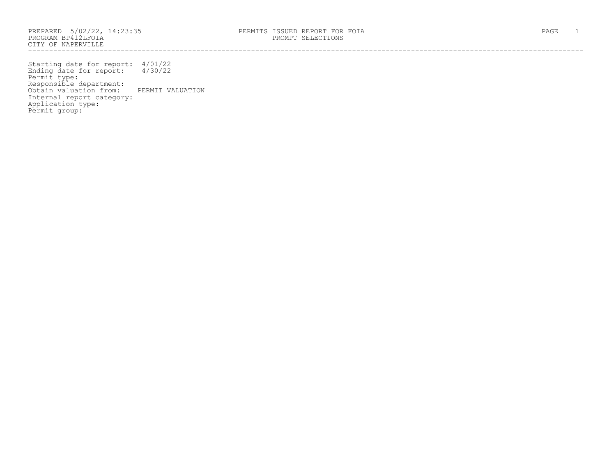PROGRAM BP412LFOIA PROMPT SELECTIONS CITY OF NAPERVILLE ------------------------------------------------------------------------------------------------------------------------------------

Starting date for report: 4/01/22 Ending date for report: 4/30/22 Permit type: Responsible department: Obtain valuation from: PERMIT VALUATION Internal report category: Application type: Permit group: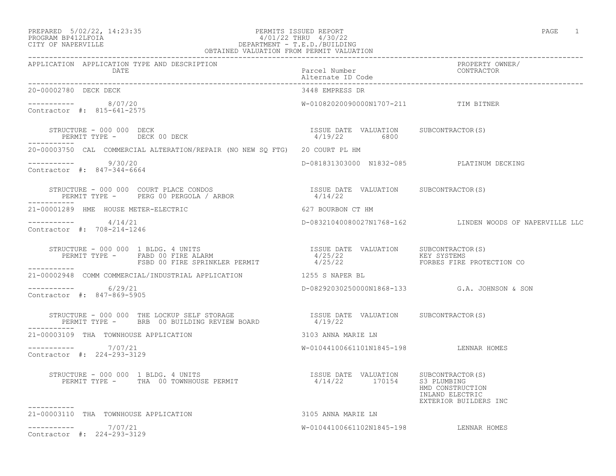## PREPARED 5/02/22, 14:23:35 PERMITS ISSUED REPORT PAGE 1 PROGRAM BP412LFOIA 4/01/22 THRU 4/30/22 CITY OF NAPERVILLE DEPARTMENT - T.E.D./BUILDING

| OBTAINED VALUATION FROM PERMIT VALUATION                                                                                                                                                    |                                                       |                                                              |  |
|---------------------------------------------------------------------------------------------------------------------------------------------------------------------------------------------|-------------------------------------------------------|--------------------------------------------------------------|--|
| APPLICATION APPLICATION TYPE AND DESCRIPTION<br>DATE                                                                                                                                        | Parcel Number<br>Alternate ID Code                    | PROPERTY OWNER/<br>CONTRACTOR                                |  |
| 20-00002780 DECK DECK                                                                                                                                                                       | 3448 EMPRESS DR                                       |                                                              |  |
| $--------- 8/07/20$<br>Contractor #: 815-641-2575                                                                                                                                           | W-01082020090000N1707-211 TIM BITNER                  |                                                              |  |
| STRUCTURE - 000 000 DECK<br>PERMIT TYPE - DECK 00 DECK                                                                                                                                      | ISSUE DATE VALUATION SUBCONTRACTOR(S)<br>4/19/22 6800 |                                                              |  |
| 20-00003750 CAL COMMERCIAL ALTERATION/REPAIR (NO NEW SQ FTG) 20 COURT PL HM                                                                                                                 |                                                       |                                                              |  |
| $--------- 9/30/20$<br>Contractor #: 847-344-6664                                                                                                                                           | D-081831303000 N1832-085 PLATINUM DECKING             |                                                              |  |
|                                                                                                                                                                                             |                                                       |                                                              |  |
| 21-00001289 HME HOUSE METER-ELECTRIC                                                                                                                                                        | 627 BOURBON CT HM                                     |                                                              |  |
| $--------- 4/14/21$<br>Contractor #: 708-214-1246                                                                                                                                           |                                                       | D-08321040080027N1768-162 LINDEN WOODS OF NAPERVILLE LLC     |  |
| ___________                                                                                                                                                                                 |                                                       |                                                              |  |
| 21-00002948 COMM COMMERCIAL/INDUSTRIAL APPLICATION 1255 S NAPER BL                                                                                                                          |                                                       |                                                              |  |
| $--------- 6/29/21$<br>Contractor #: 847-869-5905                                                                                                                                           |                                                       | D-08292030250000N1868-133 G.A. JOHNSON & SON                 |  |
| STRUCTURE - 000 000 THE LOCKUP SELF STORAGE                           ISSUE DATE VALUATION     SUBCONTRACTOR(S)<br>PERMIT TYPE -      BRB  00 BUILDING REVIEW BOARD                 4/19/22 |                                                       |                                                              |  |
| 21-00003109 THA TOWNHOUSE APPLICATION                                                                                                                                                       | 3103 ANNA MARIE LN                                    |                                                              |  |
| $--------- 7/07/21$<br>Contractor #: 224-293-3129                                                                                                                                           | W-01044100661101N1845-198 LENNAR HOMES                |                                                              |  |
| -----------                                                                                                                                                                                 |                                                       | HMD CONSTRUCTION<br>INLAND ELECTRIC<br>EXTERIOR BUILDERS INC |  |
| 21-00003110 THA TOWNHOUSE APPLICATION                                                                                                                                                       | 3105 ANNA MARIE LN                                    |                                                              |  |
| ----------- 7/07/21<br>Contractor #: 224-293-3129                                                                                                                                           | W-01044100661102N1845-198 LENNAR HOMES                |                                                              |  |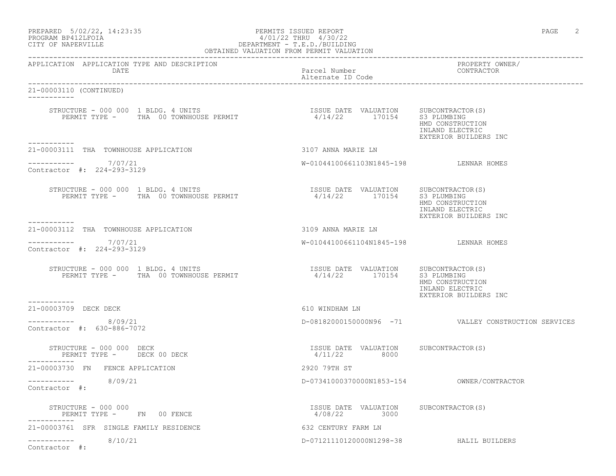| PREPARED | $5/02/22$ , 14:23:35 |  |
|----------|----------------------|--|
|          | PROGRAM BP412LFOIA   |  |

### of the contract of the person of the PERMITS ISSUED REPORT the contract of the contract of the person of the p PROGRAM BP412LFOIA  $4/01/22$  THRU  $4/30/22$ <br>CITY OF NAPERVILLE DEPARTMENT - T.E.D./BUILDING OBTAINED VALUATION FROM PERMIT VALUATION

------------------------------------------------------------------------------------------------------------------------------------

APPLICATION APPLICATION TYPE AND DESCRIPTION PROPERTY OWNER/ DATE Parcel Number Contractor Contractor Contractor Parcel Number Alternate ID Code ------------------------------------------------------------------------------------------------------------------------------------ 21-00003110 (CONTINUED) ----------- STRUCTURE - 000 000 1 BLDG. 4 UNITS ISSUE DATE VALUATION SUBCONTRACTOR(S) PERMIT TYPE - THA 00 TOWNHOUSE PERMIT HMD CONSTRUCTION INLAND ELECTRIC EXTERIOR BUILDERS INC ----------- 21-00003111 THA TOWNHOUSE APPLICATION 3107 ANNA MARIE LN  $--------- 7/07/21$ W-01044100661103N1845-198 LENNAR HOMES Contractor #: 224-293-3129 STRUCTURE - 000 000 1 BLDG. 4 UNITS ISSUE DATE VALUATION SUBCONTRACTOR(S) PERMIT TYPE - THA 00 TOWNHOUSE PERMIT HMD CONSTRUCTION INLAND ELECTRIC EXTERIOR BUILDERS INC ----------- 21-00003112 THA TOWNHOUSE APPLICATION 3109 ANNA MARIE LN  $--------- 7/07/21$ W-01044100661104N1845-198 LENNAR HOMES Contractor #: 224-293-3129  $STRUCTURE - 000 000 1 BLDG. 4 UNITS$ ISSUE DATE VALUATION SUBCONTRACTOR(S)<br>4/14/22 170154 S3 PLUMBING HMD CONSTRUCTION INLAND ELECTRIC EXTERIOR BUILDERS INC ----------- 21-00003709 DECK DECK 610 WINDHAM LN  $--------- 8/09/21$  $D-08182000150000N96 -71$  VALLEY CONSTRUCTION SERVICES Contractor #: 630-886-7072 STRUCTURE - 000 000 DECK ISSUE DATE VALUATION SUBCONTRACTOR(S) PERMIT TYPE - DECK 00 DECK ----------- 21-00003730 FN FENCE APPLICATION 2920 79TH ST ----------- 8/09/21 D-07341000370000N1853-154 OWNER/CONTRACTOR Contractor #: STRUCTURE - 000 000 ISSUE DATE VALUATION SUBCONTRACTOR(S) PERMIT TYPE - FN 00 FENCE ----------- 21-00003761 SFR SINGLE FAMILY RESIDENCE 632 CENTURY FARM LN ----------- 8/10/21 D-07121110120000N1298-38 HALIL BUILDERS Contractor #: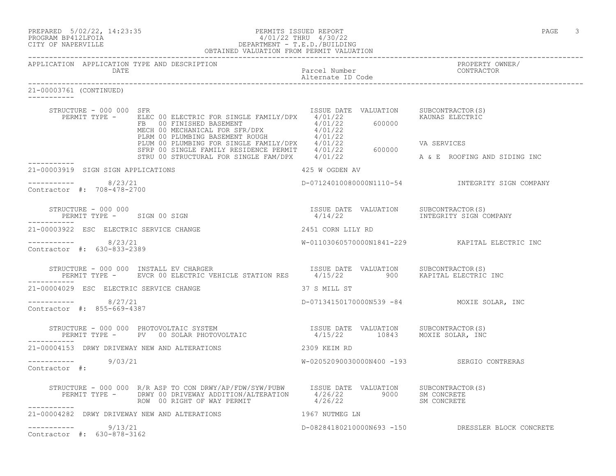| PREPARED |  | $5/02/22$ , 14:23:35 |
|----------|--|----------------------|
| -------- |  |                      |

### PREPARED 5/02/22, 14:23:35 PERMITS ISSUED REPORT<br>PROGRAM BP412LFOIA PAGE 3 PROGRAM BP412LFOIA PROGRAM BP412LFOIA 4/01/22 THRU 4/30/22 CITY OF NAPERVILLE DEPARTMENT - T.E.D./BUILDING OBTAINED VALUATION FROM PERMIT VALUATION

| APPLICATION APPLICATION TYPE AND DESCRIPTION<br><b>DATE</b> |                                                                                                                                                                                                                                          | Parcel Number<br>Alternate ID Code         | PROPERTY OWNER/<br>CONTRACTOR                     |
|-------------------------------------------------------------|------------------------------------------------------------------------------------------------------------------------------------------------------------------------------------------------------------------------------------------|--------------------------------------------|---------------------------------------------------|
| 21-00003761 (CONTINUED)                                     |                                                                                                                                                                                                                                          |                                            |                                                   |
| STRUCTURE - 000 000 SFR                                     | PERMIT TYPE - ELEC 00 ELECTRIC FOR SINGLE FAMILY/DPX 4/01/22                                                                                                                                                                             | ISSUE DATE VALUATION                       | SUBCONTRACTOR(S)<br>KAUNAS ELECTRIC               |
|                                                             | ELEC 00 ELECTRIC FOR SINGLE FAMILY/DPX 4/01/22<br>FB 00 FINISHED BASEMENT ROUGH 4/01/22<br>MECH 00 MECHANICAL FOR SFR/DPX 4/01/22<br>PLRM 00 PLUMBING BASEMENT ROUGH 4/01/22<br>PLUM 00 PLUMBING FOR SINGLE FAMILY/DPX 4/01/22<br>SFRP 0 |                                            | VA SERVICES<br>A & E ROOFING AND SIDING INC       |
| 21-00003919 SIGN SIGN APPLICATIONS                          |                                                                                                                                                                                                                                          | 425 W OGDEN AV                             |                                                   |
| -----------    8/23/21<br>Contractor #: 708-478-2700        |                                                                                                                                                                                                                                          |                                            | D-07124010080000N1110-54 INTEGRITY SIGN COMPANY   |
| STRUCTURE - 000 000                                         | PERMIT TYPE - SIGN 00 SIGN                                                                                                                                                                                                               | ISSUE DATE VALUATION<br>4/14/22            | SUBCONTRACTOR(S)<br>INTEGRITY SIGN COMPANY        |
| 21-00003922 ESC ELECTRIC SERVICE CHANGE                     |                                                                                                                                                                                                                                          | 2451 CORN LILY RD                          |                                                   |
| ---------- 8/23/21<br>Contractor #: 630-833-2389            |                                                                                                                                                                                                                                          |                                            |                                                   |
| STRUCTURE - 000 000 INSTALL EV CHARGER<br>------------      | RUCTURE – 000 000 INSTALL EV CHARGER<br>PERMIT TYPE – EVCR 00 ELECTRIC VEHICLE STATION RES 4/15/22 900 KAPITAL ELECTRIC INC                                                                                                              |                                            |                                                   |
| 21-00004029 ESC ELECTRIC SERVICE CHANGE                     |                                                                                                                                                                                                                                          | 37 S MILL ST                               |                                                   |
| -----------    8/27/21<br>Contractor #: 855-669-4387        |                                                                                                                                                                                                                                          | D-07134150170000N539 -84 MOXIE SOLAR, INC  |                                                   |
|                                                             |                                                                                                                                                                                                                                          |                                            |                                                   |
| 21-00004153 DRWY DRIVEWAY NEW AND ALTERATIONS               |                                                                                                                                                                                                                                          | 2309 KEIM RD                               |                                                   |
| ----------- 9/03/21<br>Contractor #:                        |                                                                                                                                                                                                                                          | W-02052090030000N400 -193 SERGIO CONTRERAS |                                                   |
| ------------                                                |                                                                                                                                                                                                                                          |                                            |                                                   |
| 21-00004282 DRWY DRIVEWAY NEW AND ALTERATIONS               |                                                                                                                                                                                                                                          | 1967 NUTMEG LN                             |                                                   |
| 9/13/21<br>-----------<br>Contractor #: 630-878-3162        |                                                                                                                                                                                                                                          |                                            | D-08284180210000N693 -150 DRESSLER BLOCK CONCRETE |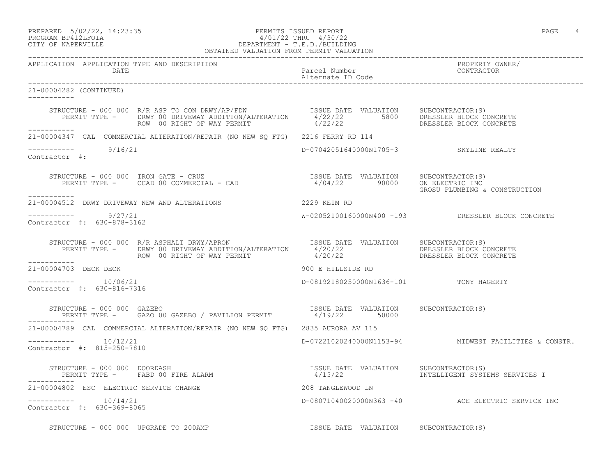### PREPARED 5/02/22, 14:23:35 PERMITS ISSUED REPORT PAGE 4 PROGRAM BP412LFOIA 4/01/22 THRU 4/30/22 CITY OF NAPERVILLE DEPARTMENT - T.E.D./BUILDING OBTAINED VALUATION FROM PERMIT VALUATION

------------------------------------------------------------------------------------------------------------------------------------ APPLICATION APPLICATION TYPE AND DESCRIPTION<br>DATE DATE DATE DATE DATE PARTICLE IN PARTICLE IN THE PARTICLE IN THE PARTICLE IN THE PARTICLE IN THE PARTICLE IN THE PARTICLE IN THE PARTICLE IN THE PARTICLE IN THE PARTICLE IN THE PARTICLE IN THE PARTICLE IN THE PARTICLE IN THE PARTICLE IN T Alternate ID Code ------------------------------------------------------------------------------------------------------------------------------------ 21-00004282 (CONTINUED) ----------- STRUCTURE - 000 000 R/R ASP TO CON DRWY/AP/FDW ISSUE DATE VALUATION SUBCONTRACTOR(S) PERMIT TYPE - DRWY 00 DRIVEWAY ADDITION/ALTERATION 4/22/22 5800 DRESSLER BLOCK CONCRETE ROW 00 RIGHT OF WAY PERMIT  $4/22/22$  DRESSLER BLOCK CONCRETE ----------- 21-00004347 CAL COMMERCIAL ALTERATION/REPAIR (NO NEW SQ FTG) 2216 FERRY RD 114  $--------- 9/16/21$ D-07042051640000N1705-3 SKYLINE REALTY Contractor #: STRUCTURE – 000 000 IRON GATE – CRUZ ISSUE DATE VALUATION SUBCONTRACTOR(S)<br>PERMIT TYPE – CCAD 00 COMMERCIAL – CAD 4/04/22 90000 ON ELECTRIC INC PERMIT TYPE - CCAD 00 COMMERCIAL - CAD<br>PERMIT TYPE - CCAD 00 COMMERCIAL - CAD GROSU PLUMBING & CONSTRUCTION ----------- 21-00004512 DRWY DRIVEWAY NEW AND ALTERATIONS 2229 KEIM RD \_\_\_\_\_\_\_\_\_\_\_ ----------- 9/27/21 W-02052100160000N400 -193 DRESSLER BLOCK CONCRETE Contractor #: 630-878-3162 STRUCTURE - 000 000 R/R ASPHALT DRWY/APRON ISSUE DATE VALUATION SUBCONTRACTOR(S) PERMIT TYPE - DRWY 00 DRIVEWAY ADDITION/ALTERATION  $4/20/22$  DRESSLER BLOCK CONCRETE ROW 00 RIGHT OF WAY PERMIT  $4/20/22$  DRESSLER BLOCK CONCRETE ----------- 21-00004703 DECK DECK 900 E HILLSIDE RD  $--------- 10/06/21$ D-08192180250000N1636-101 TONY HAGERTY Contractor #: 630-816-7316 STRUCTURE - 000 000 GAZEBO ISSUE DATE VALUATION SUBCONTRACTOR(S) PERMIT TYPE - GAZO 00 GAZEBO / PAVILION PERMIT  $4/19/22$  50000 ----------- 21-00004789 CAL COMMERCIAL ALTERATION/REPAIR (NO NEW SQ FTG) 2835 AURORA AV 115 ----------- 10/12/21 D-07221020240000N1153-94 MIDWEST FACILITIES & CONSTR. Contractor #: 815-250-7810 STRUCTURE - 000 000 DOORDASH ISSUE DATE VALUATION SUBCONTRACTOR(S) PERMIT TYPE - FABD 00 FIRE ALARM  $4/15/22$  10 INTELLIGENT SYSTEMS SERVICES I ----------- 21-00004802 ESC ELECTRIC SERVICE CHANGE 208 TANGLEWOOD LN ----------- 10/14/21 D-08071040020000N363 -40 ACE ELECTRIC SERVICE INC Contractor #: 630-369-8065 STRUCTURE - 000 000 UPGRADE TO 200AMP **ISSUE DATE VALUATION** SUBCONTRACTOR(S)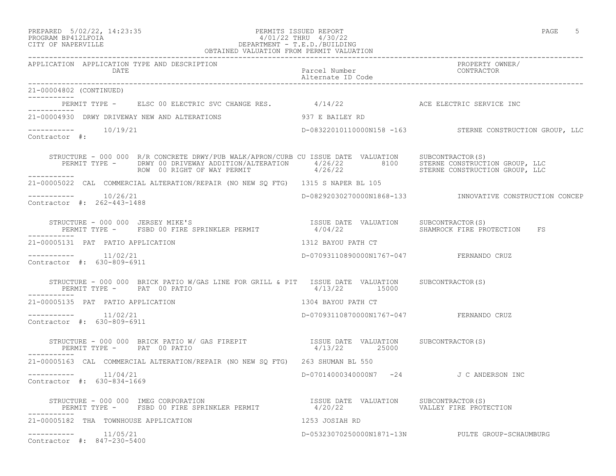## PREPARED 5/02/22, 14:23:35 PERMITS ISSUED REPORT PAGE 5 PROGRAM BP412LFOIA 4/01/22 THRU 4/30/22 CITY OF NAPERVILLE DEPARTMENT - T.E.D./BUILDING

|                                                                                                                                                                                                                                                                           | OBTAINED VALUATION FROM PERMIT VALUATION |                                                           |
|---------------------------------------------------------------------------------------------------------------------------------------------------------------------------------------------------------------------------------------------------------------------------|------------------------------------------|-----------------------------------------------------------|
| APPLICATION APPLICATION TYPE AND DESCRIPTION<br>DATE                                                                                                                                                                                                                      |                                          | PROPERTY OWNER/                                           |
| 21-00004802 (CONTINUED)                                                                                                                                                                                                                                                   |                                          |                                                           |
| PERMIT TYPE - ELSC 00 ELECTRIC SVC CHANGE RES. 4/14/22 ACE ELECTRIC SERVICE INC                                                                                                                                                                                           |                                          |                                                           |
| 21-00004930 DRWY DRIVEWAY NEW AND ALTERATIONS 937 E BAILEY RD                                                                                                                                                                                                             |                                          |                                                           |
| -----------    10/19/21<br>Contractor #:                                                                                                                                                                                                                                  |                                          | D-08322010110000N158 -163 STERNE CONSTRUCTION GROUP, LLC  |
| STRUCTURE - 000 000 R/R CONCRETE DRWY/PUB WALK/APRON/CURB CU ISSUE DATE VALUATION SUBCONTRACTOR(S)<br>PERMIT TYPE - DRWY 00 DRIVEWAY ADDITION/ALTERATION 4/26/22 8100 STERNE CONSTRUCTION GROUP, LLC<br>ROW 00 RIGHT OF WAY PERMIT 4/26/22 8TERNE CONSTRUCTION GROUP, LLC |                                          |                                                           |
| -----------<br>21-00005022 CAL COMMERCIAL ALTERATION/REPAIR (NO NEW SO FTG) 1315 S NAPER BL 105                                                                                                                                                                           |                                          |                                                           |
| -----------    10/26/21<br>Contractor #: 262-443-1488                                                                                                                                                                                                                     |                                          | D-08292030270000N1868-133  INNOVATIVE CONSTRUCTION CONCEP |
| STRUCTURE - 000 000 JERSEY MIKE'S                                                                                                                                                                                                                                         |                                          | FS                                                        |
| 21-00005131 PAT PATIO APPLICATION                                                                                                                                                                                                                                         | 1312 BAYOU PATH CT                       |                                                           |
| $--------- 11/02/21$<br>Contractor #: 630-809-6911                                                                                                                                                                                                                        | D-07093110890000N1767-047 FERNANDO CRUZ  |                                                           |
| STRUCTURE - 000 000 BRICK PATIO W/GAS LINE FOR GRILL & PIT ISSUE DATE VALUATION SUBCONTRACTOR(S)<br>PERMIT TYPE - PAT 00 PATIO<br>-----------                                                                                                                             | 4/13/22 15000                            |                                                           |
| 21-00005135 PAT PATIO APPLICATION                                                                                                                                                                                                                                         | 1304 BAYOU PATH CT                       |                                                           |
| $--------- 11/02/21$<br>Contractor #: 630-809-6911                                                                                                                                                                                                                        | D-07093110870000N1767-047 FERNANDO CRUZ  |                                                           |
| STRUCTURE - 000 000 BRICK PATIO W/ GAS FIREPIT TSSUE DATE VALUATION SUBCONTRACTOR(S)<br>PERMIT TYPE - PAT 00 PATIO                                                                                                                                                        | 4/13/22 25000                            |                                                           |
| 21-00005163 CAL COMMERCIAL ALTERATION/REPAIR (NO NEW SQ FTG) 263 SHUMAN BL 550                                                                                                                                                                                            |                                          |                                                           |
| -----------    11/04/21<br>Contractor #: 630-834-1669                                                                                                                                                                                                                     | D-07014000340000N7 -24 J C ANDERSON INC  |                                                           |
| STRUCTURE - 000 000 IMEG CORPORATION                               ISSUE DATE VALUATION   SUBCONTRACTOR(S)<br>PERMIT TYPE -   FSBD 00 FIRE SPRINKLER PERMIT             4/20/22               VALLEY FIRE PROTECTION                                                      |                                          |                                                           |
| 21-00005182 THA TOWNHOUSE APPLICATION                                                                                                                                                                                                                                     | 1253 JOSIAH RD                           |                                                           |
| $--------- 11/05/21$<br>Contractor #: 847-230-5400                                                                                                                                                                                                                        |                                          | D-05323070250000N1871-13N PULTE GROUP-SCHAUMBURG          |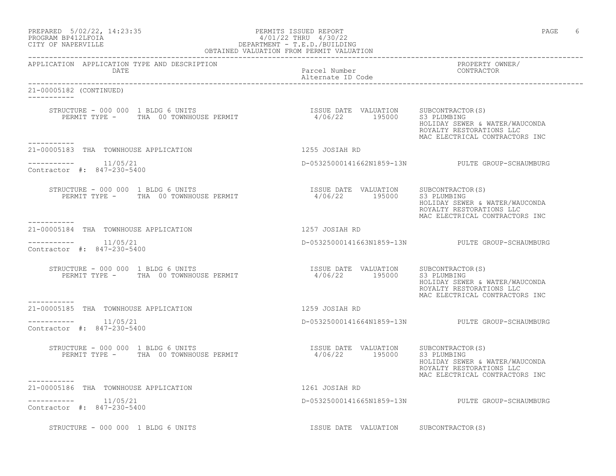| PREPARED | $5/02/22$ , 14:23:35 |  |
|----------|----------------------|--|
|          | PROGRAM BP412LFOIA   |  |

## PERMITS ISSUED REPORT AND SECOND SECOND PAGE 6 PROGRAM BP412LFOIA  $4/01/22$  THRU  $4/30/22$ <br>CITY OF NAPERVILLE DEPARTMENT - T.E.D./BUILDIN CITY OF NAPERVILLE DEPARTMENT - T.E.D./BUILDING

| OBTAINED VALUATION FROM PERMIT VALUATION                                                             |                                       |                                                                                              |  |
|------------------------------------------------------------------------------------------------------|---------------------------------------|----------------------------------------------------------------------------------------------|--|
| APPLICATION APPLICATION TYPE AND DESCRIPTION<br>DATE                                                 | Parcel Number<br>Alternate ID Code    | PROPERTY OWNER/<br>CONTRACTOR                                                                |  |
| 21-00005182 (CONTINUED)<br>------------                                                              |                                       |                                                                                              |  |
| -----------                                                                                          |                                       | HOLIDAY SEWER & WATER/WAUCONDA<br>ROYALTY RESTORATIONS LLC<br>MAC ELECTRICAL CONTRACTORS INC |  |
| 21-00005183 THA TOWNHOUSE APPLICATION                                                                | 1255 JOSIAH RD                        |                                                                                              |  |
| $--------- 11/05/21$<br>Contractor #: 847-230-5400                                                   |                                       | D-05325000141662N1859-13N PULTE GROUP-SCHAUMBURG                                             |  |
|                                                                                                      |                                       | HOLIDAY SEWER & WATER/WAUCONDA<br>ROYALTY RESTORATIONS LLC<br>MAC ELECTRICAL CONTRACTORS INC |  |
| 21-00005184 THA TOWNHOUSE APPLICATION                                                                | 1257 JOSIAH RD                        |                                                                                              |  |
| $---------$ 11/05/21<br>Contractor #: 847-230-5400                                                   |                                       | D-05325000141663N1859-13N PULTE GROUP-SCHAUMBURG                                             |  |
|                                                                                                      |                                       | HOLIDAY SEWER & WATER/WAUCONDA<br>ROYALTY RESTORATIONS LLC<br>MAC ELECTRICAL CONTRACTORS INC |  |
| 21-00005185 THA TOWNHOUSE APPLICATION                                                                | 1259 JOSIAH RD                        |                                                                                              |  |
| $--------$ 11/05/21<br>Contractor #: 847-230-5400                                                    |                                       | D-05325000141664N1859-13N PULTE GROUP-SCHAUMBURG                                             |  |
| STRUCTURE - 000 000 1 BLDG 6 UNITS<br>PERMIT TYPE - THA 00 TOWNHOUSE PERMIT 19500 195000 S3 PLUMBING |                                       | HOLIDAY SEWER & WATER/WAUCONDA<br>ROYALTY RESTORATIONS LLC<br>MAC ELECTRICAL CONTRACTORS INC |  |
| 21-00005186 THA TOWNHOUSE APPLICATION                                                                | 1261 JOSIAH RD                        |                                                                                              |  |
| -----------    11/05/21<br>Contractor #: 847-230-5400                                                |                                       | D-05325000141665N1859-13N PULTE GROUP-SCHAUMBURG                                             |  |
| STRUCTURE - 000 000 1 BLDG 6 UNITS                                                                   | ISSUE DATE VALUATION SUBCONTRACTOR(S) |                                                                                              |  |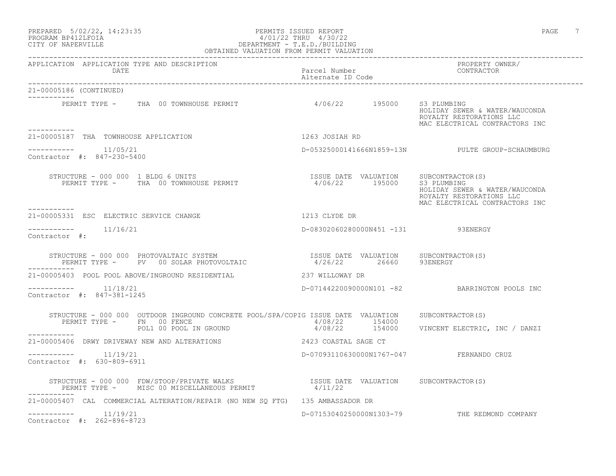### PREPARED 5/02/22, 14:23:35 PERMITS ISSUED REPORT PAGE 7 PROGRAM BP412LFOIA 4/01/22 THRU 4/30/22 CITY OF NAPERVILLE DEPARTMENT - T.E.D./BUILDING OBTAINED VALUATION FROM PERMIT VALUATION

------------------------------------------------------------------------------------------------------------------------------------

| APPLICATION APPLICATION TYPE AND DESCRIPTION<br>DATE                                                                                                                                                                                                                                                                                                                     | Parcel Number<br>Alternate ID Code                      | PROPERTY OWNER/<br>CONTRACTOR                                                                               |
|--------------------------------------------------------------------------------------------------------------------------------------------------------------------------------------------------------------------------------------------------------------------------------------------------------------------------------------------------------------------------|---------------------------------------------------------|-------------------------------------------------------------------------------------------------------------|
| 21-00005186 (CONTINUED)                                                                                                                                                                                                                                                                                                                                                  |                                                         |                                                                                                             |
| PERMIT TYPE - THA 00 TOWNHOUSE PERMIT 4/06/22 195000 S3 PLUMBING<br>----------                                                                                                                                                                                                                                                                                           |                                                         | HOLIDAY SEWER & WATER/WAUCONDA<br>ROYALTY RESTORATIONS LLC<br>MAC ELECTRICAL CONTRACTORS INC                |
| 21-00005187 THA TOWNHOUSE APPLICATION                                                                                                                                                                                                                                                                                                                                    | 1263 JOSIAH RD                                          |                                                                                                             |
| -----------    11/05/21<br>Contractor #: 847-230-5400                                                                                                                                                                                                                                                                                                                    |                                                         | D-05325000141666N1859-13N PULTE GROUP-SCHAUMBURG                                                            |
| STRUCTURE - 000 000 1 BLDG 6 UNITS<br>PERMIT TYPE - THA 00 TOWNHOUSE PERMIT<br>-----------                                                                                                                                                                                                                                                                               | ISSUE DATE VALUATION SUBCONTRACTOR(S)<br>4/06/22 195000 | S3 PLUMBING<br>HOLIDAY SEWER & WATER/WAUCONDA<br>ROYALTY RESTORATIONS LLC<br>MAC ELECTRICAL CONTRACTORS INC |
| 21-00005331 ESC ELECTRIC SERVICE CHANGE                                                                                                                                                                                                                                                                                                                                  | 1213 CLYDE DR                                           |                                                                                                             |
| $--------- 11/16/21$<br>Contractor #:                                                                                                                                                                                                                                                                                                                                    | D-08302060280000N451 -131 93ENERGY                      |                                                                                                             |
| $\begin{array}{cccccc} \texttt{STRUCTURE} & - & 000 & 000 & \texttt{PHOTOVALTAIC} & \texttt{SYSTEM} & & & & & & \\ \texttt{PERMIT TYPE} & - & \texttt{PV} & 00 & \texttt{SOLAR PHOTOVOLTAIC} & & & & & & 4/26/22 & & 26660 & & 93ENERGY \end{array}$                                                                                                                     |                                                         |                                                                                                             |
|                                                                                                                                                                                                                                                                                                                                                                          |                                                         |                                                                                                             |
| 11/18/21<br>Contractor #: 847-381-1245                                                                                                                                                                                                                                                                                                                                   |                                                         | D-07144220090000N101 -82 BARRINGTON POOLS INC                                                               |
| STRUCTURE - 000 000 OUTDOOR INGROUND CONCRETE POOL/SPA/COPIG ISSUE DATE VALUATION<br>PERMIT TYPE - FN 00 FENCE<br>POL1 00 POOL IN GROUND                                                                                                                                                                                                                                 | 4/08/22 154000                                          | SUBCONTRACTOR(S)                                                                                            |
| -----------                                                                                                                                                                                                                                                                                                                                                              |                                                         | 4/08/22 154000 VINCENT ELECTRIC, INC / DANZI                                                                |
| 21-00005406 DRWY DRIVEWAY NEW AND ALTERATIONS                                                                                                                                                                                                                                                                                                                            | 2423 COASTAL SAGE CT                                    |                                                                                                             |
| $--------$ 11/19/21<br>Contractor #: 630-809-6911                                                                                                                                                                                                                                                                                                                        | D-07093110630000N1767-047 FERNANDO CRUZ                 |                                                                                                             |
| $\begin{tabular}{lllllllllll} \texttt{STRUCTURE} & - & 000 & 000 & \texttt{FDW/STOOP/PRIVATE} & \texttt{MALKS} & & & & & & & & \texttt{ISSUE} & \texttt{DATE} & \texttt{VALUATION} & & & & & \texttt{SUBCONTRACTOR(S)} \\ & & & & & & & \texttt{PERMIT} & & & & \texttt{4/11/22} & & & \\ & & & & & & & & \texttt{PERMIT} & & & \texttt{4/11/22} & & & \\ \end{tabular}$ |                                                         |                                                                                                             |
| 21-00005407 CAL COMMERCIAL ALTERATION/REPAIR (NO NEW SO FTG) 135 AMBASSADOR DR                                                                                                                                                                                                                                                                                           |                                                         |                                                                                                             |
| 11/19/21<br>-----------<br>Contractor #: 262-896-8723                                                                                                                                                                                                                                                                                                                    | D-07153040250000N1303-79                                | THE REDMOND COMPANY                                                                                         |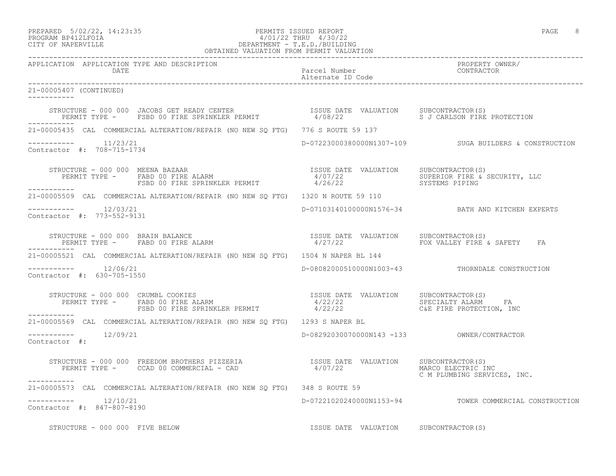## PREPARED 5/02/22, 14:23:35 PERMITS ISSUED REPORT PAGE 8 PROGRAM BP412LFOIA 4/01/22 THRU 4/30/22 CITY OF NAPERVILLE **DEPARTMENT - T.E.D./BUILDING**

| OBTAINED VALUATION FROM PERMIT VALUATION                                                                                                                                                                                   |                                       |                                                        |
|----------------------------------------------------------------------------------------------------------------------------------------------------------------------------------------------------------------------------|---------------------------------------|--------------------------------------------------------|
| APPLICATION APPLICATION TYPE AND DESCRIPTION<br>DATE                                                                                                                                                                       | Parcel Number<br>Alternate ID Code    | PROPERTY OWNER/<br>CONTRACTOR                          |
| 21-00005407 (CONTINUED)<br>------------                                                                                                                                                                                    |                                       |                                                        |
| STRUCTURE - 000 000 JACOBS GET READY CENTER<br>PERMIT TYPE -    FSBD 00 FIRE SPRINKLER PERMIT                  4/08/22                 S J CARLSON FIRE PROTECTION<br>____________                                         |                                       |                                                        |
| 21-00005435 CAL COMMERCIAL ALTERATION/REPAIR (NO NEW SQ FTG) 776 S ROUTE 59 137                                                                                                                                            |                                       |                                                        |
| $--------- 11/23/21$<br>Contractor #: 708-715-1734                                                                                                                                                                         |                                       | D-07223000380000N1307-109 SUGA BUILDERS & CONSTRUCTION |
|                                                                                                                                                                                                                            |                                       |                                                        |
| 21-00005509 CAL COMMERCIAL ALTERATION/REPAIR (NO NEW SQ FTG) 1320 N ROUTE 59 110                                                                                                                                           |                                       |                                                        |
| $--------- 12/03/21$<br>Contractor #: 773-552-9131                                                                                                                                                                         |                                       | D-07103140100000N1576-34 BATH AND KITCHEN EXPERTS      |
|                                                                                                                                                                                                                            |                                       |                                                        |
| 21-00005521 CAL COMMERCIAL ALTERATION/REPAIR (NO NEW SO FTG) 1504 N NAPER BL 144                                                                                                                                           |                                       |                                                        |
| $--------$ 12/06/21<br>Contractor #: 630-705-1550                                                                                                                                                                          |                                       | D-08082000510000N1003-43 THORNDALE CONSTRUCTION        |
| STRUCTURE - 000 000 CRUMBL COOKIES<br>PERMIT TYPE - FABD 00 FIRE ALARM = FERMIT 4/22/22<br>FSBD 00 FIRE SPRINKLER PERMIT 4/22/22<br>FSBD 00 FIRE SPRINKLER PERMIT 4/22/22<br>FSBD 00 FIRE SPRINKLER PERMIT 4/22/22<br>2010 |                                       |                                                        |
| 21-00005569 CAL COMMERCIAL ALTERATION/REPAIR (NO NEW SQ FTG) 1293 S NAPER BL                                                                                                                                               |                                       |                                                        |
| $--------$ 12/09/21<br>Contractor #:                                                                                                                                                                                       |                                       |                                                        |
|                                                                                                                                                                                                                            |                                       | MARCO ELECTRIC INC<br>C M PLUMBING SERVICES, INC.      |
| 21-00005573 CAL COMMERCIAL ALTERATION/REPAIR (NO NEW SQ FTG) 348 S ROUTE 59                                                                                                                                                |                                       |                                                        |
| $--------- 12/10/21$<br>Contractor #: 847-807-8190                                                                                                                                                                         |                                       | D-07221020240000N1153-94 TOWER COMMERCIAL CONSTRUCTION |
| STRUCTURE - 000 000 FIVE BELOW                                                                                                                                                                                             | ISSUE DATE VALUATION SUBCONTRACTOR(S) |                                                        |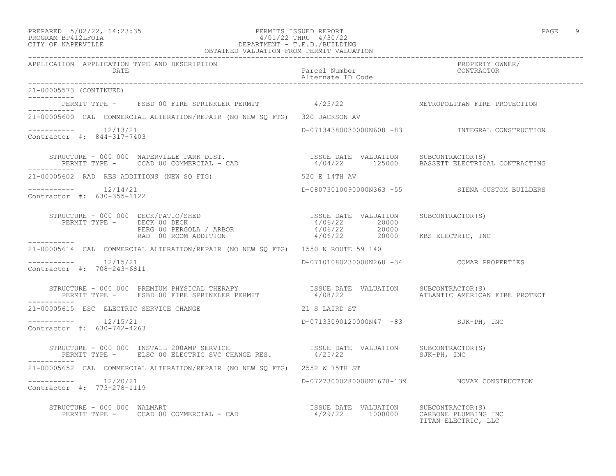### PREPARED 5/02/22, 14:23:35 PERMITS ISSUED REPORT PAGE 9 PROGRAM BP412LFOIA 4/01/22 THRU 4/30/22 CITY OF NAPERVILLE DEPARTMENT - T.E.D./BUILDING OBTAINED VALUATION FROM PERMIT VALUATION

------------------------------------------------------------------------------------------------------------------------------------

| APPLICATION APPLICATION TYPE AND DESCRIPTION<br><b>DATE</b>                                                                                                         | Parcel Number<br>Alternate ID Code        | PROPERTY OWNER/<br>CONTRACTOR                  |
|---------------------------------------------------------------------------------------------------------------------------------------------------------------------|-------------------------------------------|------------------------------------------------|
| 21-00005573 (CONTINUED)<br>___________                                                                                                                              |                                           |                                                |
| PERMIT TYPE - FSBD 00 FIRE SPRINKLER PERMIT 4/25/22 SET METROPOLITAN FIRE PROTECTION<br>-----------                                                                 |                                           |                                                |
| 21-00005600 CAL COMMERCIAL ALTERATION/REPAIR (NO NEW SQ FTG) 320 JACKSON AV                                                                                         |                                           |                                                |
| -----------    12/13/21<br>Contractor #: 844-317-7403                                                                                                               |                                           | D-07134380030000N608 -83 INTEGRAL CONSTRUCTION |
| STRUCTURE - 000 000 NAPERVILLE PARK DIST.<br>PERMIT TYPE - CCAD 00 COMMERCIAL - CAD 4/04/22 125000 BASSETT ELECTRICAL CONTRACTING<br>-----------                    |                                           |                                                |
| 21-00005602 RAD RES ADDITIONS (NEW SQ FTG)                                                                                                                          | 520 E 14TH AV                             |                                                |
| $--------- 12/14/21$<br>Contractor #: 630-355-1122                                                                                                                  |                                           | D-08073010090000N363 -55 SIENA CUSTOM BUILDERS |
|                                                                                                                                                                     |                                           | SUBCONTRACTOR (S)<br>KBS ELECTRIC, INC         |
| ___________<br>21-00005614 CAL COMMERCIAL ALTERATION/REPAIR (NO NEW SQ FTG) 1550 N ROUTE 59 140                                                                     |                                           |                                                |
| $--------$ 12/15/21<br>Contractor #: 708-243-6811                                                                                                                   | D-07101080230000N268 -34 COMAR PROPERTIES |                                                |
| STRUCTURE - 000 000 PREMIUM PHYSICAL THERAPY<br>PERMIT TYPE -    FSBD 00 FIRE SPRINKLER PERMIT                   4/08/22                        ATLANTIC AMERICA    |                                           | ATLANTIC AMERICAN FIRE PROTECT                 |
| 21-00005615 ESC ELECTRIC SERVICE CHANGE                                                                                                                             | 21 S LAIRD ST                             |                                                |
| Contractor #: 630-742-4263                                                                                                                                          | D-07133090120000N47 -83 SJK-PH, INC       |                                                |
| STRUCTURE - 000 000 INSTALL 200AMP SERVICE TSSUE DATE VALUATION PERMIT TYPE - ELSC 00 ELECTRIC SVC CHANGE RES. $4/25/22$<br>---------                               |                                           | SUBCONTRACTOR(S)<br>SJK-PH, INC                |
| 21-00005652 CAL COMMERCIAL ALTERATION/REPAIR (NO NEW SO FTG) 2552 W 75TH ST                                                                                         |                                           |                                                |
| Contractor #: 773-278-1119                                                                                                                                          |                                           |                                                |
| STRUCTURE - 000 000 WALMART<br>RUCTURE - 000 000 WALMART<br>PERMIT TYPE -    CCAD 00 COMMERCIAL - CAD                         4/29/22    1000000   CARBONE PLUMBING |                                           | CARBONE PLUMBING INC<br>TITAN ELECTRIC, LLC    |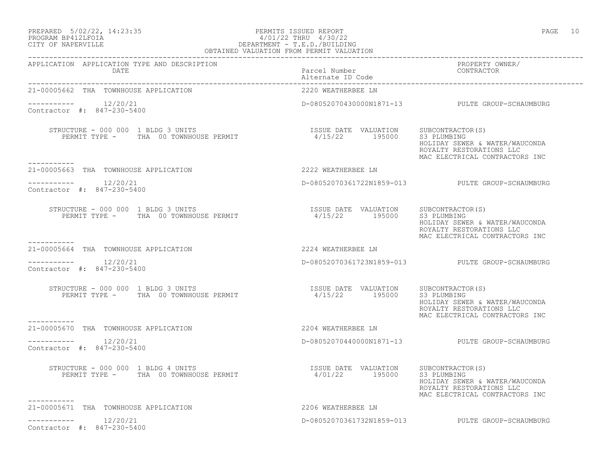## PREPARED 5/02/22, 14:23:35 PERMITS ISSUED REPORT PAGE 10 PROGRAM BP412LFOIA 4/01/22 THRU 4/30/22 CITY OF NAPERVILLE DEPARTMENT - T.E.D./BUILDING

| I<br>× |  |
|--------|--|
|        |  |

| OBTAINED VALUATION FROM PERMIT VALUATION                    |                                                         |                                                                                                             |  |
|-------------------------------------------------------------|---------------------------------------------------------|-------------------------------------------------------------------------------------------------------------|--|
| APPLICATION APPLICATION TYPE AND DESCRIPTION<br><b>DATE</b> | Parcel Number<br>Alternate ID Code<br>Alternate ID Code | PROPERTY OWNER/                                                                                             |  |
| 21-00005662 THA TOWNHOUSE APPLICATION                       | 2220 WEATHERBEE LN                                      |                                                                                                             |  |
| ----------    12/20/21<br>Contractor #: 847-230-5400        |                                                         | D-08052070430000N1871-13 PULTE GROUP-SCHAUMBURG                                                             |  |
| -----------                                                 |                                                         | HOLIDAY SEWER & WATER/WAUCONDA<br>ROYALTY RESTORATIONS LLC<br>MAC ELECTRICAL CONTRACTORS INC                |  |
| 21-00005663 THA TOWNHOUSE APPLICATION                       | 2222 WEATHERBEE LN                                      |                                                                                                             |  |
| $--------- 12/20/21$<br>Contractor #: 847-230-5400          |                                                         | D-08052070361722N1859-013 PULTE GROUP-SCHAUMBURG                                                            |  |
|                                                             |                                                         | HOLIDAY SEWER & WATER/WAUCONDA<br>ROYALTY RESTORATIONS LLC<br>MAC ELECTRICAL CONTRACTORS INC                |  |
| 21-00005664 THA TOWNHOUSE APPLICATION                       | 2224 WEATHERBEE LN                                      |                                                                                                             |  |
| $--------- 12/20/21$<br>Contractor #: 847-230-5400          |                                                         | D-08052070361723N1859-013 PULTE GROUP-SCHAUMBURG                                                            |  |
|                                                             | ISSUE DATE VALUATION SUBCONTRACTOR(S)                   | S3 PLUMBING<br>HOLIDAY SEWER & WATER/WAUCONDA<br>ROYALTY RESTORATIONS LLC<br>MAC ELECTRICAL CONTRACTORS INC |  |
| 21-00005670 THA TOWNHOUSE APPLICATION                       | 2204 WEATHERBEE LN                                      |                                                                                                             |  |
| $--------$ 12/20/21<br>Contractor #: 847-230-5400           |                                                         | D-08052070440000N1871-13 PULTE GROUP-SCHAUMBURG                                                             |  |
|                                                             |                                                         | HOLIDAY SEWER & WATER/WAUCONDA<br>ROYALTY RESTORATIONS LLC<br>MAC ELECTRICAL CONTRACTORS INC                |  |
| 21-00005671 THA TOWNHOUSE APPLICATION                       | 2206 WEATHERBEE LN                                      |                                                                                                             |  |
| $--------- 12/20/21$<br>Contractor #: 847-230-5400          |                                                         | D-08052070361732N1859-013 PULTE GROUP-SCHAUMBURG                                                            |  |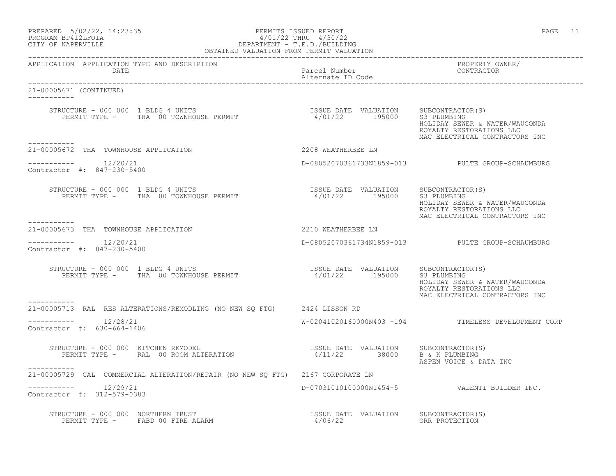| PREPARED | $5/02/22$ , 14:23:35 |  |
|----------|----------------------|--|
|          | PROGRAM BP412LFOIA   |  |

## PERMITS ISSUED REPORT AND SERVED AND REPORT SERVED FOR SALE OF A SAME PAGE 11: PROGRAM BP412LFOIA 4/01/22 THRU 4/30/22<br>CITY OF NAPERVILLE DEPARTMENT - T.E.D./BUILDIN CITY OF NAPERVILLE DEPARTMENT - T.E.D./BUILDING

| OBTAINED VALUATION FROM PERMIT VALUATION                                                                                                                         |                                                  |                                                                                              |
|------------------------------------------------------------------------------------------------------------------------------------------------------------------|--------------------------------------------------|----------------------------------------------------------------------------------------------|
| APPLICATION APPLICATION TYPE AND DESCRIPTION<br>DATE                                                                                                             | Parcel Number<br>Alternate ID Code               | PROPERTY OWNER/<br>CONTRACTOR                                                                |
| 21-00005671 (CONTINUED)                                                                                                                                          |                                                  |                                                                                              |
| -----------                                                                                                                                                      |                                                  | HOLIDAY SEWER & WATER/WAUCONDA<br>ROYALTY RESTORATIONS LLC<br>MAC ELECTRICAL CONTRACTORS INC |
| 21-00005672 THA TOWNHOUSE APPLICATION                                                                                                                            | 2208 WEATHERBEE LN                               |                                                                                              |
| $--------- 12/20/21$<br>Contractor #: 847-230-5400                                                                                                               |                                                  | D-08052070361733N1859-013 PULTE GROUP-SCHAUMBURG                                             |
| -----------                                                                                                                                                      |                                                  | HOLIDAY SEWER & WATER/WAUCONDA<br>ROYALTY RESTORATIONS LLC<br>MAC ELECTRICAL CONTRACTORS INC |
| 21-00005673 THA TOWNHOUSE APPLICATION                                                                                                                            | 2210 WEATHERBEE LN                               |                                                                                              |
| $--------- 12/20/21$<br>Contractor #: 847-230-5400                                                                                                               |                                                  | D-08052070361734N1859-013 PULTE GROUP-SCHAUMBURG                                             |
| STRUCTURE - 000 000 1 BLDG 4 UNITS<br>PERMIT TYPE - THA 00 TOWNHOUSE PERMIT<br>2. THE CONSTRUCTION STRUMENT PERMIT AT THE CONSTRUCTION STRUMBER OF THE CONSTRUES |                                                  | HOLIDAY SEWER & WATER/WAUCONDA<br>ROYALTY RESTORATIONS LLC<br>MAC ELECTRICAL CONTRACTORS INC |
| 21-00005713 RAL RES ALTERATIONS/REMODLING (NO NEW SO FTG) 2424 LISSON RD                                                                                         |                                                  |                                                                                              |
| $--------$ 12/28/21<br>Contractor #: 630-664-1406                                                                                                                |                                                  | W-02041020160000N403 -194 TIMELESS DEVELOPMENT CORP                                          |
| STRUCTURE - 000 000 KITCHEN REMODEL                                                                                                                              |                                                  | ASPEN VOICE & DATA INC                                                                       |
| -----------<br>21-00005729 CAL COMMERCIAL ALTERATION/REPAIR (NO NEW SQ FTG) 2167 CORPORATE LN                                                                    |                                                  |                                                                                              |
| Contractor #: 312-579-0383                                                                                                                                       |                                                  | D-070310101000000N1454-5 VALENTI BUILDER INC.                                                |
| STRUCTURE - 000 000 NORTHERN TRUST<br>PERMIT TYPE - FABD 00 FIRE ALARM                                                                                           | ISSUE DATE VALUATION SUBCONTRACTOR(S)<br>4/06/22 | ORR PROTECTION                                                                               |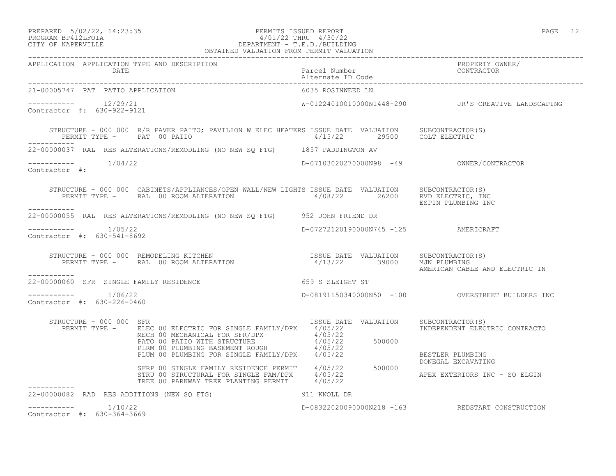#### PREPARED 5/02/22, 14:23:35 PERMITS ISSUED REPORT PAGE 12 PROGRAM BP412LFOIA 4/01/22 THRU 4/30/22 CITY OF NAPERVILLE DEPARTMENT - T.E.D./BUILDING OBTAINED VALUATION FROM PERMIT VALUATION ------------------------------------------------------------------------------------------------------------------------------------

| APPLICATION APPLICATION TYPE AND DESCRIPTION       |                                                                                                                                                                                                                                          |                   | PROPERTY OWNER/<br>CONTRACTOR                       |
|----------------------------------------------------|------------------------------------------------------------------------------------------------------------------------------------------------------------------------------------------------------------------------------------------|-------------------|-----------------------------------------------------|
| 21-00005747 PAT PATIO APPLICATION                  |                                                                                                                                                                                                                                          | 6035 ROSINWEED LN |                                                     |
| $--------- 12/29/21$<br>Contractor #: 630-922-9121 |                                                                                                                                                                                                                                          |                   | W-01224010010000N1448-290 JR'S CREATIVE LANDSCAPING |
| PERMIT TYPE - PAT 00 PATIO<br>------------         | STRUCTURE - 000 000 R/R PAVER PAITO; PAVILION W ELEC HEATERS ISSUE DATE VALUATION SUBCONTRACTOR(S)<br>PERMIT TYPE - PAT 00 PATIO PATIO 1/15/22 29500 COLT ELECTRIC                                                                       |                   |                                                     |
|                                                    | 22-00000037 RAL RES ALTERATIONS/REMODLING (NO NEW SQ FTG) 1857 PADDINGTON AV                                                                                                                                                             |                   |                                                     |
| $--------- 1/04/22$<br>Contractor #:               |                                                                                                                                                                                                                                          |                   |                                                     |
|                                                    | STRUCTURE - 000 000 CABINETS/APPLIANCES/OPEN WALL/NEW LIGHTS ISSUE DATE VALUATION SUBCONTRACTOR(S)<br>PERMIT TYPE - RAL 00 ROOM ALTERATION 4/08/22 26200 RVD ELECTRIC, INC                                                               |                   | ESPIN PLUMBING INC                                  |
|                                                    | 22-00000055 RAL RES ALTERATIONS/REMODLING (NO NEW SQ FTG) 952 JOHN FRIEND DR                                                                                                                                                             |                   |                                                     |
| $---------$ 1/05/22<br>Contractor #: 630-541-8692  |                                                                                                                                                                                                                                          |                   | D-07272120190000N745 -125 AMERICRAFT                |
| -----------                                        | STRUCTURE - 000 000 REMODELING KITCHEN                                 ISSUE DATE VALUATION     SUBCONTRACTOR(S)<br>PERMIT TYPE -      RAL 00 ROOM ALTERATION                          4/13/22       39000                               |                   | AMERICAN CABLE AND ELECTRIC IN                      |
|                                                    | 22-00000060 SFR SINGLE FAMILY RESIDENCE THE SERIES OF SALEGHT ST                                                                                                                                                                         |                   |                                                     |
| $--------- 1/06/22$<br>Contractor #: 630-226-0460  |                                                                                                                                                                                                                                          |                   | D-08191150340000N50 -100 OVERSTREET BUILDERS INC    |
| STRUCTURE - 000 000 SFR                            | ISSUE DATE VALUATION SUBCONTRACTOR(S)                                                                                                                                                                                                    |                   | INDEPENDENT ELECTRIC CONTRACTO                      |
|                                                    | RUCTURE - 000 000 SFR<br>PERMIT TYPE - ELEC 00 ELECTRIC FOR SINGLE FAMILY/DPX 4/05/22<br>MECH 00 MECHANICAL FOR SFR/DPX 4/05/22<br>PATO 00 PATIO WITH STRUCTURE 4/05/22<br>PLIM 00 PLUMBING BASEMENT ROUGH 4/05/22<br>PLUM 00 PLUMBING F |                   | BESTLER PLUMBING                                    |
|                                                    | SFRP 00 SINGLE FAMILY RESIDENCE PERMIT 4/05/22 500000 DONEGAL EXCAVATING<br>STRU 00 STRUCTURAL FOR SINGLE FAM/DPX 4/05/22 500000 APEX EXTERIORS INC - SO ELGIN<br>TREE 00 PARKWAY TREE PLANTING PERMIT 4/05/22                           |                   |                                                     |
| 22-00000082 RAD RES ADDITIONS (NEW SQ FTG)         | 911 KNOLL DR                                                                                                                                                                                                                             |                   |                                                     |
| $---------$ 1/10/22<br>Contractor #: 630-364-3669  |                                                                                                                                                                                                                                          |                   | D-08322020090000N218 -163 REDSTART CONSTRUCTION     |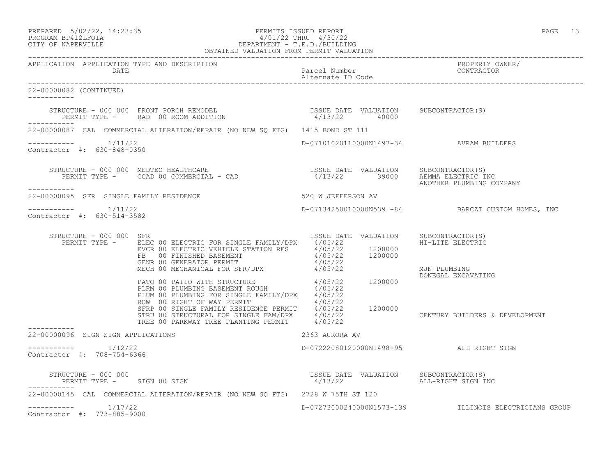| PREPARED | $5/02/22$ , $14:23:35$ |  |
|----------|------------------------|--|
|          | PROGRAM RP412LFOIA     |  |

## PREPARED 5/02/22, 14:23:35 PERMITS ISSUED REPORT PAGE 13 PROGRAM BP412LFOIA 4/01/22 THRU 4/30/22 CITY OF NAPERVILLE DEPARTMENT - T.E.D./BUILDING

| OBTAINED VALUATION FROM PERMIT VALUATION             |                                                                                                                                                                                                                                                                                                                                                                                                                       |                                                                                                  |                                                       |
|------------------------------------------------------|-----------------------------------------------------------------------------------------------------------------------------------------------------------------------------------------------------------------------------------------------------------------------------------------------------------------------------------------------------------------------------------------------------------------------|--------------------------------------------------------------------------------------------------|-------------------------------------------------------|
| APPLICATION APPLICATION TYPE AND DESCRIPTION         | DATE<br>Parcel Number<br>CONTINUES: Alternate ID Code<br>CONTINUES: CONTINUES                                                                                                                                                                                                                                                                                                                                         |                                                                                                  | PROPERTY OWNER/<br>CONTRACTOR                         |
| 22-00000082 (CONTINUED)<br>------------              |                                                                                                                                                                                                                                                                                                                                                                                                                       |                                                                                                  |                                                       |
|                                                      | $\begin{array}{cccc} \texttt{STRUCTURE} & - & 000 & 000 & \texttt{FRONT} & \texttt{PCRCH} & \texttt{REMODEL} \\ \texttt{PERMIT TYPE} & - & \texttt{RAD} & 00 & \texttt{ROOM ADDITION} & \texttt{A} & 4/13/22 & 40000 \\ \end{array} \qquad \begin{array}{cccc} \texttt{ISSUE} & \texttt{DATE} & \texttt{VALUATION} & \texttt{SUBCONTRACTOR(S)} \\ \texttt{A} & 4/13/22 & 40000 & \texttt{A} & 4/13/22 \\ \end{array}$ |                                                                                                  |                                                       |
|                                                      | 22-00000087 CAL COMMERCIAL ALTERATION/REPAIR (NO NEW SO FTG) 1415 BOND ST 111                                                                                                                                                                                                                                                                                                                                         |                                                                                                  |                                                       |
| ----------     1/11/22<br>Contractor #: 630-848-0350 |                                                                                                                                                                                                                                                                                                                                                                                                                       | D-07101020110000N1497-34 AVRAM BUILDERS                                                          |                                                       |
| ___________                                          | STRUCTURE - 000 000 MEDTEC HEALTHCARE<br>PERMIT TYPE - CCAD 00 COMMERCIAL - CAD                             4/13/22        39000    AEMMA ELECTRIC INC<br>ANOTHER PLUMBING COMPANY                                                                                                                                                                                                                                    |                                                                                                  |                                                       |
| 22-00000095 SFR SINGLE FAMILY RESIDENCE              |                                                                                                                                                                                                                                                                                                                                                                                                                       | 520 W JEFFERSON AV                                                                               |                                                       |
| -----------    1/11/22<br>Contractor #: 630-514-3582 |                                                                                                                                                                                                                                                                                                                                                                                                                       |                                                                                                  | D-07134250010000N539 -84 BARCZI CUSTOM HOMES, INC     |
| STRUCTURE - 000 000 SFR                              | PERMIT TYPE - ELEC 00 ELECTRIC FOR SINGLE FAMILY/DPX 4/05/22 HI-<br>EVCR 00 ELECTRIC VEHICLE STATION RES<br>FERMIT TYPE - EVCR 00 ELECTRIC VEHICLE STATION RES<br>FERMIT 4/05/22 1200000<br>FERMIT 4/05/22 1200000<br>MECH 00 MECHANICAL                                                                                                                                                                              | ISSUE DATE VALUATION                                                                             | SUBCONTRACTOR(S)                                      |
|                                                      | PATO 00 PATIO WITH STRUCTURE<br>PLRM 00 PLUMBING BASEMENT ROUGH $4/05/22$<br>PLUM 00 PLUMBING FOR SINGLE FAMILY/DPX $4/05/22$<br>ROW 00 RIGHT OF WAY PERMIT $4/05/22$<br>SFRP 00 SINGLE FAMILY RESIDENCE PERMIT $4/05/22$<br>SFRP 00 SIN                                                                                                                                                                              |                                                                                                  | DONEGAL EXCAVATING                                    |
|                                                      |                                                                                                                                                                                                                                                                                                                                                                                                                       |                                                                                                  | CENTURY BUILDERS & DEVELOPMENT                        |
| 22-00000096 SIGN SIGN APPLICATIONS                   |                                                                                                                                                                                                                                                                                                                                                                                                                       | 2363 AURORA AV                                                                                   |                                                       |
| $--------$ 1/12/22<br>Contractor #: 708-754-6366     |                                                                                                                                                                                                                                                                                                                                                                                                                       | D-07222080120000N1498-95 ALL RIGHT SIGN                                                          |                                                       |
| STRUCTURE - 000 000<br>PERMIT TYPE - SIGN 00 SIGN    |                                                                                                                                                                                                                                                                                                                                                                                                                       | ISSUE DATE VALUATION SUBCONTRACTOR(S)<br>4/13/22 ALL-RIGHT SIGN IN<br>4/13/22 ALL-RIGHT SIGN INC |                                                       |
|                                                      | 22-00000145 CAL COMMERCIAL ALTERATION/REPAIR (NO NEW SQ FTG) 2728 W 75TH ST 120                                                                                                                                                                                                                                                                                                                                       |                                                                                                  |                                                       |
| $--------- 1/17/22$<br>Contractor #: 773-885-9000    |                                                                                                                                                                                                                                                                                                                                                                                                                       |                                                                                                  | D-07273000240000N1573-139 ILLINOIS ELECTRICIANS GROUP |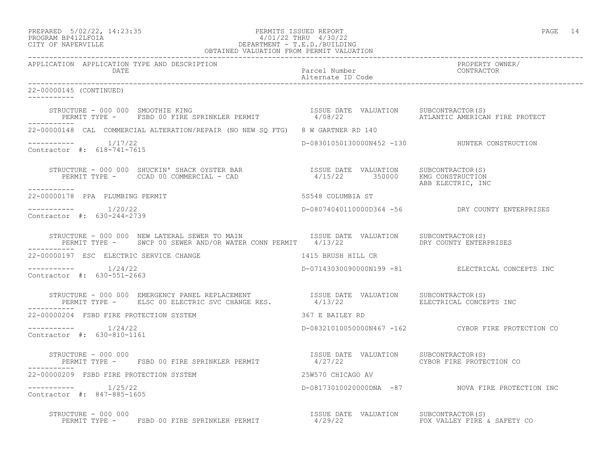| PREPARED | $5/02/22$ , $14:23:35$ |  |
|----------|------------------------|--|
|          | PROGRAM RP412LFOIA     |  |

## PREPARED 5/02/22, 14:23:35 PERMITS ISSUED REPORT PAGE 14 PROGRAM BP412LFOIA 4/01/22 THRU 4/30/22 CITY OF NAPERVILLE DEPARTMENT - T.E.D./BUILDING

| OBTAINED VALUATION FROM PERMIT VALUATION                                                                                                                                                                                       |                                        |                                                    |
|--------------------------------------------------------------------------------------------------------------------------------------------------------------------------------------------------------------------------------|----------------------------------------|----------------------------------------------------|
| APPLICATION APPLICATION TYPE AND DESCRIPTION<br>DATE                                                                                                                                                                           |                                        | PROPERTY OWNER/                                    |
| 22-00000145 (CONTINUED)                                                                                                                                                                                                        |                                        |                                                    |
| STRUCTURE - 000 000 SMOOTHIE KING                             ISSUE DATE VALUATION   SUBCONTRACTOR(S)<br>PERMIT TYPE -   FSBD 00 FIRE SPRINKLER PERMIT             4/08/22         ATLANTIC AMERICAN FIRE PROTECT              |                                        |                                                    |
| 22-00000148 CAL COMMERCIAL ALTERATION/REPAIR (NO NEW SO FTG) 8 W GARTNER RD 140                                                                                                                                                |                                        |                                                    |
| $---------$ 1/17/22<br>Contractor #: 618-741-7615                                                                                                                                                                              |                                        | D-08301050130000N452 -130 HUNTER CONSTRUCTION      |
| ___________                                                                                                                                                                                                                    |                                        | ABB ELECTRIC, INC                                  |
| 22-00000178 PPA PLUMBING PERMIT                                                                                                                                                                                                |                                        |                                                    |
| Contractor #: 630-244-2739                                                                                                                                                                                                     |                                        |                                                    |
| STRUCTURE - 000 000 NEW LATERAL SEWER TO MAIN TSSUE DATE VALUATION SUBCONTRACTOR(S)<br>PERMIT TYPE - SWCP 00 SEWER AND/OR WATER CONN PERMIT 4/13/22 THE RESOLUTY ENTERPRISES                                                   |                                        |                                                    |
| 22-00000197 ESC ELECTRIC SERVICE CHANGE 1415 BRUSH HILL CR                                                                                                                                                                     |                                        |                                                    |
| $--------- 1/24/22$<br>Contractor #: 630-551-2663                                                                                                                                                                              |                                        | D-07143030090000N199 -81 ELECTRICAL CONCEPTS INC   |
| STRUCTURE - 000 000 EMERGENCY PANEL REPLACEMENT                 ISSUE DATE VALUATION     SUBCONTRACTOR(S)<br>PERMIT TYPE -     ELSC 00 ELECTRIC SVC CHANGE RES.            4/13/22                     ELECTRICAL CONCEPTS INC |                                        |                                                    |
| 22-00000204 FSBD FIRE PROTECTION SYSTEM                                                                                                                                                                                        | 367 E BAILEY RD                        |                                                    |
| $--------- 1/24/22$<br>Contractor #: 630-810-1161                                                                                                                                                                              |                                        | D-08321010050000N467 -162 CYBOR FIRE PROTECTION CO |
| STRUCTURE - 000 000<br>PERMIT TYPE - FSBD 00 FIRE SPRINKLER PERMIT 4/27/22 CYBOR FIRE PROTECTION CO                                                                                                                            | ISSUE DATE VALUATION SUBCONTRACTOR(S)  |                                                    |
| 22-00000209 FSBD FIRE PROTECTION SYSTEM                                                                                                                                                                                        | 25W570 CHICAGO AV                      |                                                    |
| $--------- 1/25/22$<br>Contractor #: 847-885-1605                                                                                                                                                                              |                                        | D-08173010020000DNA -87 NOVA FIRE PROTECTION INC   |
|                                                                                                                                                                                                                                | ISSUE DATE VALUATION SUBCONTRACTOR (S) | FOX VALLEY FIRE & SAFETY CO                        |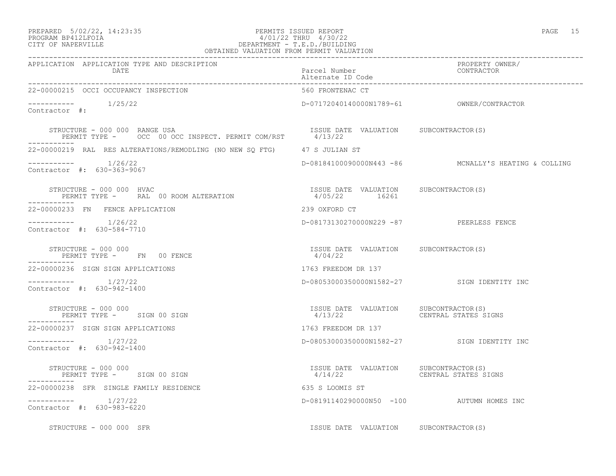## PREPARED 5/02/22, 14:23:35 PERMITS ISSUED REPORT PAGE 15 PROGRAM BP412LFOIA 4/01/22 THRU 4/30/22 CITY OF NAPERVILLE DEPARTMENT - T.E.D./BUILDING

| OBTAINED VALUATION FROM PERMIT VALUATION                                                                               |                                                                       |                                                      |
|------------------------------------------------------------------------------------------------------------------------|-----------------------------------------------------------------------|------------------------------------------------------|
| APPLICATION APPLICATION TYPE AND DESCRIPTION<br>DATE                                                                   | Parcel Number<br>Alternate ID Code                                    | PROPERTY OWNER/<br>CONTRACTOR                        |
| 22-00000215 OCCI OCCUPANCY INSPECTION                                                                                  | 560 FRONTENAC CT                                                      |                                                      |
| $--------- 1/25/22$<br>Contractor #:                                                                                   |                                                                       |                                                      |
| STRUCTURE - 000 000 RANGE USA (ISSUE DAT )<br>PERMIT TYPE - OCC 00 OCC INSPECT. PERMIT COM/RST (4/13/22<br>----------- | ISSUE DATE VALUATION SUBCONTRACTOR(S)                                 |                                                      |
| 22-00000219 RAL RES ALTERATIONS/REMODLING (NO NEW SQ FTG) 47 S JULIAN ST                                               |                                                                       |                                                      |
| $--------- 1/26/22$<br>Contractor #: 630-363-9067                                                                      |                                                                       | D-08184100090000N443 -86 MCNALLY'S HEATING & COLLING |
| STRUCTURE - 000 000 HVAC<br>PERMIT TYPE - RAL 00 ROOM ALTERATION                                                       | ISSUE DATE VALUATION SUBCONTRACTOR(S)<br>4/05/22 16261                |                                                      |
| 22-00000233 FN FENCE APPLICATION                                                                                       | 239 OXFORD CT                                                         |                                                      |
| $---------$ 1/26/22<br>Contractor #: 630-584-7710                                                                      | D-08173130270000N229 -87 PEERLESS FENCE                               |                                                      |
| STRUCTURE - 000 000<br>PERMIT TYPE - FN 00 FENCE<br>------------                                                       | ISSUE DATE VALUATION SUBCONTRACTOR(S)<br>4/04/22                      |                                                      |
| 22-00000236 SIGN SIGN APPLICATIONS                                                                                     | 1763 FREEDOM DR 137                                                   |                                                      |
| $--------- 1/27/22$<br>Contractor #: 630-942-1400                                                                      |                                                                       | D-08053000350000N1582-27 SIGN IDENTITY INC           |
| STRUCTURE - 000 000<br>PERMIT TYPE - SIGN 00 SIGN                                                                      | ISSUE DATE VALUATION SUBCONTRACTOR(S)<br>4/13/22 CENTRAL STATES SIGNS |                                                      |
| 22-00000237 SIGN SIGN APPLICATIONS                                                                                     | 1763 FREEDOM DR 137                                                   |                                                      |
| $--------- 1/27/22$<br>Contractor #: 630-942-1400                                                                      |                                                                       | D-08053000350000N1582-27 SIGN IDENTITY INC           |
| STRUCTURE - 000 000<br>PERMIT TYPE - SIGN 00 SIGN                                                                      | ISSUE DATE VALUATION SUBCONTRACTOR(S)<br>4/14/22                      | CENTRAL STATES SIGNS                                 |
| 22-00000238 SFR SINGLE FAMILY RESIDENCE                                                                                | 635 S LOOMIS ST                                                       |                                                      |
| $--------- 1/27/22$<br>Contractor #: 630-983-6220                                                                      |                                                                       | D-08191140290000N50 -100 AUTUMN HOMES INC            |
| STRUCTURE - 000 000 SFR                                                                                                | ISSUE DATE VALUATION SUBCONTRACTOR(S)                                 |                                                      |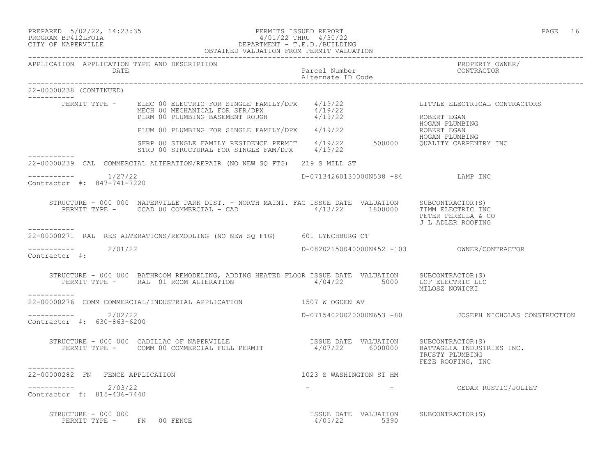PREPARED 5/02/22, 14:23:35 PERMITS ISSUED REPORT PAGE 16

## PROGRAM BP412LFOIA 4/01/22 THRU 4/30/22 CITY OF NAPERVILLE DEPARTMENT - T.E.D./BUILDING OBTAINED VALUATION FROM PERMIT VALUATION

| APPLICATION APPLICATION TYPE AND DESCRIPTION<br>DATE                                                                                                                                                                                                                                | Parcel Number<br>Alternate ID Code                    | PROPERTY OWNER/<br>FRUEBRII UT<br>CONTRACTOR            |
|-------------------------------------------------------------------------------------------------------------------------------------------------------------------------------------------------------------------------------------------------------------------------------------|-------------------------------------------------------|---------------------------------------------------------|
| 22-00000238 (CONTINUED)                                                                                                                                                                                                                                                             |                                                       |                                                         |
| ------------<br>PERMIT TYPE - ELEC 00 ELECTRIC FOR SINGLE FAMILY/DPX 4/19/22<br>MECH 00 MECHANICAL FOR SFR/DPX 4/19/22<br>PLRM 00 PLUMBING BASEMENT ROUGH 4/19/22                                                                                                                   |                                                       | LITTLE ELECTRICAL CONTRACTORS<br>ROBERT EGAN            |
| PLUM 00 PLUMBING FOR SINGLE FAMILY/DPX 4/19/22                                                                                                                                                                                                                                      |                                                       | HOGAN PLUMBING<br>ROBERT EGAN                           |
| SFRP 00 SINGLE FAMILY RESIDENCE PERMIT $4/19/22$ 500000 QUALITY CARPENTRY INC<br>STRU 00 STRUCTURAL FOR SINGLE FAM/DPX $4/19/22$<br>___________                                                                                                                                     |                                                       | HOGAN PLUMBING                                          |
| 22-00000239 CAL COMMERCIAL ALTERATION/REPAIR (NO NEW SQ FTG) 219 S MILL ST                                                                                                                                                                                                          |                                                       |                                                         |
| $--------- 1/27/22$<br>Contractor #: 847-741-7220                                                                                                                                                                                                                                   | D-07134260130000N538 -84 LAMP INC                     |                                                         |
| $\begin{tabular}{lllllll} \multicolumn{2}{c}{STRUCTURE} & - & 000 & 000 & NAPERVILLE PARK DIST - NORTH MAINT. FAC ISSUE DATE & VALUATION & SUBCONTRACTOR(S) \\ PERMIT TYPE & - & CCAD & 00 & COMMERCIAL - CAD & & & & & & 4/13/22 & & 1800000 & & TIMELECTRIC INC \\ \end{tabular}$ |                                                       | PETER PERELLA & CO<br>J L ADLER ROOFING                 |
| -----------<br>22-00000271 RAL RES ALTERATIONS/REMODLING (NO NEW SQ FTG) 601 LYNCHBURG CT                                                                                                                                                                                           |                                                       |                                                         |
| $---------2/01/22$<br>Contractor $\#$ :                                                                                                                                                                                                                                             |                                                       |                                                         |
| STRUCTURE - 000 000 BATHROOM REMODELING, ADDING HEATED FLOOR ISSUE DATE VALUATION SUBCONTRACTOR(S)<br>PERMIT TYPE - RAL 01 ROOM ALTERATION 4/04/22 5000 LCF ELECTRIC LLC<br>-----------                                                                                             |                                                       | MILOSZ NOWICKI                                          |
| 22-00000276 COMM COMMERCIAL/INDUSTRIAL APPLICATION 1507 W OGDEN AV                                                                                                                                                                                                                  |                                                       |                                                         |
| $--------- 2/02/22$<br>Contractor #: 630-863-6200                                                                                                                                                                                                                                   |                                                       | D-07154020020000N653 -80   JOSEPH NICHOLAS CONSTRUCTION |
| STRUCTURE - 000 000 CADILLAC OF NAPERVILLE<br>PERMIT TYPE - COMM 00 COMMERCIAL FULL PERMIT 4/07/22 6000000 BATTAGLIA INDUSTRIES INC.                                                                                                                                                |                                                       | TRUSTY PLUMBING<br>FEZE ROOFING, INC                    |
| 22-00000282 FN FENCE APPLICATION                                                                                                                                                                                                                                                    | 1023 S WASHINGTON ST HM                               |                                                         |
| $---------2/03/22$<br>Contractor #: 815-436-7440                                                                                                                                                                                                                                    |                                                       | CEDAR RUSTIC/JOLIET                                     |
| STRUCTURE - 000 000<br>PERMIT TYPE - FN 00 FENCE                                                                                                                                                                                                                                    | ISSUE DATE VALUATION SUBCONTRACTOR(S)<br>4/05/22 5390 |                                                         |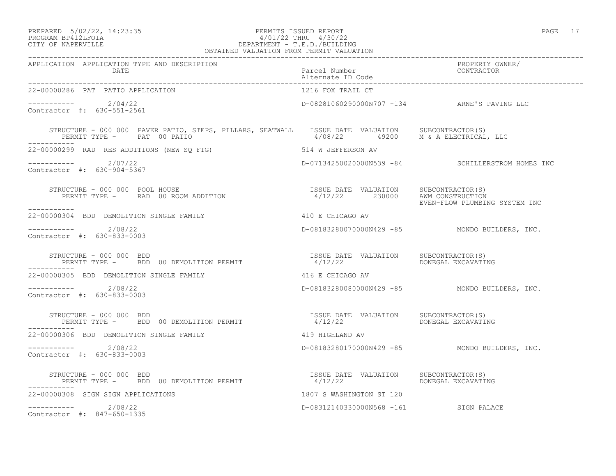## PREPARED 5/02/22, 14:23:35 PERMITS ISSUED REPORT PAGE 17 PROGRAM BP412LFOIA 4/01/22 THRU 4/30/22 CITY OF NAPERVILLE DEPARTMENT - T.E.D./BUILDING

| OBTAINED VALUATION FROM PERMIT VALUATION                                                                                         |                                       |                                                            |
|----------------------------------------------------------------------------------------------------------------------------------|---------------------------------------|------------------------------------------------------------|
| APPLICATION APPLICATION TYPE AND DESCRIPTION<br>DATE                                                                             | Parcel Number                         | PROPERTY OWNER/<br>CONTRACTOR<br>_________________________ |
| 22-00000286 PAT PATIO APPLICATION                                                                                                |                                       |                                                            |
| $--------- 2/04/22$<br>Contractor #: 630-551-2561                                                                                |                                       | D-08281060290000N707 -134 ARNE'S PAVING LLC                |
| STRUCTURE - 000 000 PAVER PATIO, STEPS, PILLARS, SEATWALL ISSUE DATE VALUATION SUBCONTRACTOR(S)<br>PERMIT TYPE - PAT 00 PATIO    | 4/08/22 49200 M & A ELECTRICAL, LLC   |                                                            |
| 22-00000299 RAD RES ADDITIONS (NEW SQ FTG) 514 W JEFFERSON AV                                                                    |                                       |                                                            |
| $--------- 2/07/22$<br>Contractor #: 630-904-5367                                                                                |                                       | D-07134250020000N539 -84 SCHILLERSTROM HOMES INC           |
| -----------                                                                                                                      | 4/12/22 230000 AWM CONSTRUCTION       | EVEN-FLOW PLUMBING SYSTEM INC                              |
| 22-00000304 BDD DEMOLITION SINGLE FAMILY                                                                                         | 410 E CHICAGO AV                      |                                                            |
| $---------2$ 2/08/22<br>Contractor #: 630-833-0003                                                                               |                                       | D-08183280070000N429 -85 MONDO BUILDERS, INC.              |
| STRUCTURE – 000 000 BDD<br>PERMIT TYPE –   BDD 00 DEMOLITION PERMIT                         1/12/22         DONEGAL EXCAVATING   |                                       |                                                            |
| 22-00000305 BDD DEMOLITION SINGLE FAMILY                                                                                         | 416 E CHICAGO AV                      |                                                            |
| $---------2$ 2/08/22<br>Contractor #: 630-833-0003                                                                               |                                       | D-08183280080000N429 -85 MONDO BUILDERS, INC.              |
| STRUCTURE – 000 000 BDD<br>PERMIT TYPE –   BDD 00 DEMOLITION PERMIT                         1/12/22           DONEGAL EXCAVATING |                                       |                                                            |
| 22-00000306 BDD DEMOLITION SINGLE FAMILY                                                                                         | 419 HIGHLAND AV                       |                                                            |
| $---------2/08/22$<br>Contractor #: 630-833-0003                                                                                 |                                       | D-08183280170000N429 -85 MONDO BUILDERS, INC.              |
|                                                                                                                                  |                                       | DONEGAL EXCAVATING                                         |
| 22-00000308 SIGN SIGN APPLICATIONS                                                                                               | 1807 S WASHINGTON ST 120              |                                                            |
| $--------- 2/08/22$<br>Contractor #: 847-650-1335                                                                                | D-08312140330000N568 -161 SIGN PALACE |                                                            |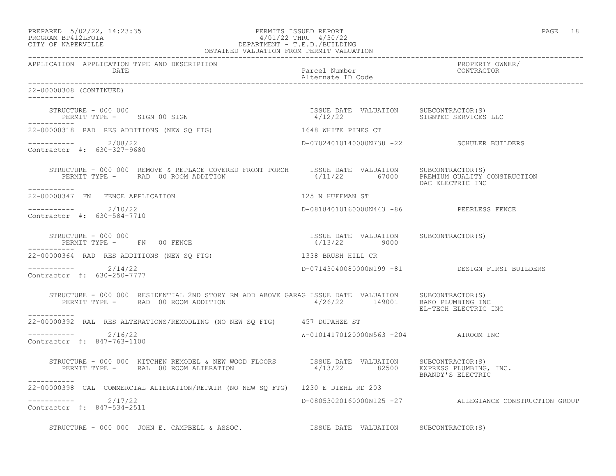| PREPARED            | $5/02/22$ , $14:23:35$ |  |
|---------------------|------------------------|--|
| DDACDAM BDA12T FATA |                        |  |

#### PREPARED 5/02/22, 14:23:35 PERMITS ISSUED REPORT PAGE 18 PROGRAM BP412LFOIA 4/01/22 THRU 4/30/22 CITY OF NAPERVILLE DEPARTMENT - T.E.D./BUILDING OBTAINED VALUATION FROM PERMIT VALUATION

------------------------------------------------------------------------------------------------------------------------------------ APPLICATION APPLICATION TYPE AND DESCRIPTION PROPERTY OWNER/ DATE DATE Parcel Number Contractor Contractor Contractor Contractor Contractor Contractor Contractor Contractor Contractor Contractor Contractor Contractor Contractor Contractor Contractor Contractor Contractor Contractor Alternate ID Code ------------------------------------------------------------------------------------------------------------------------------------ 22-00000308 (CONTINUED) ----------- STRUCTURE - 000 000<br>
PERMIT TYPE - SIGN 00 SIGN CONTRACTOR(S) CHARLEL AND SUBCONTRACTOR(S) SIGNTEC SERVICES LLC PERMIT TYPE - SIGN 00 SIGN ----------- 22-00000318 RAD RES ADDITIONS (NEW SQ FTG) 1648 WHITE PINES CT ----------- 2/08/22 D-07024010140000N738 -22 SCHULER BUILDERS Contractor #: 630-327-9680 STRUCTURE - 000 000 REMOVE & REPLACE COVERED FRONT PORCH ISSUE DATE VALUATION SUBCONTRACTOR(S) PERMIT TYPE - RAD 00 ROOM ADDITION 4/11/22 67000 PREMIUM QUALITY CONSTRUCTION DAC ELECTRIC INC ----------- 22-00000347 FN FENCE APPLICATION 125 N HUFFMAN ST \_\_\_\_\_\_\_\_\_\_\_ ----------- 2/10/22 D-08184010160000N443 -86 PEERLESS FENCE Contractor #: 630-584-7710 STRUCTURE - 000 000 ISSUE DATE VALUATION SUBCONTRACTOR(S) PERMIT TYPE - FN 00 FENCE ----------- 22-00000364 RAD RES ADDITIONS (NEW SQ FTG) 1338 BRUSH HILL CR ----------- 2/14/22 D-07143040080000N199 -81 DESIGN FIRST BUILDERS Contractor #: 630-250-7777 STRUCTURE - 000 000 RESIDENTIAL 2ND STORY RM ADD ABOVE GARAG ISSUE DATE VALUATION SUBCONTRACTOR(S) PERMIT TYPE - RAD 00 ROOM ADDITION 4/26/22 149001 BAKO PLUMBING INC EL-TECH ELECTRIC INC ----------- 22-00000392 RAL RES ALTERATIONS/REMODLING (NO NEW SQ FTG) 457 DUPAHZE ST \_\_\_\_\_\_\_\_\_\_\_ ----------- 2/16/22 W-01014170120000N563 -204 AIROOM INC Contractor #: 847-763-1100 STRUCTURE - 000 000 KITCHEN REMODEL & NEW WOOD FLOORS ISSUE DATE VALUATION SUBCONTRACTOR(S)<br>PERMIT TYPE - RAL 00 ROOM ALTERATION 4/13/22 82500 EXPRESS PLUMBING, INC. PERMIT TYPE - RAL 00 ROOM ALTERATION BRANDY'S ELECTRIC ----------- 22-00000398 CAL COMMERCIAL ALTERATION/REPAIR (NO NEW SQ FTG) 1230 E DIEHL RD 203 ----------- 2/17/22 D-08053020160000N125 -27 ALLEGIANCE CONSTRUCTION GROUP Contractor #: 847-534-2511 STRUCTURE - 000 000 JOHN E. CAMPBELL & ASSOC. ISSUE DATE VALUATION SUBCONTRACTOR(S)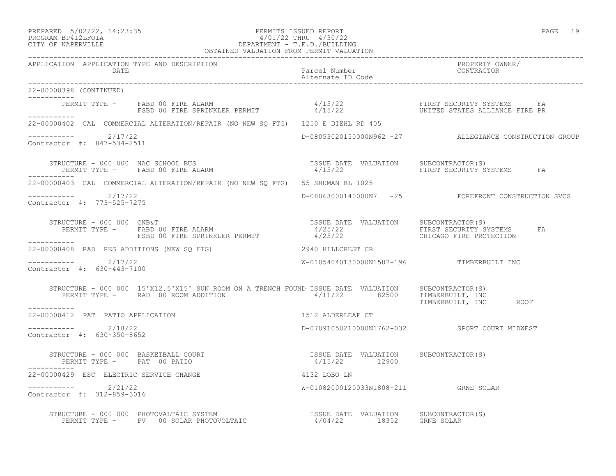PREPARED 5/02/22, 14:23:35 PERMITS ISSUED REPORT PAGE 19

-----------

-----------

-----------

-----------

-----------

# PROGRAM BP412LFOIA 4/01/22 THRU 4/30/22 CITY OF NAPERVILLE DEPARTMENT - T.E.D./BUILDING

 OBTAINED VALUATION FROM PERMIT VALUATION ------------------------------------------------------------------------------------------------------------------------------------ APPLICATION APPLICATION TYPE AND DESCRIPTION PROPERTY OWNER/ DATE Parcel Number CONTRACTOR Alternate ID Code ------------------------------------------------------------------------------------------------------------------------------------ 22-00000398 (CONTINUED) PERMIT TYPE - FABD 00 FIRE ALARM  $4/15/22$  FIRST SECURITY SYSTEMS FA FSBD 00 FIRE SPRINKLER PERMIT 4/15/22 UNITED STATES ALLIANCE FIRE PR 22-00000402 CAL COMMERCIAL ALTERATION/REPAIR (NO NEW SQ FTG) 1250 E DIEHL RD 405  $---------2/17/22$ D-08053020150000N962 -27 ALLEGIANCE CONSTRUCTION GROUP Contractor #: 847-534-2511 STRUCTURE - 000 000 NAC SCHOOL BUS ISSUE DATE VALUATION SUBCONTRACTOR(S) PERMIT TYPE - FABD 00 FIRE ALARM  $4/15/22$  FIRST SECURITY SYSTEMS FA 22-00000403 CAL COMMERCIAL ALTERATION/REPAIR (NO NEW SQ FTG) 55 SHUMAN BL 1025 ----------- 2/17/22 D-08063000140000N7 -25 FOREFRONT CONSTRUCTION SVCS Contractor #: 773-525-7275 STRUCTURE - 000 000 CNB&T ISSUE DATE VALUATION SUBCONTRACTOR(S) PERMIT TYPE - FABD 00 FIRE ALARM  $4/25/22$  FIRST SECURITY SYSTEMS FA FSBD 00 FIRE SPRINKLER PERMIT  $4/25/22$  CHICAGO FIRE PROTECTION 22-00000408 RAD RES ADDITIONS (NEW SQ FTG) 2940 HILLCREST CR  $--------- 2/17/22$ W-01054040130000N1587-196 TIMBERBUILT INC Contractor #: 630-443-7100 STRUCTURE - 000 000 15'X12.5'X15' SUN ROOM ON A TRENCH FOUND ISSUE DATE VALUATION SUBCONTRACTOR(S) PERMIT TYPE - RAD 00 ROOM ADDITION  $4/11/22$  82500 TIMBERBUILT, INC TIMBERBUILT, INC ROOF 22-00000412 PAT PATIO APPLICATION 1512 ALDERLEAF CT  $--------- 2/18/22$ D-07091050210000N1762-032 SPORT COURT MIDWEST Contractor #: 630-350-8652

 STRUCTURE - 000 000 BASKETBALL COURT ISSUE DATE VALUATION SUBCONTRACTOR(S) PERMIT TYPE - PAT 00 PATIO 22-00000429 ESC ELECTRIC SERVICE CHANGE 4132 LOBO LN ----------- 2/21/22 W-01082000120033N1808-211 GRNE SOLAR Contractor #: 312-859-3016 STRUCTURE - 000 000 PHOTOVALTAIC SYSTEM ISSUE DATE VALUATION SUBCONTRACTOR(S) PERMIT TYPE - PV 00 SOLAR PHOTOVOLTAIC 4/04/22 18352 GRNE SOLAR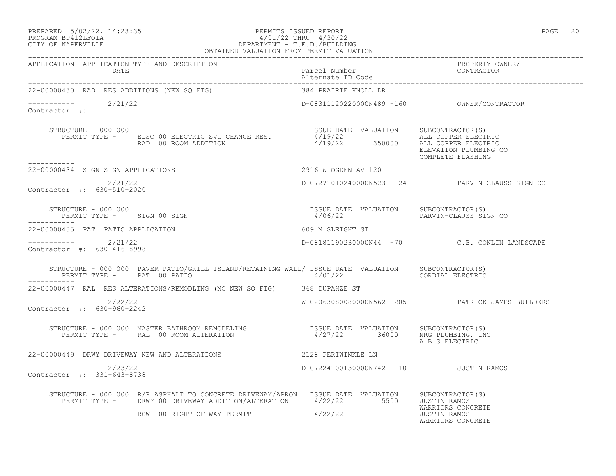### PREPARED 5/02/22, 14:23:35 PERMITS ISSUED REPORT PAGE 20 PROGRAM BP412LFOIA 4/01/22 THRU 4/30/22 CITY OF NAPERVILLE DEPARTMENT - T.E.D./BUILDING OBTAINED VALUATION FROM PERMIT VALUATION

|                                                   | APPLICATION APPLICATION TYPE AND DESCRIPTION<br>APPLICATION APPLICATION TYPE AND DESCRIPTION PACK PACEL Number PACE PROPERTY OWNER PROPERTY OWNER<br>DATE Parcel Number Pack Patent D Code Patent CONTRACTOR PLATE PLATE PODERTY PATE |                                                                        |                                                        |
|---------------------------------------------------|---------------------------------------------------------------------------------------------------------------------------------------------------------------------------------------------------------------------------------------|------------------------------------------------------------------------|--------------------------------------------------------|
| 22-00000430 RAD RES ADDITIONS (NEW SQ FTG)        |                                                                                                                                                                                                                                       | 384 PRAIRIE KNOLL DR                                                   |                                                        |
| $--------$<br>Contractor #: 2/21/22               |                                                                                                                                                                                                                                       |                                                                        |                                                        |
| STRUCTURE - 000 000<br>-----------                | EXACTURE - 000 000<br>PERMIT TYPE - ELSC 00 ELECTRIC SVC CHANGE RES. THE SULL ALL COPPER ELECTRIC<br>RAD 00 ROOM ADDITION 1/19/22 350000 ALL COPPER ELECTRIC<br>ALL COPPER ELECTRIC                                                   |                                                                        | ELEVATION PLUMBING CO<br>COMPLETE FLASHING             |
| 22-00000434 SIGN SIGN APPLICATIONS                |                                                                                                                                                                                                                                       | 2916 W OGDEN AV 120                                                    |                                                        |
| $---------2/21/22$<br>Contractor #: 630-510-2020  |                                                                                                                                                                                                                                       |                                                                        | D-07271010240000N523 -124 PARVIN-CLAUSS SIGN CO        |
| STRUCTURE - 000 000<br>PERMIT TYPE - SIGN 00 SIGN |                                                                                                                                                                                                                                       | ISSUE DATE VALUATION SUBCONTRACTOR(S)<br>4/06/22 PARVIN-CLAUSS SIGN CO |                                                        |
| 22-00000435 PAT PATIO APPLICATION                 |                                                                                                                                                                                                                                       | 609 N SLEIGHT ST                                                       |                                                        |
| $---------2/21/22$<br>Contractor #: 630-416-8998  |                                                                                                                                                                                                                                       |                                                                        | D-08181190230000N44 -70 C.B. CONLIN LANDSCAPE          |
| PERMIT TYPE - PAT 00 PATIO                        | STRUCTURE - 000 000 PAVER PATIO/GRILL ISLAND/RETAINING WALL/ ISSUE DATE VALUATION SUBCONTRACTOR(S)                                                                                                                                    | 4/01/22                                                                | CORDIAL ELECTRIC                                       |
|                                                   | 22-00000447 RAL RES ALTERATIONS/REMODLING (NO NEW SQ FTG) 368 DUPAHZE ST                                                                                                                                                              |                                                                        |                                                        |
| $--------- 2/22/22$<br>Contractor #: 630-960-2242 |                                                                                                                                                                                                                                       |                                                                        | W-02063080080000N562 -205 PATRICK JAMES BUILDERS       |
|                                                   | STRUCTURE – 000 000 MASTER BATHROOM REMODELING                    ISSUE DATE VALUATION     SUBCONTRACTOR(S)<br>PERMIT TYPE –      RAL 00 ROOM ALTERATION                        4/27/22       36000      NRG PLUMBING, INC            |                                                                        | A B S ELECTRIC                                         |
| -----------                                       | 22-00000449 DRWY DRIVEWAY NEW AND ALTERATIONS                                                                                                                                                                                         | 2128 PERIWINKLE LN                                                     |                                                        |
| $---------2/23/22$<br>Contractor #: 331-643-8738  |                                                                                                                                                                                                                                       | D-07224100130000N742 -110 JUSTIN RAMOS                                 |                                                        |
|                                                   | STRUCTURE - 000 000 R/R ASPHALT TO CONCRETE DRIVEWAY/APRON ISSUE DATE VALUATION SUBCONTRACTOR(S)<br>PERMIT TYPE - DRWY 00 DRIVEWAY ADDITION/ALTERATION 4/22/22 5500 JUSTIN RAMOS                                                      |                                                                        |                                                        |
|                                                   | ROW 00 RIGHT OF WAY PERMIT                                                                                                                                                                                                            | 4/22/22                                                                | WARRIORS CONCRETE<br>JUSTIN RAMOS<br>WARRIORS CONCRETE |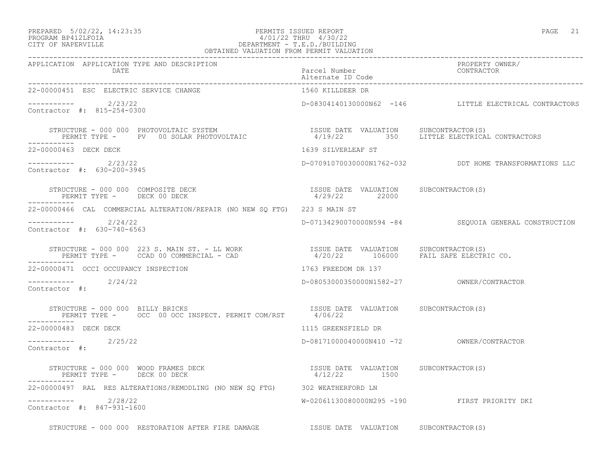## PREPARED 5/02/22, 14:23:35 PERMITS ISSUED REPORT PAGE 21 PROGRAM BP412LFOIA 4/01/22 THRU 4/30/22 CITY OF NAPERVILLE DEPARTMENT - T.E.D./BUILDING

| OBTAINED VALUATION FROM PERMIT VALUATION                                                                                                                                                                                                          |                                                        |                                                        |
|---------------------------------------------------------------------------------------------------------------------------------------------------------------------------------------------------------------------------------------------------|--------------------------------------------------------|--------------------------------------------------------|
| APPLICATION APPLICATION TYPE AND DESCRIPTION<br>DATE                                                                                                                                                                                              | Parcel Number<br>Alternate ID Code                     | PROPERTY OWNER/<br>CONTRACTOR                          |
| 22-00000451 ESC ELECTRIC SERVICE CHANGE                                                                                                                                                                                                           | 1560 KILLDEER DR                                       |                                                        |
| $---------2/23/22$<br>Contractor #: 815-254-0300                                                                                                                                                                                                  |                                                        | D-08304140130000N62 -146 LITTLE ELECTRICAL CONTRACTORS |
| STRUCTURE – 000 000 PHOTOVOLTAIC SYSTEM                            ISSUE DATE VALUATION     SUBCONTRACTOR(S)<br>PERMIT TYPE –     PV   00 SOLAR PHOTOVOLTAIC                    4/19/22        350     LITTLE ELECTRICAL CONTRACT<br>------------ |                                                        |                                                        |
| 22-00000463 DECK DECK                                                                                                                                                                                                                             | 1639 SILVERLEAF ST                                     |                                                        |
| $---------2/23/22$<br>Contractor #: 630-200-3945                                                                                                                                                                                                  |                                                        | D-07091070030000N1762-032 DDT HOME TRANSFORMATIONS LLC |
| STRUCTURE - 000 000 COMPOSITE DECK<br>PERMIT TYPE - DECK 00 DECK<br>PERMIT TYPE - DECK 00 DECK<br>------------                                                                                                                                    | ISSUE DATE VALUATION SUBCONTRACTOR(S)<br>4/29/22 22000 |                                                        |
| 22-00000466 CAL COMMERCIAL ALTERATION/REPAIR (NO NEW SO FTG) 223 S MAIN ST                                                                                                                                                                        |                                                        |                                                        |
| $--------$ 2/24/22<br>Contractor #: 630-740-6563                                                                                                                                                                                                  |                                                        | D-07134290070000N594 -84 SEQUOIA GENERAL CONSTRUCTION  |
|                                                                                                                                                                                                                                                   |                                                        |                                                        |
| 22-00000471 OCCI OCCUPANCY INSPECTION                                                                                                                                                                                                             | 1763 FREEDOM DR 137                                    |                                                        |
| $---------2/24/22$<br>Contractor #:                                                                                                                                                                                                               |                                                        |                                                        |
| STRUCTURE - 000 000 BILLY BRICKS<br>PERMIT TYPE - OCC 00 OCC INSPECT. PERMIT COM/RST 4/06/22                                                                                                                                                      | ISSUE DATE VALUATION SUBCONTRACTOR(S)                  |                                                        |
| 22-00000483 DECK DECK                                                                                                                                                                                                                             | 1115 GREENSFIELD DR                                    |                                                        |
| $--------$ 2/25/22<br>Contractor #:                                                                                                                                                                                                               |                                                        |                                                        |
| STRUCTURE - 000 000 WOOD FRAMES DECK THE STRUCTURE ORDER SUBCONTRACTOR (S)<br>PERMIT TYPE - DECK 00 DECK                                                                                                                                          | $4/12/22$ 1500                                         |                                                        |
| 22-00000497 RAL RES ALTERATIONS/REMODLING (NO NEW SQ FTG) 302 WEATHERFORD LN                                                                                                                                                                      |                                                        |                                                        |
| $---------2/28/22$<br>Contractor #: 847-931-1600                                                                                                                                                                                                  |                                                        | W-02061130080000N295 -190 FIRST PRIORITY DKI           |
| STRUCTURE - 000 000 RESTORATION AFTER FIRE DAMAGE TSSUE DATE VALUATION SUBCONTRACTOR(S)                                                                                                                                                           |                                                        |                                                        |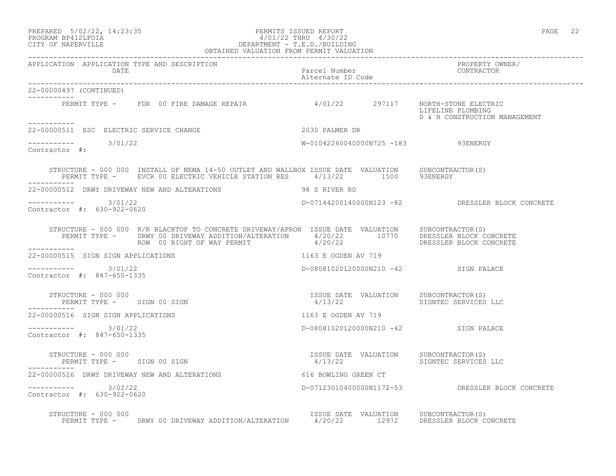### PREPARED 5/02/22, 14:23:35 PERMITS ISSUED REPORT PAGE 22 PROGRAM BP412LFOIA 4/01/22 THRU 4/30/22 CITY OF NAPERVILLE DEPARTMENT - T.E.D./BUILDING OBTAINED VALUATION FROM PERMIT VALUATION

| APPLICATION APPLICATION TYPE AND DESCRIPTION PACKER PACEL Number PACEL PUMPER PROPERTY OWNER PERPLICATION PRO<br>DATE PACEL Number Packed Number (D Code Alternate ID Code Packer Packer CONTRACTOR ALTER)                                         |                                                                       |                                                    |
|----------------------------------------------------------------------------------------------------------------------------------------------------------------------------------------------------------------------------------------------------|-----------------------------------------------------------------------|----------------------------------------------------|
| 22-00000497 (CONTINUED)                                                                                                                                                                                                                            |                                                                       |                                                    |
| PERMIT TYPE - FDR 00 FIRE DAMAGE REPAIR 4/01/22 297117 NORTH-STONE ELECTRIC<br>-----------                                                                                                                                                         |                                                                       | LIFELINE PLUMBING<br>D & H CONSTRUCTION MANAGEMENT |
| 2030 PALMER DR<br>22-00000511 ESC ELECTRIC SERVICE CHANGE                                                                                                                                                                                          |                                                                       |                                                    |
| $--------- 3/01/22$<br>Contractor #:                                                                                                                                                                                                               | W-01042260040000N725 -183 93ENERGY                                    |                                                    |
| STRUCTURE - 000 000 INSTALL OF NEMA 14-50 OUTLET AND WALLBOX ISSUE DATE VALUATION SUBCONTRACTOR(S)<br>PERMIT TYPE - EVCR 00 ELECTRIC VEHICLE STATION RES 4/13/22 1500 93ENERGY                                                                     |                                                                       |                                                    |
| 22-00000512 DRWY DRIVEWAY NEW AND ALTERATIONS 48 S RIVER RD                                                                                                                                                                                        |                                                                       |                                                    |
| ----------- 3/01/22<br>Contractor #: 630-922-0620                                                                                                                                                                                                  |                                                                       | D-07144200140000N123 -82 DRESSLER BLOCK CONCRETE   |
| STRUCTURE - 000 000 R/R BLACKTOP TO CONCRETE DRIVEWAY/APRON ISSUE DATE VALUATION SUBCONTRACTOR(S)<br>PERMIT TYPE - DRWY 00 DRIVEWAY ADDITION/ALTERATION 4/20/22 10770 DRESSLER BLOCK CONCRETE<br>ROW 00 RIGHT OF WAY PERMIT 4/20/22<br>___________ |                                                                       |                                                    |
| 22-00000515 SIGN SIGN APPLICATIONS                                                                                                                                                                                                                 | 1163 E OGDEN AV 719                                                   |                                                    |
| $--------- 3/01/22$<br>Contractor #: 847-650-1335                                                                                                                                                                                                  | D-08081020120000N210 -42 SIGN PALACE                                  |                                                    |
| STRUCTURE - 000 000<br>PERMIT TYPE - SIGN 00 SIGN                                                                                                                                                                                                  | ISSUE DATE VALUATION SUBCONTRACTOR(S)<br>4/13/22 SIGNTEC SERVICES LLC |                                                    |
| 22-00000516 SIGN SIGN APPLICATIONS                                                                                                                                                                                                                 | 1163 E OGDEN AV 719                                                   |                                                    |
| $--------- 3/01/22$<br>Contractor #: 847-650-1335                                                                                                                                                                                                  | D-08081020120000N210 -42 SIGN PALACE                                  |                                                    |
| STRUCTURE - 000 000<br>PERMIT TYPE - SIGN 00 SIGN                                                                                                                                                                                                  | ISSUE DATE VALUATION SUBCONTRACTOR(S)<br>4/13/22 SIGNTEC SERVICES LLC |                                                    |
| 22-00000526 DRWY DRIVEWAY NEW AND ALTERATIONS                                                                                                                                                                                                      | 616 BOWLING GREEN CT                                                  |                                                    |
| $--------- 3/02/22$<br>Contractor #: 630-922-0620                                                                                                                                                                                                  |                                                                       | D-07123010400000N1172-53 DRESSLER BLOCK CONCRETE   |
| STRUCTURE - 000 000<br>PERMIT TYPE -       DRWY 00 DRIVEWAY ADDITION/ALTERATION        4/20/22       12972       DRESSLER BLOCK CONCRETE                                                                                                           |                                                                       |                                                    |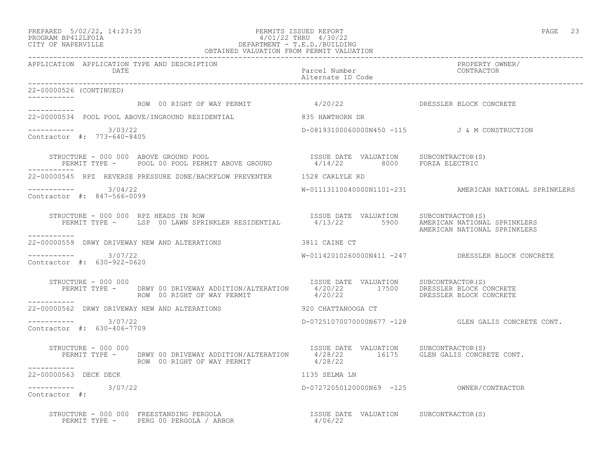## PREPARED 5/02/22, 14:23:35 PERMITS ISSUED REPORT PAGE 23 PROGRAM BP412LFOIA 4/01/22 THRU 4/30/22 CITY OF NAPERVILLE DEPARTMENT - T.E.D./BUILDING

| OBTAINED VALUATION FROM PERMIT VALUATION                                 |                                                                                                                                                                                                                     |  |
|--------------------------------------------------------------------------|---------------------------------------------------------------------------------------------------------------------------------------------------------------------------------------------------------------------|--|
| APPLICATION APPLICATION TYPE AND DESCRIPTION<br>DATE                     | PROPERTY OWNER/<br>Parcel Number<br>Alternate ID Code<br>CONTRACTOR                                                                                                                                                 |  |
| 22-00000526 (CONTINUED)                                                  |                                                                                                                                                                                                                     |  |
|                                                                          | ROW 00 RIGHT OF WAY PERMIT 4/20/22 DRESSLER BLOCK CONCRETE                                                                                                                                                          |  |
| 22-00000534 POOL POOL ABOVE/INGROUND RESIDENTIAL 635 HAWTHORN DR         |                                                                                                                                                                                                                     |  |
| ----------- 3/03/22<br>Contractor #: 773-640-8405                        | D-08193100060000N450 -115 J&M CONSTRUCTION                                                                                                                                                                          |  |
| STRUCTURE - 000 000 ABOVE GROUND POOL                                    | FRUCTURE - 000 000 ABOVE GROUND POOL (S) STRUCTURE - 000 OOO ABOVE GROUND POOL CROUND SUBCONTRACTOR(S)                                                                                                              |  |
| 22-00000545 RPZ REVERSE PRESSURE ZONE/BACKFLOW PREVENTER 1528 CARLYLE RD |                                                                                                                                                                                                                     |  |
| -----------    3/04/22<br>Contractor #: 847-566-0099                     | W-01113110040000N1101-231 AMERICAN NATIONAL SPRINKLERS                                                                                                                                                              |  |
| STRUCTURE - 000 000 RPZ HEADS IN ROW                                     | NUCTURE - 000 000 RPZ HEADS IN ROWN (SUSTERUSS ESSUE DATE VALUATION (SUBCONTRACTOR(S)<br>PERMIT TYPE - LSP 00 LAWN SPRINKLER RESIDENTIAL (4/13/22 5900 AMERICAN NATIONAL SPRINKLERS<br>AMERICAN NATIONAL SPRINKLERS |  |
|                                                                          |                                                                                                                                                                                                                     |  |
| ----------     3/07/22<br>Contractor #: 630-922-0620                     | W-01142010260000N411 -247 DRESSLER BLOCK CONCRETE                                                                                                                                                                   |  |
| STRUCTURE - 000 000<br>------------                                      | STRUCTURE - 000 000<br>PERMIT TYPE - DRWY 00 DRIVEWAY ADDITION/ALTERATION 1990 STRUCTON DRESSLER BLOCK CONCRETE<br>ROW 00 RIGHT OF WAY PERMIT 1/20/22 17500 DRESSLER BLOCK CONCRETE                                 |  |
| 22-00000562 DRWY DRIVEWAY NEW AND ALTERATIONS 920 CHATTANOOGA CT         |                                                                                                                                                                                                                     |  |
| $--------- 3/07/22$<br>Contractor #: 630-406-7709                        | $D-07251070070000N677$ $-128$ GLEN GALIS CONCRETE CONT.                                                                                                                                                             |  |
| STRUCTURE - 000 000<br>ROW 00 RIGHT OF WAY PERMIT                        | ISSUE DATE VALUATION SUBCONTRACTOR(S)<br>PERMIT TYPE - DRWY 00 DRIVEWAY ADDITION/ALTERATION 4/28/22 16175 GLEN GALIS CONCRETE CONT.                                                                                 |  |
| ------------<br>22-00000563 DECK DECK                                    | 1135 SELMA LN                                                                                                                                                                                                       |  |
| $--------$ 3/07/22<br>Contractor #:                                      | D-07272050120000N69 -125 OWNER/CONTRACTOR                                                                                                                                                                           |  |
|                                                                          |                                                                                                                                                                                                                     |  |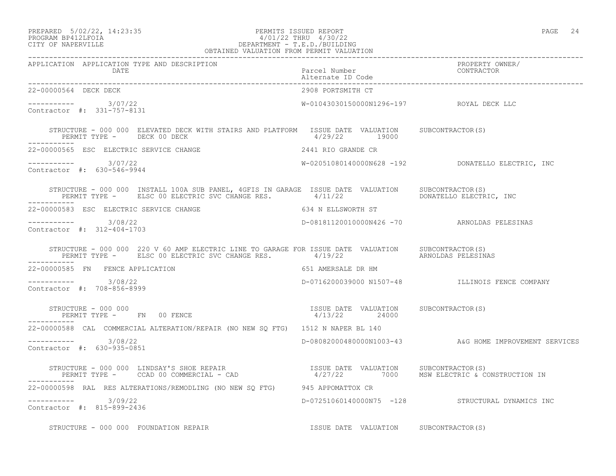## PREPARED 5/02/22, 14:23:35 PERMITS ISSUED REPORT PAGE 24 PROGRAM BP412LFOIA 4/01/22 THRU 4/30/22 CITY OF NAPERVILLE **DEPARTMENT - T.E.D./BUILDING**

| $\cdot$<br>$\overline{\phantom{a}}$<br>(71 |  |
|--------------------------------------------|--|
|--------------------------------------------|--|

| OBTAINED VALUATION FROM PERMIT VALUATION                                                                                                                                                                                          |                                          |                                                        |
|-----------------------------------------------------------------------------------------------------------------------------------------------------------------------------------------------------------------------------------|------------------------------------------|--------------------------------------------------------|
| APPLICATION APPLICATION TYPE AND DESCRIPTION<br>DATE                                                                                                                                                                              | Parcel Number<br>Alternate ID Code       | PROPERTY OWNER/<br>CONTRACTOR                          |
| 22-00000564 DECK DECK                                                                                                                                                                                                             | 2908 PORTSMITH CT                        |                                                        |
| $--------$ 3/07/22<br>Contractor #: 331-757-8131                                                                                                                                                                                  | W-01043030150000N1296-197 ROYAL DECK LLC |                                                        |
| STRUCTURE - 000 000 ELEVATED DECK WITH STAIRS AND PLATFORM ISSUE DATE VALUATION SUBCONTRACTOR(S)<br>PERMIT TYPE - DECK 00 DECK                                                                                                    | 4/29/22 19000                            |                                                        |
| 22-00000565 ESC ELECTRIC SERVICE CHANGE <b>Alternative State 2441 RIO GRANDE</b> CR                                                                                                                                               |                                          |                                                        |
| $--------- 3/07/22$<br>Contractor #: 630-546-9944                                                                                                                                                                                 |                                          | $W-02051080140000N628$ -192 DONATELLO ELECTRIC, INC    |
| STRUCTURE - 000 000 INSTALL 100A SUB PANEL, 4GFIS IN GARAGE ISSUE DATE VALUATION SUBCONTRACTOR(S)<br>PERMIT TYPE - ELSC 00 ELECTRIC SVC CHANGE RES. 4/11/22 PERMIT DONATELLO ELECTRIC, INC                                        |                                          |                                                        |
| 22-00000583 ESC ELECTRIC SERVICE CHANGE                                                                                                                                                                                           | 634 N ELLSWORTH ST                       |                                                        |
| ----------- 3/08/22<br>Contractor #: 312-404-1703                                                                                                                                                                                 |                                          | D-08181120010000N426 -70 ARNOLDAS PELESINAS            |
| STRUCTURE - 000 000 220 V 60 AMP ELECTRIC LINE TO GARAGE FOR ISSUE DATE VALUATION SUBCONTRACTOR(S)<br>PERMIT TYPE - ELSC 00 ELECTRIC SVC CHANGE RES. 4/19/22 ARNOLDAS PELESINAS                                                   |                                          |                                                        |
| 22-00000585 FN FENCE APPLICATION                                                                                                                                                                                                  | 651 AMERSALE DR HM                       |                                                        |
| $--------- 3/08/22$<br>Contractor #: 708-856-8999                                                                                                                                                                                 |                                          | D-0716200039000 N1507-48 ILLINOIS FENCE COMPANY        |
| STRUCTURE - 000 000                                                                                                                                                                                                               | ISSUE DATE VALUATION SUBCONTRACTOR(S)    |                                                        |
| 22-00000588 CAL COMMERCIAL ALTERATION/REPAIR (NO NEW SQ FTG) 1512 N NAPER BL 140                                                                                                                                                  |                                          |                                                        |
| $--------- 3/08/22$<br>Contractor #: 630-935-0851                                                                                                                                                                                 |                                          | D-08082000480000N1003-43 A&G HOME IMPROVEMENT SERVICES |
| STRUCTURE - 000 000 LINDSAY'S SHOE REPAIR                         ISSUE DATE VALUATION    SUBCONTRACTOR(S)<br>PERMIT TYPE -     CCAD 00 COMMERCIAL - CAD                     4/27/22       7000    MSW ELECTRIC & CONSTRUCTION IN |                                          |                                                        |
| 22-00000598 RAL RES ALTERATIONS/REMODLING (NO NEW SQ FTG) 945 APPOMATTOX CR                                                                                                                                                       |                                          |                                                        |
| $--------$ 3/09/22<br>Contractor #: 815-899-2436                                                                                                                                                                                  |                                          | D-07251060140000N75 -128 STRUCTURAL DYNAMICS INC       |
| STRUCTURE - 000 000 FOUNDATION REPAIR TESSUE DATE VALUATION SUBCONTRACTOR(S)                                                                                                                                                      |                                          |                                                        |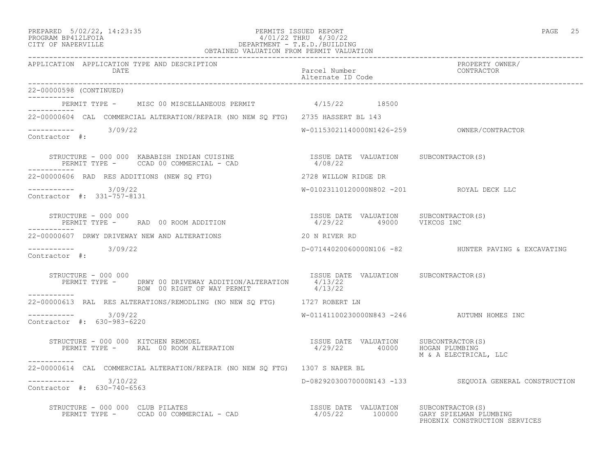### PREPARED 5/02/22, 14:23:35 PERMITS ISSUED REPORT PAGE 25 PROGRAM BP412LFOIA 4/01/22 THRU 4/30/22 CITY OF NAPERVILLE DEPARTMENT - T.E.D./BUILDING OBTAINED VALUATION FROM PERMIT VALUATION

| APPLICATION APPLICATION TYPE AND DESCRIPTION<br>DATE                                                                                                                                      | Parcel Number<br>Alternate ID Code         | PROPERTY OWNER/<br>CONTRACTOR                          |
|-------------------------------------------------------------------------------------------------------------------------------------------------------------------------------------------|--------------------------------------------|--------------------------------------------------------|
|                                                                                                                                                                                           |                                            |                                                        |
| 22-00000598 (CONTINUED)<br>___________                                                                                                                                                    |                                            |                                                        |
| PERMIT TYPE - MISC 00 MISCELLANEOUS PERMIT 4/15/22 18500                                                                                                                                  |                                            |                                                        |
| 22-00000604 CAL COMMERCIAL ALTERATION/REPAIR (NO NEW SQ FTG) 2735 HASSERT BL 143                                                                                                          |                                            |                                                        |
| $--------- 3/09/22$<br>Contractor #:                                                                                                                                                      |                                            |                                                        |
| STRUCTURE – 000 000 KABABISH INDIAN CUISINE                      ISSUE DATE VALUATION     SUBCONTRACTOR(S)<br>PERMIT TYPE –      CCAD 00 COMMERCIAL – CAD                         4/08/22 |                                            |                                                        |
| 22-00000606 RAD RES ADDITIONS (NEW SQ FTG)                                                                                                                                                | 2728 WILLOW RIDGE DR                       |                                                        |
| $--------- 3/09/22$<br>Contractor #: 331-757-8131                                                                                                                                         | W-01023110120000N802 -201 ROYAL DECK LLC   |                                                        |
| STRUCTURE - 000 000                                                                                                                                                                       |                                            |                                                        |
| 22-00000607 DRWY DRIVEWAY NEW AND ALTERATIONS                                                                                                                                             | 20 N RIVER RD                              |                                                        |
| $--------- 3/09/22$<br>Contractor #:                                                                                                                                                      |                                            | D-07144020060000N106 -82 HUNTER PAVING & EXCAVATING    |
| STRUCTURE - 000 000<br>PERMIT TYPE - DRWY 00 DRIVEWAY ADDITION/ALTERATION 4/13/22<br>ROW 00 RIGHT OF WAY PERMIT 4/13/22                                                                   | ISSUE DATE VALUATION SUBCONTRACTOR(S)      |                                                        |
| 22-00000613 RAL RES ALTERATIONS/REMODLING (NO NEW SQ FTG) 1727 ROBERT LN                                                                                                                  |                                            |                                                        |
| $--------- 3/09/22$<br>Contractor #: 630-983-6220                                                                                                                                         | W-01141100230000N843 -246 AUTUMN HOMES INC |                                                        |
| STRUCTURE – 000 000 KITCHEN REMODEL (S)<br>PERMIT TYPE – RAL 00 ROOM ALTERATION (29/22 40000 HOGAN PLUMBING<br>-----------                                                                |                                            | M & A ELECTRICAL, LLC                                  |
| 22-00000614 CAL COMMERCIAL ALTERATION/REPAIR (NO NEW SO FTG) 1307 S NAPER BL                                                                                                              |                                            |                                                        |
| $--------- 3/10/22$<br>Contractor #: 630-740-6563                                                                                                                                         |                                            | D-08292030070000N143 -133 SEQUOIA GENERAL CONSTRUCTION |
| STRUCTURE - 000 000 CLUB PILATES<br>PERMIT TYPE - CCAD 00 COMMERCIAL - CAD (2000) PERMIT TYPE - CCAD 00 COMMERCIAL - CAD (2000) PERMIT TYPE - CCAD 00 COMMERCIAL - CAD                    |                                            | PHOENIX CONSTRUCTION SERVICES                          |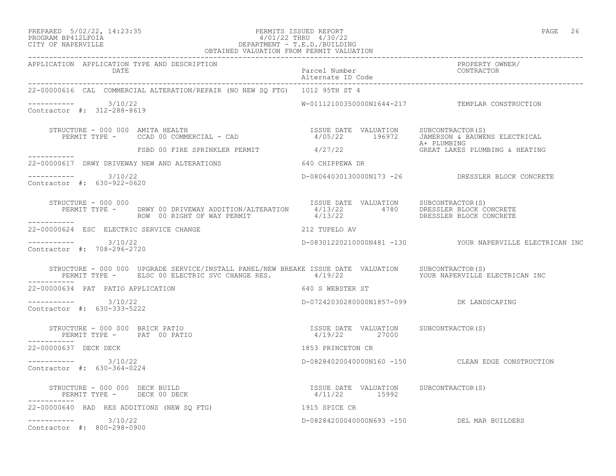## PREPARED 5/02/22, 14:23:35 PERMITS ISSUED REPORT PAGE 26 PROGRAM BP412LFOIA 4/01/22 THRU 4/30/22 CITY OF NAPERVILLE DEPARTMENT - T.E.D./BUILDING

| ┓<br>Pi<br>┍<br>◟<br>ъ. |  |
|-------------------------|--|
|-------------------------|--|

| OBTAINED VALUATION FROM PERMIT VALUATION             |                                                                                                                                                                                              |                                    |                                                          |
|------------------------------------------------------|----------------------------------------------------------------------------------------------------------------------------------------------------------------------------------------------|------------------------------------|----------------------------------------------------------|
| APPLICATION APPLICATION TYPE AND DESCRIPTION<br>DATE |                                                                                                                                                                                              | Parcel Number<br>Alternate ID Code | PROPERTY OWNER/<br>CONTRACTOR                            |
|                                                      | 22-00000616 CAL COMMERCIAL ALTERATION/REPAIR (NO NEW SQ FTG) 1012 95TH ST 4                                                                                                                  |                                    |                                                          |
| ----------- 3/10/22<br>Contractor #: 312-288-8619    |                                                                                                                                                                                              |                                    | W-01112100350000N1644-217 TEMPLAR CONSTRUCTION           |
|                                                      | STRUCTURE - 000 000 AMITA HEALTH<br>PERMIT TYPE - CCAD 00 COMMERCIAL - CAD (2001) PERMIT TYPE - CCAD 00 COMMERCIAL - CAD                                                                     |                                    |                                                          |
| ------------                                         | ESBD 00 FIRE SPRINKLER PERMIT 4/27/22 A+ PLUMBING<br>GREAT LAKES PLUMBING & HEATING                                                                                                          |                                    |                                                          |
|                                                      | 22-00000617 DRWY DRIVEWAY NEW AND ALTERATIONS 640 CHIPPEWA DR                                                                                                                                |                                    |                                                          |
| $--------- 3/10/22$<br>Contractor #: 630-922-0620    |                                                                                                                                                                                              |                                    | D-08064030130000N173 -26 DRESSLER BLOCK CONCRETE         |
| STRUCTURE - 000 000<br>___________                   | STRUCTURE - 000 000<br>PERMIT TYPE - DRWY 00 DRIVEWAY ADDITION/ALTERATION 15SUE DATE VALUATION SUBCONTRACTOR(S)<br>ROW 00 RIGHT OF WAY PERMIT 1/13/22 4780 DRESSLER BLOCK CONCRETE           |                                    |                                                          |
| 22-00000624 ESC ELECTRIC SERVICE CHANGE              | 212 TUPELO AV                                                                                                                                                                                |                                    |                                                          |
| ---------- 3/10/22<br>Contractor #: 708-296-2720     |                                                                                                                                                                                              |                                    | D-08301220210000N481 -130 YOUR NAPERVILLE ELECTRICAN INC |
| -----------                                          | STRUCTURE - 000 000 UPGRADE SERVICE/INSTALL PANEL/NEW BREAKE ISSUE DATE VALUATION SUBCONTRACTOR(S)<br>PERMIT TYPE - ELSC 00 ELECTRIC SVC CHANGE RES. 4/19/22 7000 PERMIT TYPE ELECTRICAN INC |                                    |                                                          |
| 22-00000634 PAT PATIO APPLICATION                    |                                                                                                                                                                                              | 640 S WEBSTER ST                   |                                                          |
| $--------- 3/10/22$<br>Contractor #: 630-333-5222    |                                                                                                                                                                                              |                                    |                                                          |
|                                                      | STRUCTURE – 000 000 BRICK PATIO<br>PERMIT TYPE – PAT 00 PATIO – 1990 – 1990 – 27000 – 27000 – 27000 – 27000 – 27000 – 27000 – 27000 – 27000 – 270                                            |                                    |                                                          |
| 22-00000637 DECK DECK                                |                                                                                                                                                                                              | 1853 PRINCETON CR                  |                                                          |
| $---------$ 3/10/22<br>Contractor #: 630-364-0224    |                                                                                                                                                                                              |                                    | D-08284020040000N160 -150 CLEAN EDGE CONSTRUCTION        |
| PERMIT TYPE - DECK 00 DECK                           | STRUCTURE – 000 000 DECK BUILD<br>PERMIT TYPE – DECK 00 DECK – 1590 MHz (11/22 – 1599)<br>---------                                                                                          |                                    |                                                          |
|                                                      | 22-00000640 RAD RES ADDITIONS (NEW SQ FTG) 1915 SPICE CR                                                                                                                                     |                                    |                                                          |
| $--------- 3/10/22$<br>Contractor #: 800-298-0900    |                                                                                                                                                                                              |                                    | D-08284200040000N693 -150 DEL MAR BUILDERS               |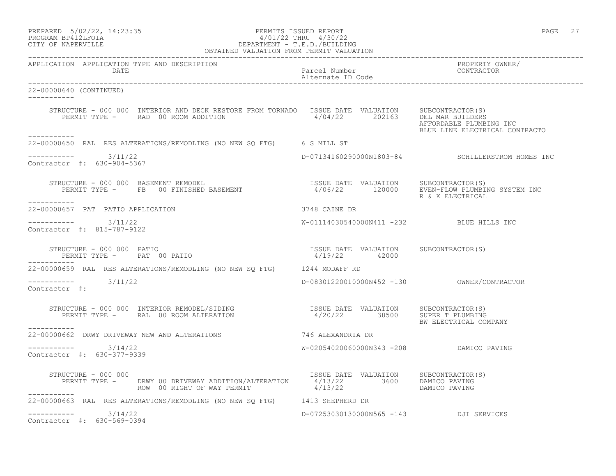| PREPARED 5/02/22, 14:23:35 | PERMITS ISSUED REPORT | PAGE |
|----------------------------|-----------------------|------|
|                            | 1/01/22 TUDII 1/20/22 |      |

# PROGRAM BP412LFOIA 4/01/22 THRU 4/30/22 CITY OF NAPERVILLE CITY OF NAPERVILLE

| OBTAINED VALUATION FROM PERMIT VALUATION                                                                                                                                                                                                      |                                                        |                                                           |  |
|-----------------------------------------------------------------------------------------------------------------------------------------------------------------------------------------------------------------------------------------------|--------------------------------------------------------|-----------------------------------------------------------|--|
| APPLICATION APPLICATION TYPE AND DESCRIPTION<br>DATE                                                                                                                                                                                          | Parcel Number<br>Alternate ID Code                     | PROPERTY OWNER/<br>CONTRACTOR                             |  |
| 22-00000640 (CONTINUED)                                                                                                                                                                                                                       |                                                        |                                                           |  |
| STRUCTURE - 000 000 INTERIOR AND DECK RESTORE FROM TORNADO ISSUE DATE VALUATION SUBCONTRACTOR(S)<br>PERMIT TYPE - RAD 00 ROOM ADDITION 4/04/22 202163 DEL MAR BUILDERS<br>-----------                                                         |                                                        | AFFORDABLE PLUMBING INC<br>BLUE LINE ELECTRICAL CONTRACTO |  |
| 22-00000650 RAL RES ALTERATIONS/REMODLING (NO NEW SQ FTG) 6 S MILL ST                                                                                                                                                                         |                                                        |                                                           |  |
| $--------- 3/11/22$<br>Contractor #: 630-904-5367                                                                                                                                                                                             |                                                        | D-07134160290000N1803-84 SCHILLERSTROM HOMES INC          |  |
| STRUCTURE - 000 000 BASEMENT REMODEL<br>PERMIT TYPE - FB 00 FINISHED BASEMENT - 12006/22 120000 EVEN-FLOW PLUMBING SYSTEM INC<br>-----------                                                                                                  |                                                        | R & K ELECTRICAL                                          |  |
| 22-00000657 PAT PATIO APPLICATION                                                                                                                                                                                                             | 3748 CAINE DR                                          |                                                           |  |
| $--------- 3/11/22$<br>Contractor #: 815-787-9122                                                                                                                                                                                             | W-01114030540000N411 -232 BLUE HILLS INC               |                                                           |  |
| STRUCTURE - 000 000 PATIO<br>PERMIT TYPE - PAT 00 PATIO                                                                                                                                                                                       | ISSUE DATE VALUATION SUBCONTRACTOR(S)<br>4/19/22 42000 |                                                           |  |
| ------------<br>22-00000659 RAL RES ALTERATIONS/REMODLING (NO NEW SQ FTG) 1244 MODAFF RD                                                                                                                                                      |                                                        |                                                           |  |
| $--------- 3/11/22$<br>Contractor #:                                                                                                                                                                                                          |                                                        |                                                           |  |
| STRUCTURE – 000 000 INTERIOR REMODEL/SIDING                        ISSUE DATE VALUATION     SUBCONTRACTOR(S)<br>PERMIT TYPE –      RAL  00 ROOM ALTERATION                           4/20/22        38500     SUPER T PLUMBING<br>----------- |                                                        | BW ELECTRICAL COMPANY                                     |  |
| 22-00000662 DRWY DRIVEWAY NEW AND ALTERATIONS THE STATE RESTANDRIA DR                                                                                                                                                                         |                                                        |                                                           |  |
| $--------$ 3/14/22<br>Contractor #: 630-377-9339                                                                                                                                                                                              | W-02054020060000N343 -208 DAMICO PAVING                |                                                           |  |
| STRUCTURE - 000 000<br>PERMIT TYPE - DRWY 00 DRIVEWAY ADDITION/ALTERATION 4/13/22 3600 DAMICO PAVING<br>ROW 00 RIGHT OF WAY PERMIT 4/13/22 3600 DAMICO PAVING<br>___________                                                                  | ISSUE DATE VALUATION SUBCONTRACTOR(S)                  |                                                           |  |
| 22-00000663 RAL RES ALTERATIONS/REMODLING (NO NEW SQ FTG) 1413 SHEPHERD DR                                                                                                                                                                    |                                                        |                                                           |  |
| $--------- 3/14/22$<br>Contractor #: 630-569-0394                                                                                                                                                                                             | D-07253030130000N565 -143 DJI SERVICES                 |                                                           |  |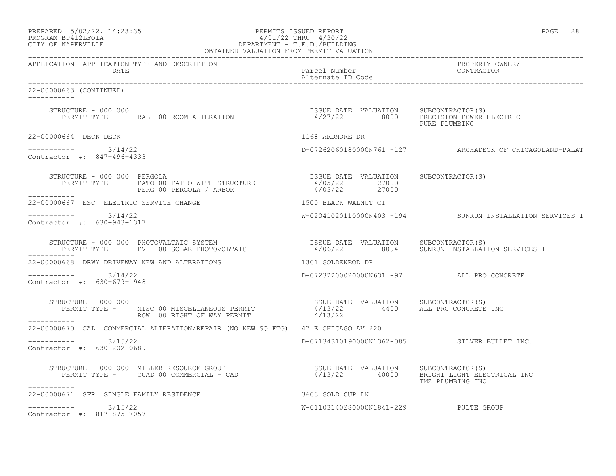| PREPARED 5/02/22, 14:23:35 | PERMITS ISSUED REPORT  | PAGE | 28 |
|----------------------------|------------------------|------|----|
| גדמה זמנומת ווגמממת        | 1/01/00 miinii 1/00/00 |      |    |

# PROGRAM BP412LFOIA 4/01/22 THRU 4/30/22 CITY OF NAPERVILLE CITY OF NAPERVILLE

| OBTAINED VALUATION FROM PERMIT VALUATION             |                                                                                                                                                                                                                                                                                                                                                                                                            |                                       |                                                                                   |
|------------------------------------------------------|------------------------------------------------------------------------------------------------------------------------------------------------------------------------------------------------------------------------------------------------------------------------------------------------------------------------------------------------------------------------------------------------------------|---------------------------------------|-----------------------------------------------------------------------------------|
| APPLICATION APPLICATION TYPE AND DESCRIPTION<br>DATE |                                                                                                                                                                                                                                                                                                                                                                                                            | Parcel Number<br>Alternate ID Code    | PROPERTY OWNER/<br>CONTRACTOR                                                     |
| 22-00000663 (CONTINUED)<br>____________              |                                                                                                                                                                                                                                                                                                                                                                                                            |                                       |                                                                                   |
| STRUCTURE - 000 000<br>-----------                   | STRUCTURE – 000 000<br>PERMIT TYPE – RAL 00 ROOM ALTERATION – 18902 – 18000 PRECISION POWER ELECTRIC                                                                                                                                                                                                                                                                                                       |                                       | PURE PLUMBING                                                                     |
| 22-00000664 DECK DECK                                |                                                                                                                                                                                                                                                                                                                                                                                                            |                                       |                                                                                   |
| $--------- 3/14/22$<br>Contractor #: 847-496-4333    |                                                                                                                                                                                                                                                                                                                                                                                                            |                                       | 1168 ARDMORE DR<br>D-07262060180000N761 -127       ARCHADECK OF CHICAGOLAND-PALAT |
| STRUCTURE - 000 000 PERGOLA                          | $\begin{array}{cccccccc} \texttt{STRUCTURE} & - & 000 & 000 & \texttt{PERGOLA} & & & & & & & & & \texttt{ISSUE} & \texttt{DATE} & \texttt{VALUATION} \\ \texttt{PERMIT} & \texttt{TYPE} & - & \texttt{PATO} & 00 & \texttt{PATIO WITH STRUCTURE} & & & & & 4/05/22 & & 27000 \\ & & & & & & & & & \texttt{PERG} & 00 & \texttt{PERGOLA} & / & \texttt{ARBOR} & & & & & 4/05/22 & & & 27000 \\ \end{array}$ | ISSUE DATE VALUATION SUBCONTRACTOR(S) |                                                                                   |
| 22-00000667 ESC ELECTRIC SERVICE CHANGE              |                                                                                                                                                                                                                                                                                                                                                                                                            | 1500 BLACK WALNUT CT                  |                                                                                   |
| $--------- 3/14/22$<br>Contractor #: 630-943-1317    |                                                                                                                                                                                                                                                                                                                                                                                                            |                                       | W-02041020110000N403 -194 SUNRUN INSTALLATION SERVICES I                          |
| -----------                                          | STRUCTURE - 000 000 PHOTOVALTAIC SYSTEM                            ISSUE DATE VALUATION    SUBCONTRACTOR(S)<br>PERMIT TYPE -     PV   00 SOLAR PHOTOVOLTAIC                    4/06/22       8094    SUNRUN INSTALLATION SERVICES                                                                                                                                                                          |                                       |                                                                                   |
|                                                      | 22-00000668 DRWY DRIVEWAY NEW AND ALTERATIONS 40 1301 GOLDENROD DR                                                                                                                                                                                                                                                                                                                                         |                                       |                                                                                   |
| $--------- 3/14/22$<br>Contractor #: 630-679-1948    |                                                                                                                                                                                                                                                                                                                                                                                                            |                                       | D-07232200020000N631 -97 ALL PRO CONCRETE                                         |
| STRUCTURE - 000 000                                  | STRUCTURE - 000 000<br>PERMIT TYPE - MISC 00 MISCELLANEOUS PERMIT - 1/13/22 4400 ALL PRO CONCRETE INC<br>ROW 00 RIGHT OF WAY PERMIT - 2/13/22                                                                                                                                                                                                                                                              |                                       |                                                                                   |
|                                                      | 22-00000670 CAL COMMERCIAL ALTERATION/REPAIR (NO NEW SO FTG) 47 E CHICAGO AV 220                                                                                                                                                                                                                                                                                                                           |                                       |                                                                                   |
| $--------- 3/15/22$<br>Contractor #: 630-202-0689    |                                                                                                                                                                                                                                                                                                                                                                                                            |                                       | D-07134310190000N1362-085 SILVER BULLET INC.                                      |
| -----------                                          | STRUCTURE - 000 000 MILLER RESOURCE GROUP                           ISSUE DATE VALUATION    SUBCONTRACTOR(S)<br>PERMIT TYPE -     CCAD 00 COMMERCIAL - CAD                          4/13/22       40000    BRIGHT LIGHT ELECTRICA                                                                                                                                                                          |                                       | TMZ PLUMBING INC                                                                  |
| 22-00000671 SFR SINGLE FAMILY RESIDENCE              | 3603 GOLD CUP LN                                                                                                                                                                                                                                                                                                                                                                                           |                                       |                                                                                   |
| $--------- 3/15/22$<br>Contractor #: 817-875-7057    |                                                                                                                                                                                                                                                                                                                                                                                                            | W-01103140280000N1841-229 PULTE GROUP |                                                                                   |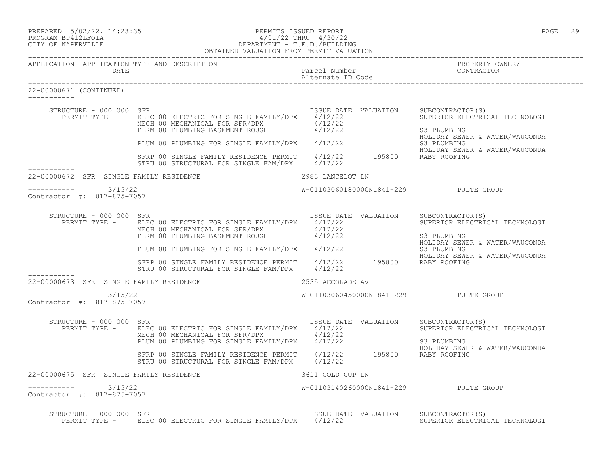|                   | PREPARED 5/02/22, 14:23:35 | PERMITS ISSUED REPORT     | PAGE | າ ຊ |
|-------------------|----------------------------|---------------------------|------|-----|
| PROGRAM PRACTROTA |                            | $1/01/00$ munts $1/00/00$ |      |     |

## PROGRAM BP412LFOIA 4/01/22 THRU 4/30/22 CITY OF NAPERVILLE DEPARTMENT - T.E.D./BUILDING PROGRAM BP412LFOIA  $\frac{4}{01/22}$  THRU  $\frac{4}{30/22}$ <br>CITY OF NAPERVILLE DEPARTMENT - T.E.D./BUILDING<br>OBTAINED VALUATION FROM PERMIT VALUATION

------------------------------------------------------------------------------------------------------------------------------------ APPLICATION APPLICATION TYPE AND DESCRIPTION PROPERTY OWNER/ DATE PARTICLE OF PARTICLE OF PARTICLE DATE PARTICLE OF PARTICLE AND PARTICLE OF PARTICLE OF PARTICLE OF PARTICLE Alternate ID Code ------------------------------------------------------------------------------------------------------------------------------------ 22-00000671 (CONTINUED) ----------- STRUCTURE - 000 000 SFR ISSUE DATE VALUATION SUBCONTRACTOR(S) PERMIT TYPE - ELEC 00 ELECTRIC FOR SINGLE FAMILY/DPX 4/12/22 SUPERIOR ELECTRICAL TECHNOLOGI MECH 00 MECHANICAL FOR SFR/DPX  $4/12/22$ PLRM 00 PLUMBING BASEMENT ROUGH  $4/12/22$  S3 PLUMBING HOLIDAY SEWER & WATER/WAUCONDA PLUM 00 PLUMBING FOR SINGLE FAMILY/DPX 4/12/22 S3 PLUMBING<br>HOLIDAY SEWER & WATER/WAUCONDA HOLIDAY SEWER & WATER/WAUCONDA SFRP 00 SINGLE FAMILY RESIDENCE PERMIT 4/12/22 195800 RABY ROOFING STRU 00 STRUCTURAL FOR SINGLE FAM/DPX 4/12/22 ----------- 22-00000672 SFR SINGLE FAMILY RESIDENCE 2983 LANCELOT LN -----------3/15/22 PULTE GROUP W-01103060180000N1841-229 PULTE GROUP Contractor #: 817-875-7057 STRUCTURE - 000 000 SFR<br>PERMIT TYPE - ELEC 00 ELECTRIC FOR SINGLE FAMILY/DPX 4/12/22 ABLUATION SUPERIOR ELECTRICAL TECHNOLOGI PERMIT TYPE - ELEC 00 ELECTRIC FOR SINGLE FAMILY/DPX 4/12/22 MECH 00 MECHANICAL FOR SFR/DPX  $4/12/22$ PLRM 00 PLUMBING BASEMENT ROUGH  $4/12/22$  S3 PLUMBING HOLIDAY SEWER & WATER/WAUCONDA PLUM 00 PLUMBING FOR SINGLE FAMILY/DPX 4/12/22 S3 PLUMBING HOLIDAY SEWER & WATER/WAUCONDA SFRP 00 SINGLE FAMILY RESIDENCE PERMIT 4/12/22 195800 RABY ROOFING STRU 00 STRUCTURAL FOR SINGLE FAM/DPX 4/12/22 ----------- 22-00000673 SFR SINGLE FAMILY RESIDENCE 2535 ACCOLADE AV  $--------- 3/15/22$ W-01103060450000N1841-229 PULTE GROUP Contractor #: 817-875-7057 STRUCTURE - 000 000 SFR<br>PERMIT TYPE - ELEC 00 ELECTRIC FOR SINGLE FAMILY/DPX 4/12/22 ABLUATION SUPERIOR ELECTRICAL TECHNOLOGI PERMIT TYPE - ELEC 00 ELECTRIC FOR SINGLE FAMILY/DPX 4/12/22 MECH 00 MECHANICAL FOR SFR/DPX  $4/12/22$ PLUM 00 PLUMBING FOR SINGLE FAMILY/DPX  $4/12/22$  S3 PLUMBING HOLIDAY SEWER & WATER/WAUCONDA SFRP 00 SINGLE FAMILY RESIDENCE PERMIT 4/12/22 195800 RABY ROOFING STRU 00 STRUCTURAL FOR SINGLE FAM/DPX 4/12/22 ----------- 22-00000675 SFR SINGLE FAMILY RESIDENCE 3611 GOLD CUP LN 3/15/22 PULTE GROUP W-01103140260000N1841-229 PULTE GROUP Contractor #: 817-875-7057 STRUCTURE - 000 000 SFR<br>PERMIT TYPE - ELEC 00 ELECTRIC FOR SINGLE FAMILY/DPX 4/12/22 ABLUATION SUPERIOR ELECTRICAL TECHNOLOGI PERMIT TYPE - ELEC 00 ELECTRIC FOR SINGLE FAMILY/DPX 4/12/22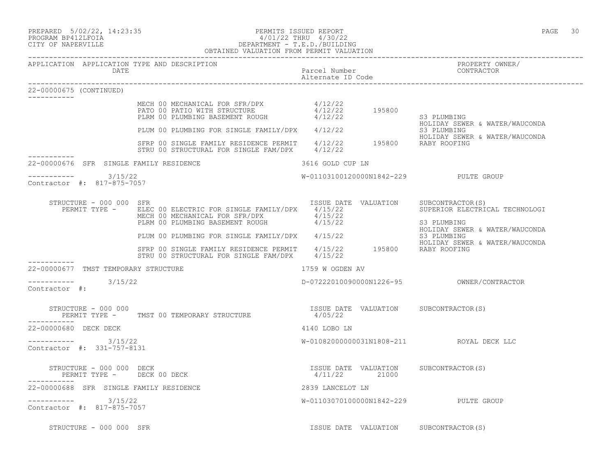PREPARED 5/02/22, 14:23:35 PERMITS ISSUED REPORT PAGE 30

# PROGRAM BP412LFOIA 4/01/22 THRU 4/30/22 CITY OF NAPERVILLE DEPARTMENT - T.E.D./BUILDING

|                                     |                                                             | OBTAINED VALUATION FROM PERMIT VALUATION                                                                                                                                                                                                                |                                    |  |                                                                                                                          |
|-------------------------------------|-------------------------------------------------------------|---------------------------------------------------------------------------------------------------------------------------------------------------------------------------------------------------------------------------------------------------------|------------------------------------|--|--------------------------------------------------------------------------------------------------------------------------|
|                                     | APPLICATION APPLICATION TYPE AND DESCRIPTION<br><b>DATE</b> |                                                                                                                                                                                                                                                         | Parcel Number<br>Alternate ID Code |  | PROPERTY OWNER/<br>CONTRACTOR                                                                                            |
| 22-00000675 (CONTINUED)             |                                                             |                                                                                                                                                                                                                                                         |                                    |  |                                                                                                                          |
| ___________                         |                                                             | MECH 00 MECHANICAL FOR SFR/DPX $4/12/22$<br>PATO 00 PATIO WITH STRUCTURE $4/12/22$ 195800<br>PLRM 00 PLUMBING BASEMENT ROUGH $4/12/22$ 195800                                                                                                           |                                    |  | S3 PLUMBING<br>HOLIDAY SEWER & WATER/WAUCONDA                                                                            |
|                                     |                                                             | PLKM OU PLUMBING BASERIENT NOOGH (1997)<br>PLUM 00 PLUMBING FOR SINGLE FAMILY/DPX 4/12/22                                                                                                                                                               |                                    |  | S3 PLUMBING                                                                                                              |
|                                     |                                                             | SFRP 00 SINGLE FAMILY RESIDENCE PERMIT 4/12/22 195800 RABY ROOFING<br>STRU 00 STRUCTURAL FOR SINGLE FAM/DPX 4/12/22                                                                                                                                     |                                    |  | HOLIDAY SEWER & WATER/WAUCONDA                                                                                           |
|                                     | 22-00000676 SFR SINGLE FAMILY RESIDENCE                     | 3616 GOLD CUP LN                                                                                                                                                                                                                                        |                                    |  |                                                                                                                          |
|                                     | ----------- 3/15/22<br>Contractor #: 817-875-7057           |                                                                                                                                                                                                                                                         |                                    |  | W-01103100120000N1842-229 PULTE GROUP                                                                                    |
|                                     | STRUCTURE - 000 000 SFR                                     | PERMIT TYPE - ELEC 00 ELECTRIC FOR SINGLE FAMILY/DPX 4/15/22<br>MECH 00 MECHANICAL FOR SFR/DPX 4/15/22<br>PLRM 00 PLUMBING BASEMENT ROUGH 4/15/22                                                                                                       |                                    |  | ISSUE DATE VALUATION SUBCONTRACTOR(S)<br>SUPERIOR ELECTRICAL TECHNOLOGI<br>S3 PLUMBING<br>HOLIDAY SEWER & WATER/WAUCONDA |
|                                     |                                                             |                                                                                                                                                                                                                                                         |                                    |  |                                                                                                                          |
|                                     |                                                             | PLUM 00 PLUMBING FOR SINGLE FAMILY/DPX 4/15/22 63 PLUMBING<br>SFRP 00 SINGLE FAMILY RESIDENCE PERMIT 4/15/22 195800 RABY ROOFING<br>SERP 00 SINGLE FAMILY RESIDENCE PERMIT 4/15/22 195800 RABY ROOFING<br>STRU 00 STRUCTURAL FOR SINGLE FAM/DPX 4/15/22 |                                    |  | HOLIDAY SEWER & WATER/WAUCONDA                                                                                           |
|                                     | 22-00000677 TMST TEMPORARY STRUCTURE                        |                                                                                                                                                                                                                                                         | 1759 W OGDEN AV                    |  |                                                                                                                          |
| $--------$ 3/15/22<br>Contractor #: |                                                             |                                                                                                                                                                                                                                                         |                                    |  |                                                                                                                          |
|                                     | STRUCTURE - 000 000                                         | PERMIT TYPE - TMST 00 TEMPORARY STRUCTURE                                                                                                                                                                                                               | 4/05/22                            |  | ISSUE DATE VALUATION SUBCONTRACTOR(S)                                                                                    |
| 22-00000680 DECK DECK               |                                                             |                                                                                                                                                                                                                                                         | 4140 LOBO LN                       |  |                                                                                                                          |
|                                     | ----------- 3/15/22<br>Contractor #: 331-757-8131           |                                                                                                                                                                                                                                                         |                                    |  | W-01082000000031N1808-211 ROYAL DECK LLC                                                                                 |
|                                     | STRUCTURE - 000 000 DECK<br>PERMIT TYPE - DECK 00 DECK      |                                                                                                                                                                                                                                                         | 4/11/22 21000                      |  | ISSUE DATE VALUATION SUBCONTRACTOR(S)                                                                                    |
|                                     | 22-00000688 SFR SINGLE FAMILY RESIDENCE                     |                                                                                                                                                                                                                                                         | 2839 LANCELOT LN                   |  |                                                                                                                          |
|                                     | -----------    3/15/22<br>Contractor #: 817-875-7057        |                                                                                                                                                                                                                                                         |                                    |  | W-01103070100000N1842-229 PULTE GROUP                                                                                    |
|                                     | STRUCTURE - 000 000 SFR                                     |                                                                                                                                                                                                                                                         |                                    |  | ISSUE DATE VALUATION SUBCONTRACTOR(S)                                                                                    |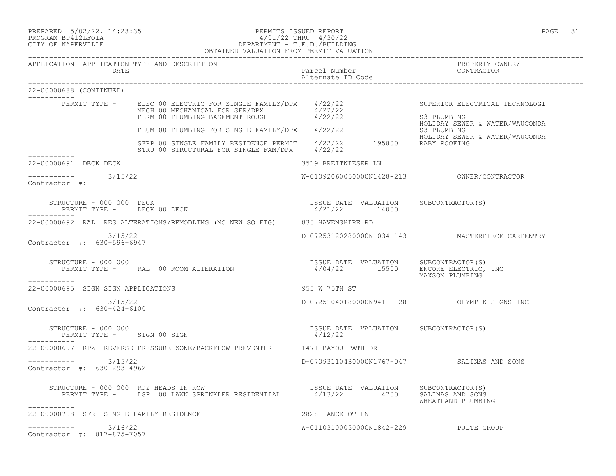PREPARED 5/02/22, 14:23:35 PERMITS ISSUED REPORT PAGE 31

## PROGRAM BP412LFOIA 4/01/22 THRU 4/30/22 CITY OF NAPERVILLE DEPARTMENT - T.E.D./BUILDING OBTAINED VALUATION FROM PERMIT VALUATION

| APPLICATION APPLICATION TYPE AND DESCRIPTION<br>DATE                                                                                                                                                                            | Parcel Number<br>Alternate ID Code                     | PROPERTY OWNER/<br>CONTRACTOR                   |
|---------------------------------------------------------------------------------------------------------------------------------------------------------------------------------------------------------------------------------|--------------------------------------------------------|-------------------------------------------------|
| 22-00000688 (CONTINUED)                                                                                                                                                                                                         |                                                        |                                                 |
| PERMIT TYPE - ELEC 00 ELECTRIC FOR SINGLE FAMILY/DPX 4/22/22<br>MECH 00 MECHANICAL FOR SFR/DPX 4/22/22<br>PLRM 00 PLUMBING BASEMENT ROUGH 4/22/22                                                                               |                                                        | SUPERIOR ELECTRICAL TECHNOLOGI<br>S3 PLUMBING   |
|                                                                                                                                                                                                                                 |                                                        | HOLIDAY SEWER & WATER/WAUCONDA                  |
| PLUM 00 PLUMBING FOR SINGLE FAMILY/DPX 4/22/22<br>S3 PLUMBING SINGLE FAMILY RESIDENCE PERMIT 4/22/22 195800 HOLIDAY SEWER & WATER/WAUCONDA<br>STRU 00 STRUCTURAL FOR SINGLE FAM/DPX 4/22/22 195800 RABY ROOFING<br>------------ |                                                        |                                                 |
| 22-00000691 DECK DECK                                                                                                                                                                                                           | 3519 BREITWIESER LN                                    |                                                 |
| ----------- 3/15/22<br>Contractor #:                                                                                                                                                                                            |                                                        | W-01092060050000N1428-213 OWNER/CONTRACTOR      |
| STRUCTURE - 000 000 DECK<br>PERMIT TYPE - DECK 00 DECK                                                                                                                                                                          | ISSUE DATE VALUATION SUBCONTRACTOR(S)<br>4/21/22 14000 |                                                 |
| 22-00000692 RAL RES ALTERATIONS/REMODLING (NO NEW SQ FTG) 835 HAVENSHIRE RD                                                                                                                                                     |                                                        |                                                 |
| $--------- 3/15/22$<br>Contractor #: 630-596-6947                                                                                                                                                                               |                                                        | D-07253120280000N1034-143 MASTERPIECE CARPENTRY |
| STRUCTURE - 000 000                                                                                                                                                                                                             |                                                        |                                                 |
| ___________<br>22-00000695 SIGN SIGN APPLICATIONS                                                                                                                                                                               | 955 W 75TH ST                                          |                                                 |
| $--------$ 3/15/22<br>Contractor #: 630-424-6100                                                                                                                                                                                | D-07251040180000N941 -128 OLYMPIK SIGNS INC            |                                                 |
| STRUCTURE - 000 000<br>PERMIT TYPE - SIGN 00 SIGN                                                                                                                                                                               | ISSUE DATE VALUATION SUBCONTRACTOR(S)<br>4/12/22       |                                                 |
| 22-00000697 RPZ REVERSE PRESSURE ZONE/BACKFLOW PREVENTER 1471 BAYOU PATH DR                                                                                                                                                     |                                                        |                                                 |
| ----------- 3/15/22<br>Contractor #: 630-293-4962                                                                                                                                                                               | D-07093110430000N1767-047 SALINAS AND SONS             |                                                 |
| RUCTURE – 000 000 RPZ HEADS IN ROW TSSUE DATE VALUATION SUBCONTRACTOR(S)<br>PERMIT TYPE – LSP 00 LAWN SPRINKLER RESIDENTIAL 4/13/22 4700 SALINAS AND SONS<br>STRUCTURE - 000 000 RPZ HEADS IN ROW<br>-----------                |                                                        | WHEATLAND PLUMBING                              |
| 22-00000708 SFR SINGLE FAMILY RESIDENCE                                                                                                                                                                                         | 2828 LANCELOT LN                                       |                                                 |
| $--------- 3/16/22$<br>Contractor #: 817-875-7057                                                                                                                                                                               | W-01103100050000N1842-229 PULTE GROUP                  |                                                 |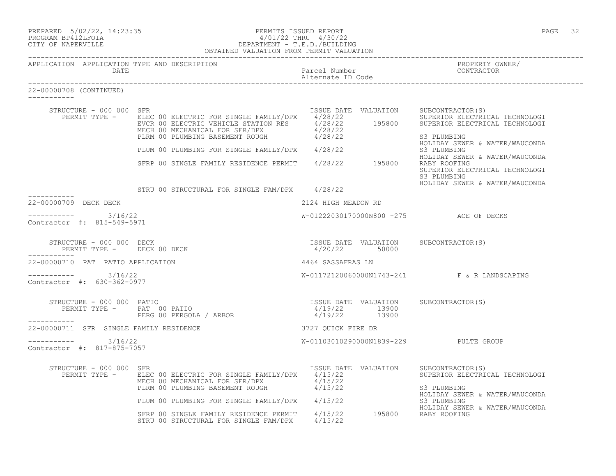| PREPARED              | $5/02/22$ , 14:23:35 |
|-----------------------|----------------------|
| DROGRAM DR 41 OT BOTA |                      |

### PREPARED 5/02/22, 14:23:35 PERMITS ISSUED REPORT<br>PROGRAM BP412LFOIA PAGE 32 PERMITS ISSUED REPORT 4/01/22 PHRU 4/30/22 PROGRAM BP412LFOIA  $4/01/22$  THRU  $4/30/22$ <br>CITY OF NAPERVILLE CITY OF NAPERVILLE DEPARTMENT - T.E.D./BUILDING OBTAINED VALUATION FROM PERMIT VALUATION

------------------------------------------------------------------------------------------------------------------------------------

| APPLICATION APPLICATION TYPE AND DESCRIPTION<br><b>DATE</b> |                                                                                                                                                                                      | Parcel Number<br>Alternate ID Code     | PROPERTY OWNER/<br>CONTRACTOR                                                                                                         |
|-------------------------------------------------------------|--------------------------------------------------------------------------------------------------------------------------------------------------------------------------------------|----------------------------------------|---------------------------------------------------------------------------------------------------------------------------------------|
| 22-00000708 (CONTINUED)<br>-----------                      |                                                                                                                                                                                      |                                        |                                                                                                                                       |
| STRUCTURE - 000 000 SFR<br>PERMIT TYPE -                    | ELEC 00 ELECTRIC FOR SINGLE FAMILY/DPX 4/28/22<br>EVCR 00 ELECTRIC VEHICLE STATION RES $4/28/22$ 195800<br>MECH 00 MECHANICAL FOR SFR/DPX 4/28/22<br>PLRM 00 PLUMBING BASEMENT ROUGH | ISSUE DATE VALUATION<br>4/28/22        | SUBCONTRACTOR(S)<br>SUPERIOR ELECTRICAL TECHNOLOGI<br>SUPERIOR ELECTRICAL TECHNOLOGI<br>S3 PLUMBING<br>HOLIDAY SEWER & WATER/WAUCONDA |
|                                                             | PLUM 00 PLUMBING FOR SINGLE FAMILY/DPX 4/28/22                                                                                                                                       |                                        | S3 PLUMBING<br>HOLIDAY SEWER & WATER/WAUCONDA                                                                                         |
|                                                             | SFRP 00 SINGLE FAMILY RESIDENCE PERMIT 4/28/22 195800                                                                                                                                |                                        | RABY ROOFING<br>SUPERIOR ELECTRICAL TECHNOLOGI<br>S3 PLUMBING                                                                         |
|                                                             | STRU 00 STRUCTURAL FOR SINGLE FAM/DPX 4/28/22                                                                                                                                        |                                        | HOLIDAY SEWER & WATER/WAUCONDA                                                                                                        |
| 22-00000709 DECK DECK                                       |                                                                                                                                                                                      | 2124 HIGH MEADOW RD                    |                                                                                                                                       |
| -----------     3/16/22<br>Contractor #: 815-549-5971       |                                                                                                                                                                                      |                                        | W-01222030170000N800 -275 ACE OF DECKS                                                                                                |
| STRUCTURE - 000 000 DECK                                    | PERMIT TYPE - DECK 00 DECK                                                                                                                                                           | 4/20/22 50000                          | ISSUE DATE VALUATION SUBCONTRACTOR(S)                                                                                                 |
| 22-00000710 PAT PATIO APPLICATION                           |                                                                                                                                                                                      | 4464 SASSAFRAS LN                      |                                                                                                                                       |
| ----------- 3/16/22<br>Contractor #: 630-362-0977           |                                                                                                                                                                                      |                                        | W-01172120060000N1743-241 F & R LANDSCAPING                                                                                           |
| STRUCTURE - 000 000 PATIO<br>___________                    | RUCTURE - 000 000 PATIO<br>PERMIT TYPE -     PAT  00 PATIO<br>PERG 00 PERGOLA / ARBOR                                                                                                | 4/19/22 13900<br>4/19/22 13900         | ISSUE DATE VALUATION SUBCONTRACTOR(S)                                                                                                 |
| 22-00000711 SFR SINGLE FAMILY RESIDENCE                     |                                                                                                                                                                                      | 3727 OUICK FIRE DR                     |                                                                                                                                       |
| ----------- 3/16/22<br>Contractor #: 817-875-7057           |                                                                                                                                                                                      |                                        | W-01103010290000N1839-229 PULTE GROUP                                                                                                 |
| STRUCTURE - 000 000 SFR<br>PERMIT TYPE -                    | ELEC 00 ELECTRIC FOR SINGLE FAMILY/DPX 4/15/22<br>MECH 00 MECHANICAL FOR SFR/DPX<br>PLRM 00 PLUMBING BASEMENT ROUGH 4/15/22                                                          | ISSUE DATE VALUATION<br>4/15/22        | SUBCONTRACTOR(S)<br>SUPERIOR ELECTRICAL TECHNOLOGI<br>S3 PLUMBING                                                                     |
|                                                             | PLUM 00 PLUMBING FOR SINGLE FAMILY/DPX 4/15/22                                                                                                                                       |                                        | HOLIDAY SEWER & WATER/WAUCONDA<br>S3 PLUMBING                                                                                         |
|                                                             | SFRP 00 SINGLE FAMILY RESIDENCE PERMIT<br>STRU 00 STRUCTURAL FOR SINGLE FAM/DPX                                                                                                      | 4/15/22 195800 RABY ROOFING<br>4/15/22 | HOLIDAY SEWER & WATER/WAUCONDA                                                                                                        |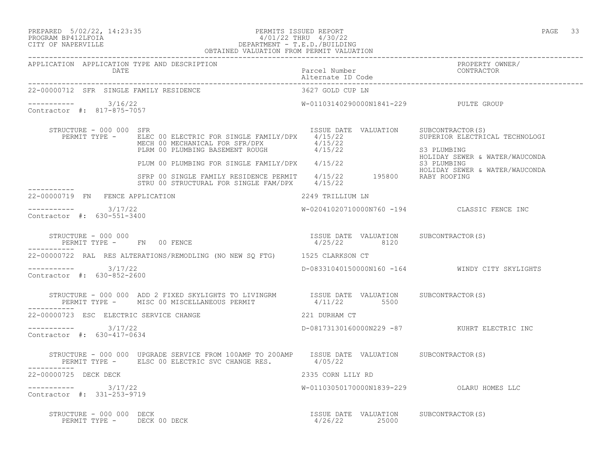## PREPARED 5/02/22, 14:23:35 PERMITS ISSUED REPORT<br>PROGRAM BP412LFOIA PAGE 33 AV01/22 THRU 4/30/22 PROGRAM BP412LFOIA 4/01/22 THRU 4/30/22 CITY OF NAPERVILLE DEPARTMENT - T.E.D./BUILDING

|                                                   |                         | OBTAINED VALUATION FROM PERMIT VALUATION                                                                                                                                                               |                                    |                                                                                                                          |
|---------------------------------------------------|-------------------------|--------------------------------------------------------------------------------------------------------------------------------------------------------------------------------------------------------|------------------------------------|--------------------------------------------------------------------------------------------------------------------------|
|                                                   | DATE                    | APPLICATION APPLICATION TYPE AND DESCRIPTION                                                                                                                                                           | Parcel Number<br>Alternate ID Code | PROPERTY OWNER/<br>CONTRACTOR                                                                                            |
|                                                   |                         | 22-00000712 SFR SINGLE FAMILY RESIDENCE                                                                                                                                                                | 3627 GOLD CUP LN                   |                                                                                                                          |
| $--------- 3/16/22$<br>Contractor #: 817-875-7057 |                         |                                                                                                                                                                                                        |                                    | W-01103140290000N1841-229 PULTE GROUP                                                                                    |
|                                                   | STRUCTURE - 000 000 SFR | PERMIT TYPE - ELEC 00 ELECTRIC FOR SINGLE FAMILY/DPX 4/15/22<br>MECH 00 MECHANICAL FOR SFR/DPX 4/15/22<br>PLRM 00 PLUMBING BASEMENT ROUGH 4/15/22                                                      |                                    | ISSUE DATE VALUATION SUBCONTRACTOR(S)<br>SUPERIOR ELECTRICAL TECHNOLOGI<br>S3 PLUMBING<br>HOLIDAY SEWER & WATER/WAUCONDA |
|                                                   |                         | PLUM 00 PLUMBING FOR SINGLE FAMILY/DPX 4/15/22<br>S3 PLUMBING SERP 00 SINGLE FAMILY RESIDENCE PERMIT 4/15/22 195800 RABY ROOFING<br>SERP 00 SINGLE FAMILY RESIDENCE PERMIT 4/15/22 195800 RABY ROOFING |                                    |                                                                                                                          |
| ------------                                      |                         | STRU 00 STRUCTURAL FOR SINGLE FAM/DPX 4/15/22                                                                                                                                                          |                                    |                                                                                                                          |
| 22-00000719 FN FENCE APPLICATION                  |                         |                                                                                                                                                                                                        | 2249 TRILLIUM LN                   |                                                                                                                          |
| ----------- 3/17/22<br>Contractor #: 630-551-3400 |                         |                                                                                                                                                                                                        |                                    | W-02041020710000N760 -194 CLASSIC FENCE INC                                                                              |
|                                                   | STRUCTURE - 000 000     | PERMIT TYPE - FN 00 FENCE                                                                                                                                                                              | 4/25/22 8120                       | ISSUE DATE VALUATION SUBCONTRACTOR(S)                                                                                    |
|                                                   |                         | 22-00000722 RAL RES ALTERATIONS/REMODLING (NO NEW SQ FTG) 1525 CLARKSON CT                                                                                                                             |                                    |                                                                                                                          |
| $--------- 3/17/22$<br>Contractor #: 630-852-2600 |                         |                                                                                                                                                                                                        |                                    | D-08331040150000N160 -164 WINDY CITY SKYLIGHTS                                                                           |
|                                                   |                         | STRUCTURE - 000 000 ADD 2 FIXED SKYLIGHTS TO LIVINGRM ISSUE DATE VALUATION SUBCONTRACTOR(S) PERMIT TYPE - MISC 00 MISCELLANEOUS PERMIT $4/11/22$ 5500                                                  |                                    |                                                                                                                          |
|                                                   |                         | 22-00000723 ESC ELECTRIC SERVICE CHANGE                                                                                                                                                                | 221 DURHAM CT                      |                                                                                                                          |
| $--------- 3/17/22$<br>Contractor #: 630-417-0634 |                         |                                                                                                                                                                                                        |                                    | D-08173130160000N229 -87 KUHRT ELECTRIC INC                                                                              |
|                                                   |                         | STRUCTURE - 000 000 UPGRADE SERVICE FROM 100AMP TO 200AMP ISSUE DATE VALUATION SUBCONTRACTOR(S)<br>PERMIT TYPE - ELSC 00 ELECTRIC SVC CHANGE RES. 4/05/22                                              |                                    |                                                                                                                          |
| -----------<br>22-00000725 DECK DECK              |                         |                                                                                                                                                                                                        | 2335 CORN LILY RD                  |                                                                                                                          |
| $--------- 3/17/22$<br>Contractor #: 331-253-9719 |                         |                                                                                                                                                                                                        |                                    | W-01103050170000N1839-229 OLARU HOMES LLC                                                                                |
|                                                   |                         |                                                                                                                                                                                                        |                                    | ISSUE DATE VALUATION SUBCONTRACTOR(S)                                                                                    |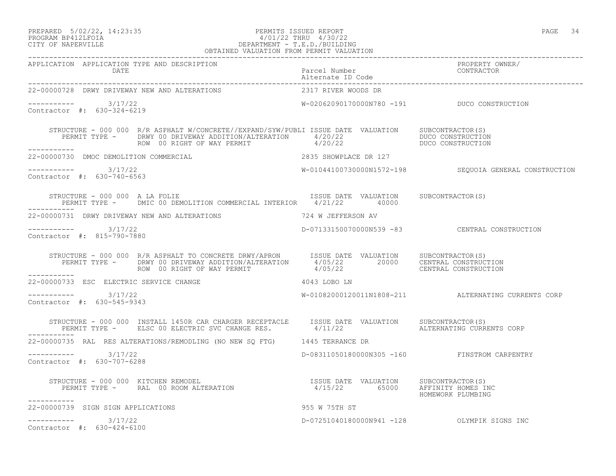### PREPARED 5/02/22, 14:23:35 PERMITS ISSUED REPORT PAGE 34 PROGRAM BP412LFOIA 4/01/22 THRU 4/30/22 CITY OF NAPERVILLE DEPARTMENT - T.E.D./BUILDING OBTAINED VALUATION FROM PERMIT VALUATION

| APPLICATION APPLICATION TYPE AND DESCRIPTION PEROPERTY PROPERTY OWNER/<br>DATE Parcel Number Parcel Dumber (Date enter the CONTRACTOR Alternate ID Code enterproperment of the contractor                                                            |                                               |                                                        |
|------------------------------------------------------------------------------------------------------------------------------------------------------------------------------------------------------------------------------------------------------|-----------------------------------------------|--------------------------------------------------------|
| 22-00000728 DRWY DRIVEWAY NEW AND ALTERATIONS                                                                                                                                                                                                        | 2317 RIVER WOODS DR                           |                                                        |
| $--------- 3/17/22$<br>Contractor #: 630-324-6219                                                                                                                                                                                                    | W-02062090170000N780 -191 DUCO CONSTRUCTION   |                                                        |
| STRUCTURE - 000 000 R/R ASPHALT W/CONCRETE//EXPAND/SYW/PUBLI ISSUE DATE VALUATION SUBCONTRACTOR(S)<br>PERMIT TYPE - DRWY 00 DRIVEWAY ADDITION/ALTERATION 4/20/22<br>ROW 00 RIGHT OF WAY PERMIT 4/20/22<br>--------- DUCO CONSTRUCTION<br>----------- |                                               |                                                        |
| 22-00000730 DMOC DEMOLITION COMMERCIAL COMPLACE DR 127                                                                                                                                                                                               |                                               |                                                        |
| $--------- 3/17/22$<br>Contractor #: 630-740-6563                                                                                                                                                                                                    |                                               | W-01044100730000N1572-198 SEQUOIA GENERAL CONSTRUCTION |
| STRUCTURE - 000 000 A LA FOLIE [15SUE DATE VALUATION SUBCONTRACTOR(S)<br>PERMIT TYPE - DMIC 00 DEMOLITION COMMERCIAL INTERIOR 4/21/22 40000                                                                                                          |                                               |                                                        |
| 22-00000731 DRWY DRIVEWAY NEW AND ALTERATIONS 40 124 W JEFFERSON AV                                                                                                                                                                                  |                                               |                                                        |
| $--------- 3/17/22$<br>Contractor #: 815-790-7880                                                                                                                                                                                                    | D-07133150070000N539 -83 CENTRAL CONSTRUCTION |                                                        |
| STRUCTURE - 000 000 R/R ASPHALT TO CONCRETE DRWY/APRON ISSUE DATE VALUATION SUBCONTRACTOR(S)<br>PERMIT TYPE - DRWY 00 DRIVEWAY ADDITION/ALTERATION 4/05/22 20000 CENTRAL CONSTRUCTION<br>ROW 00 RIGHT OF WAY PERMIT 4/05/22 CENTRAL<br>____________  |                                               |                                                        |
| 22-00000733 ESC ELECTRIC SERVICE CHANGE                                                                                                                                                                                                              | 4043 LOBO LN                                  |                                                        |
| $--------- 3/17/22$<br>Contractor #: 630-545-9343                                                                                                                                                                                                    |                                               | W-01082000120011N1808-211 ALTERNATING CURRENTS CORP    |
| STRUCTURE - 000 000 INSTALL 1450R CAR CHARGER RECEPTACLE     ISSUE DATE VALUATION     SUBCONTRACTOR(S)<br>PERMIT TYPE -    ELSC 00 ELECTRIC SVC CHANGE RES.        4/11/22        ALTERNATING CURRENTS CORP                                          |                                               |                                                        |
| 22-00000735 RAL RES ALTERATIONS/REMODLING (NO NEW SQ FTG) 1445 TERRANCE DR                                                                                                                                                                           |                                               |                                                        |
| $--------- 3/17/22$<br>Contractor #: 630-707-6288                                                                                                                                                                                                    | D-08311050180000N305 -160 FINSTROM CARPENTRY  |                                                        |
| STRUCTURE - 000 000 KITCHEN REMODEL<br>PERMIT TYPE -     RAL 00 ROOM ALTERATION                               4/15/22         65000     AFFINITY HOMES INC<br>------------                                                                           |                                               | HOMEWORK PLUMBING                                      |
| 22-00000739 SIGN SIGN APPLICATIONS                                                                                                                                                                                                                   | 955 W 75TH ST                                 |                                                        |
| $--------- 3/17/22$<br>Contractor #: 630-424-6100                                                                                                                                                                                                    |                                               | D-07251040180000N941 -128 OLYMPIK SIGNS INC            |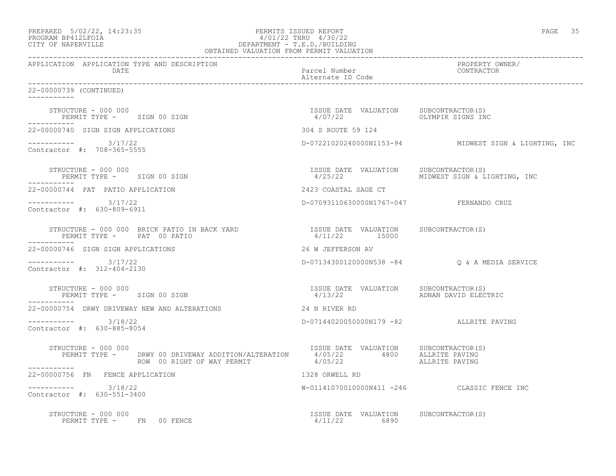| PREPARED 5/02/22, 14:23:35 | PERMITS ISSUED REPORT  | PAGE | 35 |
|----------------------------|------------------------|------|----|
| גדמה זמנומת ווגמממת        | 1/01/00 miinii 1/00/00 |      |    |

-----------

-----------

-----------

-----------

-----------

## PROGRAM BP412LFOIA 4/01/22 THRU 4/30/22 CITY OF NAPERVILLE DEPARTMENT - T.E.D./BUILDING OBTAINED VALUATION FROM PERMIT VALUATION

------------------------------------------------------------------------------------------------------------------------------------ APPLICATION APPLICATION TYPE AND DESCRIPTION PROPERTY OWNER/ DATE DATE Parcel Number<br>
Alternate ID Code Alternate ID Code ------------------------------------------------------------------------------------------------------------------------------------ 22-00000739 (CONTINUED) STRUCTURE – 000 000<br>
PERMIT TYPE – SIGN 00 SIGN CONSULATION PERMIT TYPE – SIGN 00 SIGN CONSULATION PERMIT TYPE – SIGN 00 SIGN CONS PERMIT TYPE - SIGN 00 SIGN 22-00000740 SIGN SIGN APPLICATIONS 304 S ROUTE 59 124 ----------- 3/17/22 D-07221020240000N1153-94 MIDWEST SIGN & LIGHTING, INC Contractor #: 708-365-5555 STRUCTURE - 000 000 ISSUE DATE VALUATION SUBCONTRACTOR(S) PERMIT TYPE - SIGN 00 SIGN 100 MIDWEST SIGN 4/25/22 MIDWEST SIGN & LIGHTING, INC 22-00000744 PAT PATIO APPLICATION 2423 COASTAL SAGE CT ----------- 3/17/22 D-07093110630000N1767-047 FERNANDO CRUZ Contractor #: 630-809-6911 STRUCTURE - 000 000 BRICK PATIO IN BACK YARD ISSUE DATE VALUATION SUBCONTRACTOR(S) PERMIT TYPE - PAT 00 PATIO 22-00000746 SIGN SIGN APPLICATIONS 26 W JEFFERSON AV ----------- 3/17/22 D-07134300120000N538 -84 Q & A MEDIA SERVICE Contractor #: 312-404-2130 STRUCTURE - 000 000 ISSUE DATE VALUATION SUBCONTRACTOR(S) PERMIT TYPE - SIGN 00 SIGN 22-00000754 DRWY DRIVEWAY NEW AND ALTERATIONS 24 N RIVER RD ----------- 3/18/22 D-07144020050000N179 -82 ALLRITE PAVING Contractor #: 630-885-8054 STRUCTURE - 000 000 ISSUE DATE VALUATION SUBCONTRACTOR(S) PERMIT TYPE - DRWY 00 DRIVEWAY ADDITION/ALTERATION 4/05/22 4800 ALLRITE PAVING ROW 00 RIGHT OF WAY PERMIT 4/05/22 ALLRITE PAVING 22-00000756 FN FENCE APPLICATION 1328 ORWELL RD

\_\_\_\_\_\_\_\_\_\_\_ ----------- 3/18/22 W-01141070010000N411 -246 CLASSIC FENCE INC Contractor #: 630-551-3400

 STRUCTURE - 000 000 ISSUE DATE VALUATION SUBCONTRACTOR(S) PERMIT TYPE - FN 00 FENCE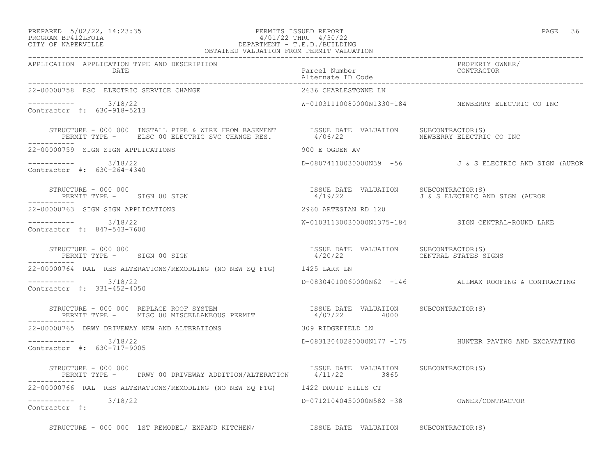## PREPARED 5/02/22, 14:23:35 PERMITS ISSUED REPORT PAGE 36 PROGRAM BP412LFOIA 4/01/22 THRU 4/30/22 CITY OF NAPERVILLE DEPARTMENT - T.E.D./BUILDING OBTAINED VALUATION FROM PERMIT VALUATION

| APPLICATION APPLICATION TYPE AND DESCRIPTION<br>DATE                                                                                                                                                              |                                                                       |                                                        |
|-------------------------------------------------------------------------------------------------------------------------------------------------------------------------------------------------------------------|-----------------------------------------------------------------------|--------------------------------------------------------|
| 22-00000758 ESC ELECTRIC SERVICE CHANGE                                                                                                                                                                           | 2636 CHARLESTOWNE LN                                                  |                                                        |
| $--------- 3/18/22$<br>Contractor #: 630-918-5213                                                                                                                                                                 |                                                                       | W-01031110080000N1330-184 NEWBERRY ELECTRIC CO INC     |
| STRUCTURE - 000 000 INSTALL PIPE & WIRE FROM BASEMENT      ISSUE DATE VALUATION   SUBCONTRACTOR(S)<br>PERMIT TYPE -    ELSC 00 ELECTRIC SVC CHANGE RES.          4/06/22                 NEWBERRY ELECTRIC CO INC |                                                                       |                                                        |
| 22-00000759 SIGN SIGN APPLICATIONS                                                                                                                                                                                | 900 E OGDEN AV                                                        |                                                        |
| $--------- 3/18/22$<br>Contractor #: 630-264-4340                                                                                                                                                                 |                                                                       | D-08074110030000N39 -56 J&S ELECTRIC AND SIGN (AUROR   |
| STRUCTURE - 000 000<br>PERMIT TYPE - SIGN 00 SIGN                                                                                                                                                                 | ISSUE DATE VALUATION SUBCONTRACTOR(S)                                 | 4/19/22 J & S ELECTRIC AND SIGN (AUROR                 |
| 22-00000763 SIGN SIGN APPLICATIONS                                                                                                                                                                                | 2960 ARTESIAN RD 120                                                  |                                                        |
| $--------- 3/18/22$<br>Contractor #: 847-543-7600                                                                                                                                                                 |                                                                       | W-01031130030000N1375-184 SIGN CENTRAL-ROUND LAKE      |
| STRUCTURE - 000 000<br>PERMIT TYPE - SIGN 00 SIGN                                                                                                                                                                 | ISSUE DATE VALUATION SUBCONTRACTOR(S)<br>4/20/22 CENTRAL STATES SIGNS |                                                        |
| 22-00000764 RAL RES ALTERATIONS/REMODLING (NO NEW SQ FTG) 1425 LARK LN                                                                                                                                            |                                                                       |                                                        |
| $--------- 3/18/22$<br>Contractor #: 331-452-4050                                                                                                                                                                 |                                                                       | D-08304010060000N62 -146 ALLMAX ROOFING & CONTRACTING  |
| STRUCTURE - 000 000 REPLACE ROOF SYSTEM                                ISSUE DATE VALUATION     SUBCONTRACTOR(S)<br>PERMIT TYPE -     MISC 00 MISCELLANEOUS PERMIT                   4/07/22        4000          |                                                                       |                                                        |
|                                                                                                                                                                                                                   |                                                                       |                                                        |
| $--------$ 3/18/22<br>Contractor #: 630-717-9005                                                                                                                                                                  |                                                                       | D-08313040280000N177 -175 HUNTER PAVING AND EXCAVATING |
| STRUCTURE - 000 000<br>PERMIT TYPE -     DRWY 00 DRIVEWAY ADDITION/ALTERATION        1/11/22          3865<br>STRUCTURE - 000 000                                                                                 |                                                                       |                                                        |
| 22-00000766 RAL RES ALTERATIONS/REMODLING (NO NEW SQ FTG) 1422 DRUID HILLS CT                                                                                                                                     |                                                                       |                                                        |
| $--------- 3/18/22$<br>Contractor #:                                                                                                                                                                              | D-07121040450000N582 -38 OWNER/CONTRACTOR                             |                                                        |
| STRUCTURE - 000 000 1ST REMODEL/ EXPAND KITCHEN/ 1SSUE DATE VALUATION SUBCONTRACTOR(S)                                                                                                                            |                                                                       |                                                        |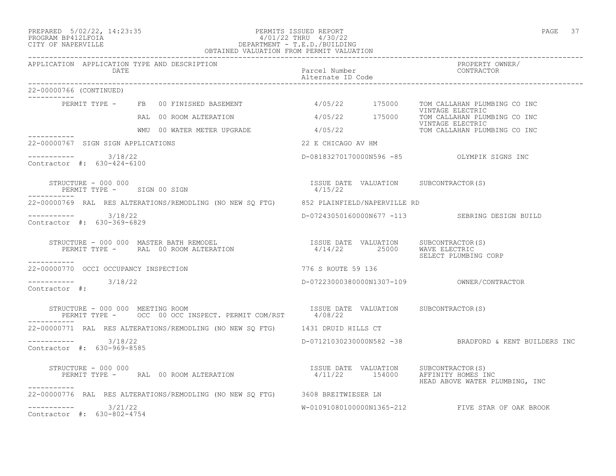## PREPARED 5/02/22, 14:23:35 PERMITS ISSUED REPORT PAGE 37 PROGRAM BP412LFOIA 4/01/22 THRU 4/30/22 CITY OF NAPERVILLE DEPARTMENT - T.E.D./BUILDING OBTAINED VALUATION FROM PERMIT VALUATION

| APPLICATION APPLICATION TYPE AND DESCRIPTION<br>DATE                                                                                                                                                                        | Parcel Number                                    | PROPERTY OWNER/<br>CONTRACTOR                                   |
|-----------------------------------------------------------------------------------------------------------------------------------------------------------------------------------------------------------------------------|--------------------------------------------------|-----------------------------------------------------------------|
| 22-00000766 (CONTINUED)<br>------------                                                                                                                                                                                     |                                                  |                                                                 |
| PERMIT TYPE - FB 00 FINISHED BASEMENT                                                                                                                                                                                       |                                                  | 4/05/22 175000 TOM CALLAHAN PLUMBING CO INC                     |
| RAL 00 ROOM ALTERATION                                                                                                                                                                                                      |                                                  | VINTAGE ELECTRIC<br>4/05/22 175000 TOM CALLAHAN PLUMBING CO INC |
| WMU 00 WATER METER UPGRADE 4/05/22<br>------------                                                                                                                                                                          |                                                  | VINTAGE ELECTRIC<br>TOM CALLAHAN PLUMBING CO INC                |
| 22-00000767 SIGN SIGN APPLICATIONS                                                                                                                                                                                          | 22 E CHICAGO AV HM                               |                                                                 |
| $--------- 3/18/22$<br>Contractor #: 630-424-6100                                                                                                                                                                           | D-08183270170000N596 -85 OLYMPIK SIGNS INC       |                                                                 |
| STRUCTURE - 000 000<br>PERMIT TYPE - SIGN 00 SIGN                                                                                                                                                                           | ISSUE DATE VALUATION SUBCONTRACTOR(S)<br>4/15/22 |                                                                 |
| 22-00000769 RAL RES ALTERATIONS/REMODLING (NO NEW SO FTG) 852 PLAINFIELD/NAPERVILLE RD                                                                                                                                      |                                                  |                                                                 |
| $--------- 3/18/22$<br>Contractor #: 630-369-6829                                                                                                                                                                           |                                                  | D-07243050160000N677 -113 SEBRING DESIGN BUILD                  |
| STRUCTURE – 000 000 MASTER BATH REMODEL                              ISSUE DATE VALUATION     SUBCONTRACTOR(S)<br>PERMIT TYPE –      RAL  00 ROOM ALTERATION                         4/14/22        25000     WAVE ELECTRIC |                                                  | SELECT PLUMBING CORP                                            |
| -----------<br>22-00000770 OCCI OCCUPANCY INSPECTION                                                                                                                                                                        | 776 S ROUTE 59 136                               |                                                                 |
| $--------- 3/18/22$<br>Contractor #:                                                                                                                                                                                        |                                                  |                                                                 |
| STRUCTURE - 000 000 MEETING ROOM (S) [SSUE DATE VALUATION SUBCONTRACTOR(S) PERMIT TYPE - OCC 00 OCC INSPECT. PERMIT COM/RST $4/08/22$                                                                                       |                                                  |                                                                 |
| 22-00000771 RAL RES ALTERATIONS/REMODLING (NO NEW SQ FTG) 1431 DRUID HILLS CT                                                                                                                                               |                                                  |                                                                 |
| ----------- 3/18/22<br>Contractor #: 630-969-8585                                                                                                                                                                           |                                                  | D-07121030230000N582 -38 BRADFORD & KENT BUILDERS INC           |
| TISSUE DATE VALUATION SUBCONTRACTOR(S)<br>PERMIT TYPE – RAL 00 ROOM ALTERATION 154000 154000 154000 154000 155000 155000 155000 155000 155000 155000 15<br>STRUCTURE - 000 000<br>-----------                               | 4/11/22 154000 AFFINITY HOMES INC                | HEAD ABOVE WATER PLUMBING, INC                                  |
| 22-00000776 RAL RES ALTERATIONS/REMODLING (NO NEW SQ FTG) 3608 BREITWIESER LN                                                                                                                                               |                                                  |                                                                 |
| $--------- 3/21/22$<br>Contractor #: 630-802-4754                                                                                                                                                                           |                                                  | W-01091080100000N1365-212 FIVE STAR OF OAK BROOK                |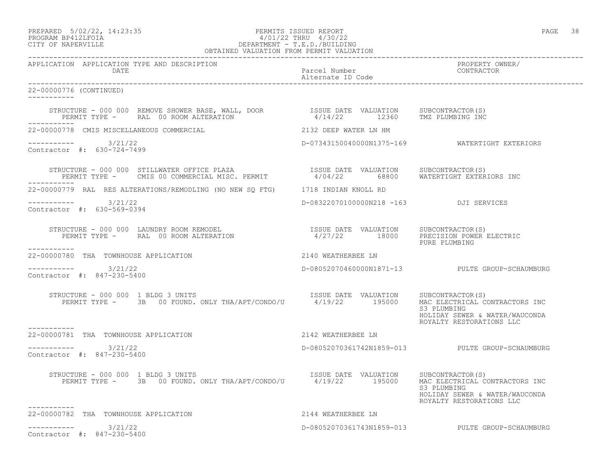PREPARED 5/02/22, 14:23:35 PERMITS ISSUED REPORT PAGE 38

# PROGRAM BP412LFOIA 4/01/22 THRU 4/30/22 CITY OF NAPERVILLE DEPARTMENT - T.E.D./BUILDING OBTAINED VALUATION FROM PERMIT VALUATION

| APPLICATION APPLICATION TYPE AND DESCRIPTION                                                                                                                                                                      |                                        | PROPERTY OWNER/<br>CONTRACTOR                                             |
|-------------------------------------------------------------------------------------------------------------------------------------------------------------------------------------------------------------------|----------------------------------------|---------------------------------------------------------------------------|
| 22-00000776 (CONTINUED)<br>------------                                                                                                                                                                           |                                        |                                                                           |
| STRUCTURE - 000 000 REMOVE SHOWER BASE, WALL, DOOR            ISSUE DATE VALUATION    SUBCONTRACTOR(S)<br>PERMIT TYPE -     RAL 00 ROOM ALTERATION                        4/14/22       12360    TMZ PLUMBING INC |                                        |                                                                           |
| 22-00000778 CMIS MISCELLANEOUS COMMERCIAL                                                                                                                                                                         | 2132 DEEP WATER LN HM                  |                                                                           |
| $--------- 3/21/22$<br>Contractor #: 630-724-7499                                                                                                                                                                 |                                        | D-07343150040000N1375-169    WATERTIGHT EXTERIORS                         |
| STRUCTURE – 000 000 STILLWATER OFFICE PLAZA                   ISSUE DATE VALUATION   SUBCONTRACTOR(S)<br>PERMIT TYPE –   CMIS 00 COMMERCIAL MISC. PERMIT         4/04/22     68800   WATERTIGHT EXTERIORS INC     |                                        |                                                                           |
| 22-00000779 RAL RES ALTERATIONS/REMODLING (NO NEW SQ FTG) 1718 INDIAN KNOLL RD                                                                                                                                    |                                        |                                                                           |
| $--------- 3/21/22$<br>Contractor #: 630-569-0394                                                                                                                                                                 | D-08322070100000N218 -163 DJI SERVICES |                                                                           |
| STRUCTURE - 000 000 LAUNDRY ROOM REMODEL<br>PERMIT TYPE - RAL 00 ROOM ALTERATION 1800 PERECISION POWER ELECTRIC<br>___________                                                                                    |                                        | PURE PLUMBING                                                             |
| 22-00000780 THA TOWNHOUSE APPLICATION                                                                                                                                                                             | 2140 WEATHERBEE LN                     |                                                                           |
| $--------- 3/21/22$<br>Contractor #: 847-230-5400                                                                                                                                                                 |                                        | D-08052070460000N1871-13 PULTE GROUP-SCHAUMBURG                           |
| RUCTURE - 000 000 1 BLDG 3 UNITS<br>PERMIT TYPE - 3B 00 FOUND. ONLY THA/APT/CONDO/U 4/19/22 195000 MAC ELECTRICAL CONTRACTORS INC<br>STRUCTURE - 000 000 1 BLDG 3 UNITS                                           |                                        | S3 PLUMBING<br>HOLIDAY SEWER & WATER/WAUCONDA<br>ROYALTY RESTORATIONS LLC |
| 22-00000781 THA TOWNHOUSE APPLICATION                                                                                                                                                                             | 2142 WEATHERBEE LN                     |                                                                           |
| $--------- 3/21/22$<br>Contractor #: 847-230-5400                                                                                                                                                                 |                                        | D-08052070361742N1859-013 PULTE GROUP-SCHAUMBURG                          |
| STRUCTURE - 000 000 1 BLDG 3 UNITS<br>PERMIT TYPE - 3B 00 FOUND. ONLY THA/APT/CONDO/U 4/19/22 195000 MAC ELECTRICAL CONTRACTORS INC<br>-----------                                                                |                                        | S3 PLUMBING<br>HOLIDAY SEWER & WATER/WAUCONDA<br>ROYALTY RESTORATIONS LLC |
| 22-00000782 THA TOWNHOUSE APPLICATION                                                                                                                                                                             | 2144 WEATHERBEE LN                     |                                                                           |
| $--------- 3/21/22$<br>Contractor #: 847-230-5400                                                                                                                                                                 |                                        | D-08052070361743N1859-013 PULTE GROUP-SCHAUMBURG                          |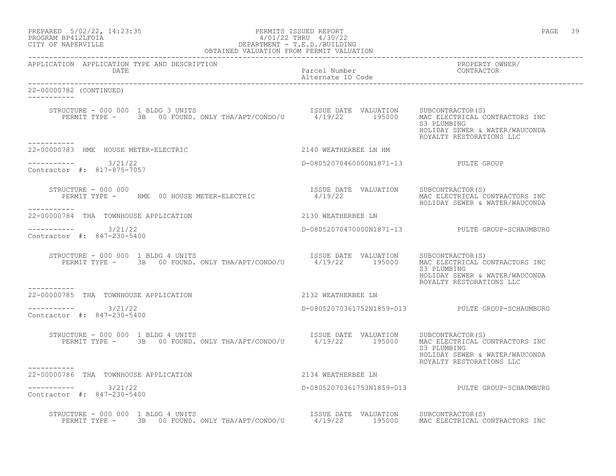| PREPARED            | $5/02/22$ , $14:23:35$ |  |
|---------------------|------------------------|--|
| DDACDAM BDA12T FATA |                        |  |

# PREPARED 5/02/22, 14:23:35 PERMITS ISSUED REPORT<br>PROGRAM BP412LFOIA PAGE 39 PERMITS ISSUED REPORT PROGRAM BP412LFOIA  $4/01/22$  THRU  $4/30/22$ <br>CITY OF NAPERVILLE CITY OF NAPERVILLE DEPARTMENT - T.E.D./BUILDING

| OBTAINED VALUATION FROM PERMIT VALUATION                                                                                                                                                                                                                                                                                                                                                                                                                                      |                                       |                                                                                                             |  |
|-------------------------------------------------------------------------------------------------------------------------------------------------------------------------------------------------------------------------------------------------------------------------------------------------------------------------------------------------------------------------------------------------------------------------------------------------------------------------------|---------------------------------------|-------------------------------------------------------------------------------------------------------------|--|
| APPLICATION APPLICATION TYPE AND DESCRIPTION<br>DATE                                                                                                                                                                                                                                                                                                                                                                                                                          | Parcel Number<br>Alternate ID Code    | PROPERTY OWNER/<br>CONTRACTOR                                                                               |  |
| 22-00000782 (CONTINUED)                                                                                                                                                                                                                                                                                                                                                                                                                                                       |                                       |                                                                                                             |  |
| $\begin{tabular}{lcccccc} \texttt{STRUCTURE} & - & 000 & 000 & 1 & \texttt{BLDG} & 3 & \texttt{UNITS} & & & & & & & & & \texttt{ISSUE} & \texttt{DATE} & \texttt{VALUATION} & & & & & & & \texttt{SUBCONTRACTOR(S)}\\ & & & & & & & & & & & & & \texttt{ISSUE} & \texttt{DATE} & \texttt{VALUATION} & & & & & & \texttt{SUBCONTRACTOR(S)}\\ & & & & & & & & & & & & \texttt{PERMIT} & \texttt{TYPE} & - & & 3B & 00 & \texttt{FOUND} & \texttt{OMLY} & \texttt$<br>---------- |                                       | MAC ELECTRICAL CONTRACTORS INC<br>S3 PLUMBING<br>HOLIDAY SEWER & WATER/WAUCONDA<br>ROYALTY RESTORATIONS LLC |  |
| 22-00000783 HME HOUSE METER-ELECTRIC 2140 WEATHERBEE LN HM                                                                                                                                                                                                                                                                                                                                                                                                                    |                                       |                                                                                                             |  |
| Contractor #: 817-875-7057                                                                                                                                                                                                                                                                                                                                                                                                                                                    | D-08052070460000N1871-13 PULTE GROUP  |                                                                                                             |  |
| STRUCTURE - 000 000<br>STRUCTURE - 000 000<br>PERMIT TYPE -       HME  00 HOUSE METER-ELECTRIC                     4/19/22<br>___________                                                                                                                                                                                                                                                                                                                                     | ISSUE DATE VALUATION SUBCONTRACTOR(S) | MAC ELECTRICAL CONTRACTORS INC<br>HOLIDAY SEWER & WATER/WAUCONDA                                            |  |
| 2130 WEATHERBEE LN<br>22-00000784 THA TOWNHOUSE APPLICATION                                                                                                                                                                                                                                                                                                                                                                                                                   |                                       |                                                                                                             |  |
| $--------$ 3/21/22<br>Contractor #: 847-230-5400                                                                                                                                                                                                                                                                                                                                                                                                                              |                                       | D-08052070470000N1871-13 PULTE GROUP-SCHAUMBURG                                                             |  |
| VUCTURE - 000 000 1 BLDG 4 UNITS<br>PERMIT TYPE - 3B 00 FOUND. ONLY THA/APT/CONDO/U 4/19/22 195000<br>STRUCTURE - 000 000 1 BLDG 4 UNITS                                                                                                                                                                                                                                                                                                                                      | ISSUE DATE VALUATION SUBCONTRACTOR(S) | MAC ELECTRICAL CONTRACTORS INC<br>S3 PLUMBING<br>HOLIDAY SEWER & WATER/WAUCONDA<br>ROYALTY RESTORATIONS LLC |  |
| -----------<br>-----------<br>22-00000785    THA     TOWNHOUSE  APPLICATION                                                                                                                                                                                                                                                                                                                                                                                                   | 2132 WEATHERBEE LN                    |                                                                                                             |  |
| $--------$ 3/21/22<br>Contractor #: 847-230-5400                                                                                                                                                                                                                                                                                                                                                                                                                              |                                       | D-08052070361752N1859-013 PULTE GROUP-SCHAUMBURG                                                            |  |
| STRUCTURE - 000 000 1 BLDG 4 UNITS<br>PERMIT TYPE - 3B 00 FOUND. ONLY THA/APT/CONDO/U 4/19/22 195000 MAC ELECTRICAL CO                                                                                                                                                                                                                                                                                                                                                        |                                       | MAC ELECTRICAL CONTRACTORS INC<br>S3 PLUMBING<br>HOLIDAY SEWER & WATER/WAUCONDA<br>ROYALTY RESTORATIONS LLC |  |
| ----------<br>22-00000786 THA TOWNHOUSE APPLICATION                                                                                                                                                                                                                                                                                                                                                                                                                           | 2134 WEATHERBEE LN                    |                                                                                                             |  |
| -----------    3/21/22<br>Contractor #: 847-230-5400                                                                                                                                                                                                                                                                                                                                                                                                                          |                                       | D-08052070361753N1859-013 PULTE GROUP-SCHAUMBURG                                                            |  |
| STRUCTURE - 000 000 1 BLDG 4 UNITS<br>PERMIT TYPE - 3B 00 FOUND. ONLY THA/APT/CONDO/U 4/19/22 195000 MAC ELECTRICAL CONTRACTORS INC                                                                                                                                                                                                                                                                                                                                           |                                       |                                                                                                             |  |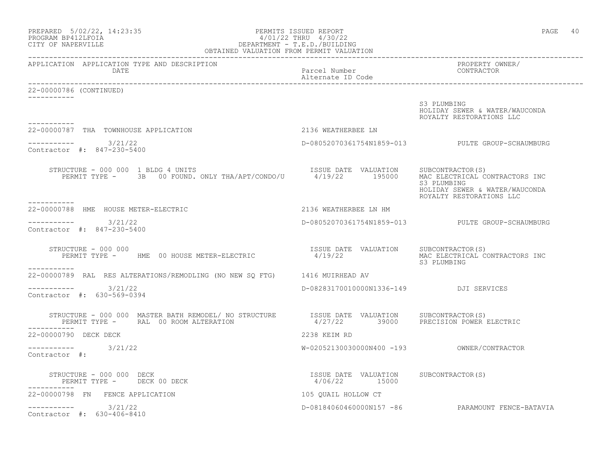| PREPARED 5/02/22, 14:23:35<br>$\begin{array}{cccc} & 4/01/22 & \ldots. \\ & \texttt{DEPENDENT} - \texttt{T.E.D.} / \texttt{BULDDING} \\ \texttt{OBTAINED VALUATION FROM PERMIT VALUATION} \end{array}$<br>PROGRAM BP412LFOIA<br>CITY OF NAPERVILLE |                                                        | PAGE<br>40                                                                                                  |
|----------------------------------------------------------------------------------------------------------------------------------------------------------------------------------------------------------------------------------------------------|--------------------------------------------------------|-------------------------------------------------------------------------------------------------------------|
| APPLICATION APPLICATION TYPE AND DESCRIPTION<br>DATE                                                                                                                                                                                               | Parcel Number<br>Alternate ID Code                     | PROPERTY OWNER/<br>CONTRACTOR                                                                               |
| 22-00000786 (CONTINUED)                                                                                                                                                                                                                            |                                                        |                                                                                                             |
| -----------                                                                                                                                                                                                                                        |                                                        | S3 PLUMBING<br>HOLIDAY SEWER & WATER/WAUCONDA<br>ROYALTY RESTORATIONS LLC                                   |
| 22-00000787 THA TOWNHOUSE APPLICATION                                                                                                                                                                                                              | 2136 WEATHERBEE LN                                     |                                                                                                             |
| $--------- 3/21/22$<br>Contractor #: 847-230-5400                                                                                                                                                                                                  |                                                        | D-08052070361754N1859-013 PULTE GROUP-SCHAUMBURG                                                            |
| STRUCTURE - 000 000 1 BLDG 4 UNITS<br>PERMIT TYPE - 3B 00 FOUND. ONLY THA/APT/CONDO/U 4/19/22 195000<br>-----------                                                                                                                                | ISSUE DATE VALUATION SUBCONTRACTOR(S)                  | MAC ELECTRICAL CONTRACTORS INC<br>S3 PLUMBING<br>HOLIDAY SEWER & WATER/WAUCONDA<br>ROYALTY RESTORATIONS LLC |
| 22-00000788 HME HOUSE METER-ELECTRIC                                                                                                                                                                                                               | 2136 WEATHERBEE LN HM                                  |                                                                                                             |
| $--------- 3/21/22$<br>Contractor #: 847-230-5400                                                                                                                                                                                                  |                                                        | D-08052070361754N1859-013 PULTE GROUP-SCHAUMBURG                                                            |
| STRUCTURE - 000 000<br>PERMIT TYPE - HME 00 HOUSE METER-ELECTRIC                                                                                                                                                                                   | ISSUE DATE VALUATION SUBCONTRACTOR(S)<br>4/19/22       | MAC ELECTRICAL CONTRACTORS INC<br>S3 PLUMBING                                                               |
| 22-00000789 RAL RES ALTERATIONS/REMODLING (NO NEW SQ FTG) 1416 MUIRHEAD AV                                                                                                                                                                         |                                                        |                                                                                                             |
| $--------- 3/21/22$<br>Contractor #: 630-569-0394                                                                                                                                                                                                  | D-08283170010000N1336-149 DJI SERVICES                 |                                                                                                             |
| STRUCTURE - 000 000 MASTER BATH REMODEL/ NO STRUCTURE   ISSUE DATE VALUATION   SUBCONTRACTOR(S)<br>PERMIT TYPE - RAL 00 ROOM ALTERATION                                                                                                            | 4/27/22 39000 PRECISION POWER ELECTRIC                 |                                                                                                             |
| 22-00000790 DECK DECK                                                                                                                                                                                                                              | 2238 KEIM RD                                           |                                                                                                             |
| ----------- 3/21/22<br>Contractor #:                                                                                                                                                                                                               |                                                        |                                                                                                             |
| STRUCTURE - 000 000 DECK<br>PERMIT TYPE - DECK 00 DECK                                                                                                                                                                                             | ISSUE DATE VALUATION SUBCONTRACTOR(S)<br>4/06/22 15000 |                                                                                                             |
| 22-00000798 FN FENCE APPLICATION                                                                                                                                                                                                                   | 105 QUAIL HOLLOW CT                                    |                                                                                                             |
| ----------    3/21/22<br>Contractor #: 630-406-8410                                                                                                                                                                                                |                                                        | D-08184060460000N157 -86 PARAMOUNT FENCE-BATAVIA                                                            |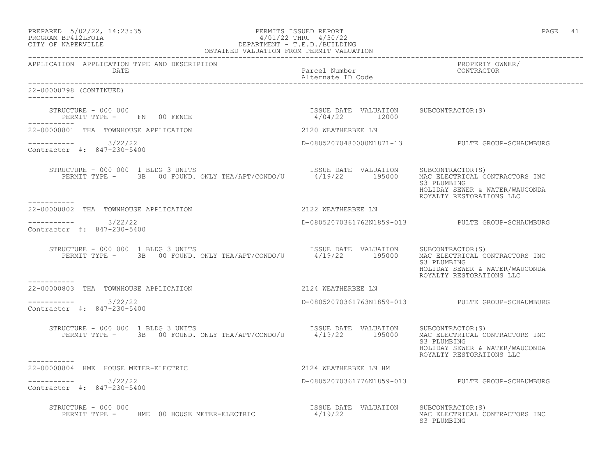|                   | PREPARED 5/02/22, 14:23:35 | PERMITS ISSUED REPORT |                       | PAGE |  |
|-------------------|----------------------------|-----------------------|-----------------------|------|--|
| EDOCRAM RRATTEOTA |                            |                       | 1/01/22 THRII 1/30/22 |      |  |

## PROGRAM BP412LFOIA 4/01/22 THRU 4/30/22 CITY OF NAPERVILLE DEPARTMENT - T.E.D./BUILDING OBTAINED VALUATION FROM PERMIT VALUATION

------------------------------------------------------------------------------------------------------------------------------------ APPLICATION APPLICATION TYPE AND DESCRIPTION PROPERTY OWNER/ DATE Parcel Number CONTRACTOR Alternate ID Code ------------------------------------------------------------------------------------------------------------------------------------ 22-00000798 (CONTINUED) ----------- STRUCTURE - 000 000 ISSUE DATE VALUATION SUBCONTRACTOR(S) PERMIT TYPE - FN 00 FENCE ----------- 22-00000801 THA TOWNHOUSE APPLICATION 2120 WEATHERBEE LN ----------- 3/22/22 D-08052070480000N1871-13 PULTE GROUP-SCHAUMBURG Contractor #: 847-230-5400 STRUCTURE - 000 000 1 BLDG 3 UNITS ISSUE DATE VALUATION SUBCONTRACTOR(S) PERMIT TYPE - 3B 00 FOUND. ONLY THA/APT/CONDO/U 4/19/22 195000 MAC ELECTRICAL CONTRACTORS INC S3 PLUMBING HOLIDAY SEWER & WATER/WAUCONDA ROYALTY RESTORATIONS LLC 22-00000802 THA TOWNHOUSE APPLICATION 2122 WEATHERBEE LN \_\_\_\_\_\_\_\_\_\_\_ ----------- 3/22/22 D-08052070361762N1859-013 PULTE GROUP-SCHAUMBURG Contractor #: 847-230-5400 STRUCTURE - 000 000 1 BLDG 3 UNITS ISSUE DATE VALUATION SUBCONTRACTOR(S) PERMIT TYPE - 3B 00 FOUND. ONLY THA/APT/CONDO/U 4/19/22 195000 MAC ELECTRICAL CONTRACTORS INC S3 PLUMBING HOLIDAY SEWER & WATER/WAUCONDA ROYALTY RESTORATIONS LLC 22-00000803 THA TOWNHOUSE APPLICATION 2124 WEATHERBEE LN  $--------- 3/22/22$ ----------- 3/22/22 D-08052070361763N1859-013 PULTE GROUP-SCHAUMBURG Contractor #: 847-230-5400 STRUCTURE - 000 000 1 BLDG 3 UNITS<br>PERMIT TYPE - 3B 00 FOUND, ONLY THA/APT/CONDO/U 4/19/22 195000 MAC ELECTRICAL CON PERMIT THAN 195000 FOUND THANKS AND THALL CONTRACTORS INC.<br>S3 PLUMBING S3 PLUMBING HOLIDAY SEWER & WATER/WAUCONDA ROYALTY RESTORATIONS LLC ----------- 22-00000804 HME HOUSE METER-ELECTRIC 2124 WEATHERBEE LN HM \_\_\_\_\_\_\_\_\_\_\_ ----------- 3/22/22 D-08052070361776N1859-013 PULTE GROUP-SCHAUMBURG Contractor #: 847-230-5400 STRUCTURE - 000 000<br>PERMIT TYPE - HME 00 HOUSE METER-ELECTRIC 4/19/22 AALUATION MAC ELECTRICAL CONTRACTORS INC PERMIT TYPE - HME 00 HOUSE METER-ELECTRIC 4/19/22 MAC ELECTRICAL CONTRACTORS INC S3 PLUMBING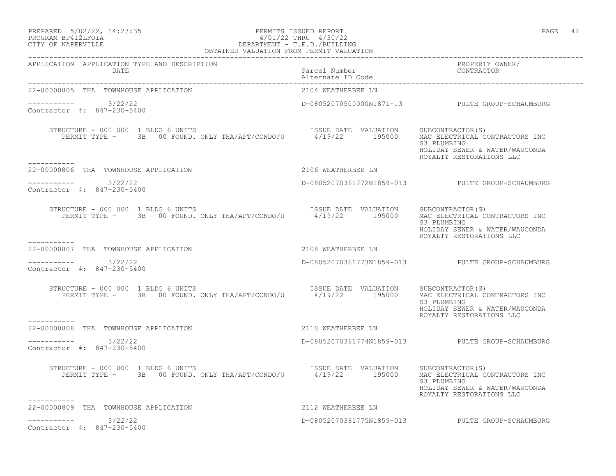# PREPARED 5/02/22, 14:23:35 PERMITS ISSUED REPORT PAGE 42 PROGRAM BP412LFOIA 4/01/22 THRU 4/30/22 CITY OF NAPERVILLE DEPARTMENT - T.E.D./BUILDING

| PAGE |  |
|------|--|
|------|--|

| OBTAINED VALUATION FROM PERMIT VALUATION                                                                                                                                                                                                                                                                                                                        |                                                                        |                                                                           |  |  |
|-----------------------------------------------------------------------------------------------------------------------------------------------------------------------------------------------------------------------------------------------------------------------------------------------------------------------------------------------------------------|------------------------------------------------------------------------|---------------------------------------------------------------------------|--|--|
| APPLICATION APPLICATION TYPE AND DESCRIPTION<br>DATE                                                                                                                                                                                                                                                                                                            | Parcel Number<br>Alternate ID Code and CONTRACTOR<br>Alternate ID Code | PROPERTY OWNER/                                                           |  |  |
| 22-00000805 THA TOWNHOUSE APPLICATION                                                                                                                                                                                                                                                                                                                           | 2104 WEATHERBEE LN                                                     |                                                                           |  |  |
| ----------- 3/22/22<br>Contractor #: 847-230-5400                                                                                                                                                                                                                                                                                                               |                                                                        | D-08052070500000N1871-13 PULTE GROUP-SCHAUMBURG                           |  |  |
| $\begin{array}{cccc} \texttt{STRUCTURE} - 000 000 1 BLDG 6 UNITS \\ \texttt{PERMIT TYPE -} 3B 00 FOUND. 0NLY THA/APT/COND / U & 4/19/22 & 195000 \\ \end{array} \quad \begin{array}{cccc} \texttt{ISSUE} & \texttt{DATE} & \texttt{VALUATION} & \texttt{SUBCONTRACTOR(S)} \\ \texttt{MAC ELECTRICAL CONTRACTORS INC} & \texttt{SUE} & \texttt{NIC} \end{array}$ |                                                                        | S3 PLUMBING<br>HOLIDAY SEWER & WATER/WAUCONDA<br>ROYALTY RESTORATIONS LLC |  |  |
| 22-00000806 THA TOWNHOUSE APPLICATION THE SERVICE OF STREAM CONSERVATION                                                                                                                                                                                                                                                                                        |                                                                        |                                                                           |  |  |
| $--------- 3/22/22$<br>Contractor #: 847-230-5400                                                                                                                                                                                                                                                                                                               |                                                                        | D-08052070361772N1859-013<br>PULTE GROUP-SCHAUMBURG                       |  |  |
| RUCTURE - 000 000 1 BLDG 6 UNITS<br>PERMIT TYPE - 3B 00 FOUND. ONLY THA/APT/CONDO/U 4/19/22 195000 MAC ELECTRICAL CONTRACTORS INC<br>STRUCTURE - 000 000 1 BLDG 6 UNITS                                                                                                                                                                                         |                                                                        | S3 PLUMBING<br>HOLIDAY SEWER & WATER/WAUCONDA<br>ROYALTY RESTORATIONS LLC |  |  |
| 22-00000807 THA TOWNHOUSE APPLICATION 2108 WEATHERBEE LN                                                                                                                                                                                                                                                                                                        |                                                                        |                                                                           |  |  |
| $--------$ 3/22/22<br>Contractor #: 847-230-5400                                                                                                                                                                                                                                                                                                                |                                                                        | D-08052070361773N1859-013 PULTE GROUP-SCHAUMBURG                          |  |  |
| XUCTURE - 000 000 1 BLDG 6 UNITS<br>PERMIT TYPE -      3B   00 FOUND. ONLY THA/APT/CONDO/U        4/19/22      195000   MAC ELECTRICAL CONTRACTORS INC<br>STRUCTURE - 000 000 1 BLDG 6 UNITS                                                                                                                                                                    |                                                                        | S3 PLUMBING<br>HOLIDAY SEWER & WATER/WAUCONDA<br>ROYALTY RESTORATIONS LLC |  |  |
| -----------<br>22-00000808 THA TOWNHOUSE APPLICATION                                                                                                                                                                                                                                                                                                            | 2110 WEATHERBEE LN                                                     |                                                                           |  |  |
| $--------- 3/22/22$<br>Contractor #: 847-230-5400                                                                                                                                                                                                                                                                                                               |                                                                        | D-08052070361774N1859-013 PULTE GROUP-SCHAUMBURG                          |  |  |
| STRUCTURE - 000 000 1 BLDG 6 UNITS<br>PERMIT TYPE - 3B 00 FOUND. ONLY THA/APT/CONDO/U 4/19/22 195000 MAC ELECTRICAL CONTRACTORS INC                                                                                                                                                                                                                             |                                                                        | S3 PLUMBING<br>HOLIDAY SEWER & WATER/WAUCONDA<br>ROYALTY RESTORATIONS LLC |  |  |
| 2112 WEATHERBEE LN<br>22-00000809 THA TOWNHOUSE APPLICATION                                                                                                                                                                                                                                                                                                     |                                                                        |                                                                           |  |  |
| $--------$ 3/22/22<br>Contractor #: 847-230-5400                                                                                                                                                                                                                                                                                                                |                                                                        | D-08052070361775N1859-013 PULTE GROUP-SCHAUMBURG                          |  |  |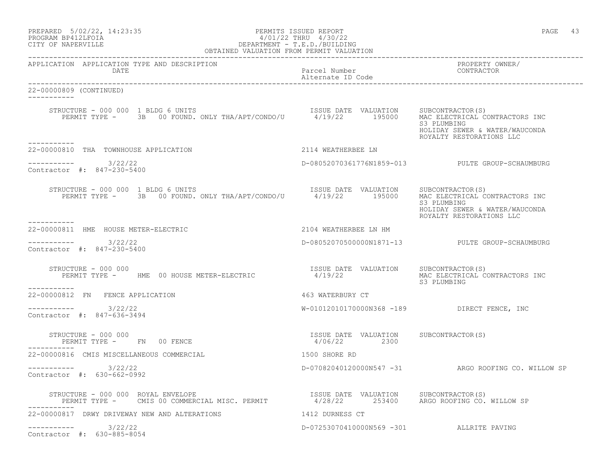| PREPARED            | $5/02/22$ , $14:23:35$ |  |
|---------------------|------------------------|--|
| DDACDAM RDA19T FATA |                        |  |

# PERMITS ISSUED REPORT AND SECULIAR SERVICES AS A PAGE 43 PROGRAM BP412LFOIA 4/01/22 THRU 4/30/22<br>CITY OF NAPERVILLE DEPARTMENT - T.E.D./BUILDIN CITY OF NAPERVILLE DEPARTMENT - T.E.D./BUILDING

| OBTAINED VALUATION FROM PERMIT VALUATION                                                                                                                                                |                                                       |                                                                           |
|-----------------------------------------------------------------------------------------------------------------------------------------------------------------------------------------|-------------------------------------------------------|---------------------------------------------------------------------------|
| APPLICATION APPLICATION TYPE AND DESCRIPTION<br>DATE                                                                                                                                    | Parcel Number<br>Alternate ID Code                    | PROPERTY OWNER/<br>CONTRACTOR                                             |
| 22-00000809 (CONTINUED)<br>------------                                                                                                                                                 |                                                       |                                                                           |
| RUCTURE - 000 000 1 BLDG 6 UNITS<br>PERMIT TYPE - 3B 00 FOUND. ONLY THA/APT/CONDO/U 4/19/22 195000 MAC ELECTRICAL CONTRACTORS INC<br>STRUCTURE - 000 000 1 BLDG 6 UNITS<br>----------   |                                                       | S3 PLUMBING<br>HOLIDAY SEWER & WATER/WAUCONDA<br>ROYALTY RESTORATIONS LLC |
| 22-00000810 THA TOWNHOUSE APPLICATION                                                                                                                                                   | 2114 WEATHERBEE LN                                    |                                                                           |
| $--------$ 3/22/22<br>Contractor #: 847-230-5400                                                                                                                                        |                                                       | D-08052070361776N1859-013 PULTE GROUP-SCHAUMBURG                          |
| STRUCTURE - 000 000 1 BLDG 6 UNITS<br>VUCTURE - 000 000 1 BLDG 6 UNITS<br>PERMIT TYPE - 3B 00 FOUND. ONLY THA/APT/CONDO/U 4/19/22 195000 MAC ELECTRICAL CONTRACTORS INC<br>------------ |                                                       | S3 PLUMBING<br>HOLIDAY SEWER & WATER/WAUCONDA<br>ROYALTY RESTORATIONS LLC |
| 22-00000811 HME HOUSE METER-ELECTRIC                                                                                                                                                    | 2104 WEATHERBEE LN HM                                 |                                                                           |
| $--------- 3/22/22$<br>Contractor #: 847-230-5400                                                                                                                                       |                                                       | D-080520705000000N1871-13 PULTE GROUP-SCHAUMBURG                          |
| STRUCTURE - 000 000<br>PERMIT TYPE - HME 00 HOUSE METER-ELECTRIC<br>------------                                                                                                        | ISSUE DATE VALUATION SUBCONTRACTOR (S)<br>4/19/22     | MAC ELECTRICAL CONTRACTORS INC<br>S3 PLUMBING                             |
| 22-00000812 FN FENCE APPLICATION                                                                                                                                                        | 463 WATERBURY CT                                      |                                                                           |
| ---------- 3/22/22<br>Contractor #: 847-636-3494                                                                                                                                        |                                                       | W-01012010170000N368 -189 DIRECT FENCE, INC                               |
| STRUCTURE - 000 000<br>PERMIT TYPE - FN 00 FENCE                                                                                                                                        | ISSUE DATE VALUATION SUBCONTRACTOR(S)<br>4/06/22 2300 |                                                                           |
| 22-00000816 CMIS MISCELLANEOUS COMMERCIAL                                                                                                                                               | 1500 SHORE RD                                         |                                                                           |
| $--------- 3/22/22$<br>Contractor #: 630-662-0992                                                                                                                                       |                                                       | D-07082040120000N547 -31 ARGO ROOFING CO. WILLOW SP                       |
| STRUCTURE - 000 000 ROYAL ENVELOPE<br>PERMIT TYPE - CMIS 00 COMMERCIAL MISC. PERMIT 4/28/22 253400 ARGO ROOFING CO. WILLOW SP                                                           | ISSUE DATE VALUATION SUBCONTRACTOR(S)                 |                                                                           |
| 22-00000817 DRWY DRIVEWAY NEW AND ALTERATIONS                                                                                                                                           | 1412 DURNESS CT                                       |                                                                           |
| 3/22/22<br>Contractor #: 630-885-8054                                                                                                                                                   | D-07253070410000N569 -301 ALLRITE PAVING              |                                                                           |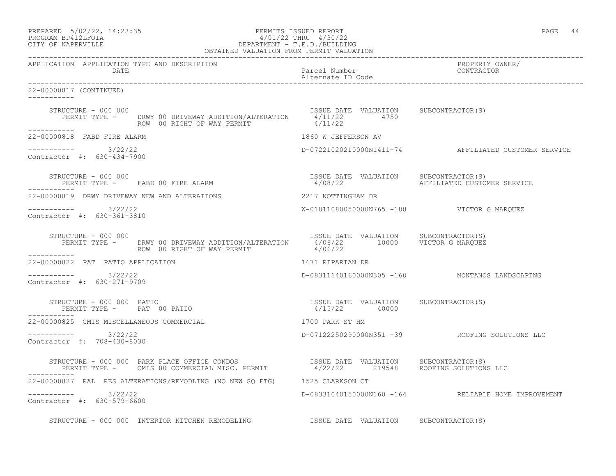| PREPARED            | $5/02/22$ , $14:23:35$ |  |
|---------------------|------------------------|--|
| DDOOD3M DD410T DOT3 |                        |  |

# PREPARED 5/02/22, 14:23:35 PERMITS ISSUED REPORT<br>PROGRAM BP412LFOIA PAGE 44 PAGE 44 PO1/22 THRU 4/30/22 PROGRAM BP412LFOIA  $4/01/22$  THRU  $4/30/22$ <br>CITY OF NAPERVILLE CITY OF NAPERVILLE DEPARTMENT - T.E.D./BUILDING

| OBTAINED VALUATION FROM PERMIT VALUATION                                                                                                                                                                                   |                                       |                                                      |
|----------------------------------------------------------------------------------------------------------------------------------------------------------------------------------------------------------------------------|---------------------------------------|------------------------------------------------------|
| APPLICATION APPLICATION TYPE AND DESCRIPTION<br>DATE                                                                                                                                                                       | Parcel Number<br>Alternate ID Code    | PROPERTY OWNER/<br>CONTRACTOR                        |
| 22-00000817 (CONTINUED)                                                                                                                                                                                                    |                                       |                                                      |
| STRUCTURE - 000 000<br>PERMIT TYPE - DRWY 00 DRIVEWAY ADDITION/ALTERATION $4/11/22$<br>ROW 00 RIGHT OF WAY PERMIT $4/11/22$<br>$4/11/22$<br>$4/11/22$<br>STRUCTURE - 000 000                                               |                                       |                                                      |
| ------------<br>22-00000818 FABD FIRE ALARM                                                                                                                                                                                | 1860 W JEFFERSON AV                   |                                                      |
| $--------- 3/22/22$<br>Contractor #: 630-434-7900                                                                                                                                                                          |                                       | D-07221020210000N1411-74 AFFILIATED CUSTOMER SERVICE |
| STRUCTURE - 000 000<br>TRUCTURE - 000 000<br>PERMIT TYPE -     FABD 00 FIRE ALARM                                                                                                                                          | ISSUE DATE VALUATION SUBCONTRACTOR(S) |                                                      |
| 22-00000819 DRWY DRIVEWAY NEW AND ALTERATIONS                                                                                                                                                                              | 2217 NOTTINGHAM DR                    |                                                      |
| $--------- 3/22/22$<br>Contractor #: 630-361-3810                                                                                                                                                                          |                                       | W-01011080050000N765 -188 VICTOR G MARQUEZ           |
| STRUCTURE - 000 000<br>PERMIT TYPE - DRWY 00 DRIVEWAY ADDITION/ALTERATION 1/06/22 10000 VICTOR G MARQUEZ<br>ROW 00 RIGHT OF WAY PERMIT 4/06/22<br>STRUCTURE - 000 000                                                      |                                       |                                                      |
| ------------<br>22-00000822 PAT PATIO APPLICATION                                                                                                                                                                          | 1671 RIPARIAN DR                      |                                                      |
| $--------- 3/22/22$<br>Contractor #: 630-271-9709                                                                                                                                                                          |                                       | D-08311140160000N305 -160 MONTANOS LANDSCAPING       |
| PERMIT TYPE - PAT 00 PATIO                                                                                                                                                                                                 |                                       |                                                      |
| 22-00000825 CMIS MISCELLANEOUS COMMERCIAL                                                                                                                                                                                  | 1700 PARK ST HM                       |                                                      |
| $--------- 3/22/22$<br>Contractor #: 708-430-8030                                                                                                                                                                          |                                       | D-07122250290000N351 -39 ROOFING SOLUTIONS LLC       |
| STRUCTURE - 000 000 PARK PLACE OFFICE CONDOS                       ISSUE DATE VALUATION     SUBCONTRACTOR(S)<br>PERMIT TYPE -     CMIS 00 COMMERCIAL MISC. PERMIT           4/22/22       219548     ROOFING SOLUTIONS LLC |                                       |                                                      |
| 22-00000827 RAL RES ALTERATIONS/REMODLING (NO NEW SQ FTG) 1525 CLARKSON CT                                                                                                                                                 |                                       |                                                      |
| $--------- 3/22/22$<br>Contractor #: 630-579-6600                                                                                                                                                                          |                                       | D-08331040150000N160 -164 RELIABLE HOME IMPROVEMENT  |
| STRUCTURE - 000 000 INTERIOR KITCHEN REMODELING TSSUE DATE VALUATION SUBCONTRACTOR(S)                                                                                                                                      |                                       |                                                      |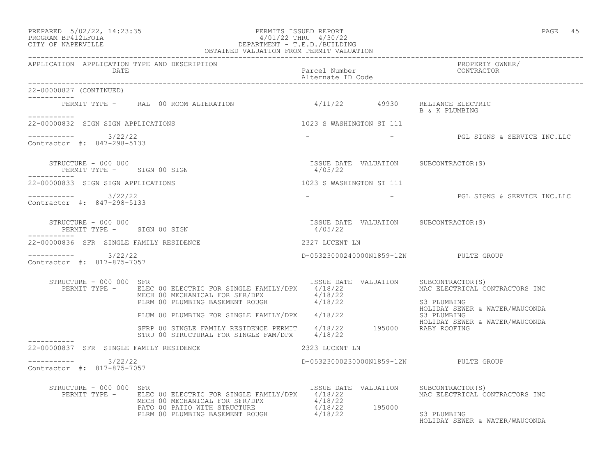## PREPARED 5/02/22, 14:23:35 PERMITS ISSUED REPORT PAGE 45 PROGRAM BP412LFOIA 4/01/22 THRU 4/30/22 CITY OF NAPERVILLE DEPARTMENT - T.E.D./BUILDING OBTAINED VALUATION FROM PERMIT VALUATION

| 22-00000827 (CONTINUED)                                          |                                                                                                                                                                                                                                                       |                          |                                                                                                                          |
|------------------------------------------------------------------|-------------------------------------------------------------------------------------------------------------------------------------------------------------------------------------------------------------------------------------------------------|--------------------------|--------------------------------------------------------------------------------------------------------------------------|
| -----------                                                      | PERMIT TYPE - RAL 00 ROOM ALTERATION                                                                                                                                                                                                                  |                          | 4/11/22  49930  RELIANCE ELECTRIC<br>B & K PLUMBING                                                                      |
| 22-00000832 SIGN SIGN APPLICATIONS                               |                                                                                                                                                                                                                                                       | 1023 S WASHINGTON ST 111 |                                                                                                                          |
| $--------- 3/22/22$<br>Contractor #: 847-298-5133                |                                                                                                                                                                                                                                                       |                          | - PGL SIGNS & SERVICE INC.LLC                                                                                            |
| STRUCTURE - 000 000<br>PERMIT TYPE - SIGN 00 SIGN<br>----------- |                                                                                                                                                                                                                                                       | 4/05/22                  | ISSUE DATE VALUATION SUBCONTRACTOR(S)                                                                                    |
| 22-00000833 SIGN SIGN APPLICATIONS                               |                                                                                                                                                                                                                                                       | 1023 S WASHINGTON ST 111 |                                                                                                                          |
| $--------- 3/22/22$<br>Contractor #: 847-298-5133                |                                                                                                                                                                                                                                                       |                          | - PGL SIGNS & SERVICE INC.LLC                                                                                            |
| STRUCTURE - 000 000<br>PERMIT TYPE - SIGN 00 SIGN                |                                                                                                                                                                                                                                                       | 4/05/22                  | ISSUE DATE VALUATION SUBCONTRACTOR(S)                                                                                    |
| -----------<br>22-00000836 SFR SINGLE FAMILY RESIDENCE           |                                                                                                                                                                                                                                                       | 2327 LUCENT LN           |                                                                                                                          |
| $--------- 3/22/22$<br>Contractor #: 817-875-7057                |                                                                                                                                                                                                                                                       |                          | D-05323000240000N1859-12N PULTE GROUP                                                                                    |
| STRUCTURE - 000 000 SFR                                          | PERMIT TYPE - ELEC 00 ELECTRIC FOR SINGLE FAMILY/DPX 4/18/22<br>MECH 00 MECHANICAL FOR SFR/DPX 4/18/22<br>PLRM 00 PLUMBING BASEMENT ROUGH 4/18/22                                                                                                     |                          | ISSUE DATE VALUATION SUBCONTRACTOR(S)<br>MAC ELECTRICAL CONTRACTORS INC<br>S3 PLUMBING                                   |
|                                                                  |                                                                                                                                                                                                                                                       |                          | HOLIDAY SEWER & WATER/WAUCONDA                                                                                           |
|                                                                  | PLUM 00 PLUMBING FOR SINGLE FAMILY/DPX 4/18/22<br>STRP 00 SINGLE FAMILY RESIDENCE PERMIT 4/18/22 195000 RABY ROOFING<br>STRU 00 STRUCTURAL FOR SINGLE FAM/DPX 4/18/22                                                                                 |                          | HOLIDAY SEWER & WATER/WAUCONDA                                                                                           |
| 22-00000837 SFR SINGLE FAMILY RESIDENCE                          |                                                                                                                                                                                                                                                       | 2323 LUCENT LN           |                                                                                                                          |
| $--------- 3/22/22$<br>Contractor #: 817-875-7057                |                                                                                                                                                                                                                                                       |                          | D-05323000230000N1859-12N PULTE GROUP                                                                                    |
| STRUCTURE - 000 000 SFR                                          | PERMIT TYPE - ELEC 00 ELECTRIC FOR SINGLE FAMILY/DPX 4/18/22<br>ELEC 00 ELECTRIC FOR SINGLE FATILIC FIRE ACTIVITY<br>MECH 00 MECHANICAL FOR SFR/DPX 4/18/22<br>PATO 00 PATIO WITH STRUCTURE 4/18/22 195000<br>PLRM 00 PLUMBING BASEMENT ROUGH 4/18/22 |                          | ISSUE DATE VALUATION SUBCONTRACTOR(S)<br>MAC ELECTRICAL CONTRACTORS INC<br>S3 PLUMBING<br>HOLIDAY SEWER & WATER/WAUCONDA |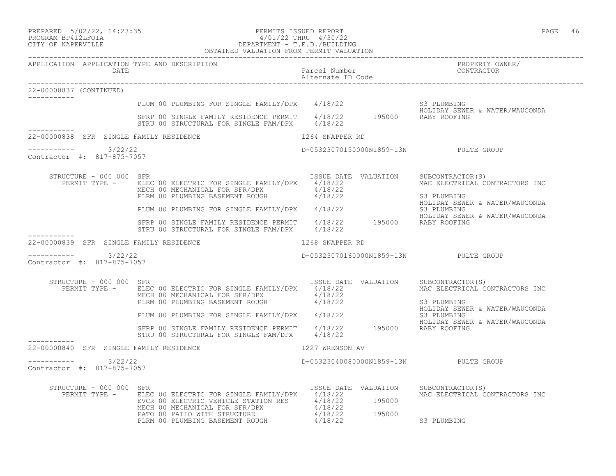# PREPARED 5/02/22, 14:23:35 PERMITS ISSUED REPORT PAGE 46 PROGRAM BP412LFOIA 4/01/22 THRU 4/30/22 CITY OF NAPERVILLE DEPARTMENT - T.E.D./BUILDING

|                                                      | OBTAINED VALUATION FROM PERMIT VALUATION                                                                                                                                                                                       |                                           |                                                                                                     |
|------------------------------------------------------|--------------------------------------------------------------------------------------------------------------------------------------------------------------------------------------------------------------------------------|-------------------------------------------|-----------------------------------------------------------------------------------------------------|
| APPLICATION APPLICATION TYPE AND DESCRIPTION<br>DATE |                                                                                                                                                                                                                                | Parcel Number<br>Alternate ID Code        | PROPERTY OWNER/<br>CONTRACTOR                                                                       |
| 22-00000837 (CONTINUED)                              |                                                                                                                                                                                                                                |                                           |                                                                                                     |
|                                                      | PLUM 00 PLUMBING FOR SINGLE FAMILY/DPX 4/18/22 S3 PLUMBING<br>SFRP 00 SINGLE FAMILY RESIDENCE PERMIT 4/18/22 195000 RABY ROOFING                                                                                               |                                           |                                                                                                     |
|                                                      | STRU 00 STRUCTURAL FOR SINGLE FAM/DPX 4/18/22                                                                                                                                                                                  |                                           |                                                                                                     |
| 22-00000838 SFR SINGLE FAMILY RESIDENCE              |                                                                                                                                                                                                                                | 1264 SNAPPER RD                           |                                                                                                     |
| --------- 3/22/22<br>Contractor #: 817-875-7057      |                                                                                                                                                                                                                                | D-05323070150000N1859-13N PULTE GROUP     |                                                                                                     |
| STRUCTURE - 000 000 SFR                              | PERMIT TYPE - ELEC 00 ELECTRIC FOR SINGLE FAMILY/DPX 4/18/22<br>MECH 00 MECHANICAL FOR SFR/DPX 4/18/22<br>PLRM 00 PLUMBING BASEMENT ROUGH 4/18/22                                                                              | ISSUE DATE VALUATION                      | SUBCONTRACTOR(S)<br>MAC ELECTRICAL CONTRACTORS INC<br>S3 PLUMBING<br>HOLIDAY SEWER & WATER/WAUCONDA |
|                                                      | PLUM 00 PLUMBING FOR SINGLE FAMILY/DPX 4/18/22                                                                                                                                                                                 |                                           | S3 PLUMBING<br>HOLIDAY SEWER & WATER/WAUCONDA                                                       |
|                                                      | SFRP 00 SINGLE FAMILY RESIDENCE PERMIT 4/18/22 195000 RABY ROOFING<br>STRU 00 STRUCTURAL FOR SINGLE FAM/DPX 4/18/22                                                                                                            |                                           |                                                                                                     |
| 22-00000839 SFR SINGLE FAMILY RESIDENCE              |                                                                                                                                                                                                                                | 1268 SNAPPER RD                           |                                                                                                     |
| ---------- 3/22/22<br>Contractor #: 817-875-7057     |                                                                                                                                                                                                                                | D-05323070160000N1859-13N PULTE GROUP     |                                                                                                     |
| STRUCTURE - 000 000 SFR<br>PERMIT TYPE -             | ELEC 00 ELECTRIC FOR SINGLE FAMILY/DPX 4/18/22<br>MECH 00 MECHANICAL FOR SFR/DPX $4/18/22$<br>PLRM 00 PLUMBING BASEMENT ROUGH $4/18/22$                                                                                        | ISSUE DATE VALUATION SUBCONTRACTOR(S)     | MAC ELECTRICAL CONTRACTORS INC<br>S3 PLUMBING<br>HOLIDAY SEWER & WATER/WAUCONDA                     |
|                                                      | PLUM 00 PLUMBING FOR SINGLE FAMILY/DPX $4/18/22$<br>S3 PLUMBING<br>SFRP 00 SINGLE FAMILY RESIDENCE PERMIT $4/18/22$ 195000 RABY ROOFING                                                                                        |                                           | HOLIDAY SEWER & WATER/WAUCONDA                                                                      |
|                                                      | STRU 00 STRUCTURAL FOR SINGLE FAM/DPX 4/18/22                                                                                                                                                                                  |                                           |                                                                                                     |
| 22-00000840 SFR SINGLE FAMILY RESIDENCE              |                                                                                                                                                                                                                                | 1227 WRENSON AV                           |                                                                                                     |
| $------ 3/22/22$<br>Contractor #: 817-875-7057       |                                                                                                                                                                                                                                | D-05323040080000N1859-13N PULTE GROUP     |                                                                                                     |
| STRUCTURE - 000 000 SFR<br>PERMIT TYPE -             | ELEC 00 ELECTRIC FOR SINGLE FAMILY/DPX 4/18/22<br>EVCR 00 ELECTRIC VEHICLE STATION RES $4/18/22$ 195000<br>MECH 00 MECHANICAL FOR SFR/DPX $4/18/22$<br>PATO 00 PATIO WITH STRUCTURE<br>PLRM 00 PLUMBING BASEMENT ROUGH 4/18/22 | ISSUE DATE VALUATION<br>195000<br>4/18/22 | SUBCONTRACTOR(S)<br>MAC ELECTRICAL CONTRACTORS INC<br>S3 PLUMBING                                   |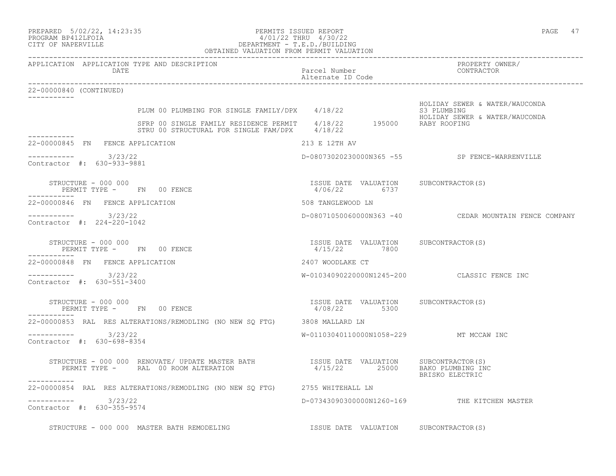| PREPARED |                                         | $5/02/22$ , 14:23:35 |
|----------|-----------------------------------------|----------------------|
| -------  | $\begin{array}{c}\n\hline\n\end{array}$ |                      |

## PREPARED 5/02/22, 14:23:35 PERMITS ISSUED REPORT<br>PROGRAM BP412LFOIA PAGE 47 PROGRAM BP412LFOIA  $4/01/22$  THRU  $4/30/22$ <br>CITY OF NAPERVILLE CITY OF NAPERVILLE DEPARTMENT - T.E.D./BUILDING OBTAINED VALUATION FROM PERMIT VALUATION

| APPLICATION APPLICATION TYPE AND DESCRIPTION<br>DATE                                                                                                                                                  | Parcel Number<br>Alternate ID Code                    | PROPERTY OWNER/<br>CONTRACTOR                                    |
|-------------------------------------------------------------------------------------------------------------------------------------------------------------------------------------------------------|-------------------------------------------------------|------------------------------------------------------------------|
| 22-00000840 (CONTINUED)                                                                                                                                                                               |                                                       |                                                                  |
| PLUM 00 PLUMBING FOR SINGLE FAMILY/DPX 4/18/22 53 PLUMBING<br>SFRP 00 SINGLE FAMILY RESIDENCE PERMIT 4/18/22 195000 RABY ROOFING<br>STRU 00 STRUCTURAL FOR SINGLE FAM/DPX 4/18/22 195000 RABY ROOFING |                                                       | HOLIDAY SEWER & WATER/WAUCONDA<br>HOLIDAY SEWER & WATER/WAUCONDA |
|                                                                                                                                                                                                       |                                                       |                                                                  |
| -----------<br>22-00000845 FN FENCE APPLICATION                                                                                                                                                       | 213 E 12TH AV                                         |                                                                  |
| ----------- 3/23/22<br>Contractor #: 630-933-9881                                                                                                                                                     |                                                       | D-08073020230000N365 -55 SP FENCE-WARRENVILLE                    |
| STRUCTURE - 000 000<br>PERMIT TYPE - FN 00 FENCE                                                                                                                                                      | ISSUE DATE VALUATION SUBCONTRACTOR(S)<br>4/06/22 6737 |                                                                  |
| 22-00000846 FN FENCE APPLICATION                                                                                                                                                                      | 508 TANGLEWOOD LN                                     |                                                                  |
| ----------- 3/23/22<br>Contractor #: 224-220-1042                                                                                                                                                     |                                                       | D-08071050060000N363 -40 CEDAR MOUNTAIN FENCE COMPANY            |
| STRUCTURE - 000 000<br>PERMIT TYPE - FN 00 FENCE                                                                                                                                                      | ISSUE DATE VALUATION SUBCONTRACTOR(S)<br>4/15/22 7800 |                                                                  |
| 22-00000848 FN FENCE APPLICATION                                                                                                                                                                      | 2407 WOODLAKE CT                                      |                                                                  |
| $--------- 3/23/22$<br>Contractor #: 630-551-3400                                                                                                                                                     |                                                       | W-01034090220000N1245-200 CLASSIC FENCE INC                      |
| STRUCTURE - 000 000<br>PERMIT TYPE - FN 00 FENCE                                                                                                                                                      | ISSUE DATE VALUATION SUBCONTRACTOR(S)<br>4/08/22 5300 |                                                                  |
| 22-00000853 RAL RES ALTERATIONS/REMODLING (NO NEW SQ FTG) 3808 MALLARD LN                                                                                                                             |                                                       |                                                                  |
| -----------    3/23/22<br>Contractor #: 630-698-8354                                                                                                                                                  | W-01103040110000N1058-229 MT MCCAW INC                |                                                                  |
| -----------                                                                                                                                                                                           |                                                       | BRISKO ELECTRIC                                                  |
| 22-00000854 RAL RES ALTERATIONS/REMODLING (NO NEW SQ FTG) 2755 WHITEHALL LN                                                                                                                           |                                                       |                                                                  |
| $--------- 3/23/22$<br>Contractor #: 630-355-9574                                                                                                                                                     |                                                       | D-07343090300000N1260-169 THE KITCHEN MASTER                     |
| STRUCTURE - 000 000 MASTER BATH REMODELING                                                                                                                                                            | ISSUE DATE VALUATION SUBCONTRACTOR(S)                 |                                                                  |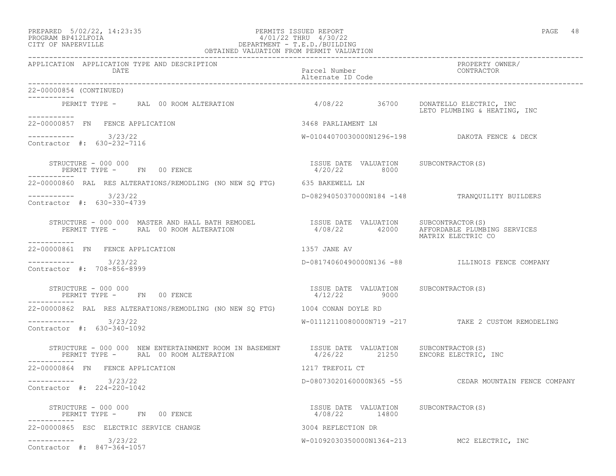# PREPARED 5/02/22, 14:23:35 PERMITS ISSUED REPORT PAGE 48 PROGRAM BP412LFOIA 4/01/22 THRU 4/30/22 CITY OF NAPERVILLE DEPARTMENT - T.E.D./BUILDING

| OBTAINED VALUATION FROM PERMIT VALUATION                                                                                                                                                                                                |                                                         |                                                                  |  |  |
|-----------------------------------------------------------------------------------------------------------------------------------------------------------------------------------------------------------------------------------------|---------------------------------------------------------|------------------------------------------------------------------|--|--|
| APPLICATION APPLICATION TYPE AND DESCRIPTION<br>DATE                                                                                                                                                                                    | Parcel Number<br>Alternate ID Code                      | PROPERTY OWNER/<br>CONTRACTOR                                    |  |  |
| 22-00000854 (CONTINUED)<br>-----------                                                                                                                                                                                                  |                                                         |                                                                  |  |  |
| PERMIT TYPE - RAL 00 ROOM ALTERATION 4/08/22 36700<br>___________                                                                                                                                                                       |                                                         | DONATELLO ELECTRIC, INC<br>LETO PLUMBING & HEATING, INC          |  |  |
| 22-00000857 FN FENCE APPLICATION                                                                                                                                                                                                        | 3468 PARLIAMENT LN                                      |                                                                  |  |  |
| $--------$ 3/23/22<br>Contractor #: 630-232-7116                                                                                                                                                                                        |                                                         |                                                                  |  |  |
| STRUCTURE - 000 000<br>PERMIT TYPE - FN 00 FENCE                                                                                                                                                                                        | ISSUE DATE VALUATION SUBCONTRACTOR(S)<br>4/20/22 8000   |                                                                  |  |  |
| 22-00000860 RAL RES ALTERATIONS/REMODLING (NO NEW SQ FTG) 635 BAKEWELL LN                                                                                                                                                               |                                                         |                                                                  |  |  |
| $--------- 3/23/22$<br>Contractor #: 630-330-4739                                                                                                                                                                                       |                                                         | D-08294050370000N184 -148 TRANQUILITY BUILDERS                   |  |  |
| STRUCTURE – 000 000 MASTER AND HALL BATH REMODEL                  ISSUE DATE VALUATION     SUBCONTRACTOR(S)<br>PERMIT TYPE –      RAL  00 ROOM ALTERATION                        4/08/22      42000     AFFORDABLE PLUMB:<br>---------- |                                                         | 4/08/22 42000 AFFORDABLE PLUMBING SERVICES<br>MATRIX ELECTRIC CO |  |  |
| 22-00000861 FN FENCE APPLICATION                                                                                                                                                                                                        | 1357 JANE AV                                            |                                                                  |  |  |
| --------<br>3/23/22<br>Contractor #: 708-856-8999                                                                                                                                                                                       |                                                         | D-08174060490000N136 -88 ILLINOIS FENCE COMPANY                  |  |  |
| STRUCTURE - 000 000<br>PERMIT TYPE - FN 00 FENCE                                                                                                                                                                                        | ISSUE DATE VALUATION SUBCONTRACTOR(S)<br>$4/12/22$ 9000 |                                                                  |  |  |
| 22-00000862 RAL RES ALTERATIONS/REMODLING (NO NEW SQ FTG) 1004 CONAN DOYLE RD                                                                                                                                                           |                                                         |                                                                  |  |  |
| $--------$ 3/23/22<br>Contractor #: 630-340-1092                                                                                                                                                                                        |                                                         | W-01112110080000N719 -217 TAKE 2 CUSTOM REMODELING               |  |  |
| STRUCTURE - 000 000 NEW ENTERTAINMENT ROOM IN BASEMENT ISSUE DATE VALUATION SUBCONTRACTOR(S)<br>PERMIT TYPE - RAL 00 ROOM ALTERATION<br>----------                                                                                      | $4/26/22$ 21250 ENCORE ELECTRIC, INC                    |                                                                  |  |  |
| 22-00000864 FN FENCE APPLICATION                                                                                                                                                                                                        | 1217 TREFOIL CT                                         |                                                                  |  |  |
| -----------    3/23/22<br>Contractor #: 224-220-1042                                                                                                                                                                                    |                                                         | D-08073020160000N365 -55 CEDAR MOUNTAIN FENCE COMPANY            |  |  |
| STRUCTURE - 000 000<br>PERMIT TYPE - FN 00 FENCE                                                                                                                                                                                        | ISSUE DATE VALUATION SUBCONTRACTOR(S)<br>4/08/22 14800  |                                                                  |  |  |
| 22-00000865 ESC ELECTRIC SERVICE CHANGE                                                                                                                                                                                                 | 3004 REFLECTION DR                                      |                                                                  |  |  |
| 3/23/22<br>Contractor #: 847-364-1057                                                                                                                                                                                                   |                                                         | W-01092030350000N1364-213 MC2 ELECTRIC, INC                      |  |  |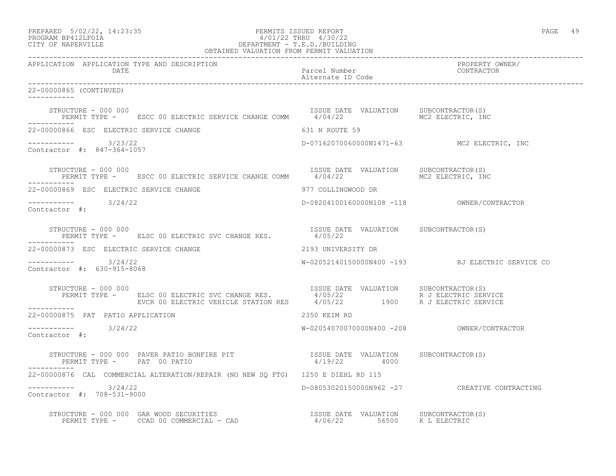| PREPARED            | $5/02/22$ , 14:23:35 |
|---------------------|----------------------|
| DDOCDAM DDA10T DOTA |                      |

# PREPARED 5/02/22, 14:23:35 PERMITS ISSUED REPORT<br>PROGRAM BP412LFOIA PAGE 49 PROGRAM BP412LFOIA  $4/01/22$  THRU  $4/30/22$ <br>CITY OF NAPERVILLE CITY OF NAPERVILLE DEPARTMENT - T.E.D./BUILDING

| OBTAINED VALUATION FROM PERMIT VALUATION                                                                                                                                                                                                                                                                                                                                                                 |                                            |                                                  |  |  |
|----------------------------------------------------------------------------------------------------------------------------------------------------------------------------------------------------------------------------------------------------------------------------------------------------------------------------------------------------------------------------------------------------------|--------------------------------------------|--------------------------------------------------|--|--|
| APPLICATION APPLICATION TYPE AND DESCRIPTION<br>DATE                                                                                                                                                                                                                                                                                                                                                     | Parcel Number<br>Alternate ID Code         | PROPERTY OWNER/<br>CONTRACTOR                    |  |  |
| 22-00000865 (CONTINUED)                                                                                                                                                                                                                                                                                                                                                                                  |                                            |                                                  |  |  |
| STRUCTURE - 000 000<br>PERMIT TYPE -     ESCC 00 ELECTRIC SERVICE CHANGE COMM      4/04/22          MC2 ELECTRIC, INC                                                                                                                                                                                                                                                                                    |                                            |                                                  |  |  |
| 22-00000866 ESC ELECTRIC SERVICE CHANGE<br>631 N ROUTE 59                                                                                                                                                                                                                                                                                                                                                |                                            |                                                  |  |  |
| ----------- 3/23/22<br>Contractor #: 847-364-1057                                                                                                                                                                                                                                                                                                                                                        |                                            | D-07162070060000N1471-63 MC2 ELECTRIC, INC       |  |  |
| $\begin{array}{cccccc} \texttt{STRUCTURE} & - & 000 & 000 & & & & \\ \texttt{PERMIT TYPE} & - & & \texttt{ESCC} & 00 & \texttt{ELECTRIC} & \texttt{SERVICE} & \texttt{CHANGE} & \texttt{COMM} & & & & \\ \end{array} \qquad \begin{array}{cccccc} \texttt{ISSUE} & \texttt{DATE} & \texttt{VALUATION} & & \texttt{SUBCONTRACTOR(S)}\\ & 4/04/22 & & & \texttt{MC2} & \texttt{ELECTRIC, INC} \end{array}$ |                                            |                                                  |  |  |
| 22-00000869 ESC ELECTRIC SERVICE CHANGE                                                                                                                                                                                                                                                                                                                                                                  | 977 COLLINGWOOD DR                         |                                                  |  |  |
| $--------- 3/24/22$<br>Contractor #:                                                                                                                                                                                                                                                                                                                                                                     | D-08204100160000N108 -118 OWNER/CONTRACTOR |                                                  |  |  |
| STRUCTURE - 000 000<br>STRUCTURE - 000 000<br>PERMIT TYPE -      ELSC 00 ELECTRIC SVC CHANGE RES.            4/05/22                                                                                                                                                                                                                                                                                     | ISSUE DATE VALUATION SUBCONTRACTOR(S)      |                                                  |  |  |
| 22-00000873 ESC ELECTRIC SERVICE CHANGE                                                                                                                                                                                                                                                                                                                                                                  | 2193 UNIVERSITY DR                         |                                                  |  |  |
| $--------$ 3/24/22<br>Contractor #: 630-915-8068                                                                                                                                                                                                                                                                                                                                                         |                                            | W-02052140150000N400 -193 RJ ELECTRIC SERVICE CO |  |  |
| STRUCTURE - 000 000<br>PERMIT TYPE - ELSC 00 ELECTRIC SVC CHANGE RES. 4/05/22 R J ELECTRIC SERVICE<br>EVCR 00 ELECTRIC VEHICLE STATION RES 4/05/22 1900 R J ELECTRIC SERVICE<br>STRUCTURE - 000 000                                                                                                                                                                                                      |                                            |                                                  |  |  |
| 22-00000875 PAT PATIO APPLICATION                                                                                                                                                                                                                                                                                                                                                                        | 2350 KEIM RD                               |                                                  |  |  |
| $--------- 3/24/22$<br>Contractor #:                                                                                                                                                                                                                                                                                                                                                                     |                                            |                                                  |  |  |
|                                                                                                                                                                                                                                                                                                                                                                                                          |                                            |                                                  |  |  |
| 22-00000876 CAL COMMERCIAL ALTERATION/REPAIR (NO NEW SO FTG) 1250 E DIEHL RD 115                                                                                                                                                                                                                                                                                                                         |                                            |                                                  |  |  |
| $--------$ 3/24/22<br>Contractor #: 708-531-9000                                                                                                                                                                                                                                                                                                                                                         |                                            | D-08053020150000N962 -27 CREATIVE CONTRACTING    |  |  |
|                                                                                                                                                                                                                                                                                                                                                                                                          |                                            |                                                  |  |  |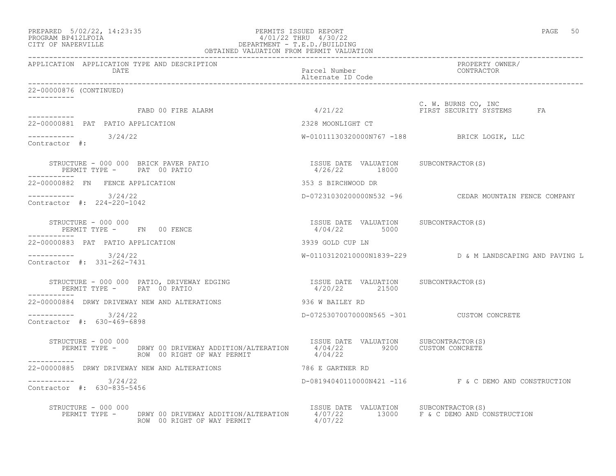| PREPARED            | $5/02/22$ , $14:23:35$ |  |
|---------------------|------------------------|--|
| DDACDAM BDA12T FATA |                        |  |

#### PREPARED 5/02/22, 14:23:35 PERMITS ISSUED REPORT<br>PROGRAM BP412LFOIA PAGE 50 ACCORD 4/01/22 THRU 4/30/22 PROGRAM BP412LFOIA  $4/01/22$  THRU 4/30/22<br>CITY OF NAPERVILLE DEPARTMENT - T.E.D./BUILDIN DEPARTMENT - T.E.D./BUILDING OBTAINED VALUATION FROM PERMIT VALUATION ------------------------------------------------------------------------------------------------------------------------------------

| APPLICATION APPLICATION TYPE AND DESCRIPTION<br>DATE                                                                   | Parcel Number<br>Alternate ID Code                                               | PROPERTY OWNER/<br>CONTRACTOR                            |
|------------------------------------------------------------------------------------------------------------------------|----------------------------------------------------------------------------------|----------------------------------------------------------|
| 22-00000876 (CONTINUED)<br>___________                                                                                 |                                                                                  |                                                          |
| FABD 00 FIRE ALARM<br>-----------                                                                                      | 4/21/22                                                                          | C. W. BURNS CO, INC<br>FIRST SECURITY SYSTEMS<br>FA      |
| 22-00000881 PAT PATIO APPLICATION                                                                                      | 2328 MOONLIGHT CT                                                                |                                                          |
| $--------$ 3/24/22<br>Contractor #:                                                                                    |                                                                                  | W-01011130320000N767 -188 BRICK LOGIK, LLC               |
| STRUCTURE - 000 000 BRICK PAVER PATIO<br>PERMIT TYPE - PAT 00 PATIO                                                    | ISSUE DATE VALUATION SUBCONTRACTOR(S)<br>4/26/22 18000                           |                                                          |
| 22-00000882 FN FENCE APPLICATION                                                                                       | 353 S BIRCHWOOD DR                                                               |                                                          |
| 3/24/22<br>____________<br>Contractor #: 224-220-1042                                                                  |                                                                                  | D-07231030200000N532 -96 CEDAR MOUNTAIN FENCE COMPANY    |
| STRUCTURE - 000 000<br>PERMIT TYPE - FN 00 FENCE                                                                       | ISSUE DATE VALUATION SUBCONTRACTOR(S)<br>4/04/22 5000                            |                                                          |
| 22-00000883 PAT PATIO APPLICATION                                                                                      | 3939 GOLD CUP LN                                                                 |                                                          |
| $--------- 3/24/22$<br>Contractor #: 331-262-7431                                                                      |                                                                                  | W-01103120210000N1839-229 D & M LANDSCAPING AND PAVING L |
| STRUCTURE - 000 000 PATIO, DRIVEWAY EDGING<br>PERMIT TYPE - PAT 00 PATIO                                               | ISSUE DATE VALUATION SUBCONTRACTOR(S)<br>4/20/22 21500                           |                                                          |
| 22-00000884 DRWY DRIVEWAY NEW AND ALTERATIONS                                                                          | 936 W BAILEY RD                                                                  |                                                          |
| $--------- 3/24/22$<br>Contractor #: 630-469-6898                                                                      | D-07253070070000N565 -301 CUSTOM CONCRETE                                        |                                                          |
| STRUCTURE - 000 000<br>PERMIT TYPE - DRWY 00 DRIVEWAY ADDITION/ALTERATION<br>ROW 00 RIGHT OF WAY PERMIT<br>----------- | ISSUE DATE VALUATION SUBCONTRACTOR(S)<br>4/04/22 9200 CUSTOM CONCRETE<br>4/04/22 |                                                          |
| 22-00000885 DRWY DRIVEWAY NEW AND ALTERATIONS                                                                          | 786 E GARTNER RD                                                                 |                                                          |
| 3/24/22<br>Contractor #: 630-835-5456                                                                                  |                                                                                  | D-08194040110000N421 -116 F & C DEMO AND CONSTRUCTION    |
| STRUCTURE - 000 000<br>PERMIT TYPE - DRWY 00 DRIVEWAY ADDITION/ALTERATION<br>ROW 00 RIGHT OF WAY PERMIT                | ISSUE DATE VALUATION SUBCONTRACTOR(S)<br>4/07/22                                 | $4/07/22$ 13000 F & C DEMO AND CONSTRUCTION              |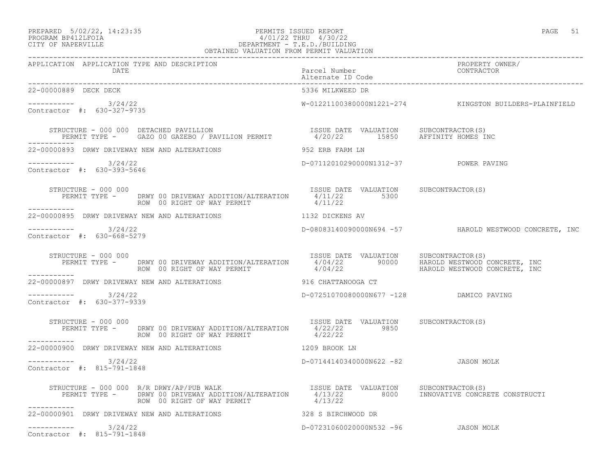# PREPARED 5/02/22, 14:23:35 PERMITS ISSUED REPORT PROGRAM BP412LFOIA PROGRAM BP412LFOIA 4/01/22 THRU 4/30/22 CITY OF NAPERVILLE DEPARTMENT - T.E.D./BUILDING

| ×<br>۰. | v<br>۰. |
|---------|---------|
|         |         |

| OBTAINED VALUATION FROM PERMIT VALUATION                                                                                                                                                                                                                                                                                             |                                                  |                                                        |
|--------------------------------------------------------------------------------------------------------------------------------------------------------------------------------------------------------------------------------------------------------------------------------------------------------------------------------------|--------------------------------------------------|--------------------------------------------------------|
| APPLICATION APPLICATION TYPE AND DESCRIPTION<br><b>DATE</b>                                                                                                                                                                                                                                                                          | Parcel Number<br>Alternate ID Code               | PROPERTY OWNER/<br>CONTRACTOR                          |
| 22-00000889 DECK DECK                                                                                                                                                                                                                                                                                                                | 5336 MILKWEED DR                                 |                                                        |
| ---------- 3/24/22<br>Contractor #: 630-327-9735                                                                                                                                                                                                                                                                                     |                                                  | W-01221100380000N1221-274 KINGSTON BUILDERS-PLAINFIELD |
| $\begin{array}{cccc} \texttt{STRUCTURE} - 000 000 & \texttt{DETACHED} & \texttt{PAVILLION} & \texttt{ISSUE} & \texttt{DATE} & \texttt{VALUATION} & \texttt{SUBCONTRACTOR(S)} \\ \texttt{PERMIT TYPE} - \texttt{GAZO 00 GAZEBO} / \texttt{PAVILION} & \texttt{PERMIT} & 4/20/22 & 15850 & \texttt{AFFINITE HOMES INC} \\ \end{array}$ |                                                  |                                                        |
| 22-00000893 DRWY DRIVEWAY NEW AND ALTERATIONS                                                                                                                                                                                                                                                                                        | 952 ERB FARM LN                                  |                                                        |
| $--------$ 3/24/22<br>Contractor #: 630-393-5646                                                                                                                                                                                                                                                                                     | D-07112010290000N1312-37 POWER PAVING            |                                                        |
| STRUCTURE - 000 000<br>PERMIT TYPE - DRWY 00 DRIVEWAY ADDITION/ALTERATION 4/11/22 5300<br>ROW 00 RIGHT OF WAY PERMIT<br>------------                                                                                                                                                                                                 | ISSUE DATE VALUATION SUBCONTRACTOR(S)<br>4/11/22 |                                                        |
| 22-00000895 DRWY DRIVEWAY NEW AND ALTERATIONS THE RESERVED STOLEN AV                                                                                                                                                                                                                                                                 |                                                  |                                                        |
| ----------- 3/24/22<br>Contractor #: 630-668-5279                                                                                                                                                                                                                                                                                    |                                                  | D-08083140090000N694 -57 HAROLD WESTWOOD CONCRETE, INC |
| STRUCTURE - 000 000<br>PERMIT TYPE - DRWY 00 DRIVEWAY ADDITION/ALTERATION 4/04/22 90000 HAROLD WESTWOOD CONCRETE, INC                                                                                                                                                                                                                | ISSUE DATE VALUATION SUBCONTRACTOR(S)            |                                                        |
|                                                                                                                                                                                                                                                                                                                                      |                                                  |                                                        |
| $--------- 3/24/22$<br>Contractor #: 630-377-9339                                                                                                                                                                                                                                                                                    | D-07251070080000N677 -128 DAMICO PAVING          |                                                        |
| STRUCTURE - 000 000<br>PERMIT TYPE - DRWY 00 DRIVEWAY ADDITION/ALTERATION 4/22/22 9850<br>STRUCTURE - 000 000<br>ROW 00 RIGHT OF WAY PERMIT                                                                                                                                                                                          | 4/22/22                                          |                                                        |
| -----------<br>22-00000900 DRWY DRIVEWAY NEW AND ALTERATIONS 1209 BROOK LN                                                                                                                                                                                                                                                           |                                                  |                                                        |
| $--------- 3/24/22$<br>Contractor #: 815-791-1848                                                                                                                                                                                                                                                                                    | D-07144140340000N622 -82 JASON MOLK              |                                                        |
| STRUCTURE - 000 000 $R/R$ DRWY/AP/PUB WALK<br>------------                                                                                                                                                                                                                                                                           |                                                  |                                                        |
| 22-00000901 DRWY DRIVEWAY NEW AND ALTERATIONS THE RESERVED SEE STRICHWOOD DR                                                                                                                                                                                                                                                         |                                                  |                                                        |
| $--------$ 3/24/22<br>Contractor #: 815-791-1848                                                                                                                                                                                                                                                                                     | D-07231060020000N532 -96 JASON MOLK              |                                                        |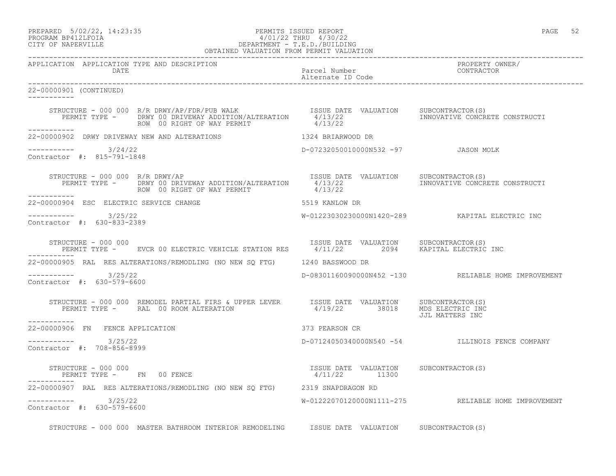# PREPARED 5/02/22, 14:23:35 PERMITS ISSUED REPORT PAGE 52 PROGRAM BP412LFOIA 4/01/22 THRU 4/30/22 CITY OF NAPERVILLE DEPARTMENT - T.E.D./BUILDING

|                                                             | OBTAINED VALUATION FROM PERMIT VALUATION                                                                                                                                                                                                                                                                              |                                     |                                                     |
|-------------------------------------------------------------|-----------------------------------------------------------------------------------------------------------------------------------------------------------------------------------------------------------------------------------------------------------------------------------------------------------------------|-------------------------------------|-----------------------------------------------------|
| APPLICATION APPLICATION TYPE AND DESCRIPTION<br><b>DATE</b> |                                                                                                                                                                                                                                                                                                                       | Parcel Number<br>Alternate ID Code  | PROPERTY OWNER/<br>CONTRACTOR                       |
| 22-00000901 (CONTINUED)<br>------------                     |                                                                                                                                                                                                                                                                                                                       |                                     |                                                     |
| ------------                                                | STRUCTURE - 000 000 R/R DRWY/AP/FDR/PUB WALK [ISSUE DATE VALUATION SUBCONTRACTOR(S)<br>PERMIT TYPE - DRWY 00 DRIVEWAY ADDITION/ALTERATION 4/13/22 [INNOVATIVE CONCRETE CONSTRUCTI<br>ROW 00 RIGHT OF WAY PERMIT                                                                                                       | 4/13/22                             |                                                     |
|                                                             | 22-00000902 DRWY DRIVEWAY NEW AND ALTERATIONS THE RESERVED OF THE RESERVED DR                                                                                                                                                                                                                                         |                                     |                                                     |
| -----------    3/24/22<br>Contractor #: 815-791-1848        |                                                                                                                                                                                                                                                                                                                       | D-07232050010000N532 -97 JASON MOLK |                                                     |
|                                                             | STRUCTURE - 000 000 R/R DRWY/AP<br>PERMIT TYPE - DRWY 00 DRIVEWAY ADDITION/ALTERATION 4/13/22<br>ROW 00 RIGHT OF WAY PERMIT 4/13/22<br>4/13/22                                                                                                                                                                        |                                     |                                                     |
| 22-00000904 ESC ELECTRIC SERVICE CHANGE                     | 5519 KANLOW DR                                                                                                                                                                                                                                                                                                        |                                     |                                                     |
| $--------- 3/25/22$<br>Contractor #: 630-833-2389           |                                                                                                                                                                                                                                                                                                                       |                                     | W-01223030230000N1420-289 KAPITAL ELECTRIC INC      |
|                                                             | STRUCTURE - 000 000<br>PERMIT TYPE - EVCR 00 ELECTRIC VEHICLE STATION RES 1/11/22 2094 KAPITAL ELECTRIC INC                                                                                                                                                                                                           |                                     |                                                     |
|                                                             | 22-00000905 RAL RES ALTERATIONS/REMODLING (NO NEW SQ FTG) 1240 BASSWOOD DR                                                                                                                                                                                                                                            |                                     |                                                     |
| $--------- 3/25/22$<br>Contractor #: 630-579-6600           |                                                                                                                                                                                                                                                                                                                       |                                     | D-08301160090000N452 -130 RELIABLE HOME IMPROVEMENT |
| -----------                                                 | $\begin{tabular}{lllllllllllll} \texttt{STRUCTURE} & - & 000 & 000 & \texttt{REMODEL PARTIAL FIRS & UPPER LEVER} & \texttt{ISUE DATE} & \texttt{VALUATION} & \texttt{SUBCONTRACTOR(S)} \\ \texttt{PERMIT TYPE} & - & \texttt{RAL} & 00\texttt{ ROM ALTERATION} & 4/19/22 & 38018 & MDS ELECTRIC INC \\ \end{tabular}$ |                                     | JJL MATTERS INC                                     |
| 22-00000906 FN FENCE APPLICATION                            |                                                                                                                                                                                                                                                                                                                       | 373 PEARSON CR                      |                                                     |
| $--------$ 3/25/22<br>Contractor #: 708-856-8999            |                                                                                                                                                                                                                                                                                                                       |                                     | D-07124050340000N540 -54 ILLINOIS FENCE COMPANY     |
|                                                             |                                                                                                                                                                                                                                                                                                                       |                                     |                                                     |
|                                                             | 22-00000907 RAL RES ALTERATIONS/REMODLING (NO NEW SQ FTG) 2319 SNAPDRAGON RD                                                                                                                                                                                                                                          |                                     |                                                     |
| $--------- 3/25/22$<br>Contractor #: 630-579-6600           |                                                                                                                                                                                                                                                                                                                       |                                     | W-01222070120000N1111-275 RELIABLE HOME IMPROVEMENT |
|                                                             | STRUCTURE - 000 000 MASTER BATHROOM INTERIOR REMODELING ISSUE DATE VALUATION SUBCONTRACTOR(S)                                                                                                                                                                                                                         |                                     |                                                     |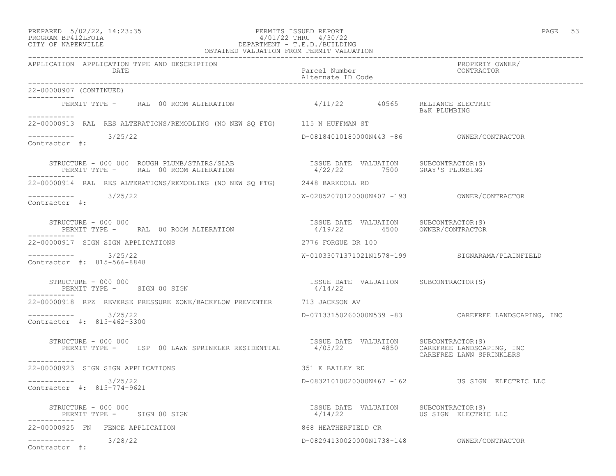## PREPARED 5/02/22, 14:23:35 PERMITS ISSUED REPORT PAGE 53 PROGRAM BP412LFOIA 4/01/22 THRU 4/30/22 CITY OF NAPERVILLE DEPARTMENT - T.E.D./BUILDING

| OBTAINED VALUATION FROM PERMIT VALUATION                                                                                                                                                                                                                                                                                                                                                                  |                                                                       |                                                       |
|-----------------------------------------------------------------------------------------------------------------------------------------------------------------------------------------------------------------------------------------------------------------------------------------------------------------------------------------------------------------------------------------------------------|-----------------------------------------------------------------------|-------------------------------------------------------|
| APPLICATION APPLICATION TYPE AND DESCRIPTION<br>DATE                                                                                                                                                                                                                                                                                                                                                      | Parcel Number<br>Alternate ID Code                                    | PROPERTY OWNER/<br>CONTRACTOR                         |
| 22-00000907 (CONTINUED)<br>------------                                                                                                                                                                                                                                                                                                                                                                   |                                                                       |                                                       |
| PERMIT TYPE - RAL 00 ROOM ALTERATION 4/11/22 40565 RELIANCE ELECTRIC<br>-----------                                                                                                                                                                                                                                                                                                                       |                                                                       | B&K PLUMBING                                          |
| 22-00000913 RAL RES ALTERATIONS/REMODLING (NO NEW SQ FTG) 115 N HUFFMAN ST                                                                                                                                                                                                                                                                                                                                |                                                                       |                                                       |
| $--------- 3/25/22$<br>Contractor #:                                                                                                                                                                                                                                                                                                                                                                      |                                                                       |                                                       |
| STRUCTURE - 000 000 ROUGH PLUMB/STAIRS/SLAB<br>PERMIT TYPE - RAL 00 ROOM ALTERATION                                                                                                                                                                                                                                                                                                                       | ISSUE DATE VALUATION SUBCONTRACTOR(S)<br>4/22/22 7500 GRAY'S PLUMBING |                                                       |
| 22-00000914 RAL RES ALTERATIONS/REMODLING (NO NEW SQ FTG) 2448 BARKDOLL RD                                                                                                                                                                                                                                                                                                                                |                                                                       |                                                       |
| $---------$ 3/25/22<br>Contractor #:                                                                                                                                                                                                                                                                                                                                                                      |                                                                       |                                                       |
| $\begin{array}{cccccccc} \texttt{STRUCTURE} & - & 000 & 000 & & & & & \\ \texttt{PERMIT TYPE} & - & \texttt{RAL} & 00 & \texttt{ROOM ALTERATION} & & & & & \\ \texttt{PERMIT TYPE} & - & \texttt{RAL} & 00 & \texttt{ROM RARTION} & & & & \\ \end{array} \qquad \begin{array}{cccc} \texttt{ISSUE} & \texttt{DATE} & \texttt{VALUATION} & & \texttt{SUBCONTRACTOR} \\ 4/19/22 & & 4500 & & 0 \end{array}$ |                                                                       |                                                       |
| 22-00000917 SIGN SIGN APPLICATIONS                                                                                                                                                                                                                                                                                                                                                                        | 2776 FORGUE DR 100                                                    |                                                       |
| $--------- 3/25/22$<br>Contractor #: 815-566-8848                                                                                                                                                                                                                                                                                                                                                         |                                                                       | W-01033071371021N1578-199 SIGNARAMA/PLAINFIELD        |
| STRUCTURE - 000 000<br>PERMIT TYPE - SIGN 00 SIGN                                                                                                                                                                                                                                                                                                                                                         | ISSUE DATE VALUATION SUBCONTRACTOR(S)<br>4/14/22                      |                                                       |
| 22-00000918 RPZ REVERSE PRESSURE ZONE/BACKFLOW PREVENTER 6713 JACKSON AV                                                                                                                                                                                                                                                                                                                                  |                                                                       |                                                       |
| ----------- 3/25/22<br>Contractor #: 815-462-3300                                                                                                                                                                                                                                                                                                                                                         |                                                                       | D-07133150260000N539 -83 CAREFREE LANDSCAPING, INC    |
| TRUCTURE - 000 000<br>PERMIT TYPE -     LSP 00 LAWN SPRINKLER RESIDENTIAL             4/05/22        4850     CAREFREE LANDSCA<br>STRUCTURE - 000 000<br>-----------                                                                                                                                                                                                                                      |                                                                       | CAREFREE LANDSCAPING, INC<br>CAREFREE LAWN SPRINKLERS |
| 22-00000923 SIGN SIGN APPLICATIONS                                                                                                                                                                                                                                                                                                                                                                        | 351 E BAILEY RD                                                       |                                                       |
| 3/25/22<br>Contractor #: 815-774-9621                                                                                                                                                                                                                                                                                                                                                                     |                                                                       | D-08321010020000N467 -162 US SIGN ELECTRIC LLC        |
| STRUCTURE - 000 000<br>PERMIT TYPE - SIGN 00 SIGN                                                                                                                                                                                                                                                                                                                                                         | ISSUE DATE VALUATION SUBCONTRACTOR(S)<br>4/14/22                      | US SIGN ELECTRIC LLC                                  |
| 22-00000925 FN FENCE APPLICATION                                                                                                                                                                                                                                                                                                                                                                          | 868 HEATHERFIELD CR                                                   |                                                       |
| ----------- 3/28/22<br>Contractor #:                                                                                                                                                                                                                                                                                                                                                                      |                                                                       | D-08294130020000N1738-148 OWNER/CONTRACTOR            |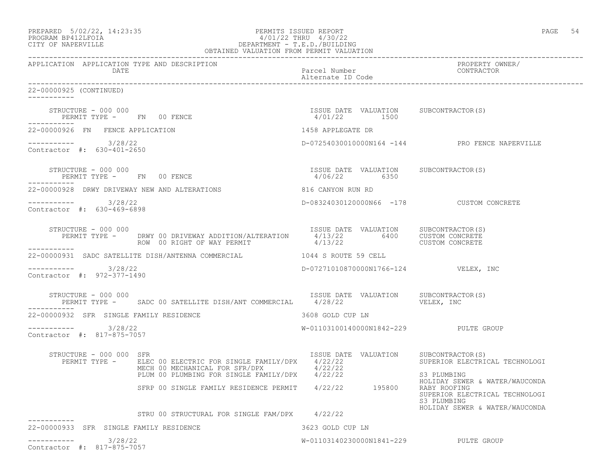|                                                      | PERMITS ISSUED REPORT<br>PERMITS ISSUED REPORT<br>PROGRAM BP412LFOIA<br>CITY OF NAPERVILLE<br>CITY OF NAPERVILLE<br>PERMIT VALUATION<br>OBTAINED VALUATION FROM PERMIT VALUATION<br>OBTAINED VALUATION<br>OBTAINED VALUATION<br>OBTAINED VALUATI                                                                                             |                                                       | PAGE 54                                                                                         |
|------------------------------------------------------|----------------------------------------------------------------------------------------------------------------------------------------------------------------------------------------------------------------------------------------------------------------------------------------------------------------------------------------------|-------------------------------------------------------|-------------------------------------------------------------------------------------------------|
| APPLICATION APPLICATION TYPE AND DESCRIPTION<br>DATE |                                                                                                                                                                                                                                                                                                                                              | Parcel Number<br>Alternate ID Code                    | PROPERTY OWNER/<br>CONTRACTOR                                                                   |
| 22-00000925 (CONTINUED)<br>------------              |                                                                                                                                                                                                                                                                                                                                              |                                                       |                                                                                                 |
| -----------                                          | $\begin{array}{cccccccccc} \texttt{STRUCTURE} & - & 000 & 000 & & & & & & & \\ \texttt{PERMIT TYPE} & - & & \texttt{FN} & 00 & \texttt{FENCE} & & & & & & \\ \end{array} \hspace{2.5cm} \begin{array}{cccccccccc} \texttt{SSUB} & \texttt{DATE} & \texttt{VALUATION} & \texttt{SUBCONTRACTOR(S)} \\ & 4/01/22 & & 1500 & & & \\ \end{array}$ |                                                       |                                                                                                 |
| 22-00000926 FN FENCE APPLICATION                     |                                                                                                                                                                                                                                                                                                                                              | 1458 APPLEGATE DR                                     |                                                                                                 |
| $--------- 3/28/22$<br>Contractor #: 630-401-2650    |                                                                                                                                                                                                                                                                                                                                              |                                                       | D-07254030010000N164 -144 PRO FENCE NAPERVILLE                                                  |
| STRUCTURE - 000 000<br>PERMIT TYPE - FN 00 FENCE     |                                                                                                                                                                                                                                                                                                                                              | ISSUE DATE VALUATION SUBCONTRACTOR(S)<br>4/06/22 6350 |                                                                                                 |
|                                                      | 22-00000928 DRWY DRIVEWAY NEW AND ALTERATIONS                                                                                                                                                                                                                                                                                                | 816 CANYON RUN RD                                     |                                                                                                 |
| $--------- 3/28/22$<br>Contractor #: 630-469-6898    |                                                                                                                                                                                                                                                                                                                                              | D-08324030120000N66 -178 CUSTOM CONCRETE              |                                                                                                 |
| STRUCTURE - 000 000<br>------------                  | PERMIT TYPE - DRWY 00 DRIVEWAY ADDITION/ALTERATION 4/13/22<br>ROW 00 RIGHT OF WAY PERMIT - 4/13/22 6400 CUSTOM CONCRETE                                                                                                                                                                                                                      | ISSUE DATE VALUATION SUBCONTRACTOR(S)                 |                                                                                                 |
|                                                      | 22-00000931 SADC SATELLITE DISH/ANTENNA COMMERCIAL 1044 S ROUTE 59 CELL                                                                                                                                                                                                                                                                      |                                                       |                                                                                                 |
| $--------- 3/28/22$<br>Contractor #: 972-377-1490    |                                                                                                                                                                                                                                                                                                                                              | D-07271010870000N1766-124 VELEX, INC                  |                                                                                                 |
| STRUCTURE - 000 000<br>-----------                   | PERMIT TYPE - SADC 00 SATELLITE DISH/ANT COMMERCIAL 4/28/22 5 6 7 VELEX, INC                                                                                                                                                                                                                                                                 | ISSUE DATE VALUATION SUBCONTRACTOR(S)                 |                                                                                                 |
| 22-00000932 SFR SINGLE FAMILY RESIDENCE              | 3608 GOLD CUP LN                                                                                                                                                                                                                                                                                                                             |                                                       |                                                                                                 |
| $--------- 3/28/22$<br>Contractor #: 817-875-7057    |                                                                                                                                                                                                                                                                                                                                              | W-01103100140000N1842-229 PULTE GROUP                 |                                                                                                 |
| STRUCTURE - 000 000 SFR                              | PERMIT TYPE - ELEC 00 ELECTRIC FOR SINGLE FAMILY/DPX 4/22/22<br>MECH 00 MECHANICAL FOR SFR/DPX 4/22/22<br>PLUM 00 PLUMBING FOR SINGLE FAMILY/DPX 4/22/22                                                                                                                                                                                     | ISSUE DATE VALUATION SUBCONTRACTOR(S)                 | SUPERIOR ELECTRICAL TECHNOLOGI<br>S3 PLUMBING                                                   |
|                                                      | SFRP 00 SINGLE FAMILY RESIDENCE PERMIT                                                                                                                                                                                                                                                                                                       | 4/22/22<br>195800                                     | HOLIDAY SEWER & WATER/WAUCONDA<br>RABY ROOFING<br>SUPERIOR ELECTRICAL TECHNOLOGI<br>S3 PLUMBING |
|                                                      | STRU 00 STRUCTURAL FOR SINGLE FAM/DPX 4/22/22                                                                                                                                                                                                                                                                                                |                                                       | HOLIDAY SEWER & WATER/WAUCONDA                                                                  |
| 22-00000933 SFR SINGLE FAMILY RESIDENCE              |                                                                                                                                                                                                                                                                                                                                              | 3623 GOLD CUP LN                                      |                                                                                                 |
| 3/28/22<br>-----------                               |                                                                                                                                                                                                                                                                                                                                              | W-01103140230000N1841-229                             | PULTE GROUP                                                                                     |

Contractor #: 817-875-7057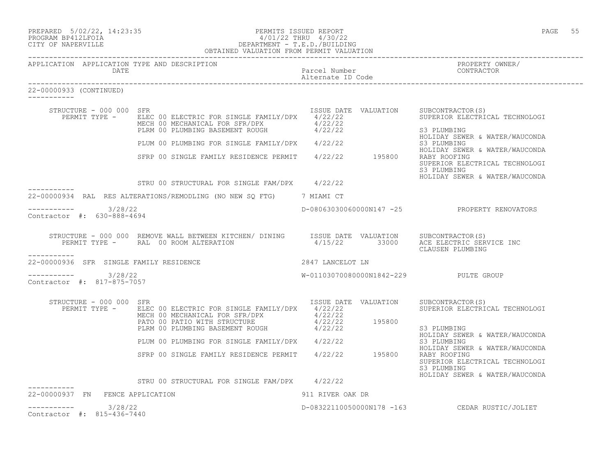| PREPARED 5/02/22, 14:23:35 |  |
|----------------------------|--|
| PROCRAM RP412LFOIA         |  |

## PERMITS ISSUED REPORT FOR STRUCK AND THE PAGE 55 PAGE 55 PROGRAM BP412LFOIA 4/01/22 THRU 4/30/22 CITY OF NAPERVILLE DEPARTMENT - T.E.D./BUILDING OBTAINED VALUATION FROM PERMIT VALUATION

------------------------------------------------------------------------------------------------------------------------------------

| APPLICATION APPLICATION TYPE AND DESCRIPTION<br>DATE   |                                                                                                                                                                                                                                                     | Parcel Number<br>Alternate ID Code | PROPERTY OWNER/<br>CONTRACTOR                                                                   |
|--------------------------------------------------------|-----------------------------------------------------------------------------------------------------------------------------------------------------------------------------------------------------------------------------------------------------|------------------------------------|-------------------------------------------------------------------------------------------------|
| 22-00000933 (CONTINUED)                                |                                                                                                                                                                                                                                                     |                                    |                                                                                                 |
| STRUCTURE - 000 000 SFR                                | ISSUE DATE VALUATION SUBCONTRACTOR(S)<br>PERMIT TYPE - ELEC 00 ELECTRIC FOR SINGLE FAMILY/DPX 4/22/22<br>MECH 00 MECHANICAL FOR SFR/DPX 4/22/22<br>PLRM 00 PLUMBING BASEMENT ROUGH 4/22/22                                                          |                                    | SUPERIOR ELECTRICAL TECHNOLOGI<br>S3 PLUMBING<br>HOLIDAY SEWER & WATER/WAUCONDA                 |
|                                                        | PLUM 00 PLUMBING FOR SINGLE FAMILY/DPX 4/22/22                                                                                                                                                                                                      |                                    | S3 PLUMBING                                                                                     |
|                                                        | SFRP 00 SINGLE FAMILY RESIDENCE PERMIT 4/22/22 195800                                                                                                                                                                                               |                                    | HOLIDAY SEWER & WATER/WAUCONDA<br>RABY ROOFING<br>SUPERIOR ELECTRICAL TECHNOLOGI<br>S3 PLUMBING |
|                                                        | STRU 00 STRUCTURAL FOR SINGLE FAM/DPX 4/22/22                                                                                                                                                                                                       |                                    | HOLIDAY SEWER & WATER/WAUCONDA                                                                  |
|                                                        | 22-00000934 RAL RES ALTERATIONS/REMODLING (NO NEW SQ FTG) 7 MIAMI CT                                                                                                                                                                                |                                    |                                                                                                 |
| $--------- 3/28/22$                                    |                                                                                                                                                                                                                                                     |                                    | D-08063030060000N147 -25 PROPERTY RENOVATORS                                                    |
| Contractor #: 630-888-4694                             |                                                                                                                                                                                                                                                     |                                    |                                                                                                 |
|                                                        | STRUCTURE - 000 000 REMOVE WALL BETWEEN KITCHEN/ DINING ISSUE DATE VALUATION SUBCONTRACTOR(S)<br>PERMIT TYPE - RAL 00 ROOM ALTERATION                                                                                                               |                                    | 4/15/22 33000 ACE ELECTRIC SERVICE INC<br>CLAUSEN PLUMBING                                      |
| -----------<br>22-00000936 SFR SINGLE FAMILY RESIDENCE | 2847 LANCELOT LN                                                                                                                                                                                                                                    |                                    |                                                                                                 |
| $--------- 3/28/22$<br>Contractor #: 817-875-7057      |                                                                                                                                                                                                                                                     |                                    | W-01103070080000N1842-229 PULTE GROUP                                                           |
| STRUCTURE - 000 000 SFR                                | PERMIT TYPE - ELEC 00 ELECTRIC FOR SINGLE FAMILY/DPX 4/22/22<br>ELEC OU ELECIAIL FOR SINGLE FATILIC PIA (22/22)<br>MECH 00 MECHANICAL FOR SFR/DPX 4/22/22<br>PATO 00 PATIO WITH STRUCTURE 4/22/22 195800<br>PLRM 00 PLUMBING BASEMENT ROUGH 4/22/22 | ISSUE DATE VALUATION               | SUBCONTRACTOR(S)<br>SUPERIOR ELECTRICAL TECHNOLOGI                                              |
|                                                        |                                                                                                                                                                                                                                                     |                                    | S3 PLUMBING<br>HOLIDAY SEWER & WATER/WAUCONDA                                                   |
|                                                        | PLUM 00 PLUMBING FOR SINGLE FAMILY/DPX 4/22/22                                                                                                                                                                                                      |                                    | S3 PLUMBING<br>HOLIDAY SEWER & WATER/WAUCONDA                                                   |
|                                                        | SFRP 00 SINGLE FAMILY RESIDENCE PERMIT 4/22/22 195800                                                                                                                                                                                               |                                    | RABY ROOFING<br>SUPERIOR ELECTRICAL TECHNOLOGI<br>S3 PLUMBING<br>HOLIDAY SEWER & WATER/WAUCONDA |
|                                                        | STRU 00 STRUCTURAL FOR SINGLE FAM/DPX 4/22/22                                                                                                                                                                                                       |                                    |                                                                                                 |
| 22-00000937 FN FENCE APPLICATION                       |                                                                                                                                                                                                                                                     | 911 RIVER OAK DR                   |                                                                                                 |
| $--------- 3/28/22$<br>Contractor #: 815-436-7440      |                                                                                                                                                                                                                                                     |                                    | D-08322110050000N178 -163 CEDAR RUSTIC/JOLIET                                                   |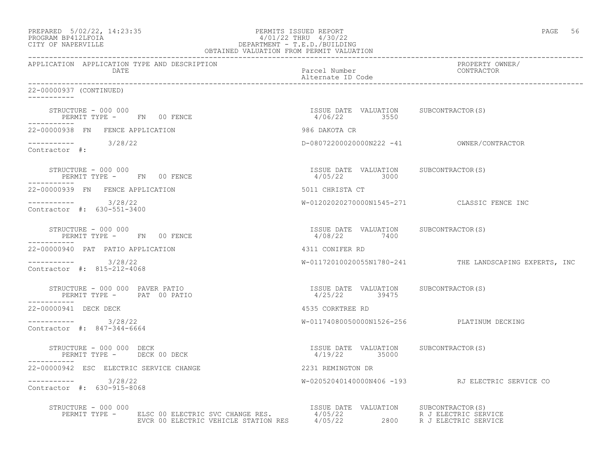| PREPARED            | $5/02/22$ , 14:23:35 |  |
|---------------------|----------------------|--|
| DDOOD3M DD410T DOT3 |                      |  |

# PREPARED 5/02/22, 14:23:35 PERMITS ISSUED REPORT<br>PROGRAM BP412LFOIA PAGE 56 AND 1/22 THRU 4/30/22 PROGRAM BP412LFOIA  $4/01/22$  THRU  $4/30/22$ <br>CITY OF NAPERVILLE CITY OF NAPERVILLE DEPARTMENT - T.E.D./BUILDING

| OBTAINED VALUATION FROM PERMIT VALUATION                                                                                                                                                                                                                                                                                                      |                                                        |                                                        |  |  |
|-----------------------------------------------------------------------------------------------------------------------------------------------------------------------------------------------------------------------------------------------------------------------------------------------------------------------------------------------|--------------------------------------------------------|--------------------------------------------------------|--|--|
| APPLICATION APPLICATION TYPE AND DESCRIPTION<br>DATE                                                                                                                                                                                                                                                                                          | Parcel Number<br>Alternate ID Code                     | PROPERTY OWNER/<br>CONTRACTOR                          |  |  |
| 22-00000937 (CONTINUED)                                                                                                                                                                                                                                                                                                                       |                                                        |                                                        |  |  |
| $\begin{array}{cccccccccc} \texttt{STRUCTURE} & - & 000 & 000 & & & & & & \\ \texttt{PERMIT TYPE} & - & \texttt{FN} & 00 & \texttt{FENCE} & & & & & \\ \end{array} \hspace{2.5in} \begin{array}{cccccccccc} \texttt{S5UE} & \texttt{DATE} & \texttt{VALUATION} & \texttt{SUBCONTRACTOR(S)} \\ \texttt{4/06/22} & 3550 & & & & \\ \end{array}$ |                                                        |                                                        |  |  |
| 22-00000938 FN FENCE APPLICATION                                                                                                                                                                                                                                                                                                              | 986 DAKOTA CR                                          |                                                        |  |  |
| $--------- 3/28/22$<br>Contractor #:                                                                                                                                                                                                                                                                                                          |                                                        |                                                        |  |  |
| STRUCTURE - 000 000<br>PERMIT TYPE - FN 00 FENCE<br>-----------                                                                                                                                                                                                                                                                               | ISSUE DATE VALUATION SUBCONTRACTOR(S)<br>4/05/22 3000  |                                                        |  |  |
| 22-00000939 FN FENCE APPLICATION                                                                                                                                                                                                                                                                                                              | 5011 CHRISTA CT                                        |                                                        |  |  |
| $--------- 3/28/22$<br>Contractor #: 630-551-3400                                                                                                                                                                                                                                                                                             |                                                        | W-01202020270000N1545-271 CLASSIC FENCE INC            |  |  |
| STRUCTURE - 000 000<br>PERMIT TYPE - FN 00 FENCE<br>-----------                                                                                                                                                                                                                                                                               | ISSUE DATE VALUATION SUBCONTRACTOR(S)<br>4/08/22 7400  |                                                        |  |  |
| 22-00000940 PAT PATIO APPLICATION                                                                                                                                                                                                                                                                                                             | 4311 CONIFER RD                                        |                                                        |  |  |
| $--------- 3/28/22$<br>Contractor #: 815-212-4068                                                                                                                                                                                                                                                                                             |                                                        | W-01172010020055N1780-241 THE LANDSCAPING EXPERTS, INC |  |  |
| STRUCTURE - 000 000 PAVER PATIO<br>PERMIT TYPE - PAT 00 PATIO<br>-----------                                                                                                                                                                                                                                                                  | ISSUE DATE VALUATION SUBCONTRACTOR(S)<br>4/25/22 39475 |                                                        |  |  |
| 22-00000941 DECK DECK                                                                                                                                                                                                                                                                                                                         | 4535 CORKTREE RD                                       |                                                        |  |  |
| $--------- 3/28/22$<br>Contractor #: 847-344-6664                                                                                                                                                                                                                                                                                             |                                                        | W-01174080050000N1526-256 PLATINUM DECKING             |  |  |
| STRUCTURE - 000 000 DECK<br>PERMIT TYPE - DECK 00 DECK                                                                                                                                                                                                                                                                                        | ISSUE DATE VALUATION SUBCONTRACTOR(S)<br>4/19/22 35000 |                                                        |  |  |
| 22-00000942 ESC ELECTRIC SERVICE CHANGE                                                                                                                                                                                                                                                                                                       | 2231 REMINGTON DR                                      |                                                        |  |  |
| $--------- 3/28/22$<br>Contractor #: 630-915-8068                                                                                                                                                                                                                                                                                             |                                                        | W-02052040140000N406 -193 RJ ELECTRIC SERVICE CO       |  |  |
| STRUCTURE - 000 000<br>NUCTURE - 000 000<br>PERMIT TYPE - ELSC 00 ELECTRIC SVC CHANGE RES. 4/05/22 R J ELECTRIC SERVICE<br>EVCR 00 ELECTRIC VEHICLE STATION RES 4/05/22 2800 R J ELECTRIC SERVICE                                                                                                                                             |                                                        |                                                        |  |  |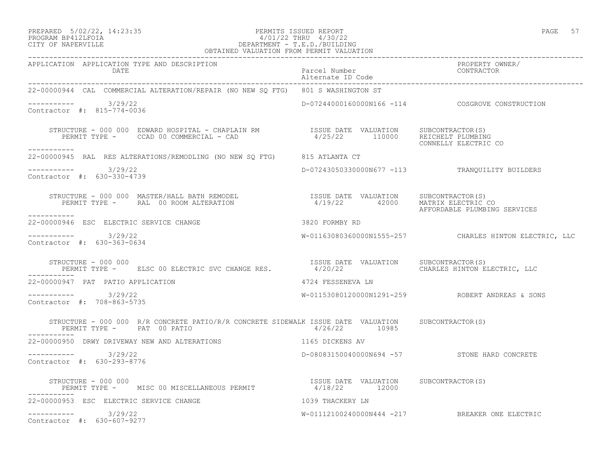## PREPARED 5/02/22, 14:23:35 PERMITS ISSUED REPORT PAGE 57 PROGRAM BP412LFOIA 4/01/22 THRU 4/30/22 CITY OF NAPERVILLE DEPARTMENT - T.E.D./BUILDING

| OBTAINED VALUATION FROM PERMIT VALUATION                                                                                                                                                                                          |                                    |                                                        |
|-----------------------------------------------------------------------------------------------------------------------------------------------------------------------------------------------------------------------------------|------------------------------------|--------------------------------------------------------|
| APPLICATION APPLICATION TYPE AND DESCRIPTION<br>DATE                                                                                                                                                                              | Parcel Number<br>Alternate ID Code | PROPERTY OWNER/<br>CONTRACTOR                          |
| 22-00000944 CAL COMMERCIAL ALTERATION/REPAIR (NO NEW SQ FTG) 801 S WASHINGTON ST                                                                                                                                                  |                                    |                                                        |
| -----------    3/29/22<br>Contractor #: 815-774-0036                                                                                                                                                                              |                                    | D-07244000160000N166 -114 COSGROVE CONSTRUCTION        |
| STRUCTURE - 000 000 EDWARD HOSPITAL - CHAPLAIN RM                ISSUE DATE VALUATION     SUBCONTRACTOR(S)<br>PERMIT TYPE -      CCAD 00 COMMERCIAL - CAD                                 4/25/22             110000     REICHELT |                                    |                                                        |
| 22-00000945 RAL RES ALTERATIONS/REMODLING (NO NEW SQ FTG) 815 ATLANTA CT                                                                                                                                                          |                                    |                                                        |
| ---------- 3/29/22<br>Contractor #: 630-330-4739                                                                                                                                                                                  |                                    | D-07243050330000N677 -113 TRANQUILITY BUILDERS         |
| STRUCTURE – 000 000 MASTER/HALL BATH REMODEL                      ISSUE DATE VALUATION     SUBCONTRACTOR(S)<br>PERMIT TYPE –     RAL 00 ROOM ALTERATION                        4/19/22      42000   MATRIX ELECTRIC CO            |                                    | AFFORDABLE PLUMBING SERVICES                           |
| 22-00000946 ESC ELECTRIC SERVICE CHANGE 600 18820 FORMBY RD                                                                                                                                                                       |                                    |                                                        |
| $--------- 3/29/22$<br>Contractor #: 630-363-0634                                                                                                                                                                                 |                                    | W-01163080360000N1555-257 CHARLES HINTON ELECTRIC, LLC |
| STRUCTURE - 000 000<br>PERMIT TYPE -    ELSC 00 ELECTRIC SVC CHANGE RES.           4/20/22        CHARLES HINTON ELECTRIC, LLC                                                                                                    |                                    |                                                        |
| 22-00000947 PAT PATIO APPLICATION                                                                                                                                                                                                 | 4724 FESSENEVA LN                  |                                                        |
| $--------- 3/29/22$<br>Contractor #: 708-863-5735                                                                                                                                                                                 |                                    | W-01153080120000N1291-259 ROBERT ANDREAS & SONS        |
| STRUCTURE - 000 000 R/R CONCRETE PATIO/R/R CONCRETE SIDEWALK ISSUE DATE VALUATION SUBCONTRACTOR(S)                                                                                                                                |                                    |                                                        |
| 22-00000950 DRWY DRIVEWAY NEW AND ALTERATIONS                                                                                                                                                                                     | 1165 DICKENS AV                    |                                                        |
| ----------- 3/29/22<br>Contractor #: 630-293-8776                                                                                                                                                                                 |                                    | D-08083150040000N694 -57 STONE HARD CONCRETE           |
| STRUCTURE – 000 000<br>PERMIT TYPE – MISC 00 MISCELLANEOUS PERMIT – 1/18/22 12000 SUBCONTRACTOR(S)                                                                                                                                |                                    |                                                        |
| 22-00000953 ESC ELECTRIC SERVICE CHANGE<br>1039 THACKERY LN                                                                                                                                                                       |                                    |                                                        |
| $--------- 3/29/22$<br>Contractor #: 630-607-9277                                                                                                                                                                                 |                                    | W-01112100240000N444 -217 BREAKER ONE ELECTRIC         |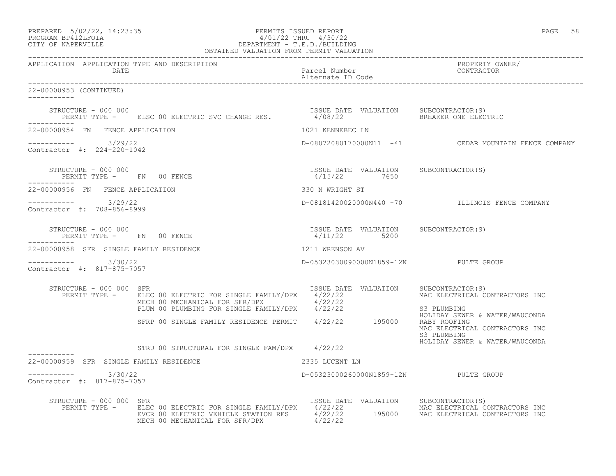| PREPARED            | $5/02/22$ , $14:23:35$ |
|---------------------|------------------------|
| DDOOD3M DD410T DOT3 |                        |

# PREPARED 5/02/22, 14:23:35 PERMITS ISSUED REPORT<br>PROGRAM BP412LFOIA PAGE 58 PERMITS ISSUED REPORT AND 1/30/22 PROGRAM BP412LFOIA 4/01/22 THRU 4/30/22<br>CITY OF NAPERVILLE DEPARTMENT - T.E.D./BUILDIN CITY OF NAPERVILLE DEPARTMENT - T.E.D./BUILDING

|                                                                             | OBTAINED VALUATION FROM PERMIT VALUATION                                                                                                                                                                                                                                                                                                    |                                                       |                                                                                 |  |
|-----------------------------------------------------------------------------|---------------------------------------------------------------------------------------------------------------------------------------------------------------------------------------------------------------------------------------------------------------------------------------------------------------------------------------------|-------------------------------------------------------|---------------------------------------------------------------------------------|--|
| APPLICATION APPLICATION TYPE AND DESCRIPTION<br>DATE                        |                                                                                                                                                                                                                                                                                                                                             | Parcel Number<br>Alternate ID Code                    | PROPERTY OWNER/<br>CONTRACTOR                                                   |  |
| 22-00000953 (CONTINUED)                                                     |                                                                                                                                                                                                                                                                                                                                             |                                                       |                                                                                 |  |
|                                                                             | STRUCTURE - 000 000<br>PERMIT TYPE -     ELSC 00 ELECTRIC SVC CHANGE RES.           4/08/22                 BREAKER ONE ELECTRIC                                                                                                                                                                                                            |                                                       |                                                                                 |  |
| 22-00000954 FN FENCE APPLICATION                                            |                                                                                                                                                                                                                                                                                                                                             | 1021 KENNEBEC LN                                      |                                                                                 |  |
| $--------- 3/29/22$<br>Contractor #: 224-220-1042                           |                                                                                                                                                                                                                                                                                                                                             |                                                       | D-08072080170000N11 -41 CEDAR MOUNTAIN FENCE COMPANY                            |  |
| ___________                                                                 | $\begin{array}{cccccccccc} \texttt{STRUCTURE} & - & 000 & 000 & & & & & & \\ \texttt{PERMIT TYPE} & - & - & \texttt{FN} & 00 & \texttt{FENCE} & & & & & \\ \end{array} \hspace{2cm} \begin{array}{cccccccccc} \texttt{ISSUE} & \texttt{DATE} & \texttt{VALUATION} & & \texttt{SUBCONTRACTOR(S)} \\ & 4/15/22 & & 7650 & & & \\ \end{array}$ |                                                       |                                                                                 |  |
| 22-00000956 FN FENCE APPLICATION                                            |                                                                                                                                                                                                                                                                                                                                             | 330 N WRIGHT ST                                       |                                                                                 |  |
| $--------- 3/29/22$<br>Contractor #: 708-856-8999                           |                                                                                                                                                                                                                                                                                                                                             |                                                       | D-08181420020000N440 -70 ILLINOIS FENCE COMPANY                                 |  |
| STRUCTURE - 000 000<br>PERMIT TYPE - FN 00 FENCE<br>. _ _ _ _ _ _ _ _ _ _ _ |                                                                                                                                                                                                                                                                                                                                             | ISSUE DATE VALUATION SUBCONTRACTOR(S)<br>4/11/22 5200 |                                                                                 |  |
| 22-00000958 SFR SINGLE FAMILY RESIDENCE                                     |                                                                                                                                                                                                                                                                                                                                             | 1211 WRENSON AV                                       |                                                                                 |  |
| $--------- 3/30/22$<br>Contractor #: 817-875-7057                           |                                                                                                                                                                                                                                                                                                                                             | D-05323030090000N1859-12N PULTE GROUP                 |                                                                                 |  |
| STRUCTURE - 000 000 SFR                                                     | PERMIT TYPE - ELEC 00 ELECTRIC FOR SINGLE FAMILY/DPX 4/22/22<br>ELEC 00 ELECTRIC FOR SINGLE FAMILIZUES 3722/22<br>MECH 00 MECHANICAL FOR SFR/DPX 4/22/22<br>PLUM 00 PLUMBING FOR SINGLE FAMILY/DPX 4/22/22                                                                                                                                  | ISSUE DATE VALUATION SUBCONTRACTOR(S)                 | MAC ELECTRICAL CONTRACTORS INC<br>S3 PLUMBING                                   |  |
|                                                                             | SFRP 00 SINGLE FAMILY RESIDENCE PERMIT 4/22/22 195000 RABY ROOFING                                                                                                                                                                                                                                                                          |                                                       | HOLIDAY SEWER & WATER/WAUCONDA<br>MAC ELECTRICAL CONTRACTORS INC<br>S3 PLUMBING |  |
|                                                                             | STRU 00 STRUCTURAL FOR SINGLE FAM/DPX 4/22/22                                                                                                                                                                                                                                                                                               |                                                       | HOLIDAY SEWER & WATER/WAUCONDA                                                  |  |
| 22-00000959 SFR SINGLE FAMILY RESIDENCE                                     | 2335 LUCENT LN                                                                                                                                                                                                                                                                                                                              |                                                       |                                                                                 |  |
| $--------- 3/30/22$<br>Contractor #: 817-875-7057                           |                                                                                                                                                                                                                                                                                                                                             | D-05323000260000N1859-12N PULTE GROUP                 |                                                                                 |  |
| STRUCTURE - 000 000 SFR                                                     | PERMIT TYPE - ELEC 00 ELECTRIC FOR SINGLE FAMILY/DPX 4/22/22<br>EVCR 00 ELECTRIC VEHICLE STATION RES 4/22/22 195000 MAC ELECTRICAL CONTRACTORS INC<br>MECH 00 MECHANICAL FOR SFR/DPX 4/22/22                                                                                                                                                | ISSUE DATE VALUATION SUBCONTRACTOR(S)                 |                                                                                 |  |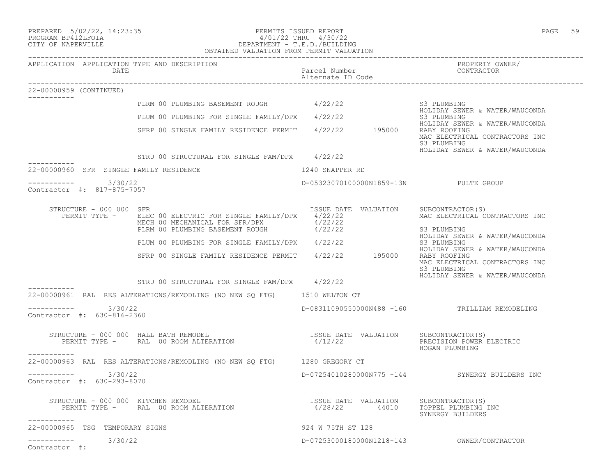| PREPARED |  | $5/02/22$ , 14:23:3 |
|----------|--|---------------------|
|          |  |                     |

Contractor #:

# PREPARED 5/02/22, 14:23:35 PERMITS ISSUED REPORT<br>PROGRAM BP412LFOIA PAGE 59 4/01/22 THRU 4/30/22 PROGRAM BP412LFOIA  $4/01/22$  THRU  $4/30/22$ <br>CITY OF NAPERVILLE CITY OF NAPERVILLE DEPARTMENT - T.E.D./BUILDING

| APPLICATION APPLICATION TYPE AND DESCRIPTION<br>DATE |                                                                                                                                                                                                                                                                                                      | Parcel Number<br>Alternate ID Code    | PROPERTY OWNER/<br>CONTRACTOR                                                                                                     |
|------------------------------------------------------|------------------------------------------------------------------------------------------------------------------------------------------------------------------------------------------------------------------------------------------------------------------------------------------------------|---------------------------------------|-----------------------------------------------------------------------------------------------------------------------------------|
| 22-00000959 (CONTINUED)<br>___________               |                                                                                                                                                                                                                                                                                                      |                                       |                                                                                                                                   |
|                                                      | PLRM 00 PLUMBING BASEMENT ROUGH $4/22/22$ S3 PLUMBING                                                                                                                                                                                                                                                |                                       | HOLIDAY SEWER & WATER/WAUCONDA                                                                                                    |
|                                                      | PLUM 00 PLUMBING FOR SINGLE FAMILY/DPX 4/22/22                                                                                                                                                                                                                                                       |                                       | S3 PLUMBING<br>HOLIDAY SEWER & WATER/WAUCONDA                                                                                     |
|                                                      | SFRP 00 SINGLE FAMILY RESIDENCE PERMIT 4/22/22 195000 RABY ROOFING                                                                                                                                                                                                                                   |                                       | MAC ELECTRICAL CONTRACTORS INC<br>S3 PLUMBING                                                                                     |
|                                                      | STRU 00 STRUCTURAL FOR SINGLE FAM/DPX 4/22/22                                                                                                                                                                                                                                                        |                                       | HOLIDAY SEWER & WATER/WAUCONDA                                                                                                    |
| 22-00000960 SFR SINGLE FAMILY RESIDENCE              |                                                                                                                                                                                                                                                                                                      | 1240 SNAPPER RD                       |                                                                                                                                   |
| 3/30/22<br>Contractor #: 817-875-7057                |                                                                                                                                                                                                                                                                                                      | D-05323070100000N1859-13N PULTE GROUP |                                                                                                                                   |
| STRUCTURE - 000 000 SFR<br>PERMIT TYPE -             | ELEC 00 ELECTRIC FOR SINGLE FAMILY/DPX 4/22/22<br>MECH 00 MECHANICAL FOR SFR/DPX $4/22/22$<br>PLRM 00 PLUMBING BASEMENT ROUGH $4/22/22$                                                                                                                                                              | ISSUE DATE VALUATION SUBCONTRACTOR(S) | MAC ELECTRICAL CONTRACTORS INC<br>S3 PLUMBING                                                                                     |
|                                                      | PLUM 00 PLUMBING FOR SINGLE FAMILY/DPX 4/22/22                                                                                                                                                                                                                                                       |                                       | HOLIDAY SEWER & WATER/WAUCONDA<br>S3 PLUMBING                                                                                     |
|                                                      | SFRP 00 SINGLE FAMILY RESIDENCE PERMIT 4/22/22 195000                                                                                                                                                                                                                                                |                                       | HOLIDAY SEWER & WATER/WAUCONDA<br>RABY ROOFING<br>MAC ELECTRICAL CONTRACTORS INC<br>S3 PLUMBING<br>HOLIDAY SEWER & WATER/WAUCONDA |
|                                                      | STRU 00 STRUCTURAL FOR SINGLE FAM/DPX 4/22/22                                                                                                                                                                                                                                                        |                                       |                                                                                                                                   |
|                                                      | 22-00000961 RAL RES ALTERATIONS/REMODLING (NO NEW SQ FTG) 1510 WELTON CT                                                                                                                                                                                                                             |                                       |                                                                                                                                   |
| 3/30/22<br>Contractor #: 630-816-2360                |                                                                                                                                                                                                                                                                                                      |                                       | D-08311090550000N488 -160 TRILLIAM REMODELING                                                                                     |
| ___________                                          | $\begin{array}{ccccccccc} \texttt{STRUCTURE} & - & 000 & 000 & \texttt{HALL} \texttt{BATH} & \texttt{REMODEL} & & & & & & & & \texttt{ISSUE} \texttt{DATE} & \texttt{VALUATION} & & & & & & \texttt{SUBCONTRACTOR(S)} \\ & & & & & & & & & & & & & \texttt{PRECIISION} & \texttt{POWER} \end{array}$ |                                       | PRECISION POWER ELECTRIC<br>HOGAN PLUMBING                                                                                        |
|                                                      | 22-00000963 RAL RES ALTERATIONS/REMODLING (NO NEW SO FTG) 1280 GREGORY CT                                                                                                                                                                                                                            |                                       |                                                                                                                                   |
| 3/30/22<br>___________<br>Contractor #: 630-293-8070 |                                                                                                                                                                                                                                                                                                      |                                       | D-07254010280000N775 -144 SYNERGY BUILDERS INC                                                                                    |
| -----------                                          | STRUCTURE – 000 000 KITCHEN REMODEL<br>PERMIT TYPE – RAL 00 ROOM ALTERATION 1990 1990 1991 1992/22 44010 10PPEL PLUMBING                                                                                                                                                                             |                                       | TOPPEL PLUMBING INC<br>SYNERGY BUILDERS                                                                                           |
| 22-00000965 TSG TEMPORARY SIGNS                      |                                                                                                                                                                                                                                                                                                      | 924 W 75TH ST 128                     |                                                                                                                                   |
| 3/30/22<br>-----------                               |                                                                                                                                                                                                                                                                                                      | D-07253000180000N1218-143             | OWNER/CONTRACTOR                                                                                                                  |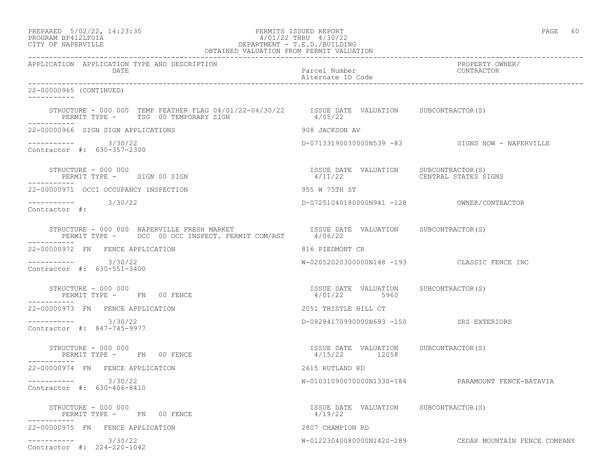| PREPARED |                    | $5/02/22$ , $14:23:35$ |
|----------|--------------------|------------------------|
|          | PROCRAM RP412LFOIA |                        |

# PERMITS ISSUED REPORT AND SERVED AND REPORT STATES OF PAGE 60 PROGRAM BP412LFOIA 4/01/22 THRU 4/30/22<br>CITY OF NAPERVILLE DEPARTMENT - T.E.D./BUILDIN CITY OF NAPERVILLE DEPARTMENT - T.E.D./BUILDING

| OBTAINED VALUATION FROM PERMIT VALUATION                                                                                              |                                                        |                                                        |  |
|---------------------------------------------------------------------------------------------------------------------------------------|--------------------------------------------------------|--------------------------------------------------------|--|
| APPLICATION APPLICATION TYPE AND DESCRIPTION<br>DATE                                                                                  | Parcel Number<br>Alternate ID Code                     | PROPERTY OWNER/<br>CONTRACTOR                          |  |
| 22-00000965 (CONTINUED)<br>------------                                                                                               |                                                        |                                                        |  |
| STRUCTURE - 000 000 TEMP FEATHER FLAG 04/01/22-04/30/22  ISSUE DATE VALUATION SUBCONTRACTOR(S)<br>PERMIT TYPE - TSG 00 TEMPORARY SIGN | 4/05/22                                                |                                                        |  |
| 22-00000966 SIGN SIGN APPLICATIONS                                                                                                    | 908 JACKSON AV                                         |                                                        |  |
| $--------$ 3/30/22<br>Contractor #: 630-357-2300                                                                                      |                                                        | D-07133190030000N539 -83 SIGNS NOW - NAPERVILLE        |  |
| STRUCTURE - 000 000<br>PERMIT TYPE - SIGN 00 SIGN                                                                                     | ISSUE DATE VALUATION SUBCONTRACTOR(S)<br>4/11/22       | CENTRAL STATES SIGNS                                   |  |
| 22-00000971 OCCI OCCUPANCY INSPECTION                                                                                                 | 955 W 75TH ST                                          |                                                        |  |
| $--------- 3/30/22$<br>Contractor #:                                                                                                  |                                                        |                                                        |  |
|                                                                                                                                       |                                                        |                                                        |  |
| 22-00000972 FN FENCE APPLICATION                                                                                                      | 816 PIEDMONT CR                                        |                                                        |  |
| $--------$ 3/30/22<br>Contractor #: 630-551-3400                                                                                      |                                                        | W-02052020300000N148 -193 CLASSIC FENCE INC            |  |
| STRUCTURE - 000 000<br>PERMIT TYPE - FN 00 FENCE                                                                                      | ISSUE DATE VALUATION SUBCONTRACTOR(S)<br>4/01/22 5960  |                                                        |  |
| 22-00000973 FN FENCE APPLICATION                                                                                                      | 2051 THISTLE HILL CT                                   |                                                        |  |
| 3/30/22<br>Contractor #: 847-745-9977                                                                                                 | D-08284170990000N693 -150 SRS EXTERIORS                |                                                        |  |
| STRUCTURE - 000 000<br>PERMIT TYPE - FN 00 FENCE<br>----------                                                                        | ISSUE DATE VALUATION SUBCONTRACTOR(S)<br>4/15/22 12058 |                                                        |  |
| 22-00000974 FN FENCE APPLICATION                                                                                                      | 2615 RUTLAND RD                                        |                                                        |  |
| ----------- 3/30/22<br>Contractor #: 630-406-8410                                                                                     |                                                        | W-01031090070000N1330-184 PARAMOUNT FENCE-BATAVIA      |  |
| STRUCTURE - 000 000<br>PERMIT TYPE - FN 00 FENCE                                                                                      | ISSUE DATE VALUATION SUBCONTRACTOR(S)<br>4/19/22       |                                                        |  |
| 22-00000975 FN FENCE APPLICATION                                                                                                      | 2807 CHAMPION RD                                       |                                                        |  |
| 3/30/22<br>___________<br>Contractor #: 224-220-1042                                                                                  |                                                        | W-01223040080000N1420-289 CEDAR MOUNTAIN FENCE COMPANY |  |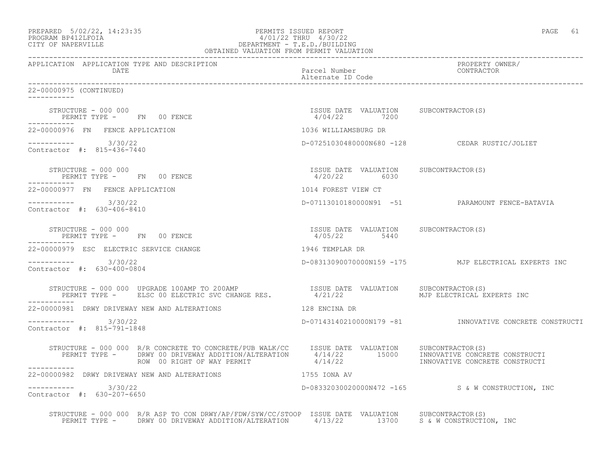| PREPARED            | $5/02/22$ , $14:23:35$ |
|---------------------|------------------------|
| DDOOD3M DD410T DOT3 |                        |

# PREPARED 5/02/22, 14:23:35 PERMITS ISSUED REPORT<br>PROGRAM BP412LFOIA PAGE 61 PROGRAM BP412LFOIA 4/01/22 THRU 4/30/22 CITY OF NAPERVILLE DEPARTMENT - T.E.D./BUILDING

| OBTAINED VALUATION FROM PERMIT VALUATION                                                                                                                                                                                                                                                                                                                                                                                                                                        |                                    |                                                         |
|---------------------------------------------------------------------------------------------------------------------------------------------------------------------------------------------------------------------------------------------------------------------------------------------------------------------------------------------------------------------------------------------------------------------------------------------------------------------------------|------------------------------------|---------------------------------------------------------|
| APPLICATION APPLICATION TYPE AND DESCRIPTION<br>DATE DATE                                                                                                                                                                                                                                                                                                                                                                                                                       | Parcel Number<br>Alternate ID Code | PROPERTY OWNER/<br>CONTRACTOR                           |
| 22-00000975 (CONTINUED)                                                                                                                                                                                                                                                                                                                                                                                                                                                         |                                    |                                                         |
|                                                                                                                                                                                                                                                                                                                                                                                                                                                                                 |                                    |                                                         |
| 22-00000976 FN FENCE APPLICATION                                                                                                                                                                                                                                                                                                                                                                                                                                                | 1036 WILLIAMSBURG DR               |                                                         |
| $--------- 3/30/22$<br>Contractor #: 815-436-7440                                                                                                                                                                                                                                                                                                                                                                                                                               |                                    | D-07251030480000N680 -128 CEDAR RUSTIC/JOLIET           |
| $\begin{array}{cccc}\n 1 & 00 & \text{FENCE} & \text{1S5UE} & \text{DATE} & \text{VALUATION} & \text{SUBCONTRACTOR(S)}\\ \n 1 & 00 & \text{FENCE} & \text{20/22} & 6030 & \text{30} & \text{30} & \text{30} & \text{30} & \text{30} & \text{30} & \text{30} & \text{30} & \text{30} & \text{30} & \text{30} & \text{30} & \text{30} & \text{30} & \text{30} & \text{30} & \text{30} & \text{30} & \text{30$<br>STRUCTURE - 000 000<br>PERMIT TYPE - FN 00 FENCE<br>------------ |                                    |                                                         |
| 22-00000977 FN FENCE APPLICATION                                                                                                                                                                                                                                                                                                                                                                                                                                                | 1014 FOREST VIEW CT                |                                                         |
| $--------- 3/30/22$<br>Contractor #: 630-406-8410                                                                                                                                                                                                                                                                                                                                                                                                                               |                                    | D-07113010180000N91 -51 PARAMOUNT FENCE-BATAVIA         |
| $\begin{array}{cccccccccc} \texttt{STRUCTURE} & - & 000 & 000 & & & & & & \\ \texttt{PERMIT TYPE} & - & & \texttt{FN} & 00 & \texttt{FENCE} & & & & & \\ \end{array} \qquad \begin{array}{cccccccccc} \texttt{ISSUE} & \texttt{DATE} & \texttt{VALUATION} & & \texttt{SUBCONTRACTOR(S)} \\ & & 4/05/22 & & 5440 & & \\ \end{array}$<br>STRUCTURE - 000 000<br>------------                                                                                                      |                                    |                                                         |
| 22-00000979 ESC ELECTRIC SERVICE CHANGE                                                                                                                                                                                                                                                                                                                                                                                                                                         | 1946 TEMPLAR DR                    |                                                         |
| $--------- 3/30/22$<br>Contractor #: 630-400-0804                                                                                                                                                                                                                                                                                                                                                                                                                               |                                    | D-08313090070000N159 -175 MJP ELECTRICAL EXPERTS INC    |
| STRUCTURE - 000 000 UPGRADE 100AMP TO 200AMP<br>PERMIT TYPE -    ELSC 00 ELECTRIC SVC CHANGE RES.        4/21/22       MJP ELECTRICAL EXPERTS INC                                                                                                                                                                                                                                                                                                                               |                                    |                                                         |
| 22-00000981 DRWY DRIVEWAY NEW AND ALTERATIONS                                                                                                                                                                                                                                                                                                                                                                                                                                   | 128 ENCINA DR                      |                                                         |
| $--------- 3/30/22$<br>Contractor #: 815-791-1848                                                                                                                                                                                                                                                                                                                                                                                                                               |                                    | D-07143140210000N179 -81 INNOVATIVE CONCRETE CONSTRUCTI |
| STRUCTURE - 000 000 R/R CONCRETE TO CONCRETE/PUB WALK/CC ISSUE DATE VALUATION SUBCONTRACTOR(S)<br>PERMIT TYPE - DRWY 00 DRIVEWAY ADDITION/ALTERATION 4/14/22 15000 INNOVATIVE CONCRETE CONSTRUCTI<br>ROW 00 RIGHT OF WAY PERMIT 4/14<br>------------                                                                                                                                                                                                                            |                                    |                                                         |
| 22-00000982 DRWY DRIVEWAY NEW AND ALTERATIONS                                                                                                                                                                                                                                                                                                                                                                                                                                   | 1755 IONA AV                       |                                                         |
| $--------- 3/30/22$<br>Contractor #: 630-207-6650                                                                                                                                                                                                                                                                                                                                                                                                                               |                                    | D-08332030020000N472 -165 S & W CONSTRUCTION, INC       |
| STRUCTURE - 000 000 R/R ASP TO CON DRWY/AP/FDW/SYW/CC/STOOP ISSUE DATE VALUATION SUBCONTRACTOR(S)<br>PERMIT TYPE - DRWY 00 DRIVEWAY ADDITION/ALTERATION 4/13/22 13700 S & W CONSTRUCTION, INC                                                                                                                                                                                                                                                                                   |                                    |                                                         |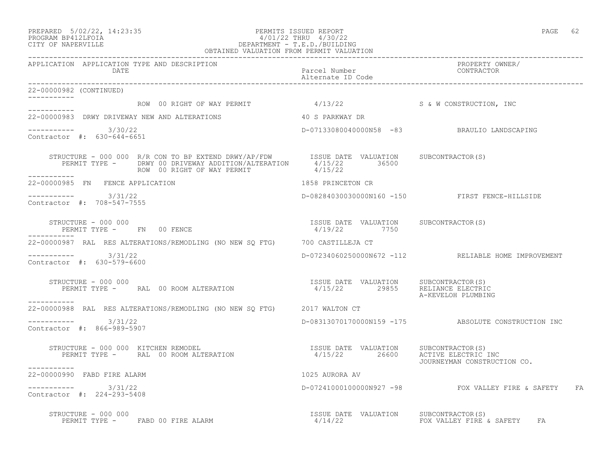-----------

-----------

-----------

\_\_\_\_\_\_\_\_\_\_\_

-----------

-----------

# PREPARED 5/02/22, 14:23:35 PERMITS ISSUED REPORT PAGE 62 PROGRAM BP412LFOIA 4/01/22 THRU 4/30/22 CITY OF NAPERVILLE DEPARTMENT - T.E.D./BUILDING

 OBTAINED VALUATION FROM PERMIT VALUATION ------------------------------------------------------------------------------------------------------------------------------------ APPLICATION APPLICATION TYPE AND DESCRIPTION PROPERTY OWNER/ DATE Parcel Number CONTRACTOR Alternate ID Code ------------------------------------------------------------------------------------------------------------------------------------ 22-00000982 (CONTINUED) ROW 00 RIGHT OF WAY PERMIT  $4/13/22$  S & W CONSTRUCTION, INC 22-00000983 DRWY DRIVEWAY NEW AND ALTERATIONS 40 S PARKWAY DR  $--------- 3/30/22$ ----------- 3/30/22 D-07133080040000N58 -83 BRAULIO LANDSCAPING Contractor #: 630-644-6651 STRUCTURE - 000 000 R/R CON TO BP EXTEND DRWY/AP/FDW ISSUE DATE VALUATION SUBCONTRACTOR(S) PERMIT TYPE - DRWY 00 DRIVEWAY ADDITION/ALTERATION 4/15/22 36500 ROW 00 RIGHT OF WAY PERMIT  $4/15/22$ 22-00000985 FN FENCE APPLICATION 1858 PRINCETON CR ----------- 3/31/22 D-08284030030000N160 -150 FIRST FENCE-HILLSIDE Contractor #: 708-547-7555 STRUCTURE - 000 000 ISSUE DATE VALUATION SUBCONTRACTOR(S) PERMIT TYPE - FN 00 FENCE 22-00000987 RAL RES ALTERATIONS/REMODLING (NO NEW SQ FTG) 700 CASTILLEJA CT ----------- 3/31/22 D-07234060250000N672 -112 RELIABLE HOME IMPROVEMENT Contractor #: 630-579-6600 STRUCTURE - 000 000 ISSUE DATE VALUATION SUBCONTRACTOR(S) PERMIT TYPE - RAL 00 ROOM ALTERATION 4/15/22 29855 RELIANCE ELECTRIC A-KEVELOH PLUMBING 22-00000988 RAL RES ALTERATIONS/REMODLING (NO NEW SQ FTG) 2017 WALTON CT  $--------- 3/31/22$ D-08313070170000N159 -175 ABSOLUTE CONSTRUCTION INC Contractor #: 866-989-5907 STRUCTURE - 000 000 KITCHEN REMODEL ISSUE DATE VALUATION SUBCONTRACTOR(S) PERMIT TYPE - RAL 00 ROOM ALTERATION 4/15/22 26600 ACTIVE ELECTRIC INC JOURNEYMAN CONSTRUCTION CO.

22-00000990 FABD FIRE ALARM 1025 AURORA AV \_\_\_\_\_\_\_\_\_\_\_ ----------- 3/31/22 D-07241000100000N927 -98 FOX VALLEY FIRE & SAFETY FA Contractor #: 224-293-5408

 STRUCTURE - 000 000 ISSUE DATE VALUATION SUBCONTRACTOR(S) PERMIT TYPE - FABD 00 FIRE ALARM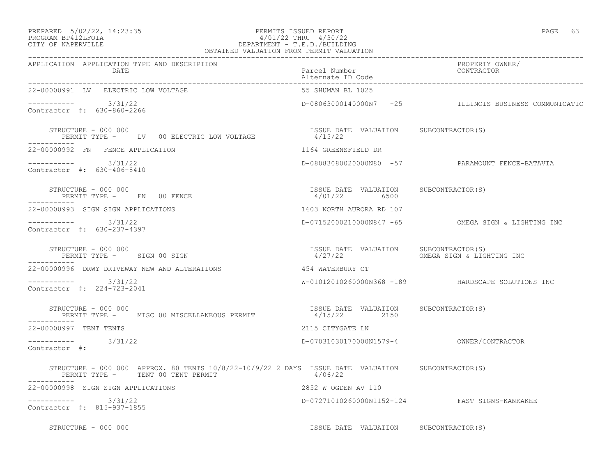## PREPARED 5/02/22, 14:23:35 PERMITS ISSUED REPORT PAGE 63 PROGRAM BP412LFOIA 4/01/22 THRU 4/30/22 CITY OF NAPERVILLE DEPARTMENT - T.E.D./BUILDING

| OBTAINED VALUATION FROM PERMIT VALUATION                                                                                               |                                                                  |                                                       |  |
|----------------------------------------------------------------------------------------------------------------------------------------|------------------------------------------------------------------|-------------------------------------------------------|--|
| APPLICATION APPLICATION TYPE AND DESCRIPTION<br>DATE                                                                                   | Parcel Number<br>Alternate ID Code                               | PROPERTY OWNER/<br>CONTRACTOR                         |  |
| 22-00000991 LV ELECTRIC LOW VOLTAGE                                                                                                    | 55 SHUMAN BL 1025                                                |                                                       |  |
| $--------$ 3/31/22<br>Contractor #: 630-860-2266                                                                                       |                                                                  | D-08063000140000N7 -25 ILLINOIS BUSINESS COMMUNICATIO |  |
| STRUCTURE - 000 000<br>PERMIT TYPE - LV 00 ELECTRIC LOW VOLTAGE                                                                        | ISSUE DATE VALUATION SUBCONTRACTOR(S)<br>$\frac{13300}{4/15/22}$ |                                                       |  |
| 22-00000992 FN FENCE APPLICATION                                                                                                       | 1164 GREENSFIELD DR                                              |                                                       |  |
| $--------- 3/31/22$<br>Contractor #: 630-406-8410                                                                                      |                                                                  | D-08083080020000N80 -57 PARAMOUNT FENCE-BATAVIA       |  |
| STRUCTURE - 000 000<br>PERMIT TYPE - FN 00 FENCE                                                                                       | ISSUE DATE VALUATION SUBCONTRACTOR(S)<br>4/01/22 6500            |                                                       |  |
| 22-00000993 SIGN SIGN APPLICATIONS                                                                                                     | 1603 NORTH AURORA RD 107                                         |                                                       |  |
| ---------- 3/31/22<br>Contractor #: 630-237-4397                                                                                       |                                                                  | D-07152000210000N847 -65 OMEGA SIGN & LIGHTING INC    |  |
| STRUCTURE - 000 000<br>PERMIT TYPE - SIGN 00 SIGN                                                                                      | ISSUE DATE VALUATION SUBCONTRACTOR(S)<br>4/27/22                 | OMEGA SIGN & LIGHTING INC                             |  |
| 22-00000996 DRWY DRIVEWAY NEW AND ALTERATIONS                                                                                          | 454 WATERBURY CT                                                 |                                                       |  |
| $--------$ 3/31/22<br>Contractor #: 224-723-2041                                                                                       |                                                                  | W-01012010260000N368 -189 HARDSCAPE SOLUTIONS INC     |  |
| STRUCTURE - 000 000<br>PERMIT TYPE - MISC 00 MISCELLANEOUS PERMIT                                                                      | ISSUE DATE VALUATION SUBCONTRACTOR(S)<br>4/15/22 2150            |                                                       |  |
| 22-00000997 TENT TENTS                                                                                                                 | 2115 CITYGATE LN                                                 |                                                       |  |
| $--------$ 3/31/22<br>Contractor #:                                                                                                    |                                                                  | D-07031030170000N1579-4 OWNER/CONTRACTOR              |  |
| STRUCTURE - 000 000 APPROX. 80 TENTS 10/8/22-10/9/22 2 DAYS ISSUE DATE VALUATION SUBCONTRACTOR(S)<br>PERMIT TYPE - TENT 00 TENT PERMIT | 4/06/22                                                          |                                                       |  |
| 22-00000998 SIGN SIGN APPLICATIONS                                                                                                     | 2852 W OGDEN AV 110                                              |                                                       |  |
| ----------- 3/31/22<br>Contractor #: 815-937-1855                                                                                      |                                                                  | D-07271010260000N1152-124 FAST SIGNS-KANKAKEE         |  |
| $STRUCTURE - 000 000$                                                                                                                  | ISSUE DATE VALUATION SUBCONTRACTOR(S)                            |                                                       |  |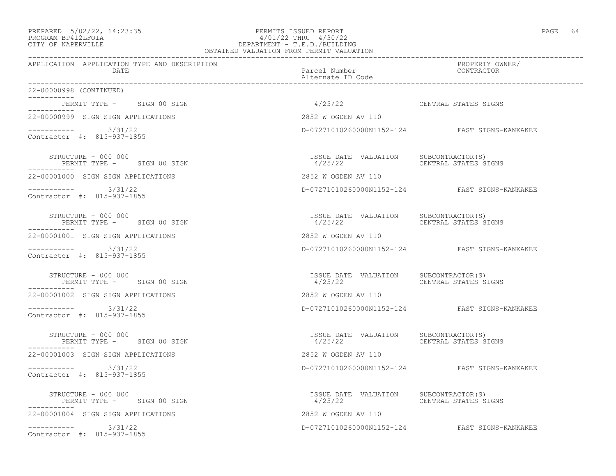# PREPARED 5/02/22, 14:23:35 PERMITS ISSUED REPORT PAGE 64 PROGRAM BP412LFOIA 4/01/22 THRU 4/30/22 CITY OF NAPERVILLE DEPARTMENT - T.E.D./BUILDING

| OBTAINED VALUATION FROM PERMIT VALUATION             |                                                                       |                                               |  |
|------------------------------------------------------|-----------------------------------------------------------------------|-----------------------------------------------|--|
| APPLICATION APPLICATION TYPE AND DESCRIPTION<br>DATE | Parcel Number<br>Alternate ID Code                                    | PROPERTY OWNER/<br>CONTRACTOR                 |  |
| 22-00000998 (CONTINUED)                              |                                                                       |                                               |  |
| PERMIT TYPE - SIGN 00 SIGN                           | 4/25/22                                                               | CENTRAL STATES SIGNS                          |  |
| 22-00000999 SIGN SIGN APPLICATIONS                   | 2852 W OGDEN AV 110                                                   |                                               |  |
| $--------- 3/31/22$<br>Contractor #: 815-937-1855    |                                                                       | D-07271010260000N1152-124 FAST SIGNS-KANKAKEE |  |
| STRUCTURE - 000 000<br>PERMIT TYPE - SIGN 00 SIGN    | ISSUE DATE VALUATION SUBCONTRACTOR(S)                                 |                                               |  |
| 22-00001000 SIGN SIGN APPLICATIONS                   | 2852 W OGDEN AV 110                                                   |                                               |  |
| $--------- 3/31/22$<br>Contractor #: 815-937-1855    |                                                                       | D-07271010260000N1152-124 FAST SIGNS-KANKAKEE |  |
| STRUCTURE - 000 000<br>PERMIT TYPE - SIGN 00 SIGN    |                                                                       |                                               |  |
| 22-00001001 SIGN SIGN APPLICATIONS                   | 2852 W OGDEN AV 110                                                   |                                               |  |
| $--------- 3/31/22$<br>Contractor #: 815-937-1855    |                                                                       | D-07271010260000N1152-124 FAST SIGNS-KANKAKEE |  |
| STRUCTURE - 000 000<br>PERMIT TYPE - SIGN 00 SIGN    | ISSUE DATE VALUATION SUBCONTRACTOR(S)<br>4/25/22 CENTRAL STATES SIGNS |                                               |  |
| 22-00001002 SIGN SIGN APPLICATIONS                   | 2852 W OGDEN AV 110                                                   |                                               |  |
| ---------- 3/31/22<br>Contractor #: 815-937-1855     |                                                                       | D-07271010260000N1152-124 FAST SIGNS-KANKAKEE |  |
| STRUCTURE - 000 000<br>PERMIT TYPE - SIGN 00 SIGN    |                                                                       |                                               |  |
| 22-00001003 SIGN SIGN APPLICATIONS                   | 2852 W OGDEN AV 110                                                   |                                               |  |
| $--------- 3/31/22$<br>Contractor #: 815-937-1855    |                                                                       | D-07271010260000N1152-124 FAST SIGNS-KANKAKEE |  |
| STRUCTURE - 000 000<br>PERMIT TYPE - SIGN 00 SIGN    |                                                                       |                                               |  |
| 22-00001004 SIGN SIGN APPLICATIONS                   | 2852 W OGDEN AV 110                                                   |                                               |  |
| $--------- 3/31/22$<br>Contractor #: 815-937-1855    |                                                                       | D-07271010260000N1152-124 FAST SIGNS-KANKAKEE |  |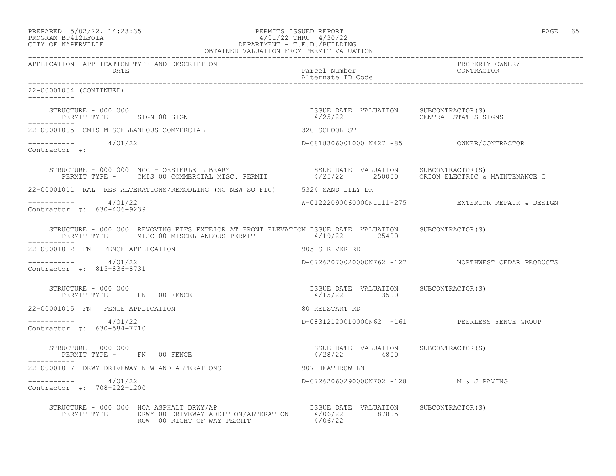| PREPARED | $5/02/22$ , 14:23:35 |  |
|----------|----------------------|--|
|          | PROGRAM RP412LFOIA   |  |

## PREPARED 5/02/22, 14:23:35 PERMITS ISSUED REPORT PAGE 65 PROGRAM BP412LFOIA 4/01/22 THRU 4/30/22 CITY OF NAPERVILLE DEPARTMENT - T.E.D./BUILDING OBTAINED VALUATION FROM PERMIT VALUATION

------------------------------------------------------------------------------------------------------------------------------------ APPLICATION APPLICATION TYPE AND DESCRIPTION PROPERTY OWNER/ DATE Parcel Number CONTRACTOR Alternate ID Code ------------------------------------------------------------------------------------------------------------------------------------ 22-00001004 (CONTINUED) ----------- STRUCTURE - 000 000 ISSUE DATE VALUATION SUBCONTRACTOR(S) PERMIT TYPE - SIGN 00 SIGN ----------- 22-00001005 CMIS MISCELLANEOUS COMMERCIAL 320 SCHOOL ST ----------- 4/01/22 D-0818306001000 N427 -85 OWNER/CONTRACTOR Contractor #: STRUCTURE - 000 000 NCC - OESTERLE LIBRARY ISSUE DATE VALUATION SUBCONTRACTOR(S) PERMIT TYPE - CMIS 00 COMMERCIAL MISC. PERMIT 4/25/22 250000 ORION ELECTRIC & MAINTENANCE C ----------- 22-00001011 RAL RES ALTERATIONS/REMODLING (NO NEW SQ FTG) 5324 SAND LILY DR ----------- 4/01/22 W-01222090060000N1111-275 EXTERIOR REPAIR & DESIGN Contractor #: 630-406-9239 STRUCTURE - 000 000 REVOVING EIFS EXTEIOR AT FRONT ELEVATION ISSUE DATE VALUATION SUBCONTRACTOR(S) PERMIT TYPE - MISC 00 MISCELLANEOUS PERMIT 4/19/22 25400 ----------- 22-00001012 FN FENCE APPLICATION 905 S RIVER RD ----------- 4/01/22 D-07262070020000N762 -127 NORTHWEST CEDAR PRODUCTS Contractor #: 815-836-8731 STRUCTURE - 000 000 ISSUE DATE VALUATION SUBCONTRACTOR(S) PERMIT TYPE - FN 00 FENCE ----------- 22-00001015 FN FENCE APPLICATION 60 REDSTART RD ----------- 4/01/22 D-08312120010000N62 -161 PEERLESS FENCE GROUP Contractor #: 630-584-7710 STRUCTURE - 000 000 ISSUE DATE VALUATION SUBCONTRACTOR(S) PERMIT TYPE - FN 00 FENCE ----------- 22-00001017 DRWY DRIVEWAY NEW AND ALTERATIONS 907 HEATHROW LN ----------- 4/01/22 D-07262060290000N702 -128 M & J PAVING Contractor #: 708-222-1200 STRUCTURE - 000 000 HOA ASPHALT DRWY/AP **ISSUE DATE** VALUATION SUBCONTRACTOR(S) PERMIT TYPE - DRWY 00 DRIVEWAY ADDITION/ALTERATION 4/06/22 87805<br>ROW 00 RIGHT OF WAY PERMIT 4/06/22 ROW 00 RIGHT OF WAY PERMIT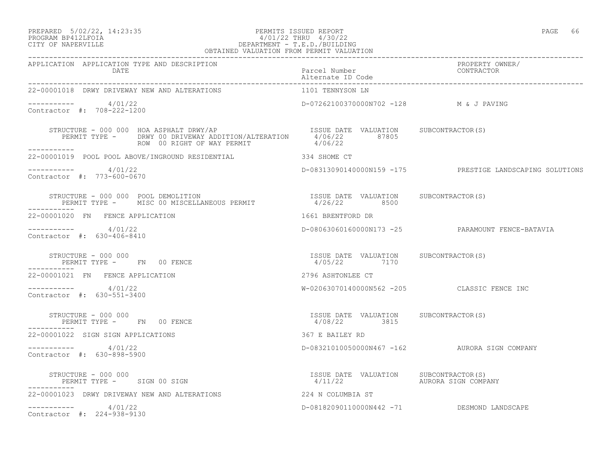## PREPARED 5/02/22, 14:23:35 PERMITS ISSUED REPORT PAGE 66 PROGRAM BP412LFOIA 4/01/22 THRU 4/30/22 CITY OF NAPERVILLE DEPARTMENT - T.E.D./BUILDING

| $\cdot$<br>1 T I<br>$\overline{\phantom{a}}$<br>× |  |
|---------------------------------------------------|--|
|---------------------------------------------------|--|

| OBTAINED VALUATION FROM PERMIT VALUATION                                                                                                                 |                                                       |                                                          |
|----------------------------------------------------------------------------------------------------------------------------------------------------------|-------------------------------------------------------|----------------------------------------------------------|
| APPLICATION APPLICATION TYPE AND DESCRIPTION<br>DATE                                                                                                     | Parcel Number<br>Alternate ID Code                    | PROPERTY OWNER/<br>CONTRACTOR                            |
| 22-00001018 DRWY DRIVEWAY NEW AND ALTERATIONS                                                                                                            | 1101 TENNYSON LN                                      |                                                          |
| $--------- 4/01/22$<br>Contractor #: 708-222-1200                                                                                                        | D-07262100370000N702 -128 M & J PAVING                |                                                          |
| ROW 00 RIGHT OF WAY PERMIT 4/06/22<br>ROW 00 RIGHT OF WAY PERMIT 4/06/22                                                                                 |                                                       |                                                          |
| 22-00001019 POOL POOL ABOVE/INGROUND RESIDENTIAL 334 SHOME CT                                                                                            |                                                       |                                                          |
| $--------- 4/01/22$<br>Contractor #: 773-600-0670                                                                                                        |                                                       | D-08313090140000N159 -175 PRESTIGE LANDSCAPING SOLUTIONS |
| STRUCTURE - 000 000 POOL DEMOLITION DE PERMIT STRUCTURE - 000 000 POOL DEMOLITION DERMIT TYPE - MISC 00 MISCELLANEOUS PERMIT 4/26/22 8500<br>----------- |                                                       |                                                          |
| 22-00001020 FN FENCE APPLICATION                                                                                                                         | 1661 BRENTFORD DR                                     |                                                          |
| $--------- 4/01/22$<br>Contractor #: 630-406-8410                                                                                                        |                                                       | D-08063060160000N173 -25 PARAMOUNT FENCE-BATAVIA         |
| STRUCTURE - 000 000<br>PERMIT TYPE - FN 00 FENCE<br>___________                                                                                          | ISSUE DATE VALUATION SUBCONTRACTOR(S)<br>4/05/22 7170 |                                                          |
| 22-00001021 FN FENCE APPLICATION                                                                                                                         | 2796 ASHTONLEE CT                                     |                                                          |
| $--------- 4/01/22$<br>Contractor #: 630-551-3400                                                                                                        |                                                       | W-02063070140000N562 -205 CLASSIC FENCE INC              |
| STRUCTURE - 000 000<br>PERMIT TYPE - FN 00 FENCE<br>------------                                                                                         | ISSUE DATE VALUATION SUBCONTRACTOR(S)<br>4/08/22 3815 |                                                          |
| 22-00001022 SIGN SIGN APPLICATIONS                                                                                                                       | 367 E BAILEY RD                                       |                                                          |
| $--------- 4/01/22$<br>Contractor #: 630-898-5900                                                                                                        |                                                       | D-08321010050000N467 -162 AURORA SIGN COMPANY            |
| . _ _ _ _ _ _ _ _ _ _                                                                                                                                    | 4/11/22 AURORA SIGN COMPANY                           |                                                          |
| 22-00001023 DRWY DRIVEWAY NEW AND ALTERATIONS                                                                                                            | 224 N COLUMBIA ST                                     |                                                          |
| $--------- 4/01/22$<br>Contractor #: 224-938-9130                                                                                                        |                                                       | D-08182090110000N442 -71 DESMOND LANDSCAPE               |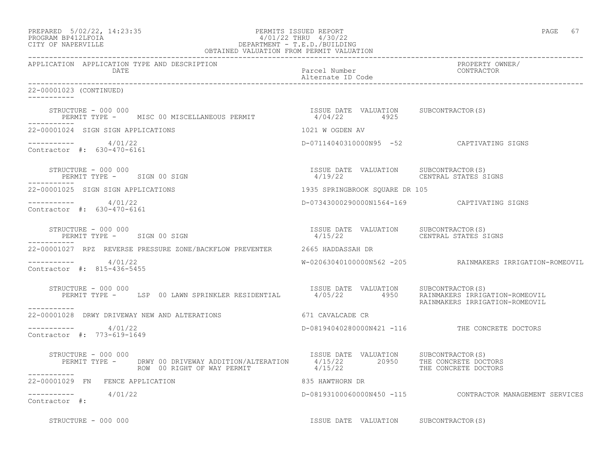| PREPARED 5/02/22, 14:23:35 | PERMITS ISSUED REPORT     | PAGE | 67 |
|----------------------------|---------------------------|------|----|
| BROCHAM BRATOTHOTA         | $1/01/00$ munti $1/00/00$ |      |    |

# PROGRAM BP412LFOIA 4/01/22 THRU 4/30/22 CITY OF NAPERVILLE CITY OF NAPERVILLE

| OBTAINED VALUATION FROM PERMIT VALUATION                                                                                                                                                                                                                                                                                                                                                                                                                       |                                           |                                                          |
|----------------------------------------------------------------------------------------------------------------------------------------------------------------------------------------------------------------------------------------------------------------------------------------------------------------------------------------------------------------------------------------------------------------------------------------------------------------|-------------------------------------------|----------------------------------------------------------|
| APPLICATION APPLICATION TYPE AND DESCRIPTION<br>DATE                                                                                                                                                                                                                                                                                                                                                                                                           | Parcel Number<br>Alternate ID Code        | PROPERTY OWNER/<br>CONTRACTOR                            |
| 22-00001023 (CONTINUED)<br>-----------                                                                                                                                                                                                                                                                                                                                                                                                                         |                                           |                                                          |
| $\begin{array}{cccc} \texttt{STRUCTURE} & - & 000 & 000 \\ \texttt{PERMIT} & \texttt{TYPE} & - & \texttt{MISC} & 00 \\ \texttt{MISC} & 00 \\ \texttt{MISC} & 00 \\ \end{array} \begin{array}{cccc} \texttt{RINIST} & \texttt{RINIST} & \texttt{RINIST} \\ \texttt{NIST} & \texttt{RINIST} \\ \texttt{RINIST} & 4/04/22 \\ \texttt{RINIST} & 4925 \\ \end{array} \begin{array}{cccc} \texttt{SUBCONTRACTOR(S)} \\ \texttt{SUBCONTRACTOR(S)} \\ \texttt{SUSC} &$ |                                           |                                                          |
| 22-00001024 SIGN SIGN APPLICATIONS                                                                                                                                                                                                                                                                                                                                                                                                                             | 1021 W OGDEN AV                           |                                                          |
| $--------- 4/01/22$<br>Contractor #: 630-470-6161                                                                                                                                                                                                                                                                                                                                                                                                              | D-07114040310000N95 -52 CAPTIVATING SIGNS |                                                          |
| STRUCTURE – 000 000<br>PERMIT TYPE – SIGN 00 SIGN 19/19/22 4/19/22 CENTRAL STATES SI                                                                                                                                                                                                                                                                                                                                                                           | 4/19/22 CENTRAL STATES SIGNS              |                                                          |
| 22-00001025 SIGN SIGN APPLICATIONS                                                                                                                                                                                                                                                                                                                                                                                                                             | 1935 SPRINGBROOK SQUARE DR 105            |                                                          |
| $--------- 4/01/22$<br>Contractor #: 630-470-6161                                                                                                                                                                                                                                                                                                                                                                                                              |                                           |                                                          |
| STRUCTURE – 000 000<br>PERMIT TYPE – SIGN 00 SIGN 1999 STATE VALUATION SUBCONTRACTOR(S)<br>STRUCTURE - 000 000                                                                                                                                                                                                                                                                                                                                                 | 4/15/22 CENTRAL STATES SIGNS              |                                                          |
| 22-00001027 RPZ REVERSE PRESSURE ZONE/BACKFLOW PREVENTER 2665 HADDASSAH DR                                                                                                                                                                                                                                                                                                                                                                                     |                                           |                                                          |
| $--------- 4/01/22$<br>Contractor #: 815-436-5455                                                                                                                                                                                                                                                                                                                                                                                                              |                                           | W-02063040100000N562 -205 RAINMAKERS IRRIGATION-ROMEOVIL |
| STRUCTURE - 000 000<br>PERMIT TYPE - LSP 00 LAWN SPRINKLER RESIDENTIAL 4/05/22 4950 RAINMAKERS IRRIGATION-ROMEOVIL<br>-----------                                                                                                                                                                                                                                                                                                                              | ISSUE DATE VALUATION SUBCONTRACTOR(S)     | RAINMAKERS IRRIGATION-ROMEOVIL                           |
| 22-00001028 DRWY DRIVEWAY NEW AND ALTERATIONS 671 CAVALCADE CR                                                                                                                                                                                                                                                                                                                                                                                                 |                                           |                                                          |
| ----------- 4/01/22<br>Contractor #: 773-619-1649                                                                                                                                                                                                                                                                                                                                                                                                              |                                           | D-08194040280000N421 -116 THE CONCRETE DOCTORS           |
| STRUCTURE - 000 000<br>-----------                                                                                                                                                                                                                                                                                                                                                                                                                             |                                           |                                                          |
| 22-00001029 FN FENCE APPLICATION                                                                                                                                                                                                                                                                                                                                                                                                                               | 835 HAWTHORN DR                           |                                                          |
| $--------$ 4/01/22<br>Contractor #:                                                                                                                                                                                                                                                                                                                                                                                                                            |                                           | D-08193100060000N450 -115 CONTRACTOR MANAGEMENT SERVICES |

STRUCTURE - 000 000 **ISSUE DATE VALUATION** SUBCONTRACTOR(S)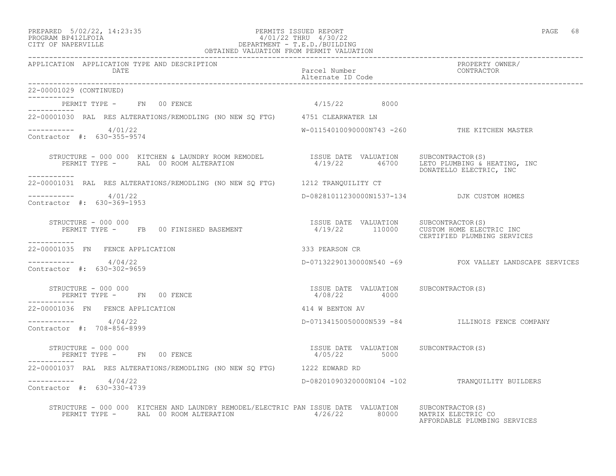22-00001029 (CONTINUED)

-----------

-----------

\_\_\_\_\_\_\_\_\_\_\_

-----------

Contractor #: 708-856-8999

-----------

## PREPARED 5/02/22, 14:23:35 PERMITS ISSUED REPORT PAGE 68 PROGRAM BP412LFOIA 4/01/22 THRU 4/30/22 CITY OF NAPERVILLE DEPARTMENT - T.E.D./BUILDING OBTAINED VALUATION FROM PERMIT VALUATION

------------------------------------------------------------------------------------------------------------------------------------ APPLICATION APPLICATION TYPE AND DESCRIPTION PROPERTY OWNER/ Parcel Number Alternate ID Code ------------------------------------------------------------------------------------------------------------------------------------ PERMIT TYPE - FN 00 FENCE 1 2000 1/15/22 8000 22-00001030 RAL RES ALTERATIONS/REMODLING (NO NEW SQ FTG) 4751 CLEARWATER LN  $--------- 4/01/22$ W-01154010090000N743 -260 THE KITCHEN MASTER Contractor #: 630-355-9574 STRUCTURE - 000 000 KITCHEN & LAUNDRY ROOM REMODEL ISSUE DATE VALUATION SUBCONTRACTOR(S)<br>PERMIT TYPE - RAL 00 ROOM ALTERATION 4/19/22 46700 LETO PLUMBING & H PERMIT THE 20 AMI 20 DON ALT ALTERATION AND LET ALTERATION AND ALTERATION 4/19/22 46700 LET AND DONATELLO ELECTRIC DONATELLO ELECTRIC, INC 22-00001031 RAL RES ALTERATIONS/REMODLING (NO NEW SQ FTG) 1212 TRANQUILITY CT 4/01/22 D-08281011230000N1537-134 DJK CUSTOM HOMES Contractor #: 630-369-1953 STRUCTURE - 000 000<br>PERMIT TYPE - FB 00 FINISHED BASEMENT 4/19/22 110000 CUSTOM HOME ELEC' 4/19/22 110000 CUSTOM HOME ELECTRIC INC CERTIFIED PLUMBING SERVICES 22-00001035 FN FENCE APPLICATION 333 PEARSON CR  $--------- 4/04/22$ D-07132290130000N540 -69 FOX VALLEY LANDSCAPE SERVICES Contractor #: 630-302-9659 STRUCTURE - 000 000 ISSUE DATE VALUATION SUBCONTRACTOR(S) PERMIT TYPE - FN 00 FENCE

22-00001036 FN FENCE APPLICATION 414 W BENTON AV

----------- 4/04/22 D-07134150050000N539 -84 ILLINOIS FENCE COMPANY

 STRUCTURE - 000 000 ISSUE DATE VALUATION SUBCONTRACTOR(S) PERMIT TYPE - FN 00 FENCE

22-00001037 RAL RES ALTERATIONS/REMODLING (NO NEW SQ FTG) 1222 EDWARD RD ----------- 4/04/22 D-08201090320000N104 -102 TRANQUILITY BUILDERS Contractor #: 630-330-4739

 STRUCTURE - 000 000 KITCHEN AND LAUNDRY REMODEL/ELECTRIC PAN ISSUE DATE VALUATION SUBCONTRACTOR(S) PERMIT TYPE - RAL 00 ROOM ALTERATION 4/26/22 80000 MATRIX ELECTRIC CO

AFFORDABLE PLUMBING SERVICES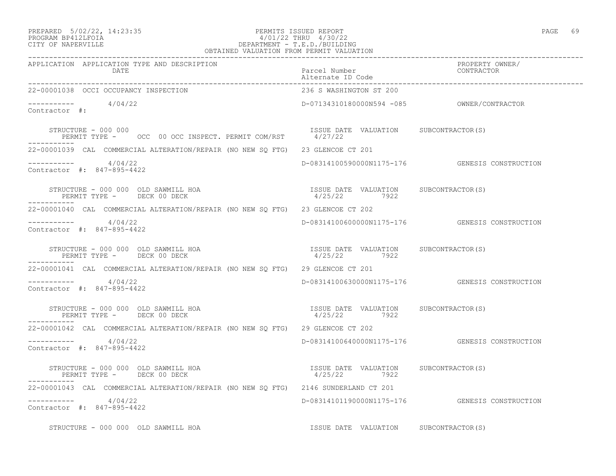## PREPARED 5/02/22, 14:23:35 PERMITS ISSUED REPORT PAGE 69 PROGRAM BP412LFOIA 4/01/22 THRU 4/30/22 CITY OF NAPERVILLE DEPARTMENT - T.E.D./BUILDING OBTAINED VALUATION FROM PERMIT VALUATION

| APPLICATION APPLICATION TYPE AND DESCRIPTION<br>DATE                                                                              | PROPERTY OWNER/<br>PROPERTY OWNER/<br>Alternate ID Code<br>------------ |                                                   |
|-----------------------------------------------------------------------------------------------------------------------------------|-------------------------------------------------------------------------|---------------------------------------------------|
| 22-00001038 OCCI OCCUPANCY INSPECTION                                                                                             | 236 S WASHINGTON ST 200                                                 |                                                   |
| $--------- 4/04/22$<br>Contractor #:                                                                                              |                                                                         |                                                   |
| STRUCTURE - 000 000<br>ISSUE DATE VALUATION SUBCONTRACTOR(S)<br>PERMIT TYPE – OCC 00 OCC INSPECT. PERMIT COM/RST 4/27/22<br>----- |                                                                         |                                                   |
| 22-00001039 CAL COMMERCIAL ALTERATION/REPAIR (NO NEW SQ FTG) 23 GLENCOE CT 201                                                    |                                                                         |                                                   |
| $--------- 4/04/22$<br>Contractor #: 847-895-4422                                                                                 |                                                                         | D-08314100590000N1175-176    GENESIS CONSTRUCTION |
| STRUCTURE - 000 000 OLD SAWMILL HOA<br>PERMIT TYPE - DECK 00 DECK                                                                 | ISSUE DATE VALUATION SUBCONTRACTOR(S)<br>4/25/22 7922                   |                                                   |
| 22-00001040 CAL COMMERCIAL ALTERATION/REPAIR (NO NEW SQ FTG) 23 GLENCOE CT 202                                                    |                                                                         |                                                   |
| $--------- 4/04/22$<br>Contractor #: 847-895-4422                                                                                 |                                                                         | D-08314100600000N1175-176 GENESIS CONSTRUCTION    |
| STRUCTURE - 000 000 OLD SAWMILL HOA<br>PERMIT TYPE - DECK 00 DECK                                                                 | ISSUE DATE VALUATION SUBCONTRACTOR (S)<br>4/25/22 7922                  |                                                   |
| 22-00001041 CAL COMMERCIAL ALTERATION/REPAIR (NO NEW SQ FTG) 29 GLENCOE CT 201                                                    |                                                                         |                                                   |
| $--------- 4/04/22$<br>Contractor #: 847-895-4422                                                                                 |                                                                         | D-08314100630000N1175-176    GENESIS CONSTRUCTION |
| STRUCTURE - 000 000 OLD SAWMILL HOA<br>PERMIT TYPE - DECK 00 DECK                                                                 | ISSUE DATE VALUATION SUBCONTRACTOR(S)<br>4/25/22 7922                   |                                                   |
| 22-00001042 CAL COMMERCIAL ALTERATION/REPAIR (NO NEW SO FTG) 29 GLENCOE CT 202                                                    |                                                                         |                                                   |
| $--------- 4/04/22$<br>Contractor #: 847-895-4422                                                                                 |                                                                         | D-08314100640000N1175-176 GENESIS CONSTRUCTION    |
| STRUCTURE - 000 000 OLD SAWMILL HOA<br>PERMIT TYPE - DECK 00 DECK                                                                 | ISSUE DATE VALUATION SUBCONTRACTOR (S)<br>4/25/22 7922                  |                                                   |
| 22-00001043 CAL COMMERCIAL ALTERATION/REPAIR (NO NEW SQ FTG) 2146 SUNDERLAND CT 201                                               |                                                                         |                                                   |
| $--------- 4/04/22$<br>Contractor #: 847-895-4422                                                                                 |                                                                         | D-08314101190000N1175-176 GENESIS CONSTRUCTION    |
| STRUCTURE - 000 000 OLD SAWMILL HOA                                                                                               | ISSUE DATE VALUATION SUBCONTRACTOR(S)                                   |                                                   |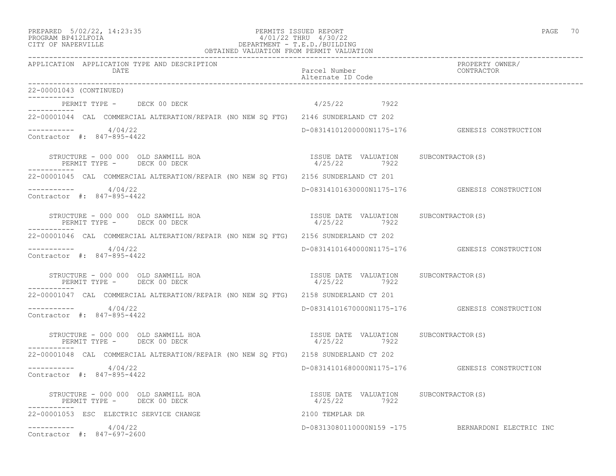# PREPARED 5/02/22, 14:23:35 PERMITS ISSUED REPORT PAGE 70 PROGRAM BP412LFOIA 4/01/22 THRU 4/30/22 CITY OF NAPERVILLE DEPARTMENT - T.E.D./BUILDING

| OBTAINED VALUATION FROM PERMIT VALUATION                                            |                                                                       |                                                   |  |  |
|-------------------------------------------------------------------------------------|-----------------------------------------------------------------------|---------------------------------------------------|--|--|
| APPLICATION APPLICATION TYPE AND DESCRIPTION<br>DATE                                | Parcel Number<br>Alternate ID Code                                    | PROPERTY OWNER/<br>CONTRACTOR                     |  |  |
| 22-00001043 (CONTINUED)                                                             |                                                                       |                                                   |  |  |
| PERMIT TYPE - DECK 00 DECK                                                          | 4/25/22 7922                                                          |                                                   |  |  |
| 22-00001044 CAL COMMERCIAL ALTERATION/REPAIR (NO NEW SQ FTG) 2146 SUNDERLAND CT 202 |                                                                       |                                                   |  |  |
| $--------- 4/04/22$<br>Contractor #: 847-895-4422                                   |                                                                       | D-08314101200000N1175-176    GENESIS CONSTRUCTION |  |  |
| STRUCTURE - 000 000 OLD SAWMILL HOA<br>PERMIT TYPE - DECK 00 DECK                   | ISSUE DATE VALUATION SUBCONTRACTOR(S)<br>4/25/22 7922<br>4/25/22 7922 |                                                   |  |  |
| 22-00001045 CAL COMMERCIAL ALTERATION/REPAIR (NO NEW SO FTG) 2156 SUNDERLAND CT 201 |                                                                       |                                                   |  |  |
| ---------     4/04/22<br>Contractor #: 847-895-4422                                 |                                                                       | D-08314101630000N1175-176    GENESIS CONSTRUCTION |  |  |
| STRUCTURE - 000 000 OLD SAWMILL HOA<br>PERMIT TYPE - DECK 00 DECK                   | ISSUE DATE VALUATION SUBCONTRACTOR(S)<br>4/25/22 7922                 |                                                   |  |  |
| 22-00001046 CAL COMMERCIAL ALTERATION/REPAIR (NO NEW SO FTG) 2156 SUNDERLAND CT 202 |                                                                       |                                                   |  |  |
| $-$ --------- $4/04/22$<br>Contractor #: 847-895-4422                               |                                                                       | D-08314101640000N1175-176 GENESIS CONSTRUCTION    |  |  |
| STRUCTURE - 000 000 OLD SAWMILL HOA<br>PERMIT TYPE - DECK 00 DECK                   | ISSUE DATE VALUATION SUBCONTRACTOR(S)<br>4/25/22 7922                 |                                                   |  |  |
| 22-00001047 CAL COMMERCIAL ALTERATION/REPAIR (NO NEW SQ FTG) 2158 SUNDERLAND CT 201 |                                                                       |                                                   |  |  |
| ----------     4/04/22<br>Contractor #: 847-895-4422                                |                                                                       | D-08314101670000N1175-176 GENESIS CONSTRUCTION    |  |  |
| STRUCTURE - 000 000 OLD SAWMILL HOA<br>PERMIT TYPE - DECK 00 DECK                   | ISSUE DATE VALUATION SUBCONTRACTOR(S)<br>4/25/22<br>7922              |                                                   |  |  |
| 22-00001048 CAL COMMERCIAL ALTERATION/REPAIR (NO NEW SQ FTG) 2158 SUNDERLAND CT 202 |                                                                       |                                                   |  |  |
| $--------- 4/04/22$<br>Contractor #: 847-895-4422                                   |                                                                       | D-08314101680000N1175-176 GENESIS CONSTRUCTION    |  |  |
| STRUCTURE - 000 000 OLD SAWMILL HOA<br>PERMIT TYPE - DECK 00 DECK                   | ISSUE DATE VALUATION SUBCONTRACTOR(S)<br>4/25/22 7922                 |                                                   |  |  |
| 22-00001053 ESC ELECTRIC SERVICE CHANGE                                             | 2100 TEMPLAR DR                                                       |                                                   |  |  |
| 4/04/22<br>Contractor #: 847-697-2600                                               |                                                                       | D-08313080110000N159 -175 BERNARDONI ELECTRIC INC |  |  |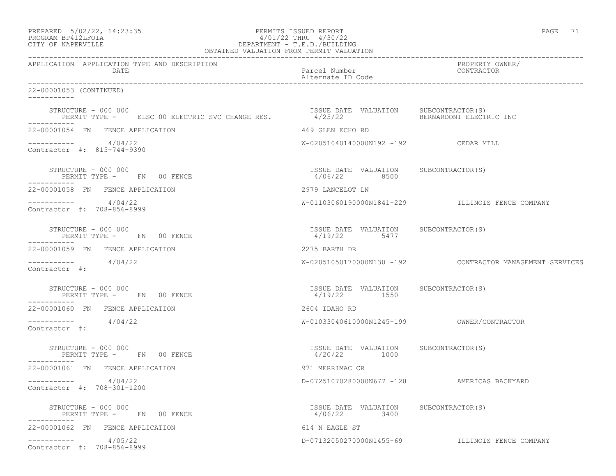| PREPARED            | $5/02/22$ , 14:23:35 |  |
|---------------------|----------------------|--|
| DDOOD3M DD410T DOT3 |                      |  |

# PREPARED 5/02/22, 14:23:35 PERMITS ISSUED REPORT PAGE 71 PROGRAM BP412LFOIA 4/01/22 THRU 4/30/22 CITY OF NAPERVILLE CITY OF NAPERVILLE

| OBTAINED VALUATION FROM PERMIT VALUATION                              |                                                        |                                                          |  |  |
|-----------------------------------------------------------------------|--------------------------------------------------------|----------------------------------------------------------|--|--|
| APPLICATION APPLICATION TYPE AND DESCRIPTION<br>DATE                  | Parcel Number<br>Alternate ID Code                     | PROPERTY OWNER/<br>CONTRACTOR                            |  |  |
| 22-00001053 (CONTINUED)<br>___________                                |                                                        |                                                          |  |  |
| STRUCTURE - 000 000<br>PERMIT TYPE - ELSC 00 ELECTRIC SVC CHANGE RES. | ISSUE DATE VALUATION SUBCONTRACTOR(S)<br>4/25/22       | BERNARDONI ELECTRIC INC                                  |  |  |
| 22-00001054 FN FENCE APPLICATION                                      | 469 GLEN ECHO RD                                       |                                                          |  |  |
| $--------- 4/04/22$<br>Contractor #: 815-744-9390                     | W-02051040140000N192 -192 CEDAR MILL                   |                                                          |  |  |
| STRUCTURE - 000 000<br>PERMIT TYPE - FN 00 FENCE                      | ISSUE DATE VALUATION SUBCONTRACTOR (S)<br>4/06/22 8500 |                                                          |  |  |
| 22-00001058 FN FENCE APPLICATION                                      | 2979 LANCELOT LN                                       |                                                          |  |  |
| $--------- 4/04/22$<br>Contractor #: 708-856-8999                     |                                                        | W-01103060190000N1841-229 ILLINOIS FENCE COMPANY         |  |  |
| STRUCTURE - 000 000<br>PERMIT TYPE - FN 00 FENCE                      | ISSUE DATE VALUATION SUBCONTRACTOR(S)<br>4/19/22 5477  |                                                          |  |  |
| 22-00001059 FN FENCE APPLICATION                                      | 2275 BARTH DR                                          |                                                          |  |  |
| $--------- 4/04/22$<br>Contractor #:                                  |                                                        | W-02051050170000N130 -192 CONTRACTOR MANAGEMENT SERVICES |  |  |
| STRUCTURE - 000 000<br>PERMIT TYPE - FN 00 FENCE                      | ISSUE DATE VALUATION SUBCONTRACTOR(S)<br>4/19/22 1550  |                                                          |  |  |
| 22-00001060 FN FENCE APPLICATION                                      | 2604 IDAHO RD                                          |                                                          |  |  |
| $--------- 4/04/22$<br>Contractor #:                                  |                                                        |                                                          |  |  |
| STRUCTURE - 000 000<br>PERMIT TYPE - FN 00 FENCE<br>-----------       | ISSUE DATE VALUATION SUBCONTRACTOR(S)<br>4/20/22 1000  |                                                          |  |  |
| 22-00001061 FN FENCE APPLICATION                                      | 971 MERRIMAC CR                                        |                                                          |  |  |
| $--------- 4/04/22$<br>Contractor #: 708-301-1200                     |                                                        | D-07251070280000N677 -128 AMERICAS BACKYARD              |  |  |
| STRUCTURE - 000 000<br>PERMIT TYPE - FN 00 FENCE                      | ISSUE DATE VALUATION SUBCONTRACTOR(S)<br>4/06/22 3400  |                                                          |  |  |
| 22-00001062 FN FENCE APPLICATION                                      | 614 N EAGLE ST                                         |                                                          |  |  |
| 4/05/22<br>Contractor #: 708-856-8999                                 |                                                        | D-07132050270000N1455-69 ILLINOIS FENCE COMPANY          |  |  |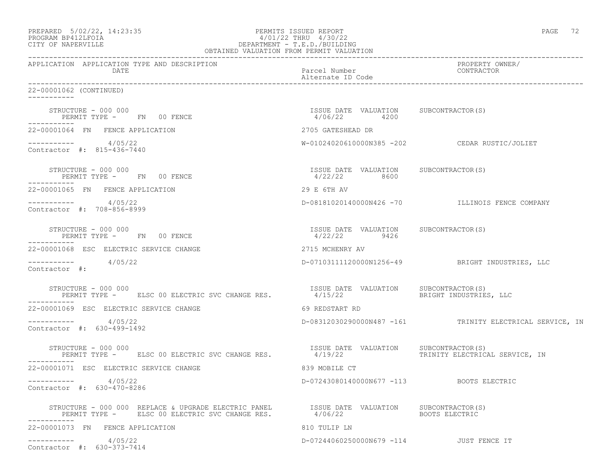| 4/01/22 THRU 4/30/22<br>PROGRAM BP412LFOIA<br>CITY OF NAPERVILLE<br>OBTAINED VALUATION FROM PERMIT VALUATION                                            | DEPARTMENT - T.E.D./BUILDING                          |                                                          |
|---------------------------------------------------------------------------------------------------------------------------------------------------------|-------------------------------------------------------|----------------------------------------------------------|
| APPLICATION APPLICATION TYPE AND DESCRIPTION<br>DATE                                                                                                    | Parcel Number<br>Alternate ID Code                    | PROPERTY OWNER/<br>CONTRACTOR                            |
| 22-00001062 (CONTINUED)<br>-----------                                                                                                                  |                                                       |                                                          |
| STRUCTURE - 000 000<br>PERMIT TYPE - FN 00 FENCE                                                                                                        | ISSUE DATE VALUATION SUBCONTRACTOR(S)<br>4/06/22 4200 |                                                          |
| 22-00001064 FN FENCE APPLICATION                                                                                                                        | 2705 GATESHEAD DR                                     |                                                          |
| $--------- 4/05/22$<br>Contractor #: 815-436-7440                                                                                                       |                                                       | W-01024020610000N385 -202 CEDAR RUSTIC/JOLIET            |
| STRUCTURE - 000 000<br>PERMIT TYPE - FN 00 FENCE                                                                                                        | ISSUE DATE VALUATION SUBCONTRACTOR(S)<br>4/22/22 8600 |                                                          |
| 22-00001065 FN FENCE APPLICATION                                                                                                                        | 29 E 6TH AV                                           |                                                          |
| $--------- 4/05/22$<br>Contractor #: 708-856-8999                                                                                                       |                                                       | D-08181020140000N426 -70 ILLINOIS FENCE COMPANY          |
| STRUCTURE - 000 000<br>PERMIT TYPE - FN 00 FENCE<br>-----------                                                                                         | ISSUE DATE VALUATION SUBCONTRACTOR(S)<br>4/22/22 9426 |                                                          |
| 22-00001068 ESC ELECTRIC SERVICE CHANGE                                                                                                                 | 2715 MCHENRY AV                                       |                                                          |
| $--------- 4/05/22$<br>Contractor #:                                                                                                                    |                                                       | D-07103111120000N1256-49 BRIGHT INDUSTRIES, LLC          |
| STRUCTURE - 000 000<br>PERMIT TYPE - ELSC 00 ELECTRIC SVC CHANGE RES.                                                                                   | ISSUE DATE VALUATION SUBCONTRACTOR (S)<br>4/15/22     | BRIGHT INDUSTRIES, LLC                                   |
| 22-00001069 ESC ELECTRIC SERVICE CHANGE                                                                                                                 | 69 REDSTART RD                                        |                                                          |
| $--------- 4/05/22$<br>Contractor #: 630-499-1492                                                                                                       |                                                       | D-08312030290000N487 -161 TRINITY ELECTRICAL SERVICE, IN |
| STRUCTURE - 000 000<br>PERMIT TYPE - ELSC 00 ELECTRIC SVC CHANGE RES.                                                                                   | ISSUE DATE VALUATION SUBCONTRACTOR(S)<br>4/19/22      | TRINITY ELECTRICAL SERVICE, IN                           |
| 22-00001071 ESC ELECTRIC SERVICE CHANGE                                                                                                                 | 839 MOBILE CT                                         |                                                          |
| $--------- 4/05/22$<br>Contractor #: 630-470-8286                                                                                                       | D-07243080140000N677 -113 BOOTS ELECTRIC              |                                                          |
| STRUCTURE - 000 000 REPLACE & UPGRADE ELECTRIC PANEL<br>ISSUE DATE VALUATION SUBCONTRACTOR(S)<br>PERMIT TYPE - ELSC 00 ELECTRIC SVC CHANGE RES. 4/06/22 |                                                       | BOOTS ELECTRIC                                           |
| 22-00001073 FN FENCE APPLICATION                                                                                                                        | 810 TULIP LN                                          |                                                          |
| 4/05/22<br>____________<br>Contractor #: 630-373-7414                                                                                                   | D-07244060250000N679 -114 JUST FENCE IT               |                                                          |

PREPARED  $5/02/22$ ,  $14:23:35$  PERMITS ISSUED REPORT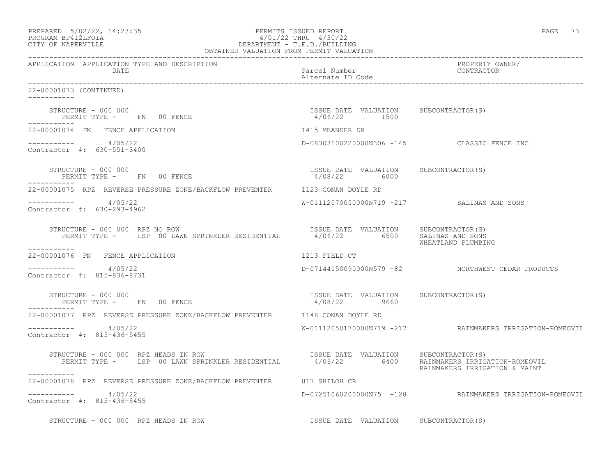| PREPARED 5/02/22, 14:23:35<br>PROGRAM BP412LFOIA 4/01/22 THRU 4/30/22<br>CITY OF NAPERVILLE DEPARTMENT - T.E.D./BUILDING<br>OBTAINED VALUATION FROM PERMIT VALUATION |                                                                        | PAGE 73                                                         |
|----------------------------------------------------------------------------------------------------------------------------------------------------------------------|------------------------------------------------------------------------|-----------------------------------------------------------------|
| APPLICATION APPLICATION TYPE AND DESCRIPTION<br>DATE                                                                                                                 | Parcel Number<br>Alternate ID Code                                     | PROPERTY OWNER/<br>CONTRACTOR                                   |
| 22-00001073 (CONTINUED)<br>-----------                                                                                                                               |                                                                        |                                                                 |
| STRUCTURE - 000 000<br>PERMIT TYPE - FN 00 FENCE                                                                                                                     | ISSUE DATE VALUATION SUBCONTRACTOR(S)<br>4/06/22 1500                  |                                                                 |
| 22-00001074 FN FENCE APPLICATION                                                                                                                                     | 1415 MEANDER DR                                                        |                                                                 |
| $--------- 4/05/22$<br>Contractor #: 630-551-3400                                                                                                                    |                                                                        | D-08303100220000N306 -145 CLASSIC FENCE INC                     |
| STRUCTURE - 000 000<br>PERMIT TYPE - FN 00 FENCE                                                                                                                     | ISSUE DATE VALUATION SUBCONTRACTOR(S)<br>4/08/22 6000                  |                                                                 |
| 22-00001075 RPZ REVERSE PRESSURE ZONE/BACKFLOW PREVENTER 1123 CONAN DOYLE RD                                                                                         |                                                                        |                                                                 |
| $--------- 4/05/22$<br>Contractor #: 630-293-4962                                                                                                                    | W-01112070050000N719 -217 SALINAS AND SONS                             |                                                                 |
| STRUCTURE - 000 000 RPZ NO ROW<br>-----------                                                                                                                        |                                                                        | WHEATLAND PLUMBING                                              |
| 22-00001076 FN FENCE APPLICATION                                                                                                                                     | 1213 FIELD CT                                                          |                                                                 |
| $--------- 4/05/22$<br>Contractor #: 815-836-8731                                                                                                                    |                                                                        | D-07144150090000N579 -82 NORTHWEST CEDAR PRODUCTS               |
| STRUCTURE - 000 000<br>PERMIT TYPE - FN 00 FENCE                                                                                                                     | ISSUE DATE VALUATION SUBCONTRACTOR(S)<br>4/08/22 06660<br>4/08/22 9660 |                                                                 |
| 22-00001077 RPZ REVERSE PRESSURE ZONE/BACKFLOW PREVENTER 1148 CONAN DOYLE RD                                                                                         |                                                                        |                                                                 |
| $--------- 4/05/22$<br>Contractor #: 815-436-5455                                                                                                                    |                                                                        | W-01112050170000N719 -217 RAINMAKERS IRRIGATION-ROMEOVIL        |
| STRUCTURE - 000 000 RPZ HEADS IN ROW                                                                                                                                 |                                                                        | RAINMAKERS IRRIGATION-ROMEOVIL<br>RAINMAKERS IRRIGATION & MAINT |
| 22-00001078 RPZ REVERSE PRESSURE ZONE/BACKFLOW PREVENTER                                                                                                             | 817 SHILOH CR                                                          |                                                                 |
| -----------    4/05/22<br>Contractor #: 815-436-5455                                                                                                                 |                                                                        | D-07251060200000N75 -128 RAINMAKERS IRRIGATION-ROMEOVIL         |
| STRUCTURE - 000 000 RPZ HEADS IN ROW                                                                                                                                 | ISSUE DATE VALUATION SUBCONTRACTOR(S)                                  |                                                                 |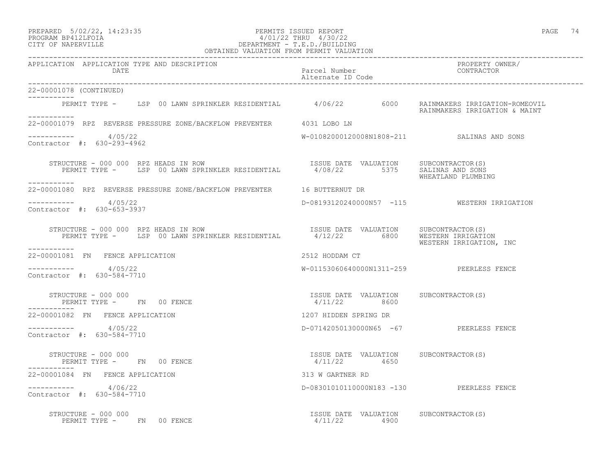### PREPARED 5/02/22, 14:23:35 PERMITS ISSUED REPORT PAGE 74 PROGRAM BP412LFOIA 4/01/22 THRU 4/30/22 CITY OF NAPERVILLE DEPARTMENT - T.E.D./BUILDING

| OBTAINED VALUATION FROM PERMIT VALUATION                                                                                                                   |                                                                                |                                             |
|------------------------------------------------------------------------------------------------------------------------------------------------------------|--------------------------------------------------------------------------------|---------------------------------------------|
| APPLICATION APPLICATION TYPE AND DESCRIPTION<br>DATE                                                                                                       | Parcel Number<br>Alternate ID Code                                             | PROPERTY OWNER/<br>CONTRACTOR               |
| 22-00001078 (CONTINUED)                                                                                                                                    |                                                                                |                                             |
| PERMIT TYPE - LSP 00 LAWN SPRINKLER RESIDENTIAL 4/06/22 6000 RAINMAKERS IRRIGATION-ROMEOVIL<br>-----------                                                 |                                                                                | RAINMAKERS IRRIGATION & MAINT               |
| 22-00001079 RPZ REVERSE PRESSURE ZONE/BACKFLOW PREVENTER 4031 LOBO LN                                                                                      |                                                                                |                                             |
| $--------- 4/05/22$<br>Contractor #: 630-293-4962                                                                                                          | W-01082000120008N1808-211 SALINAS AND SONS                                     |                                             |
| STRUCTURE - 000 000 RPZ HEADS IN ROW<br>PERMIT TYPE - LSP 00 LAWN SPRINKLER RESIDENTIAL 4/08/22 5375 SALINAS AND SONS<br>WHEATLAND PLUMBING<br>----------- |                                                                                |                                             |
| 22-00001080 RPZ REVERSE PRESSURE ZONE/BACKFLOW PREVENTER 16 BUTTERNUT DR                                                                                   |                                                                                |                                             |
| $--------- 4/05/22$<br>Contractor #: 630-653-3937                                                                                                          |                                                                                | D-08193120240000N57 -115 WESTERN IRRIGATION |
| STRUCTURE - 000 000 RPZ HEADS IN ROW<br>PERMIT TYPE - LSP 00 LAWN SPRINKLER RESIDENTIAL 4/12/22 6800 WESTERN IRRIGATION<br>WESTERN IRRIGATION, INC         |                                                                                |                                             |
| -----------<br>22-00001081 FN FENCE APPLICATION                                                                                                            | 2512 HODDAM CT                                                                 |                                             |
| $--------$ 4/05/22<br>Contractor #: 630-584-7710                                                                                                           | W-01153060640000N1311-259 PEERLESS FENCE                                       |                                             |
| STRUCTURE - 000 000<br>PERMIT TYPE - FN 00 FENCE                                                                                                           | ISSUE DATE VALUATION SUBCONTRACTOR(S)<br>4/11/22 8600                          |                                             |
| 22-00001082 FN FENCE APPLICATION                                                                                                                           | 1207 HIDDEN SPRING DR                                                          |                                             |
| $--------- 4/05/22$<br>Contractor #: 630-584-7710                                                                                                          | D-07142050130000N65 -67 PEERLESS FENCE                                         |                                             |
| STRUCTURE - 000 000<br>PERMIT TYPE - FN 00 FENCE                                                                                                           | ISSUE DATE VALUATION SUBCONTRACTOR(S)<br>$4/11/22$ 4650                        |                                             |
| 22-00001084 FN FENCE APPLICATION                                                                                                                           | 313 W GARTNER RD                                                               |                                             |
| $--------- 4/06/22$<br>Contractor #: 630-584-7710                                                                                                          | D-08301010110000N183 -130 PEERLESS FENCE                                       |                                             |
| STRUCTURE - 000 000<br>PERMIT TYPE - FN 00 FENCE                                                                                                           | ISSUE DATE VALUATION SUBCONTRACTOR (S)<br>ISSUE DATE VALUATION<br>4/11/22 4900 |                                             |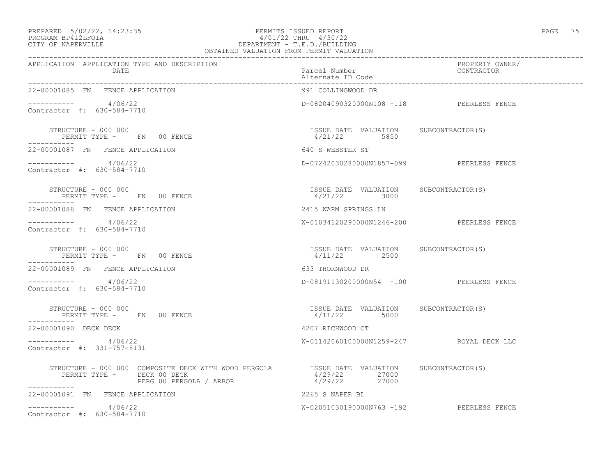### PREPARED 5/02/22, 14:23:35 PERMITS ISSUED REPORT PAGE 75 PROGRAM BP412LFOIA 4/01/22 THRU 4/30/22 CITY OF NAPERVILLE DEPARTMENT - T.E.D./BUILDING OBTAINED VALUATION FROM PERMIT VALUATION

| APPLICATION APPLICATION TYPE AND DESCRIPTION<br>DATE                                                                                                                | Parcel Number                                           | PROPERTY OWNER/<br>CONTRACTOR |
|---------------------------------------------------------------------------------------------------------------------------------------------------------------------|---------------------------------------------------------|-------------------------------|
| 22-00001085 FN FENCE APPLICATION                                                                                                                                    | 991 COLLINGWOOD DR                                      |                               |
| ---------- 4/06/22<br>Contractor #: 630-584-7710                                                                                                                    | D-08204090320000N108 -118 PEERLESS FENCE                |                               |
| STRUCTURE - 000 000<br>PERMIT TYPE - FN 00 FENCE                                                                                                                    | ISSUE DATE VALUATION SUBCONTRACTOR(S)<br>4/21/22 5850   |                               |
| 22-00001087 FN FENCE APPLICATION                                                                                                                                    | 640 S WEBSTER ST                                        |                               |
| $--------- 4/06/22$<br>Contractor #: 630-584-7710                                                                                                                   | D-07242030280000N1857-099 PEERLESS FENCE                |                               |
| STRUCTURE – 000 000<br>PERMIT TYPE - FN 00 FENCE<br>-----------                                                                                                     | ISSUE DATE VALUATION SUBCONTRACTOR(S)<br>$4/21/22$ 3000 |                               |
| 22-00001088 FN FENCE APPLICATION                                                                                                                                    | 2415 WARM SPRINGS LN                                    |                               |
| $--------- 4/06/22$<br>Contractor #: 630-584-7710                                                                                                                   | W-01034120290000N1246-200 PEERLESS FENCE                |                               |
| STRUCTURE - 000 000<br>PERMIT TYPE - FN 00 FENCE<br>-----------                                                                                                     | ISSUE DATE VALUATION SUBCONTRACTOR(S)<br>$4/11/22$ 2500 |                               |
| 22-00001089 FN FENCE APPLICATION                                                                                                                                    | 633 THORNWOOD DR                                        |                               |
| $--------- 4/06/22$<br>Contractor #: 630-584-7710                                                                                                                   | D-08191130200000N54 -100 PEERLESS FENCE                 |                               |
| STRUCTURE - 000 000<br>PERMIT TYPE - FN 00 FENCE<br>-----------                                                                                                     | ISSUE DATE VALUATION SUBCONTRACTOR(S)<br>4/11/22 5000   |                               |
| 22-00001090 DECK DECK                                                                                                                                               | 4207 RICHWOOD CT                                        |                               |
| $--------- 4/06/22$<br>Contractor #: 331-757-8131                                                                                                                   | W-01142060100000N1259-247 ROYAL DECK LLC                |                               |
| STRUCTURE - 000 000 COMPOSITE DECK WITH WOOD PERGOLA ISSUE DATE VALUATION SUBCONTRACTOR(S)<br>PERMIT TYPE - DECK 00 DECK<br>PERG 00 PERGOLA / ARBOR<br>------------ | 4/29/22 27000<br>4/29/22 27000                          |                               |
| 22-00001091 FN FENCE APPLICATION                                                                                                                                    | 2265 S NAPER BL                                         |                               |
| $--------- 4/06/22$<br>Contractor #: 630-584-7710                                                                                                                   | W-02051030190000N763 -192 PEERLESS FENCE                |                               |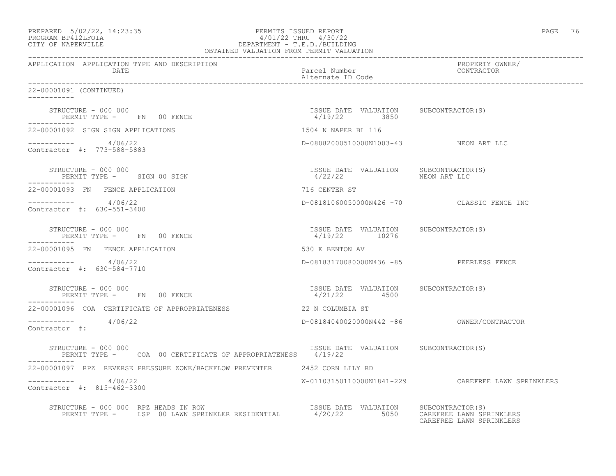| PREPARED            | $5/02/22$ , $14:23:35$ |  |
|---------------------|------------------------|--|
| DDOOD3M DD410T DOT3 |                        |  |

### PREPARED 5/02/22, 14:23:35 PERMITS ISSUED REPORT PAGE 76 PROGRAM BP412LFOIA 4/01/22 THRU 4/30/22 CITY OF NAPERVILLE DEPARTMENT - T.E.D./BUILDING OBTAINED VALUATION FROM PERMIT VALUATION

------------------------------------------------------------------------------------------------------------------------------------ APPLICATION APPLICATION TYPE AND DESCRIPTION PROPERTY OWNER/ DATE DATE Parcel Number<br>
Alternate ID Code Alternate ID Code ------------------------------------------------------------------------------------------------------------------------------------ 22-00001091 (CONTINUED) ----------- STRUCTURE - 000 000 ISSUE DATE VALUATION SUBCONTRACTOR(S) PERMIT TYPE - FN 00 FENCE ----------- 22-00001092 SIGN SIGN APPLICATIONS 1504 N NAPER BL 116 ----------- 4/06/22 D-08082000510000N1003-43 NEON ART LLC Contractor #: 773-588-5883 STRUCTURE - 000 000 ISSUE DATE VALUATION SUBCONTRACTOR(S) PERMIT TYPE - SIGN 00 SIGN 100 - 100 MHz = 4/22/22 NEON ART LLC ----------- 22-00001093 FN FENCE APPLICATION 716 CENTER ST ----------- 4/06/22 D-08181060050000N426 -70 CLASSIC FENCE INC Contractor #: 630-551-3400 STRUCTURE - 000 000 ISSUE DATE VALUATION SUBCONTRACTOR(S) PERMIT TYPE - FN 00 FENCE ----------- 22-00001095 FN FENCE APPLICATION 530 E BENTON AV ----------- 4/06/22 D-08183170080000N436 -85 PEERLESS FENCE Contractor #: 630-584-7710 STRUCTURE - 000 000 ISSUE DATE VALUATION SUBCONTRACTOR(S) PERMIT TYPE - FN 00 FENCE ----------- 22-00001096 COA CERTIFICATE OF APPROPRIATENESS 22 N COLUMBIA ST ----------- 4/06/22 D-08184040020000N442 -86 OWNER/CONTRACTOR Contractor #: STRUCTURE - 000 000 ISSUE DATE VALUATION SUBCONTRACTOR(S) PERMIT TYPE - COA 00 CERTIFICATE OF APPROPRIATENESS 4/19/22 ----------- 22-00001097 RPZ REVERSE PRESSURE ZONE/BACKFLOW PREVENTER 2452 CORN LILY RD ----------- 4/06/22 W-01103150110000N1841-229 CAREFREE LAWN SPRINKLERS Contractor #: 815-462-3300 STRUCTURE - 000 000 RPZ HEADS IN ROW ISSUE DATE VALUATION SUBCONTRACTOR(S) PERMIT TYPE - LSP 00 LAWN SPRINKLER RESIDENTIAL 4/20/22 5050 CAREFREE LAWN SPRINKLERS

CAREFREE LAWN SPRINKLERS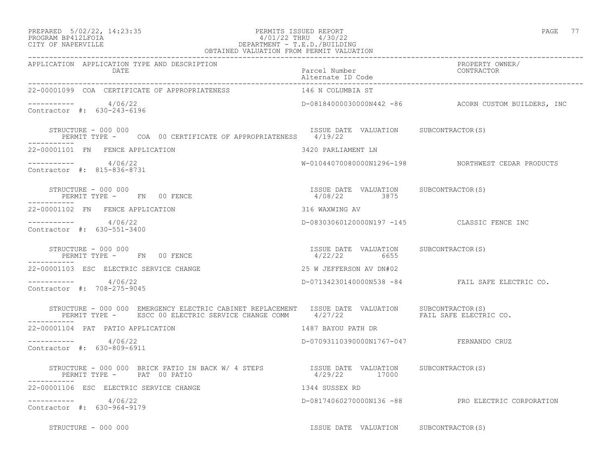### PREPARED 5/02/22, 14:23:35 PERMITS ISSUED REPORT PAGE 77 PROGRAM BP412LFOIA 4/01/22 THRU 4/30/22 CITY OF NAPERVILLE DEPARTMENT - T.E.D./BUILDING OBTAINED VALUATION FROM PERMIT VALUATION

| APPLICATION APPLICATION TYPE AND DESCRIPTION<br>DATE                                                                                                                                      | Parcel Number<br>Alternate ID Code                     | PROPERTY OWNER/<br>FROFERII OW<br>CONTRACTOR        |
|-------------------------------------------------------------------------------------------------------------------------------------------------------------------------------------------|--------------------------------------------------------|-----------------------------------------------------|
| 22-00001099 COA CERTIFICATE OF APPROPRIATENESS                                                                                                                                            | 146 N COLUMBIA ST                                      |                                                     |
| $--------- 4/06/22$<br>Contractor #: 630-243-6196                                                                                                                                         |                                                        | D-08184000030000N442 -86 ACORN CUSTOM BUILDERS, INC |
| STRUCTURE - 000 000<br>PERMIT TYPE - COA 00 CERTIFICATE OF APPROPRIATENESS 4/19/22                                                                                                        | ISSUE DATE VALUATION SUBCONTRACTOR(S)                  |                                                     |
| 22-00001101 FN FENCE APPLICATION                                                                                                                                                          | 3420 PARLIAMENT LN                                     |                                                     |
| $--------- 4/06/22$<br>Contractor #: 815-836-8731                                                                                                                                         |                                                        | W-01044070080000N1296-198 NORTHWEST CEDAR PRODUCTS  |
| STRUCTURE - 000 000<br>PERMIT TYPE - FN 00 FENCE                                                                                                                                          | ISSUE DATE VALUATION SUBCONTRACTOR(S)<br>4/08/22 3875  |                                                     |
| 22-00001102 FN FENCE APPLICATION                                                                                                                                                          | 316 WAXWING AV                                         |                                                     |
| $--------- 4/06/22$<br>Contractor #: 630-551-3400                                                                                                                                         | D-08303060120000N197 -145 CLASSIC FENCE INC            |                                                     |
| STRUCTURE - 000 000<br>PERMIT TYPE - FN 00 FENCE                                                                                                                                          | ISSUE DATE VALUATION SUBCONTRACTOR (S)<br>4/22/22 6655 |                                                     |
| 22-00001103 ESC ELECTRIC SERVICE CHANGE                                                                                                                                                   | 25 W JEFFERSON AV DN#02                                |                                                     |
| $--------- 4/06/22$<br>Contractor #: 708-275-9045                                                                                                                                         |                                                        | D-07134230140000N538 -84 FAIL SAFE ELECTRIC CO.     |
| STRUCTURE - 000 000 EMERGENCY ELECTRIC CABINET REPLACEMENT ISSUE DATE VALUATION SUBCONTRACTOR(S)<br>PERMIT TYPE - ESCC 00 ELECTRIC SERVICE CHANGE COMM 4/27/22 TAN PAIL SAFE ELECTRIC CO. |                                                        |                                                     |
| 22-00001104 PAT PATIO APPLICATION                                                                                                                                                         | 1487 BAYOU PATH DR                                     |                                                     |
| $--------- 4/06/22$<br>Contractor #: 630-809-6911                                                                                                                                         | D-07093110390000N1767-047 FERNANDO CRUZ                |                                                     |
| STRUCTURE - 000 000 BRICK PATIO IN BACK W/ 4 STEPS STRUE DATE VALUATION SUBCONTRACTOR(S)<br>PERMIT TYPE - PAT 00 PATIO                                                                    | 4/29/22 17000                                          |                                                     |
| 22-00001106 ESC ELECTRIC SERVICE CHANGE<br>1344 SUSSEX RD                                                                                                                                 |                                                        |                                                     |
| $--------- 4/06/22$<br>Contractor #: 630-964-9179                                                                                                                                         |                                                        | D-08174060270000N136 -88 PRO ELECTRIC CORPORATION   |
| STRUCTURE - 000 000                                                                                                                                                                       | ISSUE DATE VALUATION SUBCONTRACTOR(S)                  |                                                     |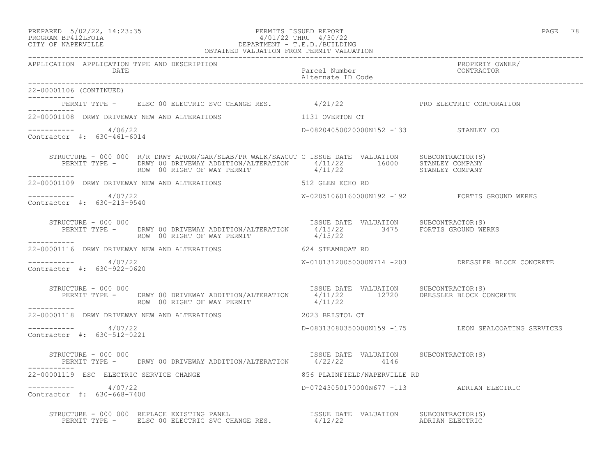### PREPARED 5/02/22, 14:23:35 PERMITS ISSUED REPORT PAGE 78 PROGRAM BP412LFOIA 4/01/22 THRU 4/30/22 CITY OF NAPERVILLE DEPARTMENT - T.E.D./BUILDING OBTAINED VALUATION FROM PERMIT VALUATION

------------------------------------------------------------------------------------------------------------------------------------

| APPLICATION APPLICATION TYPE AND DESCRIPTION<br><b>DATE</b> |                                                                                                                                                                                                                                          | Parcel Number<br>Alternate ID Code               | PROPERTY OWNER/<br>CONTRACTOR                       |
|-------------------------------------------------------------|------------------------------------------------------------------------------------------------------------------------------------------------------------------------------------------------------------------------------------------|--------------------------------------------------|-----------------------------------------------------|
| 22-00001106 (CONTINUED)<br>___________                      |                                                                                                                                                                                                                                          |                                                  |                                                     |
| -----------                                                 | PERMIT TYPE - ELSC 00 ELECTRIC SVC CHANGE RES. 4/21/22 PRO ELECTRIC CORPORATION                                                                                                                                                          |                                                  |                                                     |
| 22-00001108 DRWY DRIVEWAY NEW AND ALTERATIONS               |                                                                                                                                                                                                                                          | 1131 OVERTON CT                                  |                                                     |
| -----------     4/06/22<br>Contractor #: 630-461-6014       |                                                                                                                                                                                                                                          | D-08204050020000N152 -133 STANLEY CO             |                                                     |
| ------------                                                | STRUCTURE - 000 000 R/R DRWY APRON/GAR/SLAB/PR WALK/SAWCUT C ISSUE DATE VALUATION SUBCONTRACTOR(S)<br>PERMIT TYPE - DRWY 00 DRIVEWAY ADDITION/ALTERATION 4/11/22 16000 STANLEY COMPANY ADDITION/ALTERATION 4/11/22 16000 STANLEY COMPANY |                                                  |                                                     |
|                                                             | 22-00001109 DRWY DRIVEWAY NEW AND ALTERATIONS 512 GLEN ECHO RD                                                                                                                                                                           |                                                  |                                                     |
| $---------$ 4/07/22<br>Contractor #: 630-213-9540           |                                                                                                                                                                                                                                          |                                                  | W-02051060160000N192 -192 FORTIS GROUND WERKS       |
| STRUCTURE - 000 000                                         | PERMIT TYPE - DRWY 00 DRIVEWAY ADDITION/ALTERATION 4/15/22 3475 FORTIS GROUND WERKS<br>ROW 00 RIGHT OF WAY PERMIT $4/15/22$                                                                                                              | ISSUE DATE VALUATION SUBCONTRACTOR(S)            |                                                     |
|                                                             | 22-00001116 DRWY DRIVEWAY NEW AND ALTERATIONS                                                                                                                                                                                            | 624 STEAMBOAT RD                                 |                                                     |
| $--------- 4/07/22$<br>Contractor #: 630-922-0620           |                                                                                                                                                                                                                                          |                                                  | W-01013120050000N714 -203 DRESSLER BLOCK CONCRETE   |
| STRUCTURE - 000 000                                         | PERMIT TYPE - DRWY 00 DRIVEWAY ADDITION/ALTERATION 4/11/22 12720 DRESSLER BLOCK CONCRETE<br>ROW 00 RIGHT OF WAY PERMIT                                                                                                                   | ISSUE DATE VALUATION SUBCONTRACTOR(S)<br>4/11/22 |                                                     |
| 22-00001118 DRWY DRIVEWAY NEW AND ALTERATIONS               | Example 2023 BRISTOL CT                                                                                                                                                                                                                  |                                                  |                                                     |
| $--------- 4/07/22$<br>Contractor #: 630-512-0221           |                                                                                                                                                                                                                                          |                                                  | D-08313080350000N159 -175 LEON SEALCOATING SERVICES |
| STRUCTURE – 000 000                                         | PERMIT TYPE - DRWY 00 DRIVEWAY ADDITION/ALTERATION 4/22/22 4146                                                                                                                                                                          | ISSUE DATE VALUATION SUBCONTRACTOR(S)            |                                                     |
| 22-00001119 ESC ELECTRIC SERVICE CHANGE                     |                                                                                                                                                                                                                                          | 856 PLAINFIELD/NAPERVILLE RD                     |                                                     |
| -----------     4/07/22<br>Contractor #: 630-668-7400       |                                                                                                                                                                                                                                          | D-07243050170000N677 -113 ADRIAN ELECTRIC        |                                                     |
|                                                             | STRUCTURE – 000 000 REPLACE EXISTING PANEL (STRUCTURE – 000 000 REPLACE EXISTING PANEL (STRUCTURE 1997) SUBCONTRACTOR (STRUCTURE 1997) PERMIT TYPE – ELSC 00 ELECTRIC SVC CHANGE RES. $\frac{4}{12/22}$ adrian electric                  |                                                  |                                                     |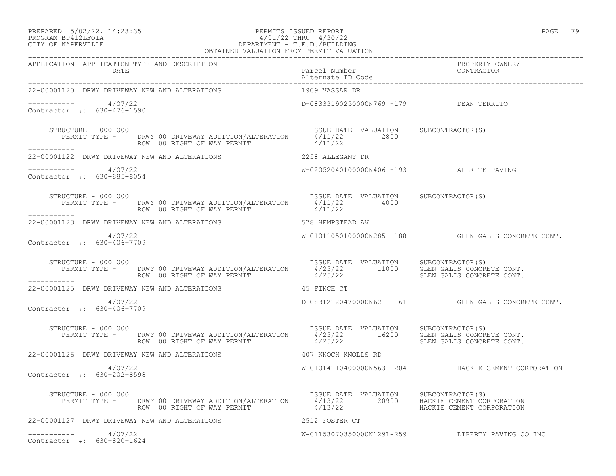### PREPARED 5/02/22, 14:23:35 PERMITS ISSUED REPORT PAGE 79 PROGRAM BP412LFOIA 4/01/22 THRU 4/30/22 CITY OF NAPERVILLE DEPARTMENT - T.E.D./BUILDING OBTAINED VALUATION FROM PERMIT VALUATION

| 22-00001120 DRWY DRIVEWAY NEW AND ALTERATIONS                                                                                                                                                                                                                                                                                                                                                                                                                                  | 1909 VASSAR DR                           |                                                     |
|--------------------------------------------------------------------------------------------------------------------------------------------------------------------------------------------------------------------------------------------------------------------------------------------------------------------------------------------------------------------------------------------------------------------------------------------------------------------------------|------------------------------------------|-----------------------------------------------------|
| $--------- 4/07/22$<br>Contractor #: 630-476-1590                                                                                                                                                                                                                                                                                                                                                                                                                              | D-08333190250000N769 -179 DEAN TERRITO   |                                                     |
| STRUCTURE - 000 000<br>PERMIT TYPE - DRWY 00 DRIVEWAY ADDITION/ALTERATION 1/11/22 2800<br>ROW 00 RIGHT OF WAY PERMIT 4/11/22<br>2800<br>2800<br>2800<br>STRUCTURE - 000 000<br>___________                                                                                                                                                                                                                                                                                     |                                          |                                                     |
| 22-00001122 DRWY DRIVEWAY NEW AND ALTERATIONS                                                                                                                                                                                                                                                                                                                                                                                                                                  | 2258 ALLEGANY DR                         |                                                     |
| $--------- 4/07/22$<br>Contractor #: 630-885-8054                                                                                                                                                                                                                                                                                                                                                                                                                              | W-02052040100000N406 -193 ALLRITE PAVING |                                                     |
| $\begin{array}{cccc} \texttt{STRUCTURE} & - & 000 & 000 \\ \texttt{PERMIT TYPE} & - & \texttt{DRWY} & 00 \\ \texttt{REMMIT TYPE} & - & \texttt{DRWY} & 00 \\ \texttt{ROW} & 00 \\ \texttt{ROW} & 00 \\ \texttt{ROW} & 00 \\ \texttt{ROW} & 00 \\ \texttt{RCHT OF WAY} & \texttt{PERMIT} \\ \end{array} \qquad \begin{array}{cccc} \texttt{ISSUE} & \texttt{DATE} & \texttt{VALUATION} & \texttt{SUBCONTRACTOR(S)} \\ \texttt{4/11/22} & 4000 \\$<br>ROW 00 RIGHT OF WAY PERMIT |                                          |                                                     |
| 22-00001123 DRWY DRIVEWAY NEW AND ALTERATIONS 578 HEMPSTEAD AV                                                                                                                                                                                                                                                                                                                                                                                                                 |                                          |                                                     |
| $--------- 4/07/22$<br>Contractor #: 630-406-7709                                                                                                                                                                                                                                                                                                                                                                                                                              |                                          | W-01011050100000N285 -188 GLEN GALIS CONCRETE CONT. |
| STRUCTURE - 000 000<br>PERMIT TYPE - DRWY 00 DRIVEWAY ADDITION/ALTERATION SUSUE DATE VALUATION SUBCONTRACTOR(S)<br>ROW 00 RIGHT OF WAY PERMIT 4/25/22 4/25/22 GLEN GALIS CONCRETE CONT.<br>------------                                                                                                                                                                                                                                                                        |                                          |                                                     |
| 22-00001125 DRWY DRIVEWAY NEW AND ALTERATIONS                                                                                                                                                                                                                                                                                                                                                                                                                                  | 45 FINCH CT                              |                                                     |
| $--------- 4/07/22$<br>Contractor #: 630-406-7709                                                                                                                                                                                                                                                                                                                                                                                                                              |                                          | D-08312120470000N62 -161 GLEN GALIS CONCRETE CONT.  |
| STRUCTURE - 000 000<br>FERMIT TYPE - DRWY 00 DRIVEWAY ADDITION/ALTERATION 15SUE DATE VALUATION SUBCONTRACTOR(S)<br>ROW 00 RIGHT OF WAY PERMIT 4/25/22 16200 GLEN GALIS CONCRETE CONT.<br>STRUCTURE - 000 000                                                                                                                                                                                                                                                                   |                                          |                                                     |
| -----------<br>22-00001126 DRWY DRIVEWAY NEW AND ALTERATIONS 407 KNOCH KNOLLS RD                                                                                                                                                                                                                                                                                                                                                                                               |                                          |                                                     |
| $--------- 4/07/22$<br>Contractor #: 630-202-8598                                                                                                                                                                                                                                                                                                                                                                                                                              |                                          | W-01014110400000N563 -204 HACKIE CEMENT CORPORATION |
| STRUCTURE - 000 000<br>PERMIT TYPE - DRWY 00 DRIVEWAY ADDITION/ALTERATION 15SUE DATE VALUATION SUBCONTRACTOR(S)<br>ROW 00 RIGHT OF WAY PERMIT 4/13/22 20900 HACKIE CEMENT CORPORATION<br>------------                                                                                                                                                                                                                                                                          |                                          |                                                     |
| 22-00001127 DRWY DRIVEWAY NEW AND ALTERATIONS THE RESERN CONTRACT STORM OF 2512 FOSTER CT                                                                                                                                                                                                                                                                                                                                                                                      |                                          |                                                     |
| $--------- 4/07/22$<br>Contractor #: 630-820-1624                                                                                                                                                                                                                                                                                                                                                                                                                              |                                          | W-01153070350000N1291-259 LIBERTY PAVING CO INC     |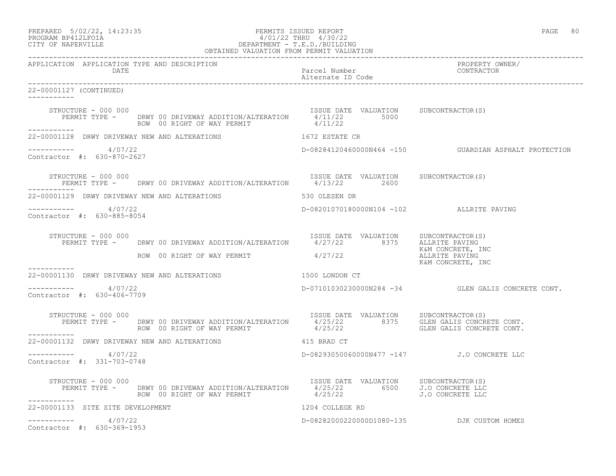| PREPARED            | $5/02/22$ , $14:23:35$ |  |
|---------------------|------------------------|--|
| DDOOD3M DD410T DOT3 |                        |  |

# PREPARED 5/02/22, 14:23:35 PERMITS ISSUED REPORT<br>PROGRAM BP412LFOIA PAGE 80<br>4/01/22 THRU 4/30/22 PROGRAM BP412LFOIA  $4/01/22$  THRU  $4/30/22$ <br>CITY OF NAPERVILLE CITY OF NAPERVILLE DEPARTMENT - T.E.D./BUILDING

| OBTAINED VALUATION FROM PERMIT VALUATION                                                                                                                                                                                      |                                            |                                                          |
|-------------------------------------------------------------------------------------------------------------------------------------------------------------------------------------------------------------------------------|--------------------------------------------|----------------------------------------------------------|
| APPLICATION APPLICATION TYPE AND DESCRIPTION<br>DATE                                                                                                                                                                          | Parcel Number<br>Alternate ID Code         | PROPERTY OWNER/<br>CONTRACTOR                            |
| 22-00001127 (CONTINUED)                                                                                                                                                                                                       |                                            |                                                          |
| STRUCTURE - 000 000<br>PERMIT TYPE - DRWY 00 DRIVEWAY ADDITION/ALTERATION $4/11/22$ 5000<br>PERMIT TYPE - DRWY 00 DRIVEWAY ADDITION/ALTERATION $4/11/22$ 5000<br>STRUCTURE - 000 000<br>ROW 00 RIGHT OF WAY PERMIT            | 4/11/22                                    |                                                          |
| ------------<br>22-00001128 DRWY DRIVEWAY NEW AND ALTERATIONS 1672 ESTATE CR                                                                                                                                                  |                                            |                                                          |
| -----------     4/07/22<br>Contractor #: 630-870-2627                                                                                                                                                                         |                                            | D-08284120460000N464 -150    GUARDIAN ASPHALT PROTECTION |
| STRUCTURE - 000 000<br>PERMIT TYPE - DRWY 00 DRIVEWAY ADDITION/ALTERATION 4/13/22 2600                                                                                                                                        | ISSUE DATE VALUATION SUBCONTRACTOR(S)      |                                                          |
| 22-00001129 DRWY DRIVEWAY NEW AND ALTERATIONS THE STARK STARS SO OLESEN DR                                                                                                                                                    |                                            |                                                          |
| -----------     4/07/22<br>Contractor #: 630-885-8054                                                                                                                                                                         | D-08201070180000N104 -102 ALLRITE PAVING   |                                                          |
| STRUCTURE - 000 000<br>RUCTURE - 000 000<br>PERMIT TYPE - DRWY 00 DRIVEWAY ADDITION/ALTERATION 1997/22 8375 ALLRITE PAVING<br>ROW 00 RIGHT OF WAY PERMIT 1997/22<br>ROW 00 RIGHT OF WAY PERMIT 1997/22                        |                                            |                                                          |
| ------------                                                                                                                                                                                                                  |                                            | K&M CONCRETE, INC                                        |
| 22-00001130 DRWY DRIVEWAY NEW AND ALTERATIONS 45 1500 LONDON CT                                                                                                                                                               |                                            |                                                          |
| -----------     4/07/22<br>Contractor #: 630-406-7709                                                                                                                                                                         |                                            | D-07101030230000N284 -34 GLEN GALIS CONCRETE CONT.       |
| RUCTURE - 000 000<br>PERMIT TYPE - DRWY 00 DRIVEWAY ADDITION/ALTERATION 1/25/22 8375 GLEN GALIS CONCRETE CONT.<br>ROW 00 RIGHT OF WAY PERMIT 4/25/22 4/25/22 GLEN GALIS CONCRETE CONT.<br>STRUCTURE - 000 000<br>------------ |                                            |                                                          |
| 22-00001132 DRWY DRIVEWAY NEW AND ALTERATIONS 415 BRAD CT                                                                                                                                                                     |                                            |                                                          |
| ----------- 4/07/22<br>Contractor #: 331-703-0748                                                                                                                                                                             | D-08293050060000N477 -147 J.O CONCRETE LLC |                                                          |
| STRUCTURE - 000 000                                                                                                                                                                                                           |                                            |                                                          |
| 22-00001133 SITE SITE DEVELOPMENT                                                                                                                                                                                             | 1204 COLLEGE RD                            |                                                          |
| 4/07/22<br>------------                                                                                                                                                                                                       |                                            | D-08282000220000D1080-135 DJK CUSTOM HOMES               |

Contractor #: 630-369-1953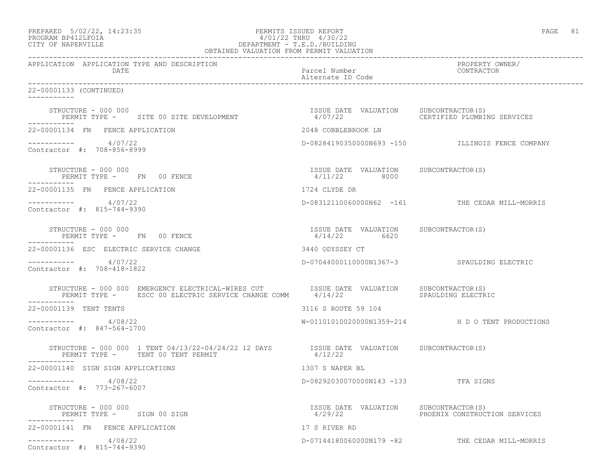| PREPARED            | $5/02/22$ , $14:23:35$ |  |
|---------------------|------------------------|--|
| DDOCDAM DDA10T DOTA |                        |  |

# PREPARED 5/02/22, 14:23:35 PERMITS ISSUED REPORT<br>PROGRAM BP412LFOIA PAGE 81 PAGE 81 PROGRAM BP412LFOIA  $4/01/22$  THRU  $4/30/22$ <br>CITY OF NAPERVILLE CITY OF NAPERVILLE DEPARTMENT - T.E.D./BUILDING

| OBTAINED VALUATION FROM PERMIT VALUATION                                                                                                       |                                                       |                                                  |
|------------------------------------------------------------------------------------------------------------------------------------------------|-------------------------------------------------------|--------------------------------------------------|
| APPLICATION APPLICATION TYPE AND DESCRIPTION<br>DATE                                                                                           | Parcel Number<br>Alternate ID Code                    | PROPERTY OWNER/<br>CONTRACTOR                    |
| 22-00001133 (CONTINUED)<br>-----------                                                                                                         |                                                       |                                                  |
| STRUCTURE - 000 000<br>PERMIT TYPE - SITE 00 SITE DEVELOPMENT                                                                                  | ISSUE DATE VALUATION SUBCONTRACTOR(S)<br>4/07/22      | CERTIFIED PLUMBING SERVICES                      |
| 22-00001134 FN FENCE APPLICATION                                                                                                               | 2048 COBBLEBROOK LN                                   |                                                  |
| $--------- 4/07/22$<br>Contractor #: 708-856-8999                                                                                              |                                                       | D-08284190350000N693 -150 ILLINOIS FENCE COMPANY |
| STRUCTURE - 000 000<br>PERMIT TYPE - FN 00 FENCE                                                                                               | ISSUE DATE VALUATION SUBCONTRACTOR(S)<br>4/11/22 8000 |                                                  |
| 22-00001135 FN FENCE APPLICATION                                                                                                               | 1724 CLYDE DR                                         |                                                  |
| 4/07/22<br>Contractor #: 815-744-9390                                                                                                          |                                                       | D-08312110060000N62 -161 THE CEDAR MILL-MORRIS   |
| STRUCTURE - 000 000<br>PERMIT TYPE - FN 00 FENCE                                                                                               | ISSUE DATE VALUATION SUBCONTRACTOR(S)<br>4/14/22 6620 |                                                  |
| 22-00001136 ESC ELECTRIC SERVICE CHANGE                                                                                                        | 3440 ODYSSEY CT                                       |                                                  |
| $--------$ 4/07/22<br>Contractor #: 708-418-1822                                                                                               |                                                       | D-07044000110000N1367-3 SPAULDING ELECTRIC       |
|                                                                                                                                                |                                                       | SPAULDING ELECTRIC                               |
| 22-00001139 TENT TENTS                                                                                                                         | 3116 S ROUTE 59 104                                   |                                                  |
| 4/08/22<br>Contractor #: 847-564-1700                                                                                                          |                                                       | W-01101010020000N1359-214 H D O TENT PRODUCTIONS |
| STRUCTURE - 000 000 1 TENT 04/13/22-04/24/22 12 DAYS SISUE DATE VALUATION SUBCONTRACTOR(S)<br>PERMIT TYPE - TENT 00 TENT PERMIT<br>----------- | 4/12/22                                               |                                                  |
| 22-00001140 SIGN SIGN APPLICATIONS                                                                                                             | 1307 S NAPER BL                                       |                                                  |
| 4/08/22<br>Contractor #: 773-267-6007                                                                                                          | D-08292030070000N143 -133 TFA SIGNS                   |                                                  |
| STRUCTURE - 000 000<br>PERMIT TYPE - SIGN 00 SIGN                                                                                              | ISSUE DATE VALUATION SUBCONTRACTOR(S)                 | 4/29/22 PHOENIX CONSTRUCTION SERVICES            |
| 22-00001141 FN FENCE APPLICATION                                                                                                               | 17 S RIVER RD                                         |                                                  |
| 4/08/22<br>___________<br>Contractor #: 815-744-9390                                                                                           |                                                       | D-07144180060000N179 -82 THE CEDAR MILL-MORRIS   |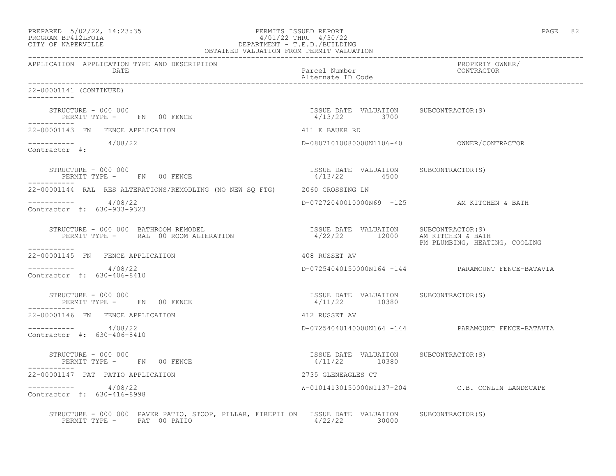| $\begin{minipage}{.4cm} \texttt{PREPARED} & 5/02/22, 14:23:33 \\ \texttt{PROGRAPHMENT - T.E.D./BULDING} & \texttt{DEPARTMENT - T.E.D./BULDING} \\ \texttt{CFTW OF NAPERVILLE} & \texttt{OBTAINED VALUATION FROM PERMIT VALUATION} \end{minipage}$ |                                                         | PAGE 82                                           |
|---------------------------------------------------------------------------------------------------------------------------------------------------------------------------------------------------------------------------------------------------|---------------------------------------------------------|---------------------------------------------------|
| DATE                                                                                                                                                                                                                                              | Parcel Number<br>Alternate ID Code                      | PROPERTY OWNER/<br>CONTRACTOR                     |
| 22-00001141 (CONTINUED)                                                                                                                                                                                                                           |                                                         |                                                   |
| STRUCTURE - 000 000<br>PERMIT TYPE - FN 00 FENCE                                                                                                                                                                                                  | ISSUE DATE VALUATION SUBCONTRACTOR(S)<br>4/13/22 3700   |                                                   |
| 22-00001143 FN FENCE APPLICATION                                                                                                                                                                                                                  | 411 E BAUER RD                                          |                                                   |
| $\frac{1}{2}$ -----------<br>Contractor #: 4/08/22                                                                                                                                                                                                |                                                         |                                                   |
| STRUCTURE - 000 000<br>PERMIT TYPE - FN 00 FENCE                                                                                                                                                                                                  | ISSUE DATE VALUATION SUBCONTRACTOR(S)<br>$4/13/22$ 4500 |                                                   |
| 22-00001144 RAL RES ALTERATIONS/REMODLING (NO NEW SO FTG) 2060 CROSSING LN                                                                                                                                                                        |                                                         |                                                   |
| $--------- 4/08/22$<br>Contractor #: 630-933-9323                                                                                                                                                                                                 |                                                         | D-07272040010000N69 -125 AM KITCHEN & BATH        |
| STRUCTURE - 000 000 BATHROOM REMODEL<br>-----------                                                                                                                                                                                               |                                                         | PM PLUMBING, HEATING, COOLING                     |
| 22-00001145 FN FENCE APPLICATION                                                                                                                                                                                                                  | 408 RUSSET AV                                           |                                                   |
| $--------- 4/08/22$<br>Contractor #: 630-406-8410                                                                                                                                                                                                 |                                                         | D-07254040150000N164 -144 PARAMOUNT FENCE-BATAVIA |
| STRUCTURE - 000 000<br>PERMIT TYPE - FN 00 FENCE<br>___________                                                                                                                                                                                   | ISSUE DATE VALUATION SUBCONTRACTOR(S)<br>4/11/22 10380  |                                                   |
| 22-00001146 FN FENCE APPLICATION                                                                                                                                                                                                                  | 412 RUSSET AV                                           |                                                   |
| $--------- 4/08/22$<br>Contractor #: 630-406-8410                                                                                                                                                                                                 |                                                         | D-07254040140000N164 -144 PARAMOUNT FENCE-BATAVIA |
| STRUCTURE - 000 000<br>PERMIT TYPE - FN 00 FENCE                                                                                                                                                                                                  | ISSUE DATE VALUATION SUBCONTRACTOR (S)<br>4/11/22 10380 |                                                   |
| 22-00001147 PAT PATIO APPLICATION                                                                                                                                                                                                                 | 2735 GLENEAGLES CT                                      |                                                   |
| $--------- 4/08/22$<br>Contractor #: 630-416-8998                                                                                                                                                                                                 |                                                         | W-01014130150000N1137-204 C.B. CONLIN LANDSCAPE   |
| STRUCTURE - 000 000 PAVER PATIO, STOOP, PILLAR, FIREPIT ON ISSUE DATE VALUATION SUBCONTRACTOR(S)<br>PERMIT TYPE - PAT 00 PATIO                                                                                                                    | $4/22/22$ 30000                                         |                                                   |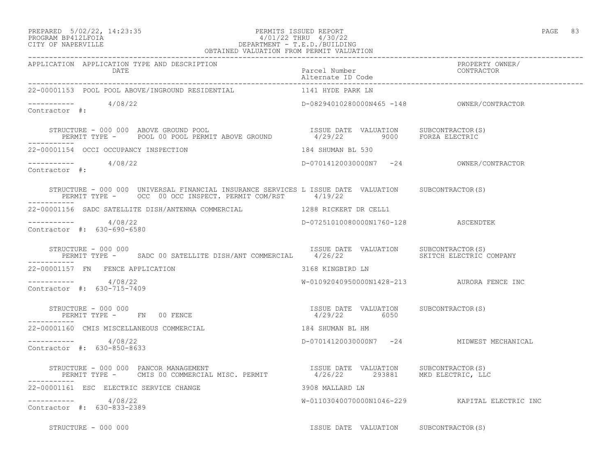### PREPARED 5/02/22, 14:23:35 PERMITS ISSUED REPORT PAGE 83 PROGRAM BP412LFOIA 4/01/22 THRU 4/30/22 CITY OF NAPERVILLE DEPARTMENT - T.E.D./BUILDING OBTAINED VALUATION FROM PERMIT VALUATION

| APPLICATION APPLICATION TYPE AND DESCRIPTION<br>DATE                                                                                                           |                                                       |                                                |
|----------------------------------------------------------------------------------------------------------------------------------------------------------------|-------------------------------------------------------|------------------------------------------------|
| 22-00001153 POOL POOL ABOVE/INGROUND RESIDENTIAL THAT ALL THAT HYDE PARK LN                                                                                    |                                                       |                                                |
| $--------- 4/08/22$<br>Contractor #:                                                                                                                           | D-08294010280000N465 -148 OWNER/CONTRACTOR            |                                                |
|                                                                                                                                                                |                                                       |                                                |
| 22-00001154 OCCI OCCUPANCY INSPECTION                                                                                                                          | 184 SHUMAN BL 530                                     |                                                |
| $--------- 4/08/22$<br>Contractor #:                                                                                                                           | D-07014120030000N7 -24 OWNER/CONTRACTOR               |                                                |
| STRUCTURE - 000 000 UNIVERSAL FINANCIAL INSURANCE SERVICES L ISSUE DATE VALUATION SUBCONTRACTOR(S)<br>PERMIT TYPE - OCC 00 OCC INSPECT. PERMIT COM/RST 4/19/22 |                                                       |                                                |
| 22-00001156 SADC SATELLITE DISH/ANTENNA COMMERCIAL 1288 RICKERT DR CELL1                                                                                       |                                                       |                                                |
| $--------- 4/08/22$<br>Contractor #: 630-690-6580                                                                                                              | D-07251010080000N1760-128 ASCENDTEK                   |                                                |
| STRUCTURE - 000 000<br>PERMIT TYPE - SADC 00 SATELLITE DISH/ANT COMMERCIAL 4/26/22 SKITCH ELECTRIC COMPANY                                                     | ISSUE DATE VALUATION SUBCONTRACTOR(S)                 |                                                |
| 22-00001157 FN FENCE APPLICATION                                                                                                                               | 3168 KINGBIRD LN                                      |                                                |
| $--------- 4/08/22$<br>Contractor #: 630-715-7409                                                                                                              | W-01092040950000N1428-213 AURORA FENCE INC            |                                                |
| STRUCTURE - 000 000<br>PERMIT TYPE - FN 00 FENCE                                                                                                               | ISSUE DATE VALUATION SUBCONTRACTOR(S)<br>4/29/22 6050 |                                                |
| 22-00001160 CMIS MISCELLANEOUS COMMERCIAL                                                                                                                      | 184 SHUMAN BL HM                                      |                                                |
| $--------- 4/08/22$<br>Contractor #: 630-850-8633                                                                                                              |                                                       | D-07014120030000N7 -24 MIDWEST MECHANICAL      |
|                                                                                                                                                                |                                                       |                                                |
| 22-00001161 ESC ELECTRIC SERVICE CHANGE<br>3908 MALLARD LN                                                                                                     |                                                       |                                                |
| $--------- 4/08/22$<br>Contractor #: 630-833-2389                                                                                                              |                                                       | W-01103040070000N1046-229 KAPITAL ELECTRIC INC |
| STRUCTURE - 000 000                                                                                                                                            | ISSUE DATE VALUATION SUBCONTRACTOR(S)                 |                                                |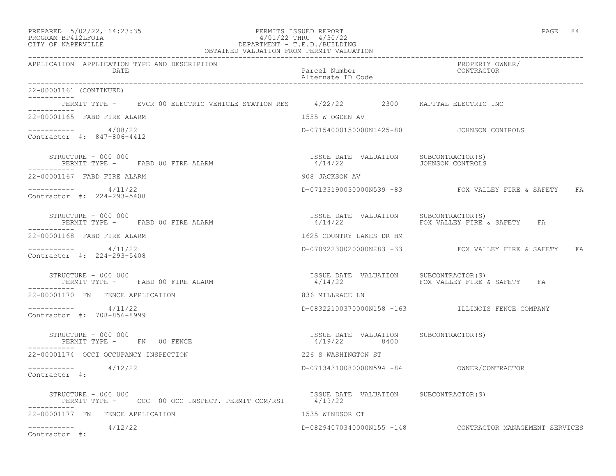| PREPARED | $5/02/22$ , 14:23:35 |  |
|----------|----------------------|--|
|          | - - - - - - -        |  |

### PREPARED 5/02/22, 14:23:35 PERMITS ISSUED REPORT PAGE 84 PROGRAM BP412LFOIA 4/01/22 THRU 4/30/22 CITY OF NAPERVILLE DEPARTMENT - T.E.D./BUILDING

| OBTAINED VALUATION FROM PERMIT VALUATION                                             |                                                                   |                                                          |
|--------------------------------------------------------------------------------------|-------------------------------------------------------------------|----------------------------------------------------------|
| APPLICATION APPLICATION TYPE AND DESCRIPTION<br>DATE                                 | Parcel Number<br>Alternate ID Code                                | PROPERTY OWNER/<br>CONTRACTOR                            |
| 22-00001161 (CONTINUED)                                                              |                                                                   |                                                          |
| PERMIT TYPE - EVCR 00 ELECTRIC VEHICLE STATION RES 4/22/22 2300 KAPITAL ELECTRIC INC |                                                                   |                                                          |
| 22-00001165 FABD FIRE ALARM                                                          | 1555 W OGDEN AV                                                   |                                                          |
| $--------- 4/08/22$<br>Contractor #: 847-806-4412                                    | D-07154000150000N1425-80    JOHNSON CONTROLS                      |                                                          |
| STRUCTURE - 000 000<br>PERMIT TYPE - FABD 00 FIRE ALARM                              | ISSUE DATE VALUATION SUBCONTRACTOR(S)<br>4/14/22 JOHNSON CONTROLS |                                                          |
| 22-00001167 FABD FIRE ALARM                                                          | 908 JACKSON AV                                                    |                                                          |
| $--------$ 4/11/22<br>Contractor #: 224-293-5408                                     |                                                                   | D-07133190030000N539 -83 FOX VALLEY FIRE & SAFETY FA     |
| STRUCTURE – 000 000<br>PERMIT TYPE - FABD 00 FIRE ALARM                              |                                                                   | FOX VALLEY FIRE & SAFETY FA                              |
| 22-00001168 FABD FIRE ALARM                                                          | 1625 COUNTRY LAKES DR HM                                          |                                                          |
| $--------- 4/11/22$<br>Contractor #: 224-293-5408                                    |                                                                   | D-07092230020000N283 -33 FOX VALLEY FIRE & SAFETY FA     |
| STRUCTURE - 000 000<br>PERMIT TYPE - FABD 00 FIRE ALARM                              | ISSUE DATE VALUATION SUBCONTRACTOR(S)<br>4/14/22                  | FOX VALLEY FIRE & SAFETY FA                              |
| 22-00001170 FN FENCE APPLICATION                                                     | 836 MILLRACE LN                                                   |                                                          |
| ---------- 4/11/22<br>Contractor #: 708-856-8999                                     |                                                                   | D-08322100370000N158 -163 ILLINOIS FENCE COMPANY         |
| STRUCTURE - 000 000<br>PERMIT TYPE - FN 00 FENCE                                     | ISSUE DATE VALUATION SUBCONTRACTOR(S)<br>4/19/22 8400             |                                                          |
| 22-00001174 OCCI OCCUPANCY INSPECTION                                                | 226 S WASHINGTON ST                                               |                                                          |
| $--------- 4/12/22$<br>Contractor #:                                                 |                                                                   | D-07134310080000N594 -84 OWNER/CONTRACTOR                |
| STRUCTURE - 000 000<br>PERMIT TYPE - OCC 00 OCC INSPECT. PERMIT COM/RST 4/19/22      | ISSUE DATE VALUATION SUBCONTRACTOR (S)                            |                                                          |
| 22-00001177 FN FENCE APPLICATION                                                     | 1535 WINDSOR CT                                                   |                                                          |
| $--------- 4/12/22$<br>Contractor #:                                                 |                                                                   | D-08294070340000N155 -148 CONTRACTOR MANAGEMENT SERVICES |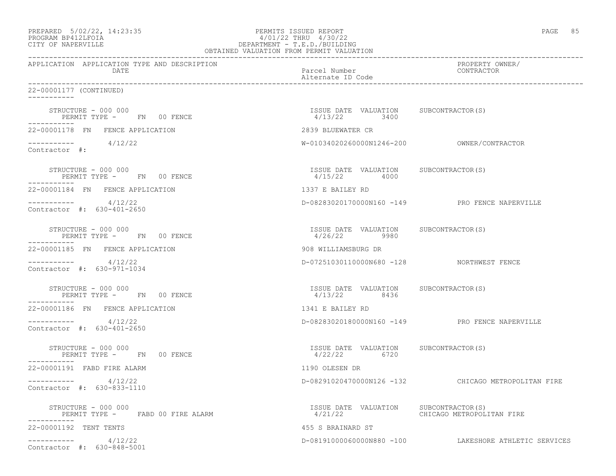| PREPARED 5/02/22, 14:23:35 | PERMITS ISSUED REPORT     | PAGE |  |
|----------------------------|---------------------------|------|--|
| DDOCD3M DD419T DOT3        | $1/01/00$ munti $1/00/00$ |      |  |

# PROGRAM BP412LFOIA 4/01/22 THRU 4/30/22 CITY OF NAPERVILLE DEPARTMENT - T.E.D./BUILDING

| OBTAINED VALUATION FROM PERMIT VALUATION                        |                                                        |                                                       |  |  |
|-----------------------------------------------------------------|--------------------------------------------------------|-------------------------------------------------------|--|--|
| APPLICATION APPLICATION TYPE AND DESCRIPTION<br>DATE            | Parcel Number<br>Alternate ID Code                     | PROPERTY OWNER/<br>CONTRACTOR                         |  |  |
| 22-00001177 (CONTINUED)<br>___________                          |                                                        |                                                       |  |  |
| STRUCTURE - 000 000<br>PERMIT TYPE - FN 00 FENCE<br>----------- | ISSUE DATE VALUATION SUBCONTRACTOR (S)<br>4/13/22 3400 |                                                       |  |  |
| 22-00001178 FN FENCE APPLICATION                                | 2839 BLUEWATER CR                                      |                                                       |  |  |
| $--------- 4/12/22$<br>Contractor #:                            |                                                        |                                                       |  |  |
| STRUCTURE - 000 000<br>PERMIT TYPE - FN 00 FENCE                | ISSUE DATE VALUATION SUBCONTRACTOR(S)<br>4/15/22 4000  |                                                       |  |  |
| 22-00001184 FN FENCE APPLICATION                                | 1337 E BAILEY RD                                       |                                                       |  |  |
| $--------- 4/12/22$<br>Contractor #: 630-401-2650               |                                                        | D-08283020170000N160 -149 PRO FENCE NAPERVILLE        |  |  |
| STRUCTURE - 000 000<br>PERMIT TYPE - FN 00 FENCE                | ISSUE DATE VALUATION SUBCONTRACTOR(S)<br>4/26/22 9980  |                                                       |  |  |
| 22-00001185 FN FENCE APPLICATION                                | 908 WILLIAMSBURG DR                                    |                                                       |  |  |
| $--------- 4/12/22$<br>Contractor #: 630-971-1034               | D-07251030110000N680 -128 NORTHWEST FENCE              |                                                       |  |  |
| STRUCTURE - 000 000<br>PERMIT TYPE - FN 00 FENCE                | ISSUE DATE VALUATION SUBCONTRACTOR(S)<br>4/13/22 8436  |                                                       |  |  |
| 22-00001186 FN FENCE APPLICATION                                | 1341 E BAILEY RD                                       |                                                       |  |  |
| 4/12/22<br>Contractor #: 630-401-2650                           |                                                        | D-08283020180000N160 -149 PRO FENCE NAPERVILLE        |  |  |
| STRUCTURE - 000 000<br>PERMIT TYPE - FN 00 FENCE                | ISSUE DATE VALUATION SUBCONTRACTOR(S)<br>4/22/22 6720  |                                                       |  |  |
| 22-00001191 FABD FIRE ALARM                                     | 1190 OLESEN DR                                         |                                                       |  |  |
| $--------- 4/12/22$<br>Contractor #: 630-833-1110               |                                                        | D-08291020470000N126 -132 CHICAGO METROPOLITAN FIRE   |  |  |
| STRUCTURE - 000 000<br>PERMIT TYPE - FABD 00 FIRE ALARM         | ISSUE DATE VALUATION SUBCONTRACTOR(S)                  |                                                       |  |  |
| 22-00001192 TENT TENTS                                          | 455 S BRAINARD ST                                      |                                                       |  |  |
| $--------- 4/12/22$<br>Contractor #: 630-848-5001               |                                                        | D-081910000600000880 -100 LAKESHORE ATHLETIC SERVICES |  |  |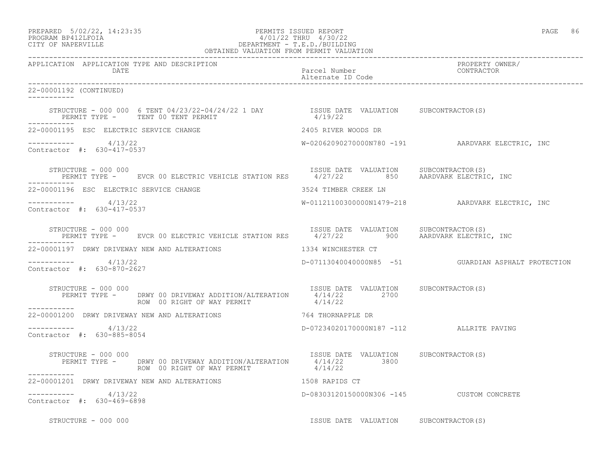# PREPARED 5/02/22, 14:23:35 PERMITS ISSUED REPORT PAGE 86 PROGRAM BP412LFOIA 4/01/22 THRU 4/30/22 CITY OF NAPERVILLE DEPARTMENT - T.E.D./BUILDING

|                                                      | OBTAINED VALUATION FROM PERMIT VALUATION                                                                                                                                                                                                                                                                                                |                                                  |                                                     |
|------------------------------------------------------|-----------------------------------------------------------------------------------------------------------------------------------------------------------------------------------------------------------------------------------------------------------------------------------------------------------------------------------------|--------------------------------------------------|-----------------------------------------------------|
| APPLICATION APPLICATION TYPE AND DESCRIPTION<br>DATE |                                                                                                                                                                                                                                                                                                                                         | Parcel Number<br>Alternate ID Code               | PROPERTY OWNER/<br>CONTRACTOR                       |
| 22-00001192 (CONTINUED)<br>___________               |                                                                                                                                                                                                                                                                                                                                         |                                                  |                                                     |
|                                                      | STRUCTURE - 000 000 6 TENT $04/23/22-04/24/22$ 1 DAY 1SSUE DATE VALUATION SUBCONTRACTOR(S)<br>PERMIT TYPE - TENT 00 TENT PERMIT                                                                                                                                                                                                         | 4/19/22                                          |                                                     |
| 22-00001195 ESC ELECTRIC SERVICE CHANGE              |                                                                                                                                                                                                                                                                                                                                         | 2405 RIVER WOODS DR                              |                                                     |
| $--------- 4/13/22$<br>Contractor #: 630-417-0537    |                                                                                                                                                                                                                                                                                                                                         |                                                  | W-02062090270000N780 -191 AARDVARK ELECTRIC, INC    |
| -----------                                          | STRUCTURE - 000 000<br>PERMIT TYPE -      EVCR 00 ELECTRIC VEHICLE STATION RES       4/27/22         850      AARDVARK ELECTRIC, INC                                                                                                                                                                                                    |                                                  |                                                     |
| 22-00001196 ESC ELECTRIC SERVICE CHANGE              |                                                                                                                                                                                                                                                                                                                                         | 3524 TIMBER CREEK LN                             |                                                     |
| $--------- 4/13/22$<br>Contractor #: 630-417-0537    |                                                                                                                                                                                                                                                                                                                                         |                                                  | W-01121100300000N1479-218 AARDVARK ELECTRIC, INC    |
|                                                      | $\begin{array}{cccc} \texttt{STRUCTURE} - 000\ 000 & \texttt{EVCR 00 ELECTRIC VEHICLE STATION RES} & \texttt{ISSUE DATE} & \texttt{VALUATION} & \texttt{SUBCONTRACTOR(S)} \\ \texttt{PERMIT TYPE -} & \texttt{EVCR 00 ELECTRIC VEHICLE STATION RES} & \texttt{4/27/22} & \texttt{900} & \texttt{AARDVARK ELECTRIC, INC} \\ \end{array}$ |                                                  |                                                     |
| 22-00001197 DRWY DRIVEWAY NEW AND ALTERATIONS        |                                                                                                                                                                                                                                                                                                                                         | 1334 WINCHESTER CT                               |                                                     |
| $--------- 4/13/22$<br>Contractor #: 630-870-2627    |                                                                                                                                                                                                                                                                                                                                         |                                                  | D-07113040040000N85 -51 GUARDIAN ASPHALT PROTECTION |
| STRUCTURE - 000 000                                  | PERMIT TYPE - DRWY 00 DRIVEWAY ADDITION/ALTERATION $\begin{array}{c} 4/14/22 \\ 4/14/22 \end{array}$ 2700                                                                                                                                                                                                                               | ISSUE DATE VALUATION SUBCONTRACTOR(S)            |                                                     |
|                                                      | 22-00001200 DRWY DRIVEWAY NEW AND ALTERATIONS 764 THORNAPPLE DR                                                                                                                                                                                                                                                                         |                                                  |                                                     |
| $--------- 4/13/22$<br>Contractor #: 630-885-8054    |                                                                                                                                                                                                                                                                                                                                         | D-07234020170000N187 -112 ALLRITE PAVING         |                                                     |
| STRUCTURE - 000 000<br>___________                   | PERMIT TYPE - DRWY 00 DRIVEWAY ADDITION/ALTERATION 4/14/22 3800<br>ROW 00 RIGHT OF WAY PERMIT                                                                                                                                                                                                                                           | ISSUE DATE VALUATION SUBCONTRACTOR(S)<br>4/14/22 |                                                     |
|                                                      | 22-00001201 DRWY DRIVEWAY NEW AND ALTERATIONS THE RESERVED STORE APPLIES CT                                                                                                                                                                                                                                                             |                                                  |                                                     |
| $--------- 4/13/22$<br>Contractor #: 630-469-6898    |                                                                                                                                                                                                                                                                                                                                         | D-08303120150000N306 -145 CUSTOM CONCRETE        |                                                     |
| STRUCTURE - 000 000                                  |                                                                                                                                                                                                                                                                                                                                         | ISSUE DATE VALUATION SUBCONTRACTOR(S)            |                                                     |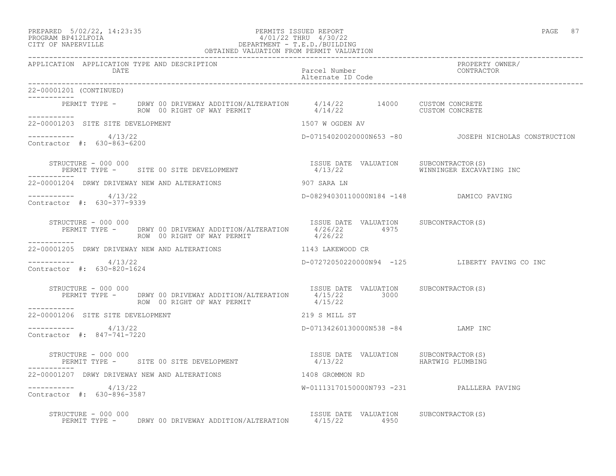22-00001201 (CONTINUED)

 $--------- 4/13/22$ 

Contractor #: 630-863-6200

-----------

-----------

-----------

### PREPARED 5/02/22, 14:23:35 PERMITS ISSUED REPORT PAGE 87 PROGRAM BP412LFOIA 4/01/22 THRU 4/30/22 CITY OF NAPERVILLE DEPARTMENT - T.E.D./BUILDING OBTAINED VALUATION FROM PERMIT VALUATION

------------------------------------------------------------------------------------------------------------------------------------ APPLICATION APPLICATION TYPE AND DESCRIPTION PROPERTY OWNER/ DATE Parcel Number CONTRACTOR Alternate ID Code ------------------------------------------------------------------------------------------------------------------------------------ PERMIT TYPE - DRWY 00 DRIVEWAY ADDITION/ALTERATION 4/14/22 14000 CUSTOM CONCRETE ROW 00 RIGHT OF WAY PERMIT  $4/14/22$  CUSTOM CONCRETE 22-00001203 SITE SITE DEVELOPMENT 1507 W OGDEN AV D-07154020020000N653 -80 JOSEPH NICHOLAS CONSTRUCTION STRUCTURE - 000 000<br>PERMIT TYPE - SITE 00 SITE DEVELOPMENT - 1/13/22 ALUATION SUBCONTRACTOR(S) 22-00001204 DRWY DRIVEWAY NEW AND ALTERATIONS 907 SARA LN ----------- 4/13/22 D-08294030110000N184 -148 DAMICO PAVING

----------- 4/13/22 D-07272050220000N94 -125 LIBERTY PAVING CO INC

D-07134260130000N538 -84 LAMP INC

Contractor #: 630-377-9339

STRUCTURE - 000 000 **ISSUE DATE VALUATION** SUBCONTRACTOR(S) PERMIT TYPE - DRWY 00 DRIVEWAY ADDITION/ALTERATION  $4/26/22$  4975<br>ROW 00 RIGHT OF WAY PERMIT 4/26/22 ROW 00 RIGHT OF WAY PERMIT -----------

22-00001205 DRWY DRIVEWAY NEW AND ALTERATIONS 1143 LAKEWOOD CR

PERMIT TYPE - SITE 00 SITE DEVELOPMENT

----------- 4/13/22 Contractor #: 630-820-1624

STRUCTURE - 000 000 **ISSUE DATE VALUATION** SUBCONTRACTOR(S) PERMIT TYPE - DRWY 00 DRIVEWAY ADDITION/ALTERATION  $4/15/22$  3000<br>ROW 00 RIGHT OF WAY PERMIT 4/15/22 ROW 00 RIGHT OF WAY PERMIT -----------

 $--------- 4/13/22$ Contractor #: 847-741-7220

STRUCTURE - 000 000<br>PERMIT TYPE - SITE 00 SITE DEVELOPMENT - 1/13/22 HARTWIG PLUMBING PERMIT TYPE - SITE 00 SITE DEVELOPMENT ----------- 22-00001207 DRWY DRIVEWAY NEW AND ALTERATIONS 1408 GROMMON RD ----------- 4/13/22 W-01113170150000N793 -231 PALLLERA PAVING Contractor #: 630-896-3587

22-00001206 SITE SITE DEVELOPMENT 219 S MILL ST

STRUCTURE - 000 000 **ISSUE DATE VALUATION** SUBCONTRACTOR(S) PERMIT TYPE - DRWY 00 DRIVEWAY ADDITION/ALTERATION 4/15/22 4950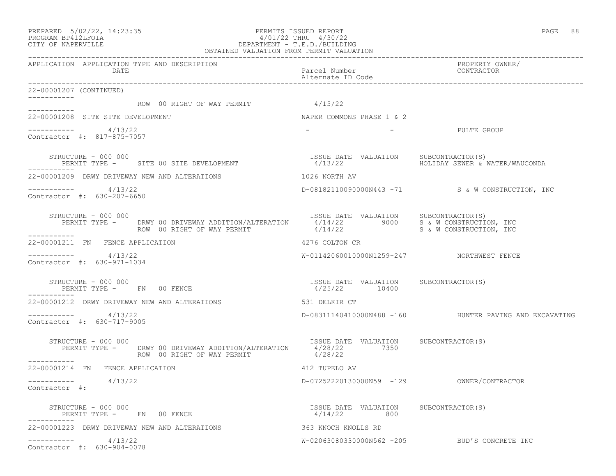### PREPARED 5/02/22, 14:23:35 PERMITS ISSUED REPORT PAGE 88 PROGRAM BP412LFOIA 4/01/22 THRU 4/30/22 CITY OF NAPERVILLE DEPARTMENT - T.E.D./BUILDING OBTAINED VALUATION FROM PERMIT VALUATION

| APPLICATION APPLICATION TYPE AND DESCRIPTION<br>DATE                                                                                                                                                                    | Parcel Number<br>Alternate ID Code                     | PROPERTY OWNER/<br>LINILI-<br>CONTRACTOR                               |
|-------------------------------------------------------------------------------------------------------------------------------------------------------------------------------------------------------------------------|--------------------------------------------------------|------------------------------------------------------------------------|
| 22-00001207 (CONTINUED)                                                                                                                                                                                                 |                                                        |                                                                        |
| ---------- ROW 00 RIGHT OF WAY PERMIT 4/15/22                                                                                                                                                                           |                                                        |                                                                        |
| 22-00001208 SITE SITE DEVELOPMENT                                                                                                                                                                                       | NAPER COMMONS PHASE 1 & 2                              |                                                                        |
| $--------- 4/13/22$<br>Contractor #: 817-875-7057                                                                                                                                                                       | $\sim$                                                 | – PULTE GROUP                                                          |
| STRUCTURE - 000 000<br>PERMIT TYPE - SITE 00 SITE DEVELOPMENT                                                                                                                                                           | ISSUE DATE VALUATION SUBCONTRACTOR(S)                  | 4/13/22                                 HOLIDAY SEWER & WATER/WAUCONDA |
| 22-00001209 DRWY DRIVEWAY NEW AND ALTERATIONS                                                                                                                                                                           | 1026 NORTH AV                                          |                                                                        |
| $----------$ 4/13/22<br>Contractor #: 630-207-6650                                                                                                                                                                      |                                                        | D-08182110090000N443 -71 S& W CONSTRUCTION, INC                        |
| STRUCTURE - 000 000<br>PERMIT TYPE - DRWY 00 DRIVEWAY ADDITION/ALTERATION 1/14/22 9000 S & W CONSTRUCTION, INC<br>ROW 00 RIGHT OF WAY PERMIT 4/14/22 9000 S & W CONSTRUCTION, INC<br>STRUCTURE - 000 000<br>___________ |                                                        |                                                                        |
| 22-00001211 FN FENCE APPLICATION                                                                                                                                                                                        | 4276 COLTON CR                                         |                                                                        |
| ----------- 4/13/22<br>Contractor #: 630-971-1034                                                                                                                                                                       | W-01142060010000N1259-247 NORTHWEST FENCE              |                                                                        |
| STRUCTURE - 000 000<br>PERMIT TYPE - FN 00 FENCE                                                                                                                                                                        | ISSUE DATE VALUATION SUBCONTRACTOR(S)<br>4/25/22 10400 |                                                                        |
| 22-00001212 DRWY DRIVEWAY NEW AND ALTERATIONS                                                                                                                                                                           | 531 DELKIR CT                                          |                                                                        |
| $--------- 4/13/22$<br>Contractor #: 630-717-9005                                                                                                                                                                       |                                                        | D-08311140410000N488 -160 HUNTER PAVING AND EXCAVATING                 |
| STRUCTURE - 000 000<br>PERMIT TYPE - DRWY 00 DRIVEWAY ADDITION/ALTERATION 4/28/22 7350<br>ROW 00 RIGHT OF WAY PERMIT<br>-----------                                                                                     | ISSUE DATE VALUATION SUBCONTRACTOR(S)<br>4/28/22       |                                                                        |
| 22-00001214 FN FENCE APPLICATION                                                                                                                                                                                        | 412 TUPELO AV                                          |                                                                        |
| $--------$ 4/13/22<br>Contractor #:                                                                                                                                                                                     |                                                        |                                                                        |
| STRUCTURE - 000 000<br>PERMIT TYPE - FN 00 FENCE                                                                                                                                                                        | ISSUE DATE VALUATION SUBCONTRACTOR(S)<br>$4/14/22$ 800 |                                                                        |
|                                                                                                                                                                                                                         |                                                        |                                                                        |
| $--------- 4/13/22$<br>Contractor #: 630-904-0078                                                                                                                                                                       |                                                        | W-02063080330000N562 -205 BUD'S CONCRETE INC                           |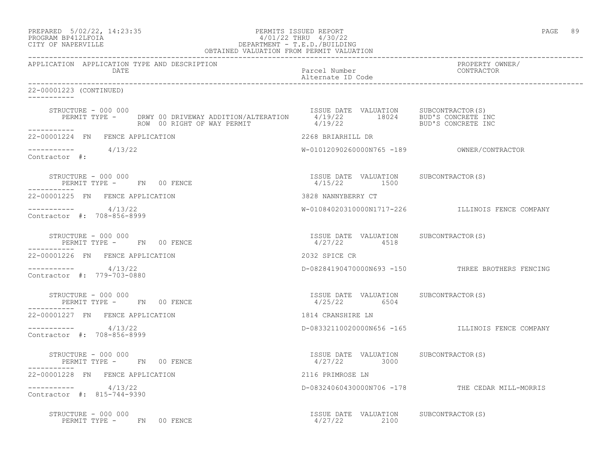| PREPARED 5/02/22, 14:23:35 | PERMITS ISSUED REPORT |                           | PAGE | 89 |
|----------------------------|-----------------------|---------------------------|------|----|
| BROCHAM BRAICIPOTA         |                       | $1/01/00$ munti $1/00/00$ |      |    |

# PROGRAM BP412LFOIA 4/01/22 THRU 4/30/22 CITY OF NAPERVILLE DEPARTMENT - T.E.D./BUILDING

| OBTAINED VALUATION FROM PERMIT VALUATION                                                                                                                                                                                                                     |                                                         |                                                  |
|--------------------------------------------------------------------------------------------------------------------------------------------------------------------------------------------------------------------------------------------------------------|---------------------------------------------------------|--------------------------------------------------|
| APPLICATION APPLICATION TYPE AND DESCRIPTION<br>DATE                                                                                                                                                                                                         | Parcel Number<br>Alternate ID Code                      | PROPERTY OWNER/<br>CONTRACTOR                    |
| 22-00001223 (CONTINUED)                                                                                                                                                                                                                                      |                                                         |                                                  |
| STRUCTURE - 000 000<br>PERMIT TYPE - DRWY 00 DRIVEWAY ADDITION/ALTERATION 18022 18024 BUD'S CONCRETE INC<br>ROW 00 RIGHT OF WAY PERMIT And the data of the data of the state of the state of way permit<br>STRUCTURE - 000 000<br>ROW 00 RIGHT OF WAY PERMIT |                                                         |                                                  |
| ------------<br>22-00001224 FN FENCE APPLICATION                                                                                                                                                                                                             | 2268 BRIARHILL DR                                       |                                                  |
| $--------- 4/13/22$<br>Contractor #:                                                                                                                                                                                                                         |                                                         |                                                  |
| STRUCTURE - 000 000<br>PERMIT TYPE - FN 00 FENCE                                                                                                                                                                                                             | ISSUE DATE VALUATION SUBCONTRACTOR(S)<br>4/15/22 1500   |                                                  |
| 22-00001225 FN FENCE APPLICATION                                                                                                                                                                                                                             | 3828 NANNYBERRY CT                                      |                                                  |
| $--------- 4/13/22$<br>Contractor #: 708-856-8999                                                                                                                                                                                                            |                                                         | W-01084020310000N1717-226 ILLINOIS FENCE COMPANY |
| STRUCTURE - 000 000<br>PERMIT TYPE - FN 00 FENCE                                                                                                                                                                                                             | ISSUE DATE VALUATION SUBCONTRACTOR(S)<br>4/27/22 4518   |                                                  |
| 22-00001226 FN FENCE APPLICATION                                                                                                                                                                                                                             | 2032 SPICE CR                                           |                                                  |
| $--------- 4/13/22$<br>Contractor #: 779-703-0880                                                                                                                                                                                                            |                                                         | D-08284190470000N693 -150 THREE BROTHERS FENCING |
| STRUCTURE - 000 000<br>PERMIT TYPE - FN 00 FENCE                                                                                                                                                                                                             | ISSUE DATE VALUATION SUBCONTRACTOR(S)<br>4/25/22 6504   |                                                  |
| 22-00001227 FN FENCE APPLICATION                                                                                                                                                                                                                             | 1814 CRANSHIRE LN                                       |                                                  |
| $--------- 4/13/22$<br>Contractor #: 708-856-8999                                                                                                                                                                                                            |                                                         | D-08332110020000N656 -165 ILLINOIS FENCE COMPANY |
| STRUCTURE - 000 000<br>PERMIT TYPE - FN 00 FENCE                                                                                                                                                                                                             | ISSUE DATE VALUATION SUBCONTRACTOR(S)<br>$4/27/22$ 3000 |                                                  |
| 22-00001228 FN FENCE APPLICATION                                                                                                                                                                                                                             | 2116 PRIMROSE LN                                        |                                                  |
| $--------- 4/13/22$<br>Contractor #: 815-744-9390                                                                                                                                                                                                            |                                                         | D-08324060430000N706 -178 THE CEDAR MILL-MORRIS  |
| STRUCTURE - 000 000<br>PERMIT TYPE - FN 00 FENCE                                                                                                                                                                                                             | ISSUE DATE VALUATION SUBCONTRACTOR(S)<br>4/27/22 2100   |                                                  |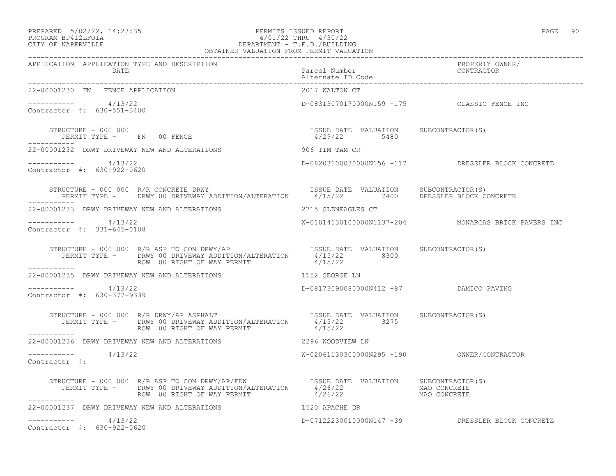### PREPARED 5/02/22, 14:23:35 PERMITS ISSUED REPORT PAGE 90 PROGRAM BP412LFOIA 4/01/22 THRU 4/30/22 CITY OF NAPERVILLE DEPARTMENT - T.E.D./BUILDING OBTAINED VALUATION FROM PERMIT VALUATION

------------------------------------------------------------------------------------------------------------------------------------

| APPLICATION APPLICATION TYPE AND DESCRIPTION                                                                                                                                                                                                                                                                                                                       | Parcel Number<br>Alternate ID Code          | PROPERTY OWNER/<br>CONTRACTOR                       |
|--------------------------------------------------------------------------------------------------------------------------------------------------------------------------------------------------------------------------------------------------------------------------------------------------------------------------------------------------------------------|---------------------------------------------|-----------------------------------------------------|
| 22-00001230 FN FENCE APPLICATION                                                                                                                                                                                                                                                                                                                                   | 2017 WALTON CT                              |                                                     |
| $--------- 4/13/22$<br>Contractor #: 630-551-3400                                                                                                                                                                                                                                                                                                                  | D-08313070170000N159 -175 CLASSIC FENCE INC |                                                     |
| $\begin{array}{cccccccccc} \texttt{STRUCTURE} & - & 000 & 000 & & & & & & & \\ \texttt{PERMIT TYPE} & - & & \texttt{FN} & 00 & \texttt{FENCE} & & & & & & \\ \end{array} \hspace{2cm} \begin{array}{cccccccccc} \texttt{ISSUE} & \texttt{DATE} & \texttt{VALUATION} & & \texttt{SUBCONTRACTOR(S)} \\ & & & & & & & \\ \texttt{4/29/22} & & & & & & \\ \end{array}$ |                                             |                                                     |
| -----------<br>22-00001232 DRWY DRIVEWAY NEW AND ALTERATIONS                                                                                                                                                                                                                                                                                                       | 906 TIM TAM CR                              |                                                     |
| $--------- 4/13/22$<br>Contractor #: 630-922-0620                                                                                                                                                                                                                                                                                                                  |                                             | D-08203100030000N156 -117 DRESSLER BLOCK CONCRETE   |
| STRUCTURE - 000 000 R/R CONCRETE DRWY                                    ISSUE DATE VALUATION     SUBCONTRACTOR(S)<br>PERMIT TYPE -     DRWY 00 DRIVEWAY ADDITION/ALTERATION      4/15/22        7400      DRESSLER BLOCK CONCRET<br>-----------                                                                                                                   |                                             |                                                     |
| 22-00001233 DRWY DRIVEWAY NEW AND ALTERATIONS THE RESERVED ON A 2715 GLENEAGLES CT                                                                                                                                                                                                                                                                                 |                                             |                                                     |
| $--------- 4/13/22$<br>Contractor #: 331-645-0108                                                                                                                                                                                                                                                                                                                  |                                             | W-01014130100000N1137-204 MONARCAS BRICK PAVERS INC |
| ROW 00 RIGHT OF WAY PERMIT                                                                                                                                                                                                                                                                                                                                         | 4/15/22                                     |                                                     |
| ------------<br>22-00001235 DRWY DRIVEWAY NEW AND ALTERATIONS THE RESERVE LIST OF THE RESERVE IN                                                                                                                                                                                                                                                                   |                                             |                                                     |
| $--------- 4/13/22$<br>Contractor #: 630-377-9339                                                                                                                                                                                                                                                                                                                  | D-08173090080000N412 -87 DAMICO PAVING      |                                                     |
|                                                                                                                                                                                                                                                                                                                                                                    |                                             |                                                     |
| 22-00001236 DRWY DRIVEWAY NEW AND ALTERATIONS                                                                                                                                                                                                                                                                                                                      | 2296 WOODVIEW LN                            |                                                     |
| $--------$ 4/13/22<br>Contractor #:                                                                                                                                                                                                                                                                                                                                |                                             |                                                     |
|                                                                                                                                                                                                                                                                                                                                                                    |                                             |                                                     |
| 22-00001237 DRWY DRIVEWAY NEW AND ALTERATIONS                                                                                                                                                                                                                                                                                                                      | 1520 APACHE DR                              |                                                     |
| $--------- 4/13/22$<br>Contractor #: 630-922-0620                                                                                                                                                                                                                                                                                                                  |                                             | D-07122230010000N147 -39 DRESSLER BLOCK CONCRETE    |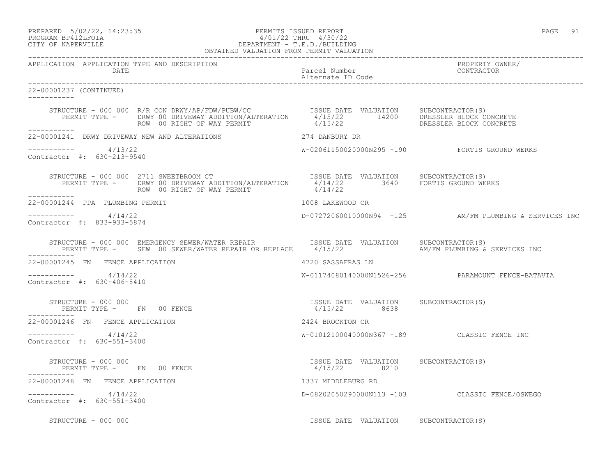PREPARED 5/02/22, 14:23:35 PERMITS ISSUED REPORT PAGE 91

# PROGRAM BP412LFOIA 4/01/22 THRU 4/30/22 CITY OF NAPERVILLE DEPARTMENT - T.E.D./BUILDING

|                                                       | OBTAINED VALUATION FROM PERMIT VALUATION                                                                                                                                                                                             |                                       |                                                        |
|-------------------------------------------------------|--------------------------------------------------------------------------------------------------------------------------------------------------------------------------------------------------------------------------------------|---------------------------------------|--------------------------------------------------------|
| APPLICATION APPLICATION TYPE AND DESCRIPTION<br>DATE  |                                                                                                                                                                                                                                      | Parcel Number<br>Alternate ID Code    | PROPERTY OWNER/<br>CONTRACTOR                          |
| 22-00001237 (CONTINUED)<br>___________                |                                                                                                                                                                                                                                      |                                       |                                                        |
|                                                       | STRUCTURE - 000 000 R/R CON DRWY/AP/FDW/PUBW/CC        ISSUE DATE VALUATION   SUBCONTRACTOR(S)<br>PERMIT TYPE -     DRWY 00 DRIVEWAY ADDITION/ALTERATION     4/15/22        14200     DRESSLER BLOCK CONCRETE<br>ROW 00 RIGHT OF WAY |                                       |                                                        |
| ___________                                           | 22-00001241 DRWY DRIVEWAY NEW AND ALTERATIONS 274 DANBURY DR                                                                                                                                                                         |                                       |                                                        |
| -----------     4/13/22<br>Contractor #: 630-213-9540 |                                                                                                                                                                                                                                      |                                       |                                                        |
| ___________                                           | STRUCTURE - 000 000 2711 SWEETBROOM CT<br>PERMIT TYPE - DRWY 00 DRIVEWAY ADDITION/ALTERATION 1/14/22 3640 FORTIS GROUND WERKS<br>ROW 00 RIGHT OF WAY PERMIT 11/22 4/14/22                                                            |                                       |                                                        |
| 22-00001244 PPA PLUMBING PERMIT                       | 1008 LAKEWOOD CR                                                                                                                                                                                                                     |                                       |                                                        |
| $--------- 4/14/22$<br>Contractor #: 833-933-5874     |                                                                                                                                                                                                                                      |                                       | D-07272060010000N94 -125 AM/FM PLUMBING & SERVICES INC |
|                                                       | STRUCTURE - 000 000 EMERGENCY SEWER/WATER REPAIR              ISSUE DATE VALUATION     SUBCONTRACTOR(S)<br>PERMIT TYPE -     SEW 00 SEWER/WATER REPAIR OR REPLACE     4/15/22                          AM/FM PLUMBING & SERVICES     |                                       |                                                        |
| 22-00001245 FN FENCE APPLICATION                      |                                                                                                                                                                                                                                      | 4720 SASSAFRAS LN                     |                                                        |
| $--------- 4/14/22$<br>Contractor #: 630-406-8410     |                                                                                                                                                                                                                                      |                                       | W-01174080140000N1526-256 PARAMOUNT FENCE-BATAVIA      |
| ____________                                          | $\begin{array}{cccc} \texttt{STRUCTURE} & - & 000 & 000 \\ \texttt{PERMIT} & \texttt{TYPE} & - & \texttt{FN} & 00 \\ \texttt{FENCE} & \texttt{SURC} & \texttt{SURC} & \texttt{SURC} & \texttt{SURC} \\ \end{array}$                  |                                       |                                                        |
| 22-00001246 FN FENCE APPLICATION                      |                                                                                                                                                                                                                                      | 2424 BROCKTON CR                      |                                                        |
| $--------- 4/14/22$<br>Contractor #: 630-551-3400     |                                                                                                                                                                                                                                      |                                       | W-01012100040000N367 -189 CLASSIC FENCE INC            |
|                                                       |                                                                                                                                                                                                                                      |                                       |                                                        |
| 22-00001248 FN FENCE APPLICATION                      |                                                                                                                                                                                                                                      | 1337 MIDDLEBURG RD                    |                                                        |
| $--------- 4/14/22$<br>Contractor #: 630-551-3400     |                                                                                                                                                                                                                                      |                                       | D-08202050290000N113 -103 CLASSIC FENCE/OSWEGO         |
| STRUCTURE - 000 000                                   |                                                                                                                                                                                                                                      | ISSUE DATE VALUATION SUBCONTRACTOR(S) |                                                        |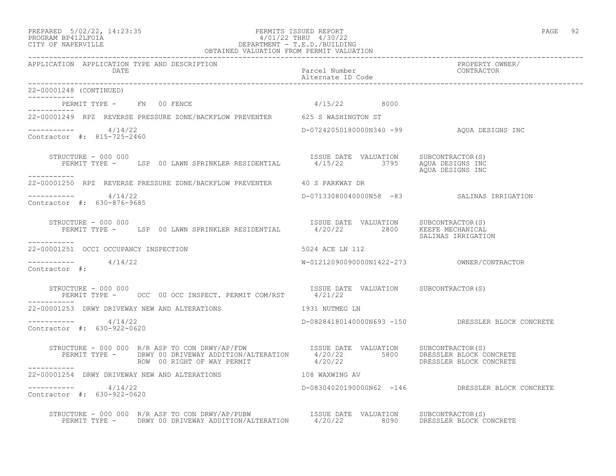## PREPARED 5/02/22, 14:23:35 PERMITS ISSUED REPORT PAGE 92 PROGRAM BP412LFOIA 4/01/22 THRU 4/30/22 CITY OF NAPERVILLE DEPARTMENT - T.E.D./BUILDING

| OBTAINED VALUATION FROM PERMIT VALUATION                                                                                                                                                                                                            |                                       |                                                   |
|-----------------------------------------------------------------------------------------------------------------------------------------------------------------------------------------------------------------------------------------------------|---------------------------------------|---------------------------------------------------|
| APPLICATION APPLICATION TYPE AND DESCRIPTION<br>DATE                                                                                                                                                                                                | Parcel Number<br>Alternate ID Code    | PROPERTY OWNER/<br>CONTRACTOR                     |
| 22-00001248 (CONTINUED)                                                                                                                                                                                                                             |                                       |                                                   |
| PERMIT TYPE - FN 00 FENCE                                                                                                                                                                                                                           | $4/15/22$ 8000                        |                                                   |
| ----------<br>22-00001249 RPZ REVERSE PRESSURE ZONE/BACKFLOW PREVENTER 625 S WASHINGTON ST                                                                                                                                                          |                                       |                                                   |
| ----------- 4/14/22<br>Contractor #: 815-725-2460                                                                                                                                                                                                   |                                       |                                                   |
| STRUCTURE - 000 000<br>PERMIT TYPE - LSP 00 LAWN SPRINKLER RESIDENTIAL 4/15/22 3795 AQUA DESIGNS INC<br>___________                                                                                                                                 | ISSUE DATE VALUATION SUBCONTRACTOR(S) | AOUA DESIGNS INC                                  |
| 22-00001250 RPZ REVERSE PRESSURE ZONE/BACKFLOW PREVENTER 40 S PARKWAY DR                                                                                                                                                                            |                                       |                                                   |
| $--------- 4/14/22$<br>Contractor #: 630-876-9685                                                                                                                                                                                                   |                                       | D-07133080040000N58 -83 SALINAS IRRIGATION        |
| STRUCTURE - 000 000<br>PERMIT TYPE - LSP 00 LAWN SPRINKLER RESIDENTIAL - 1/20/22 2800 KEEFE MECHANICAL<br>STRUCTURE – 000 000                                                                                                                       |                                       | SALINAS IRRIGATION                                |
| -----------<br>22-00001251 OCCI OCCUPANCY INSPECTION                                                                                                                                                                                                | 5024 ACE LN 112                       |                                                   |
| $--------- 4/14/22$<br>Contractor #:                                                                                                                                                                                                                |                                       |                                                   |
| STRUCTURE - 000 000<br>PERMIT TYPE - OCC 00 OCC INSPECT. PERMIT COM/RST 4/21/22                                                                                                                                                                     | ISSUE DATE VALUATION SUBCONTRACTOR(S) |                                                   |
| 22-00001253 DRWY DRIVEWAY NEW AND ALTERATIONS                                                                                                                                                                                                       | 1931 NUTMEG LN                        |                                                   |
| $--------- 4/14/22$<br>Contractor #: 630-922-0620                                                                                                                                                                                                   |                                       | D-08284180140000N693 -150 DRESSLER BLOCK CONCRETE |
| STRUCTURE - 000 000 R/R ASP TO CON DRWY/AP/FDW ISSUE DATE VALUATION SUBCONTRACTOR(S)<br>PERMIT TYPE - DRWY 00 DRIVEWAY ADDITION/ALTERATION 4/20/22 5800 DRESSLER BLOCK CONCRETE<br>ROW 00 RIGHT OF WAY PERMIT 4/20/22 DRESSLER BLOCK<br>___________ |                                       |                                                   |
| 22-00001254 DRWY DRIVEWAY NEW AND ALTERATIONS                                                                                                                                                                                                       | 108 WAXWING AV                        |                                                   |
| $--------$ 4/14/22<br>Contractor #: 630-922-0620                                                                                                                                                                                                    |                                       | D-08304020190000N62 -146 DRESSLER BLOCK CONCRETE  |
| STRUCTURE - 000 000 R/R ASP TO CON DRWY/AP/PUBW ISSUE DATE VALUATION SUBCONTRACTOR(S)<br>PERMIT TYPE - DRWY 00 DRIVEWAY ADDITION/ALTERATION 4/20/22 8090 DRESSLER BLOCK CONCRETE                                                                    |                                       |                                                   |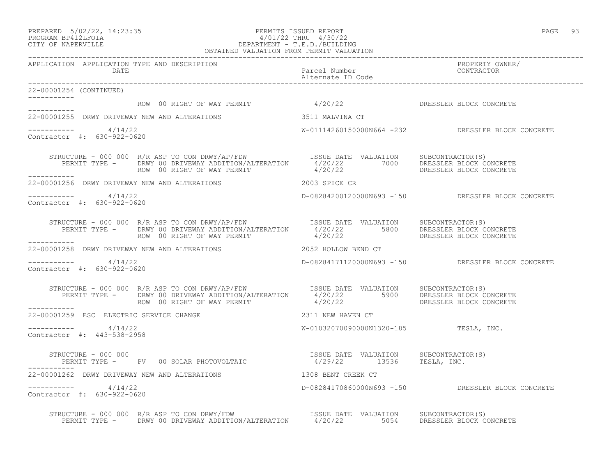# PREPARED 5/02/22, 14:23:35 PERMITS ISSUED REPORT<br>PROGRAM BP412LFOIA PAGE 93 PERMITS ISSUED REPORT 4/30/22 PROGRAM BP412LFOIA 4/01/22 THRU 4/30/22 CITY OF NAPERVILLE DEPARTMENT - T.E.D./BUILDING

|                                                      | OBTAINED VALUATION FROM PERMIT VALUATION                                                                                                                                                                                             |                                       |                                                   |
|------------------------------------------------------|--------------------------------------------------------------------------------------------------------------------------------------------------------------------------------------------------------------------------------------|---------------------------------------|---------------------------------------------------|
| APPLICATION APPLICATION TYPE AND DESCRIPTION<br>DATE |                                                                                                                                                                                                                                      | Parcel Number<br>Alternate ID Code    | PROPERTY OWNER/<br>CONTRACTOR                     |
| 22-00001254 (CONTINUED)                              |                                                                                                                                                                                                                                      |                                       |                                                   |
|                                                      | ------------<br>ROW 00 RIGHT OF WAY PERMIT 4/20/22 PERMIT DRESSLER BLOCK CONCRETE                                                                                                                                                    |                                       |                                                   |
|                                                      | 22-00001255 DRWY DRIVEWAY NEW AND ALTERATIONS 3511 MALVINA CT                                                                                                                                                                        |                                       |                                                   |
| ----------- 4/14/22<br>Contractor #: 630-922-0620    |                                                                                                                                                                                                                                      |                                       | W-01114260150000N664 -232 DRESSLER BLOCK CONCRETE |
|                                                      | STRUCTURE - 000 000 R/R ASP TO CON DRWY/AP/FDW LSSUE DATE VALUATION SUBCONTRACTOR(S)<br>PERMIT TYPE - DRWY 00 DRIVEWAY ADDITION/ALTERATION 4/20/22 7000 DRESSLER BLOCK CONCRETE<br>ROW 00 RIGHT OF WAY PERMIT 4/20/22 1000 DRESSLER  |                                       |                                                   |
|                                                      | 22-00001256 DRWY DRIVEWAY NEW AND ALTERATIONS 2003 SPICE CR                                                                                                                                                                          |                                       |                                                   |
| $--------- 4/14/22$<br>Contractor #: 630-922-0620    |                                                                                                                                                                                                                                      |                                       | D-08284200120000N693 -150 DRESSLER BLOCK CONCRETE |
|                                                      | STRUCTURE - 000 000 R/R ASP TO CON DRWY/AP/FDW ISSUE DATE VALUATION SUBCONTRACTOR(S)<br>PERMIT TYPE - DRWY 00 DRIVEWAY ADDITION/ALTERATION 4/20/22 5800 DRESSLER BLOCK CONCRETE<br>--------- ROW 00 RIGHT OF WAY PERMIT 4/20/22 DRES |                                       |                                                   |
| ------------                                         | 22-00001258 DRWY DRIVEWAY NEW AND ALTERATIONS THE RESERVIES OF 2052 HOLLOW BEND CT                                                                                                                                                   |                                       |                                                   |
| $--------- 4/14/22$<br>Contractor #: 630-922-0620    |                                                                                                                                                                                                                                      |                                       | D-08284171120000N693 -150 DRESSLER BLOCK CONCRETE |
| ___________                                          | STRUCTURE - 000 000 R/R ASP TO CON DRWY/AP/FDW ISSUE DATE VALUATION SUBCONTRACTOR(S)<br>PERMIT TYPE - DRWY 00 DRIVEWAY ADDITION/ALTERATION 4/20/22 5900 DRESSLER BLOCK CONCRETE<br>ROW 00 RIGHT OF WAY PERMIT 4/20/22 5900 DRESSLER  |                                       |                                                   |
| 22-00001259 ESC ELECTRIC SERVICE CHANGE              |                                                                                                                                                                                                                                      | 2311 NEW HAVEN CT                     |                                                   |
| $--------- 4/14/22$<br>Contractor #: 443-538-2958    |                                                                                                                                                                                                                                      | W-01032070090000N1320-185 TESLA, INC. |                                                   |
|                                                      | STRUCTURE - 000 000<br>PERMIT TYPE - PV 00 SOLAR PHOTOVOLTAIC 6 1/29/22 13536 TESLA, INC.                                                                                                                                            |                                       |                                                   |
|                                                      | 22-00001262 DRWY DRIVEWAY NEW AND ALTERATIONS 40 1308 BENT CREEK CT                                                                                                                                                                  |                                       |                                                   |
| $--------- 4/14/22$<br>Contractor #: 630-922-0620    |                                                                                                                                                                                                                                      |                                       | D-08284170860000N693 -150 DRESSLER BLOCK CONCRETE |
|                                                      | STRUCTURE - 000 000 R/R ASP TO CON DRWY/FDW<br>PERMIT TYPE - DRWY 00 DRIVEWAY ADDITION/ALTERATION 4/20/22 5054 DRESSLER BLOCK CONCRETE                                                                                               |                                       |                                                   |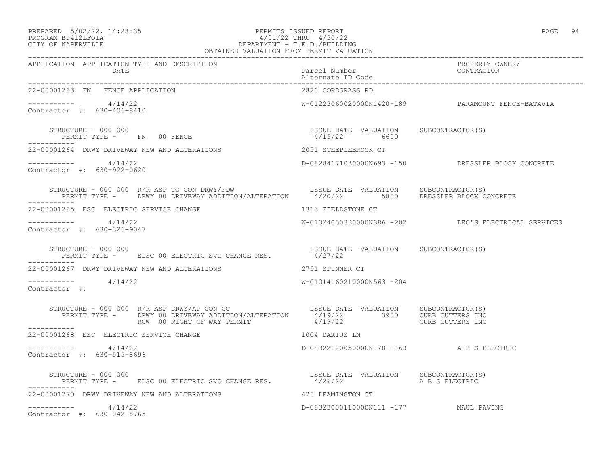### PREPARED 5/02/22, 14:23:35 PERMITS ISSUED REPORT PAGE 94 PROGRAM BP412LFOIA 4/01/22 THRU 4/30/22 CITY OF NAPERVILLE DEPARTMENT - T.E.D./BUILDING OBTAINED VALUATION FROM PERMIT VALUATION

| PAGE |  |
|------|--|
|      |  |
|      |  |

| APPLICATION APPLICATION TYPE AND DESCRIPTION<br>DATE                                                                                                                                                                                                                                                                                                                                                                                                                         | Parcel Number<br>Alternate ID Code                      | PROPERTY OWNER/<br>CONTRACTOR                       |
|------------------------------------------------------------------------------------------------------------------------------------------------------------------------------------------------------------------------------------------------------------------------------------------------------------------------------------------------------------------------------------------------------------------------------------------------------------------------------|---------------------------------------------------------|-----------------------------------------------------|
| 22-00001263 FN FENCE APPLICATION                                                                                                                                                                                                                                                                                                                                                                                                                                             | 2820 CORDGRASS RD                                       |                                                     |
| ----------- 4/14/22<br>Contractor #: 630-406-8410                                                                                                                                                                                                                                                                                                                                                                                                                            |                                                         | W-01223060020000N1420-189 PARAMOUNT FENCE-BATAVIA   |
| STRUCTURE - 000 000<br>PERMIT TYPE - FN 00 FENCE                                                                                                                                                                                                                                                                                                                                                                                                                             | ISSUE DATE VALUATION SUBCONTRACTOR(S)<br>$4/15/22$ 6600 |                                                     |
| 22-00001264 DRWY DRIVEWAY NEW AND ALTERATIONS                                                                                                                                                                                                                                                                                                                                                                                                                                | 2051 STEEPLEBROOK CT                                    |                                                     |
| $--------- 4/14/22$<br>Contractor #: 630-922-0620                                                                                                                                                                                                                                                                                                                                                                                                                            |                                                         | D-08284171030000N693 -150 DRESSLER BLOCK CONCRETE   |
| STRUCTURE - 000 000 R/R ASP TO CON DRWY/FDW                           ISSUE DATE VALUATION      SUBCONTRACTOR(S)<br>PERMIT TYPE -       DRWY 00 DRIVEWAY ADDITION/ALTERATION       4/20/22         5800       DRESSLER BLOCK CONC<br>-----------                                                                                                                                                                                                                             |                                                         |                                                     |
| 22-00001265 ESC ELECTRIC SERVICE CHANGE                                                                                                                                                                                                                                                                                                                                                                                                                                      | 1313 FIELDSTONE CT                                      |                                                     |
| $--------- 4/14/22$<br>Contractor #: 630-326-9047                                                                                                                                                                                                                                                                                                                                                                                                                            |                                                         | W-01024050330000N386 -202 LEO'S ELECTRICAL SERVICES |
| STRUCTURE - 000 000<br>PERMIT TYPE - ELSC 00 ELECTRIC SVC CHANGE RES. $4/27/22$                                                                                                                                                                                                                                                                                                                                                                                              | ISSUE DATE VALUATION SUBCONTRACTOR(S)                   |                                                     |
| -----------<br>22-00001267 DRWY DRIVEWAY NEW AND ALTERATIONS                                                                                                                                                                                                                                                                                                                                                                                                                 | 2791 SPINNER CT                                         |                                                     |
| $--------- 4/14/22$<br>Contractor #:                                                                                                                                                                                                                                                                                                                                                                                                                                         | W-01014160210000N563 -204                               |                                                     |
| $\begin{array}{cccc} \texttt{STRUCTURE} & - & 000 & 000 & \texttt{R/R} \texttt{ASP} \texttt{DRWY} / \texttt{AP} \texttt{CON} \texttt{CC} & \texttt{ISSUE} \texttt{DATE} \texttt{VALUATION} & \texttt{SUBCONTRACTOR(S)} \\ \texttt{PERMIT} \texttt{TYPE} & - & \texttt{DRWY} \texttt{00} \texttt{DRIVEWAY} \texttt{ADDITION} / \texttt{ALTERATION} & 4/19/22 & 3900 & \texttt{CURB} \texttt{CUTTERS} \texttt{INC} \\ \texttt{ROW} \texttt{00} \texttt{RIGHT}$<br>------------ |                                                         |                                                     |
| 22-00001268 ESC ELECTRIC SERVICE CHANGE                                                                                                                                                                                                                                                                                                                                                                                                                                      | 1004 DARIUS LN                                          |                                                     |
| $--------- 4/14/22$<br>Contractor #: 630-515-8696                                                                                                                                                                                                                                                                                                                                                                                                                            | D-08322120050000N178 -163 A B S ELECTRIC                |                                                     |
| $\begin{array}{cccccc} \texttt{STRUCTURE} & - & 000 & 000 & & & & & \\ \texttt{PERMIT TYPE} & - & & \texttt{ELSC 00 ELECTRIC SVC CHANGE RES} & & & & & & 4/26/22 & & & \\ \end{array}$<br>------------                                                                                                                                                                                                                                                                       | ISSUE DATE VALUATION SUBCONTRACTOR(S)                   |                                                     |
| 22-00001270 DRWY DRIVEWAY NEW AND ALTERATIONS 425 LEAMINGTON CT                                                                                                                                                                                                                                                                                                                                                                                                              |                                                         |                                                     |
| $--------- 4/14/22$<br>Contractor #: 630-042-8765                                                                                                                                                                                                                                                                                                                                                                                                                            | D-08323000110000N111 -177 MAUL PAVING                   |                                                     |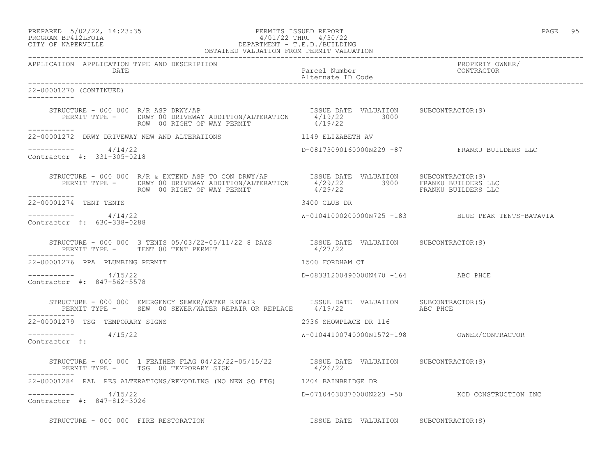# PREPARED 5/02/22, 14:23:35 PERMITS ISSUED REPORT PAGE 95 PROGRAM BP412LFOIA 4/01/22 THRU 4/30/22 CITY OF NAPERVILLE DEPARTMENT - T.E.D./BUILDING

|                                                       | OBTAINED VALUATION FROM PERMIT VALUATION                                                                                                                                                                                                                                                                                                                                                                                         |                                       |                                                   |
|-------------------------------------------------------|----------------------------------------------------------------------------------------------------------------------------------------------------------------------------------------------------------------------------------------------------------------------------------------------------------------------------------------------------------------------------------------------------------------------------------|---------------------------------------|---------------------------------------------------|
| APPLICATION APPLICATION TYPE AND DESCRIPTION<br>DATE  |                                                                                                                                                                                                                                                                                                                                                                                                                                  | Parcel Number<br>Alternate ID Code    | PROPERTY OWNER/<br>CONTRACTOR                     |
| 22-00001270 (CONTINUED)                               |                                                                                                                                                                                                                                                                                                                                                                                                                                  |                                       |                                                   |
|                                                       | STRUCTURE - 000 000 R/R ASP DRWY/AP<br>PERMIT TYPE -     DRWY 00 DRIVEWAY ADDITION/ALTERATION     4/19/22     3000     SUBCONTRACTOR(S)<br>ROW 00 RIGHT OF WAY PERMIT                                                                                                                                                                                                                                                            | 4/19/22                               |                                                   |
| -----------                                           | 22-00001272 DRWY DRIVEWAY NEW AND ALTERATIONS 1149 ELIZABETH AV                                                                                                                                                                                                                                                                                                                                                                  |                                       |                                                   |
| $--------- 4/14/22$<br>Contractor #: 331-305-0218     |                                                                                                                                                                                                                                                                                                                                                                                                                                  |                                       | D-08173090160000N229 -87 FRANKU BUILDERS LLC      |
| -----------                                           | $\begin{array}{cccc} \texttt{STRUCTURE} - 000 000 & \texttt{R/R} & \texttt{EXTEND} & \texttt{ASP TO CON DRWY/AP} & \texttt{ISSUE} & \texttt{DATE} & \texttt{VALUATION} & \texttt{SUBCONTRACTOR(S)} \\ \texttt{PERMIT TYPE} - & \texttt{DRWY 00 DRIVEWAY ADDITION/ALTERATION} & 4/29/22 & 3900 & \texttt{FRANKU BULDERS LLC} \\ \texttt{ROW} & 00 RIGHT OF WAY PERMIT & 4/29/22 & 3900 & \texttt{FRANKU BULDERS LLC} \end{array}$ |                                       |                                                   |
| 22-00001274 TENT TENTS                                |                                                                                                                                                                                                                                                                                                                                                                                                                                  | 3400 CLUB DR                          |                                                   |
| -----------     4/14/22<br>Contractor #: 630-338-0288 |                                                                                                                                                                                                                                                                                                                                                                                                                                  |                                       | W-01041000200000N725 -183 BLUE PEAK TENTS-BATAVIA |
|                                                       | STRUCTURE – 000 000 3 TENTS 05/03/22-05/11/22 8 DAYS TSSUE DATE VALUATION SUBCONTRACTOR(S)<br>PERMIT TYPE – TENT 00 TENT PERMIT 1/27/22                                                                                                                                                                                                                                                                                          |                                       |                                                   |
| 22-00001276 PPA PLUMBING PERMIT                       |                                                                                                                                                                                                                                                                                                                                                                                                                                  | 1500 FORDHAM CT                       |                                                   |
| -----------     4/15/22<br>Contractor #: 847-562-5578 |                                                                                                                                                                                                                                                                                                                                                                                                                                  | D-08331200490000N470 -164 ABC PHCE    |                                                   |
|                                                       |                                                                                                                                                                                                                                                                                                                                                                                                                                  |                                       |                                                   |
| 22-00001279 TSG TEMPORARY SIGNS                       |                                                                                                                                                                                                                                                                                                                                                                                                                                  | 2936 SHOWPLACE DR 116                 |                                                   |
| $--------- 4/15/22$<br>Contractor #:                  |                                                                                                                                                                                                                                                                                                                                                                                                                                  |                                       |                                                   |
| ------------                                          | STRUCTURE - 000 000 1 FEATHER FLAG 04/22/22-05/15/22         ISSUE DATE VALUATION SUBCONTRACTOR(S)<br>PERMIT TYPE -     TSG 00 TEMPORARY SIGN                          4/26/22                                                                                                                                                                                                                                                   |                                       |                                                   |
|                                                       | 22-00001284 RAL RES ALTERATIONS/REMODLING (NO NEW SQ FTG) 1204 BAINBRIDGE DR                                                                                                                                                                                                                                                                                                                                                     |                                       |                                                   |
| $--------- 4/15/22$<br>Contractor #: 847-812-3026     |                                                                                                                                                                                                                                                                                                                                                                                                                                  |                                       | D-07104030370000N223 -50 KCD CONSTRUCTION INC     |
|                                                       | STRUCTURE - 000 000 FIRE RESTORATION                                                                                                                                                                                                                                                                                                                                                                                             | ISSUE DATE VALUATION SUBCONTRACTOR(S) |                                                   |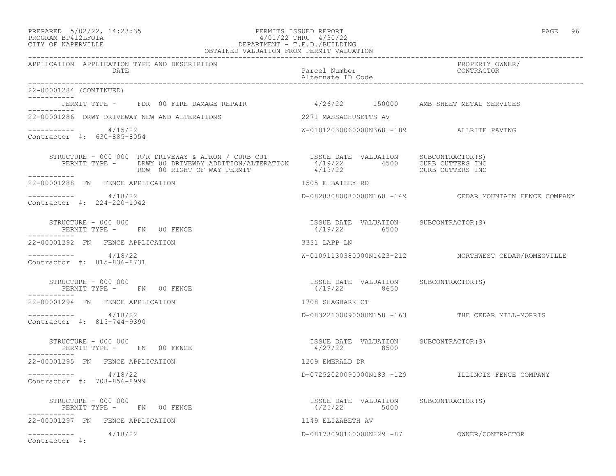#### PREPARED 5/02/22, 14:23:35 PERMITS ISSUED REPORT PAGE 96 PROGRAM BP412LFOIA 4/01/22 THRU 4/30/22 CITY OF NAPERVILLE DEPARTMENT - T.E.D./BUILDING OBTAINED VALUATION FROM PERMIT VALUATION

------------------------------------------------------------------------------------------------------------------------------------

APPLICATION APPLICATION TYPE AND DESCRIPTION PROPERTY OWNER/ DATE PARTICLE IN THE PARTICLE OF THE PARTICLE NUMber CONTRACTOR OF THE PARTICLE IN THE PARTICLE OF THE PARTICLE Alternate ID Code ------------------------------------------------------------------------------------------------------------------------------------ 22-00001284 (CONTINUED) ----------- PERMIT TYPE - FDR 00 FIRE DAMAGE REPAIR 4/26/22 150000 AMB SHEET METAL SERVICES ----------- 22-00001286 DRWY DRIVEWAY NEW AND ALTERATIONS 2271 MASSACHUSETTS AV  $--------- 4/15/22$ W-01012030060000N368 -189 ALLRITE PAVING Contractor #: 630-885-8054 STRUCTURE - 000 000 R/R DRIVEWAY & APRON / CURB CUT SISUE DATE VALUATION SUBCONTRACTOR(S) PERMIT TYPE - DRWY 00 DRIVEWAY ADDITION/ALTERATION 4/19/22 4500 CURB CUTTERS INC ROW 00 RIGHT OF WAY PERMIT  $4/19/22$  CURB CUTTERS INC ----------- 22-00001288 FN FENCE APPLICATION 1505 E BAILEY RD \_\_\_\_\_\_\_\_\_\_\_ ----------- 4/18/22 D-08283080080000N160 -149 CEDAR MOUNTAIN FENCE COMPANY Contractor #: 224-220-1042 STRUCTURE - 000 000 ISSUE DATE VALUATION SUBCONTRACTOR(S) PERMIT TYPE - FN 00 FENCE ----------- 22-00001292 FN FENCE APPLICATION 3331 LAPP LN ----------- 4/18/22 W-01091130380000N1423-212 NORTHWEST CEDAR/ROMEOVILLE Contractor #: 815-836-8731 STRUCTURE - 000 000 ISSUE DATE VALUATION SUBCONTRACTOR(S) PERMIT TYPE - FN 00 FENCE ----------- 22-00001294 FN FENCE APPLICATION 1708 SHAGBARK CT ----------- 4/18/22 D-08322100090000N158 -163 THE CEDAR MILL-MORRIS Contractor #: 815-744-9390 STRUCTURE - 000 000 ISSUE DATE VALUATION SUBCONTRACTOR(S) PERMIT TYPE - FN 00 FENCE ----------- 22-00001295 FN FENCE APPLICATION 1209 EMERALD DR ----------- 4/18/22 D-07252020090000N183 -129 ILLINOIS FENCE COMPANY Contractor #: 708-856-8999 STRUCTURE - 000 000 ISSUE DATE VALUATION SUBCONTRACTOR(S) PERMIT TYPE - FN 00 FENCE ----------- 22-00001297 FN FENCE APPLICATION 1149 ELIZABETH AV ----------- 4/18/22 D-08173090160000N229 -87 OWNER/CONTRACTOR Contractor #: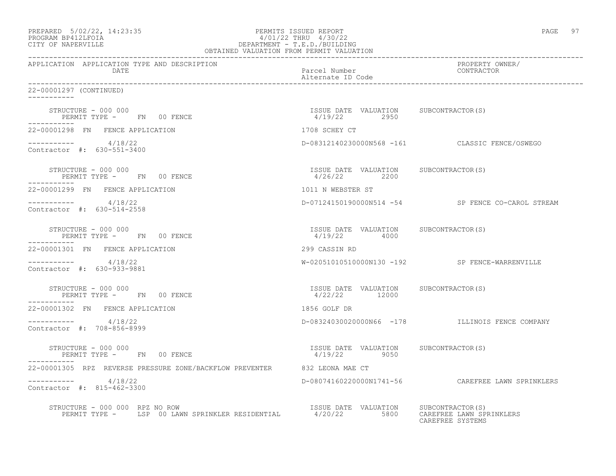| PREPARED 5/02/22, 14:23:35<br>PROGRAM BP412LFOIA 4/01/22 THRU 4/30/22<br>CITY OF NAPERVILLE DEPARTMENT - T.E.D./BUILDING<br>DEPARTMENT - T.E.D./BUILDING<br>OBTAINED VALUATION FROM PERMIT VALUATION |                                                         | PAGE 97                                           |
|------------------------------------------------------------------------------------------------------------------------------------------------------------------------------------------------------|---------------------------------------------------------|---------------------------------------------------|
| APPLICATION APPLICATION TYPE AND DESCRIPTION<br>DATE                                                                                                                                                 | Parcel Number<br>Alternate ID Code                      | PROPERTY OWNER/<br>CONTRACTOR                     |
| 22-00001297 (CONTINUED)<br>___________                                                                                                                                                               |                                                         |                                                   |
| STRUCTURE - 000 000<br>PERMIT TYPE - FN 00 FENCE                                                                                                                                                     | ISSUE DATE VALUATION SUBCONTRACTOR(S)<br>4/19/22 2950   |                                                   |
| 22-00001298 FN FENCE APPLICATION                                                                                                                                                                     | 1708 SCHEY CT                                           |                                                   |
| $--------- 4/18/22$<br>Contractor #: 630-551-3400                                                                                                                                                    |                                                         | D-08312140230000N568 -161 CLASSIC FENCE/OSWEGO    |
| STRUCTURE - 000 000<br>PERMIT TYPE - FN 00 FENCE                                                                                                                                                     | ISSUE DATE VALUATION SUBCONTRACTOR(S)<br>4/26/22 2200   |                                                   |
| 22-00001299 FN FENCE APPLICATION                                                                                                                                                                     | 1011 N WEBSTER ST                                       |                                                   |
| ----------- 4/18/22<br>Contractor #: 630-514-2558                                                                                                                                                    |                                                         | D-07124150190000N514 -54 SP FENCE CO-CAROL STREAM |
| STRUCTURE - 000 000<br>PERMIT TYPE - FN 00 FENCE<br>------------                                                                                                                                     | ISSUE DATE VALUATION SUBCONTRACTOR(S)<br>4/19/22 4000   |                                                   |
| 22-00001301 FN FENCE APPLICATION                                                                                                                                                                     | 299 CASSIN RD                                           |                                                   |
| $--------- 4/18/22$<br>Contractor #: 630-933-9881                                                                                                                                                    |                                                         | W-02051010510000N130 -192 SP FENCE-WARRENVILLE    |
| STRUCTURE - 000 000<br>PERMIT TYPE - FN 00 FENCE<br>-----------                                                                                                                                      | ISSUE DATE VALUATION SUBCONTRACTOR (S)<br>4/22/22 12000 |                                                   |
| 22-00001302 FN FENCE APPLICATION                                                                                                                                                                     | 1856 GOLF DR                                            |                                                   |
| $--------- 4/18/22$<br>Contractor #: 708-856-8999                                                                                                                                                    |                                                         | D-08324030020000N66 -178 ILLINOIS FENCE COMPANY   |
| STRUCTURE - 000 000<br>PERMIT TYPE - FN 00 FENCE                                                                                                                                                     | ISSUE DATE VALUATION SUBCONTRACTOR (S)<br>4/19/22 9050  |                                                   |
| 22-00001305 RPZ REVERSE PRESSURE ZONE/BACKFLOW PREVENTER 632 LEONA MAE CT                                                                                                                            |                                                         |                                                   |
| 4/18/22<br>Contractor #: 815-462-3300                                                                                                                                                                |                                                         | D-08074160220000N1741-56 CAREFREE LAWN SPRINKLERS |
| STRUCTURE - 000 000 RPZ NO ROW                                                                                                                                                                       |                                                         | CAREFREE LAWN SPRINKLERS<br>CAREFREE SYSTEMS      |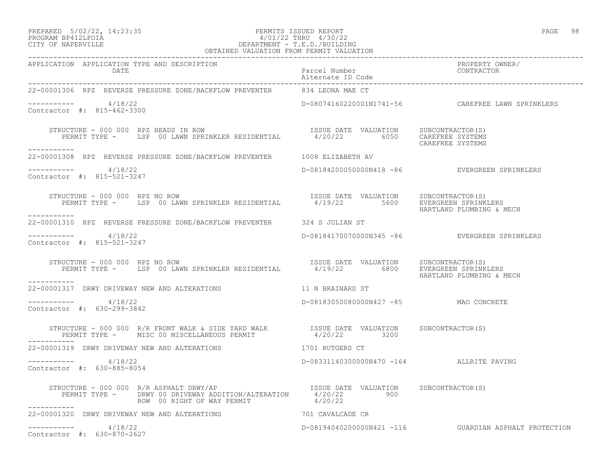### PREPARED 5/02/22, 14:23:35 PERMITS ISSUED REPORT PAGE 98 PROGRAM BP412LFOIA 4/01/22 THRU 4/30/22 CITY OF NAPERVILLE DEPARTMENT - T.E.D./BUILDING

| OBTAINED VALUATION FROM PERMIT VALUATION                                                                                                                                                                                                                                         |                                          |                                                       |
|----------------------------------------------------------------------------------------------------------------------------------------------------------------------------------------------------------------------------------------------------------------------------------|------------------------------------------|-------------------------------------------------------|
| APPLICATION APPLICATION TYPE AND DESCRIPTION<br>DATE                                                                                                                                                                                                                             | Parcel Number<br>Alternate ID Code       | PROPERTY OWNER/<br>CONTRACTOR                         |
| 22-00001306 RPZ REVERSE PRESSURE ZONE/BACKFLOW PREVENTER 634 LEONA MAE CT                                                                                                                                                                                                        |                                          |                                                       |
| $--------- 4/18/22$<br>Contractor #: 815-462-3300                                                                                                                                                                                                                                |                                          | D-08074160220001N1741-56    CAREFREE LAWN SPRINKLERS  |
| STRUCTURE - 000 000 RPZ HEADS IN ROW<br>RUCTURE – 000 000 RPZ HEADS IN ROW                                   ISSUE DATE VALUATION      SUBCONTRACTOR(S)<br>PERMIT TYPE –     LSP 00 LAWN SPRINKLER RESIDENTIAL          4/20/22         6050    CAREFREE SYSTEMS<br>------------ |                                          | CAREFREE SYSTEMS                                      |
| 22-00001308 RPZ REVERSE PRESSURE ZONE/BACKFLOW PREVENTER 1008 ELIZABETH AV                                                                                                                                                                                                       |                                          |                                                       |
| $--------- 4/18/22$<br>Contractor #: 815-521-3247                                                                                                                                                                                                                                |                                          | D-08184200050000N418 -86 EVERGREEN SPRINKLERS         |
| TRUCTURE - 000 000 RPZ NO ROW (SPECTURE 1999)<br>PERMIT TYPE - LSP 00 LAWN SPRINKLER RESIDENTIAL 34/19/22 5600 EVERGREEN SPRINKLERS<br>HARTLAND PLUMBING & MECH<br>STRUCTURE - 000 000 RPZ NO ROW<br>-----------                                                                 |                                          |                                                       |
| 22-00001310 RPZ REVERSE PRESSURE ZONE/BACKFLOW PREVENTER 324 S JULIAN ST                                                                                                                                                                                                         |                                          |                                                       |
| -----------     4/18/22<br>Contractor #: 815-521-3247                                                                                                                                                                                                                            |                                          | D-08184170070000N345 -86 EVERGREEN SPRINKLERS         |
| STRUCTURE - 000 000 RPZ NO ROW                                                                                                                                                                                                                                                   |                                          | HARTLAND PLUMBING & MECH                              |
| 22-00001317 DRWY DRIVEWAY NEW AND ALTERATIONS THE STATE REAL MARKED ST                                                                                                                                                                                                           |                                          |                                                       |
| $--------- 4/18/22$<br>Contractor #: 630-299-3842                                                                                                                                                                                                                                | D-08183050080000N427 -85 MAO CONCRETE    |                                                       |
| STRUCTURE - 000 000 R/R FRONT WALK & SIDE YARD WALK            ISSUE DATE VALUATION      SUBCONTRACTOR(S)     PERMIT TYPE -      MISC 00 MISCELLANEOUS PERMIT          4/20/22     3200                                                                                          |                                          |                                                       |
| 22-00001319 DRWY DRIVEWAY NEW AND ALTERATIONS 1701 RUTGERS CT                                                                                                                                                                                                                    |                                          |                                                       |
| $--------- 4/18/22$<br>Contractor #: 630-885-8054                                                                                                                                                                                                                                | D-08331140300000N470 -164 ALLRITE PAVING |                                                       |
| STRUCTURE - 000 000 R/R ASPHALT DRWY/AP<br>------------                                                                                                                                                                                                                          |                                          |                                                       |
| 22-00001320 DRWY DRIVEWAY NEW AND ALTERATIONS THE RESERVED TO CAVALCADE CR                                                                                                                                                                                                       |                                          |                                                       |
| $--------- 4/18/22$<br>Contractor #: 630-870-2627                                                                                                                                                                                                                                |                                          | D-08194040200000N421 -116 GUARDIAN ASPHALT PROTECTION |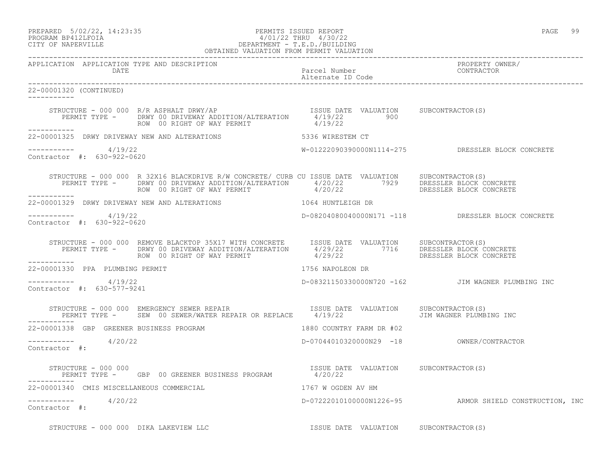PREPARED 5/02/22, 14:23:35 PERMITS ISSUED REPORT PAGE 99

### PROGRAM BP412LFOIA 4/01/22 THRU 4/30/22 CITY OF NAPERVILLE DEPARTMENT - T.E.D./BUILDING OBTAINED VALUATION FROM PERMIT VALUATION ------------------------------------------------------------------------------------------------------------------------------------

APPLICATION APPLICATION TYPE AND DESCRIPTION<br>DATE DATE DATE DATE DATE Parcel Number CONTRACTOR Alternate ID Code ------------------------------------------------------------------------------------------------------------------------------------ 22-00001320 (CONTINUED) ----------- STRUCTURE - 000 000 R/R ASPHALT DRWY/AP ISSUE DATE VALUATION SUBCONTRACTOR(S) PERMIT TYPE - DRWY 00 DRIVEWAY ADDITION/ALTERATION  $4/19/22$  900 ROW 00 RIGHT OF WAY PERMIT  $4/19/22$ ----------- 22-00001325 DRWY DRIVEWAY NEW AND ALTERATIONS 65336 WIRESTEM CT  $--------- 4/19/22$ W-01222090390000N1114-275 DRESSLER BLOCK CONCRETE Contractor #: 630-922-0620 STRUCTURE - 000 000 R 32X16 BLACKDRIVE R/W CONCRETE/ CURB CU ISSUE DATE VALUATION SUBCONTRACTOR(S) PERMIT TYPE - DRWY 00 DRIVEWAY ADDITION/ALTERATION 4/20/22 7929 DRESSLER BLOCK CONCRETE ROW 00 RIGHT OF WAY PERMIT  $4/20/22$  DRESSLER BLOCK CONCRETE ----------- 22-00001329 DRWY DRIVEWAY NEW AND ALTERATIONS 1064 HUNTLEIGH DR \_\_\_\_\_\_\_\_\_\_\_ ----------- 4/19/22 D-08204080040000N171 -118 DRESSLER BLOCK CONCRETE Contractor #: 630-922-0620 STRUCTURE - 000 000 REMOVE BLACKTOP 35X17 WITH CONCRETE ISSUE DATE VALUATION SUBCONTRACTOR(S) PERMIT TYPE - DRWY 00 DRIVEWAY ADDITION/ALTERATION 4/29/22 7716 DRESSLER BLOCK CONCRETE ROW 00 RIGHT OF WAY PERMIT 4/29/22 DRESSLER BLOCK CONCRETE ----------- 22-00001330 PPA PLUMBING PERMIT 1756 NAPOLEON DR  $--------- 4/19/22$ ----------- 4/19/22 D-08321150330000N720 -162 JIM WAGNER PLUMBING INC Contractor #: 630-577-9241 STRUCTURE - 000 000 EMERGENCY SEWER REPAIR<br>PERMIT TYPE - SEW 00 SEWER/WATER REPAIR OR REPLACE 4/19/22 JIM WAGNER PLUMBING INC PERMIT TYPE - SEW 00 SEWER/WATER REPAIR OR REPLACE 4/19/22 ----------- 22-00001338 GBP GREENER BUSINESS PROGRAM 1880 COUNTRY FARM DR #02 ----------- 4/20/22 D-07044010320000N29 -18 OWNER/CONTRACTOR Contractor #: STRUCTURE - 000 000<br>PERMIT TYPE - GBP 00 GREENER BUSINESS PROGRAM 4/20/22<br>4/20/22 PERMIT TYPE - GBP 00 GREENER BUSINESS PROGRAM ----------- 22-00001340 CMIS MISCELLANEOUS COMMERCIAL 1767 W OGDEN AV HM ----------- 4/20/22 D-07222010100000N1226-95 ARMOR SHIELD CONSTRUCTION, INC Contractor #: STRUCTURE - 000 000 DIKA LAKEVIEW LLC **ISSUE DATE VALUATION** SUBCONTRACTOR(S)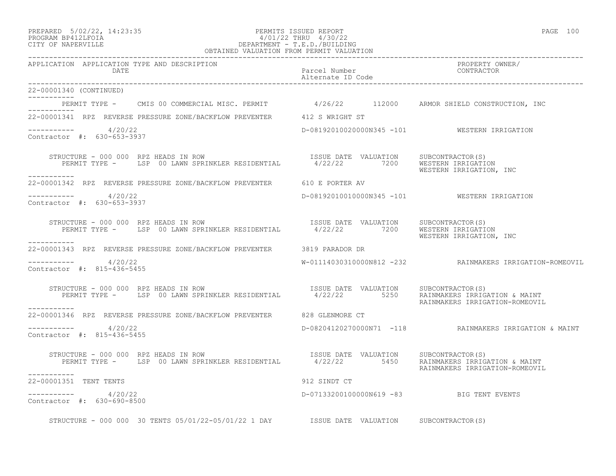## PREPARED 5/02/22, 14:23:35 PERMITS ISSUED REPORT PAGE 100 PROGRAM BP412LFOIA 4/01/22 THRU 4/30/22 CITY OF NAPERVILLE DEPARTMENT - T.E.D./BUILDING

| OBTAINED VALUATION FROM PERMIT VALUATION                                                                                                                                      |                                          |                                                                 |
|-------------------------------------------------------------------------------------------------------------------------------------------------------------------------------|------------------------------------------|-----------------------------------------------------------------|
| APPLICATION APPLICATION TYPE AND DESCRIPTION<br>DATE                                                                                                                          | Parcel Number<br>Alternate ID Code       | PROPERTY OWNER/<br>CONTRACTOR                                   |
| 22-00001340 (CONTINUED)                                                                                                                                                       |                                          |                                                                 |
| PERMIT TYPE - CMIS 00 COMMERCIAL MISC. PERMIT 4/26/22 112000 ARMOR SHIELD CONSTRUCTION, INC<br>----------                                                                     |                                          |                                                                 |
| 22-00001341 RPZ REVERSE PRESSURE ZONE/BACKFLOW PREVENTER 412 S WRIGHT ST                                                                                                      |                                          |                                                                 |
| ----------- 4/20/22<br>Contractor #: 630-653-3937                                                                                                                             |                                          | D-08192010020000N345 -101 WESTERN IRRIGATION                    |
| TRUCTURE - 000 000 RPZ HEADS IN ROW<br>PERMIT TYPE - LSP 00 LAWN SPRINKLER RESIDENTIAL 4/22/22 7200 WESTERN IRRIGATION<br>STRUCTURE - 000 000 RPZ HEADS IN ROW<br>___________ |                                          | WESTERN IRRIGATION, INC                                         |
| 22-00001342 RPZ REVERSE PRESSURE ZONE/BACKFLOW PREVENTER 610 E PORTER AV                                                                                                      |                                          |                                                                 |
| $--------- 4/20/22$<br>Contractor #: 630-653-3937                                                                                                                             |                                          | D-08192010010000N345 -101 WESTERN IRRIGATION                    |
| STRUCTURE - 000 000 RPZ HEADS IN ROW<br>PERMIT TYPE - LSP 00 LAWN SPRINKLER RESIDENTIAL 4/22/22 7200 WESTERNIT TYPE - LSP 00 LAWN SPRINKLER RESIDENTIAL                       |                                          | WESTERN IRRIGATION, INC                                         |
| ___________<br>22-00001343 RPZ REVERSE PRESSURE ZONE/BACKFLOW PREVENTER 3819 PARADOR DR                                                                                       |                                          |                                                                 |
| $--------- 4/20/22$<br>Contractor #: 815-436-5455                                                                                                                             |                                          | W-01114030310000N812 -232 RAINMAKERS IRRIGATION-ROMEOVIL        |
| STRUCTURE - 000 000 RPZ HEADS IN ROW<br>PERMIT TYPE - LSP 00 LAWN SPRINKLER RESIDENTIAL 4/22/22 5250 RAINMAKERS IRRIGATION & MAINT<br>------------                            |                                          | RAINMAKERS IRRIGATION-ROMEOVIL                                  |
| 22-00001346 RPZ REVERSE PRESSURE ZONE/BACKFLOW PREVENTER 628 GLENMORE CT                                                                                                      |                                          |                                                                 |
| $--------- 4/20/22$<br>Contractor #: 815-436-5455                                                                                                                             |                                          | D-08204120270000N71 -118 RAINMAKERS IRRIGATION & MAINT          |
| RUCTURE – 000 000 RPZ HEADS IN ROW<br>PERMIT TYPE – LSP 00 LAWN SPRINKLER RESIDENTIAL – 1/22/22 5450 RAINMAKERS IRRIG<br>STRUCTURE - 000 000 RPZ HEADS IN ROW                 |                                          | RAINMAKERS IRRIGATION & MAINT<br>RAINMAKERS IRRIGATION-ROMEOVIL |
| ___________<br>22-00001351 TENT TENTS                                                                                                                                         | 912 SINDT CT                             |                                                                 |
| ----------- 4/20/22<br>Contractor #: 630-690-8500                                                                                                                             | D-07133200100000N619 -83 BIG TENT EVENTS |                                                                 |
| STRUCTURE - 000 000 30 TENTS 05/01/22-05/01/22 1 DAY ISSUE DATE VALUATION SUBCONTRACTOR(S)                                                                                    |                                          |                                                                 |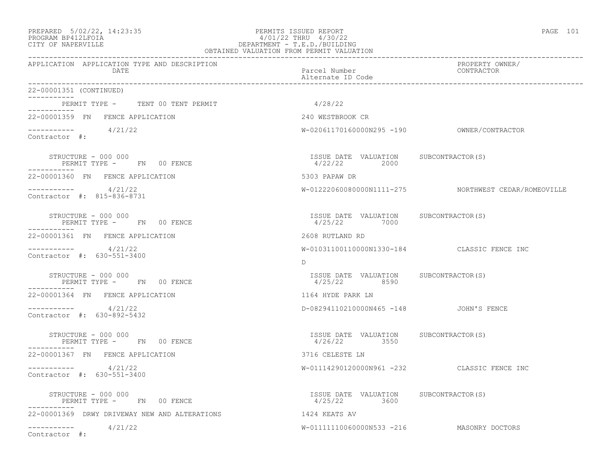APPLICATION APPLICATION TYPE AND DESCRIPTION

### PREPARED 5/02/22, 14:23:35 PERMITS ISSUED REPORT PAGE 101 PROGRAM BP412LFOIA 4/01/22 THRU 4/30/22 CITY OF NAPERVILLE DEPARTMENT - T.E.D./BUILDING OBTAINED VALUATION FROM PERMIT VALUATION

------------------------------------------------------------------------------------------------------------------------------------

| DATE                                                             | Parcel Number<br>Alternate ID Code                      | CONTRACTOR                                           |
|------------------------------------------------------------------|---------------------------------------------------------|------------------------------------------------------|
| 22-00001351 (CONTINUED)                                          |                                                         |                                                      |
| PERMIT TYPE - TENT 00 TENT PERMIT<br>-----------                 | 4/28/22                                                 |                                                      |
| 22-00001359 FN FENCE APPLICATION                                 | 240 WESTBROOK CR                                        |                                                      |
| $--------- 4/21/22$<br>Contractor #:                             |                                                         |                                                      |
| STRUCTURE - 000 000<br>PERMIT TYPE - FN 00 FENCE                 | ISSUE DATE VALUATION SUBCONTRACTOR(S)<br>4/22/22 2000   |                                                      |
| 22-00001360 FN FENCE APPLICATION                                 | 5303 PAPAW DR                                           |                                                      |
| $--------- 4/21/22$<br>Contractor #: 815-836-8731                |                                                         | W-01222060080000N1111-275 NORTHWEST CEDAR/ROMEOVILLE |
| STRUCTURE - 000 000<br>PERMIT TYPE - FN 00 FENCE<br>-----------  | ISSUE DATE VALUATION SUBCONTRACTOR(S)<br>4/25/22 7000   |                                                      |
| 22-00001361 FN FENCE APPLICATION                                 | 2608 RUTLAND RD                                         |                                                      |
| $--------- 4/21/22$<br>Contractor #: 630-551-3400                |                                                         | W-01031100110000N1330-184 CLASSIC FENCE INC          |
|                                                                  | D                                                       |                                                      |
| STRUCTURE - 000 000<br>PERMIT TYPE - FN 00 FENCE<br>------------ | ISSUE DATE VALUATION SUBCONTRACTOR(S)<br>4/25/22 8590   |                                                      |
| 22-00001364 FN FENCE APPLICATION                                 | 1164 HYDE PARK LN                                       |                                                      |
| $--------- 4/21/22$<br>Contractor #: 630-892-5432                | D-08294110210000N465 -148 JOHN'S FENCE                  |                                                      |
| STRUCTURE - 000 000<br>PERMIT TYPE - FN 00 FENCE<br>-----------  | ISSUE DATE VALUATION SUBCONTRACTOR(S)<br>4/26/22 3550   |                                                      |
| 22-00001367 FN FENCE APPLICATION                                 | 3716 CELESTE LN                                         |                                                      |
| $--------- 4/21/22$<br>Contractor #: 630-551-3400                |                                                         | W-01114290120000N961 -232 CLASSIC FENCE INC          |
| STRUCTURE - 000 000<br>PERMIT TYPE - FN 00 FENCE                 | ISSUE DATE VALUATION SUBCONTRACTOR(S)<br>$4/25/22$ 3600 |                                                      |
| 22-00001369 DRWY DRIVEWAY NEW AND ALTERATIONS                    | 1424 KEATS AV                                           |                                                      |
| $--------- 4/21/22$<br>Contractor #:                             | W-01111110060000N533 -216 MASONRY DOCTORS               |                                                      |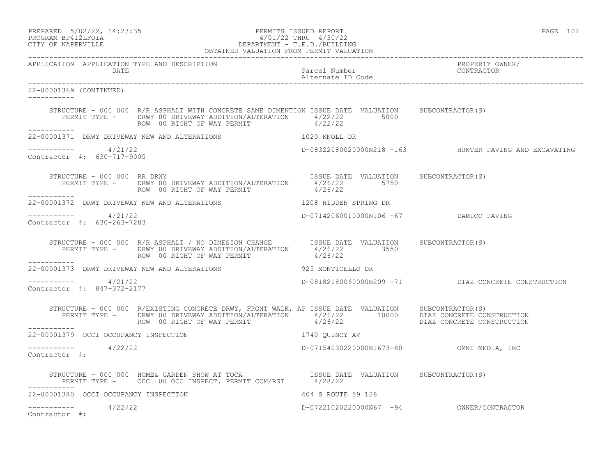| PREPARED 5/02/22, 14:23:35 | PERMITS ISSUED REPORT | PAGE | 102 |
|----------------------------|-----------------------|------|-----|
|                            |                       |      |     |
| EDOCRAM RRATTEOTA          | 1/01/22 THRII 1/30/22 |      |     |

# PROGRAM BP412LFOIA 4/01/22 THRU 4/30/22 CITY OF NAPERVILLE CITY OF NAPERVILLE

|                                                                | OBTAINED VALUATION FROM PERMIT VALUATION                                                                                                                                                                                             |                                          |                                                     |
|----------------------------------------------------------------|--------------------------------------------------------------------------------------------------------------------------------------------------------------------------------------------------------------------------------------|------------------------------------------|-----------------------------------------------------|
| APPLICATION APPLICATION TYPE AND DESCRIPTION<br><b>DATE</b>    |                                                                                                                                                                                                                                      | Parcel Number                            | PROPERTY OWNER/<br>CONTRACTOR                       |
| 22-00001369 (CONTINUED)<br>____________                        |                                                                                                                                                                                                                                      |                                          |                                                     |
|                                                                | STRUCTURE - 000 000 R/R ASPHALT WITH CONCRETE SAME DIMENTION ISSUE DATE VALUATION SUBCONTRACTOR(S)<br>PERMIT TYPE - DRWY 00 DRIVEWAY ADDITION/ALTERATION 4/22/22 5000<br>ROW 00 RIGHT OF WAY PERMIT $4/22/22$                        |                                          |                                                     |
| ___________                                                    | 22-00001371 DRWY DRIVEWAY NEW AND ALTERATIONS 1020 KNOLL DR                                                                                                                                                                          |                                          |                                                     |
| $--------- 4/21/22$<br>Contractor #: 630-717-9005              |                                                                                                                                                                                                                                      |                                          |                                                     |
| STRUCTURE - 000 000 RR DRWY<br><u> - - - - - - - - - - - -</u> | PERMIT TYPE - DRWY 00 DRIVEWAY ADDITION/ALTERATION 4/26/22 5750<br>ROW 00 RIGHT OF WAY PERMIT 4/26/22                                                                                                                                | ISSUE DATE VALUATION SUBCONTRACTOR(S)    |                                                     |
|                                                                | 22-00001372 DRWY DRIVEWAY NEW AND ALTERATIONS THE RESERVED OF THE DR SPRING DR                                                                                                                                                       |                                          |                                                     |
| ----------     4/21/22<br>Contractor #: 630-263-7283           |                                                                                                                                                                                                                                      | D-07142060010000N106 -67 DAMICO PAVING   |                                                     |
|                                                                | STRUCTURE - 000 000 R/R ASPHALT / NO DIMESION CHANGE ISSUE DATE VALUATION SUBCONTRACTOR(S)<br>PERMIT TYPE - DRWY 00 DRIVEWAY ADDITION/ALTERATION 4/26/22 3550<br>ROW 00 RIGHT OF WAY PERMIT 4/26/22                                  |                                          |                                                     |
|                                                                |                                                                                                                                                                                                                                      |                                          |                                                     |
| $--------- 4/21/22$<br>Contractor #: 847-372-2177              |                                                                                                                                                                                                                                      |                                          | D-08182180060000N209 -71 DIAZ CONCRETE CONSTRUCTION |
|                                                                | STRUCTURE - 000 000 R/EXISTING CONCRETE DRWY, FRONT WALK, AP ISSUE DATE VALUATION SUBCONTRACTOR(S)<br>PERMIT TYPE - DRWY 00 DRIVEWAY ADDITION/ALTERATION 4/26/22 10000 DIAZ CONCRETE CONSTRUCTION<br>------- ROW 00 RIGHT OF WAY PER |                                          |                                                     |
| ___________                                                    | 22-00001379 OCCI OCCUPANCY INSPECTION                                                                                                                                                                                                | 1740 QUINCY AV                           |                                                     |
| $--------- 4/22/22$<br>Contractor #:                           |                                                                                                                                                                                                                                      |                                          |                                                     |
| -----------                                                    | STRUCTURE – 000 000 HOME& GARDEN SHOW AT TOCA $$\tt ISSUE$ DATE VALUATION SUBCONTRACTOR(S) PERMIT TYPE – OCC 00 OCC INSPECT. PERMIT COM/RST $4/28/22$                                                                                |                                          |                                                     |
| 22-00001380 OCCI OCCUPANCY INSPECTION                          |                                                                                                                                                                                                                                      | 404 S ROUTE 59 128                       |                                                     |
| $--------- 4/22/22$<br>Contractor #:                           |                                                                                                                                                                                                                                      | D-07221020220000N67 -94 OWNER/CONTRACTOR |                                                     |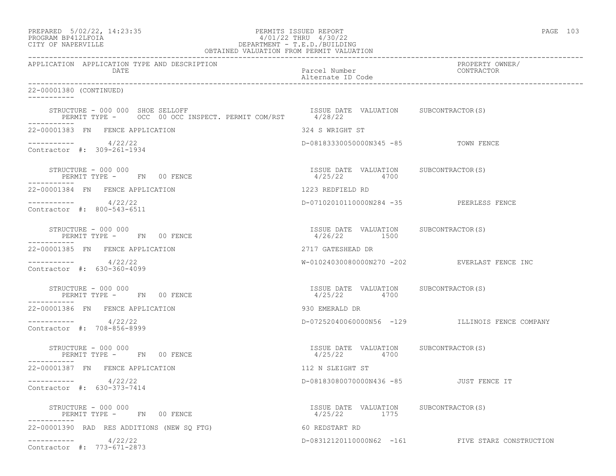|                    | PREPARED 5/02/22, 14:23:35 | PERMITS ISSUED REPORT     | PAGE |  |
|--------------------|----------------------------|---------------------------|------|--|
| DROGRAM BRAIGEROTA |                            | $1/01/00$ munts $1/00/00$ |      |  |

# PROGRAM BP412LFOIA 4/01/22 THRU 4/30/22 CITY OF NAPERVILLE CITY OF NAPERVILLE

| OBTAINED VALUATION FROM PERMIT VALUATION                                                                                                   |                                                        |                                                  |  |  |
|--------------------------------------------------------------------------------------------------------------------------------------------|--------------------------------------------------------|--------------------------------------------------|--|--|
| APPLICATION APPLICATION TYPE AND DESCRIPTION<br>DATE                                                                                       | Parcel Number<br>Alternate ID Code                     | PROPERTY OWNER/<br>CONTRACTOR                    |  |  |
| 22-00001380 (CONTINUED)<br>------------                                                                                                    |                                                        |                                                  |  |  |
| STRUCTURE - UUU UUU SHOE SELLOFF<br>PERMIT TYPE - OCC 00 OCC INSPECT. PERMIT COM/RST 4/28/22<br>------<br>STRUCTURE - 000 000 SHOE SELLOFF |                                                        |                                                  |  |  |
| 22-00001383 FN FENCE APPLICATION                                                                                                           | 324 S WRIGHT ST                                        |                                                  |  |  |
| $--------- 4/22/22$<br>Contractor #: 309-261-1934                                                                                          | D-08183330050000N345 -85 TOWN FENCE                    |                                                  |  |  |
| STRUCTURE - 000 000<br>$\overline{C}$                                                                                                      | ISSUE DATE VALUATION SUBCONTRACTOR (S)<br>4/25/22 4700 |                                                  |  |  |
| 22-00001384 FN FENCE APPLICATION                                                                                                           | 1223 REDFIELD RD                                       |                                                  |  |  |
| $--------- 4/22/22$<br>Contractor #: 800-543-6511                                                                                          | D-07102010110000N284 -35 PEERLESS FENCE                |                                                  |  |  |
| STRUCTURE - 000 000<br>PERMIT TYPE - FN 00 FENCE                                                                                           | ISSUE DATE VALUATION SUBCONTRACTOR(S)<br>4/26/22 1500  |                                                  |  |  |
| 22-00001385 FN FENCE APPLICATION                                                                                                           | 2717 GATESHEAD DR                                      |                                                  |  |  |
| $--------- 4/22/22$<br>Contractor #: 630-360-4099                                                                                          |                                                        | W-01024030080000N270 -202 EVERLAST FENCE INC     |  |  |
| STRUCTURE - 000 000<br>PERMIT TYPE - FN 00 FENCE                                                                                           | ISSUE DATE VALUATION SUBCONTRACTOR(S)<br>4/25/22 4700  |                                                  |  |  |
| 22-00001386 FN FENCE APPLICATION                                                                                                           | 930 EMERALD DR                                         |                                                  |  |  |
| ___________<br>4/22/22<br>Contractor #: 708-856-8999                                                                                       |                                                        | D-07252040060000N56 -129 ILLINOIS FENCE COMPANY  |  |  |
| STRUCTURE - 000 000<br>PERMIT TYPE - FN 00 FENCE<br>-----------                                                                            | ISSUE DATE VALUATION SUBCONTRACTOR(S)<br>4/25/22 4700  |                                                  |  |  |
| 22-00001387 FN FENCE APPLICATION                                                                                                           | 112 N SLEIGHT ST                                       |                                                  |  |  |
| $--------- 4/22/22$<br>Contractor #: 630-373-7414                                                                                          | D-08183080070000N436 -85 JUST FENCE IT                 |                                                  |  |  |
| STRUCTURE - 000 000<br>PERMIT TYPE - FN 00 FENCE                                                                                           | ISSUE DATE VALUATION SUBCONTRACTOR(S)<br>4/25/22 1775  |                                                  |  |  |
| 22-00001390 RAD RES ADDITIONS (NEW SO FTG)                                                                                                 | 60 REDSTART RD                                         |                                                  |  |  |
| $--------- 4/22/22$<br>Contractor #: 773-671-2873                                                                                          |                                                        | D-08312120110000N62 -161 FIVE STARZ CONSTRUCTION |  |  |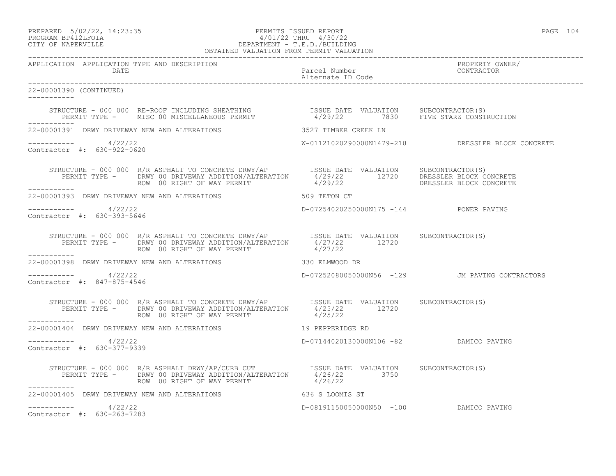PREPARED 5/02/22, 14:23:35 PERMITS ISSUED REPORT PAGE 104

# PROGRAM BP412LFOIA 4/01/22 THRU 4/30/22 CITY OF NAPERVILLE DEPARTMENT - T.E.D./BUILDING

| OBTAINED VALUATION FROM PERMIT VALUATION          |                                                                                                                                                                                                                                      |                                        |                                                   |
|---------------------------------------------------|--------------------------------------------------------------------------------------------------------------------------------------------------------------------------------------------------------------------------------------|----------------------------------------|---------------------------------------------------|
| APPLICATION APPLICATION TYPE AND DESCRIPTION      |                                                                                                                                                                                                                                      |                                        | PROPERTY OWNER/                                   |
| 22-00001390 (CONTINUED)                           |                                                                                                                                                                                                                                      |                                        |                                                   |
|                                                   | STRUCTURE - 000 000 RE-ROOF INCLUDING SHEATHING                ISSUE DATE VALUATION     SUBCONTRACTOR(S)<br>PERMIT TYPE -     MISC 00 MISCELLANEOUS PERMIT                  4/29/22       7830     FIVE STARZ CONSTRUCTION           |                                        |                                                   |
|                                                   | 22-00001391 DRWY DRIVEWAY NEW AND ALTERATIONS 3527 TIMBER CREEK LN                                                                                                                                                                   |                                        |                                                   |
| ----------- 4/22/22<br>Contractor #: 630-922-0620 |                                                                                                                                                                                                                                      |                                        | W-01121020290000N1479-218 DRESSLER BLOCK CONCRETE |
|                                                   | STRUCTURE - 000 000 R/R ASPHALT TO CONCRETE DRWY/AP  LSSUE DATE VALUATION SUBCONTRACTOR(S)<br>PERMIT TYPE - DRWY 00 DRIVEWAY ADDITION/ALTERATION 4/29/22 12720 DRESSLER BLOCK CONCRETE<br>----------- ROW 00 RIGHT OF WAY PERMIT  4/ |                                        |                                                   |
|                                                   | 22-00001393 DRWY DRIVEWAY NEW AND ALTERATIONS 509 TETON CT                                                                                                                                                                           |                                        |                                                   |
| $--------- 4/22/22$<br>Contractor #: 630-393-5646 |                                                                                                                                                                                                                                      | D-07254020250000N175 -144 POWER PAVING |                                                   |
| -----------                                       | STRUCTURE - 000 000 R/R ASPHALT TO CONCRETE DRWY/AP<br>PERMIT TYPE - DRWY 00 DRIVEWAY ADDITION/ALTERATION $4/27/22$ 12720<br>$4/27/22$ 12720<br>ROW 00 RIGHT OF WAY PERMIT                                                           | 4/27/22                                |                                                   |
|                                                   | 22-00001398 DRWY DRIVEWAY NEW AND ALTERATIONS 330 ELMWOOD DR                                                                                                                                                                         |                                        |                                                   |
| --------- 4/22/22<br>Contractor #: 847-875-4546   |                                                                                                                                                                                                                                      |                                        | D-07252080050000N56 -129 JM PAVING CONTRACTORS    |
|                                                   | STRUCTURE - 000 000 R/R ASPHALT TO CONCRETE DRWY/AP<br>PERMIT TYPE - DRWY 00 DRIVEWAY ADDITION/ALTERATION $4/25/22$ 12720<br>ROW 00 RIGHT OF WAY PERMIT 4/25/22                                                                      |                                        |                                                   |
| ------------                                      | 22-00001404 DRWY DRIVEWAY NEW AND ALTERATIONS 40 19 PEPPERIDGE RD                                                                                                                                                                    |                                        |                                                   |
| $--------- 4/22/22$<br>Contractor #: 630-377-9339 |                                                                                                                                                                                                                                      | D-07144020130000N106 -82 DAMICO PAVING |                                                   |
|                                                   | STRUCTURE - 000 000 R/R ASPHALT DRWY/AP/CURB CUT SISUE DATE VALUATION SUBCONTRACTOR(S)<br>PERMIT TYPE - DRWY 00 DRIVEWAY ADDITION/ALTERATION 4/26/22 3750<br>ROW 00 RIGHT OF WAY PERMIT 4/26/22                                      |                                        |                                                   |
|                                                   | 22-00001405 DRWY DRIVEWAY NEW AND ALTERATIONS 636 S LOOMIS ST                                                                                                                                                                        |                                        |                                                   |
| $--------- 4/22/22$<br>Contractor #: 630-263-7283 |                                                                                                                                                                                                                                      | D-08191150050000N50 -100 DAMICO PAVING |                                                   |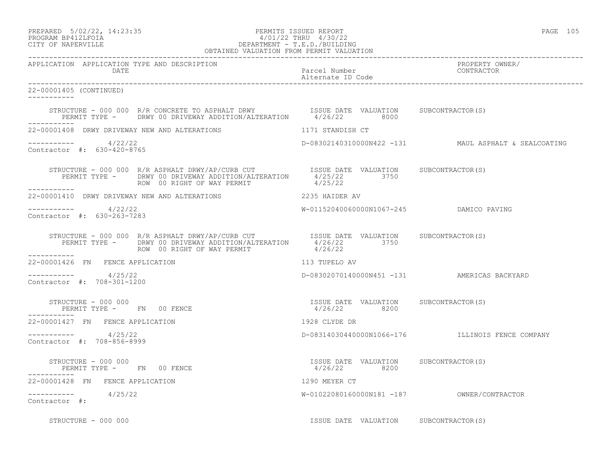PREPARED 5/02/22, 14:23:35 PERMITS ISSUED REPORT PAGE 105

# PROGRAM BP412LFOIA 4/01/22 THRU 4/30/22 CITY OF NAPERVILLE DEPARTMENT - T.E.D./BUILDING

| OBTAINED VALUATION FROM PERMIT VALUATION              |                                                                                                                                                                                                                                                                                                                                     |                                                        |                                                      |
|-------------------------------------------------------|-------------------------------------------------------------------------------------------------------------------------------------------------------------------------------------------------------------------------------------------------------------------------------------------------------------------------------------|--------------------------------------------------------|------------------------------------------------------|
| APPLICATION APPLICATION TYPE AND DESCRIPTION<br>DATE  |                                                                                                                                                                                                                                                                                                                                     | Parcel Number<br>Alternate ID Code                     | PROPERTY OWNER/<br>CONTRACTOR                        |
| 22-00001405 (CONTINUED)<br>-----------                |                                                                                                                                                                                                                                                                                                                                     |                                                        |                                                      |
|                                                       | STRUCTURE - 000 000 R/R CONCRETE TO ASPHALT DRWY TSSUE DATE VALUATION SUBCONTRACTOR(S)<br>PERMIT TYPE - DRWY 00 DRIVEWAY ADDITION/ALTERATION 4/26/22 8000                                                                                                                                                                           |                                                        |                                                      |
|                                                       | 22-00001408 DRWY DRIVEWAY NEW AND ALTERATIONS THE RELATION CONTRACTED AND STANDISH CT                                                                                                                                                                                                                                               |                                                        |                                                      |
| $--------- 4/22/22$<br>Contractor #: 630-420-8765     |                                                                                                                                                                                                                                                                                                                                     |                                                        | D-08302140310000N422 -131 MAUL ASPHALT & SEALCOATING |
|                                                       | STRUCTURE – 000 000 R/R ASPHALT DRWY/AP/CURB CUT TSSUE DATE VALUATION SUBCONTRACTOR(S)<br>PERMIT TYPE – DRWY 00 DRIVEWAY ADDITION/ALTERATION $4/25/22$ 3750<br>ROW 00 RIGHT OF WAY PERMIT                                                                                                                                           | 4/25/22                                                |                                                      |
| 22-00001410 DRWY DRIVEWAY NEW AND ALTERATIONS         | 2235 HAIDER AV                                                                                                                                                                                                                                                                                                                      |                                                        |                                                      |
| -----------     4/22/22<br>Contractor #: 630-263-7283 |                                                                                                                                                                                                                                                                                                                                     | W-01152040060000N1067-245 DAMICO PAVING                |                                                      |
|                                                       | $\begin{array}{cccc} \texttt{STRUCTURE} - 000 000 & \texttt{R/R ASPHALT DRW1/AP/CURB CUT} & \texttt{ISSUE DATE} & \texttt{VALUATION} & \texttt{SUBCONTRACTOR(S)} \\ \texttt{PERMIT TYPE -} & \texttt{DRWY 00 DRIVEWAY ADDITION/ALTERATION} & 4/26/22 & 3750 \\ \texttt{ROW 00 RIGHT OF WAY PERMIT} & 4/26/22 & 3750 \\ \end{array}$ |                                                        |                                                      |
| -----------<br>22-00001426 FN FENCE APPLICATION       |                                                                                                                                                                                                                                                                                                                                     | 113 TUPELO AV                                          |                                                      |
| ----------- 4/25/22<br>Contractor #: 708-301-1200     |                                                                                                                                                                                                                                                                                                                                     |                                                        | D-08302070140000N451 -131 AMERICAS BACKYARD          |
|                                                       | STRUCTURE - 000 000<br>PERMIT TYPE -      FN    00 FENCE                                                                                                                                                                                                                                                                            | ISSUE DATE VALUATION SUBCONTRACTOR(S)<br>4/26/22 8200  |                                                      |
| 22-00001427 FN FENCE APPLICATION                      |                                                                                                                                                                                                                                                                                                                                     | 1928 CLYDE DR                                          |                                                      |
| ----------- 4/25/22<br>Contractor #: 708-856-8999     |                                                                                                                                                                                                                                                                                                                                     |                                                        | D-08314030440000N1066-176 ILLINOIS FENCE COMPANY     |
|                                                       | STRUCTURE - 000 000<br>PERMIT TYPE - FN 00 FENCE                                                                                                                                                                                                                                                                                    | ISSUE DATE VALUATION SUBCONTRACTOR (S)<br>4/26/22 8200 |                                                      |
| 22-00001428 FN FENCE APPLICATION                      |                                                                                                                                                                                                                                                                                                                                     | 1290 MEYER CT                                          |                                                      |
| $--------- 4/25/22$<br>Contractor #:                  |                                                                                                                                                                                                                                                                                                                                     |                                                        |                                                      |
| STRUCTURE - 000 000                                   |                                                                                                                                                                                                                                                                                                                                     | ISSUE DATE VALUATION SUBCONTRACTOR(S)                  |                                                      |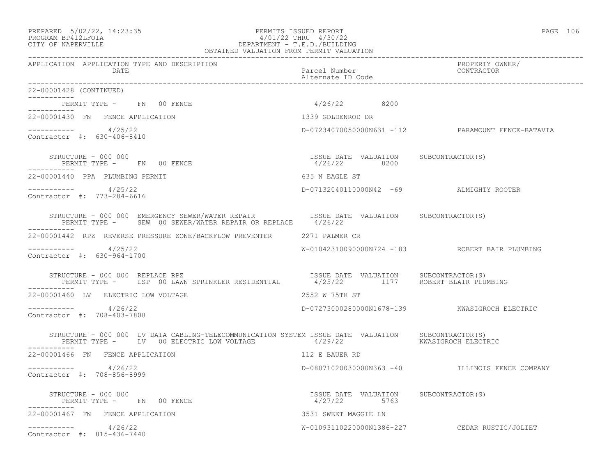### PREPARED 5/02/22, 14:23:35 PERMITS ISSUED REPORT PAGE 106 PAGE 106<br>PROGRAM BP412LFOIA PAGE 106 PAGE 106 PAGE 106 PAGE 106 PAGE 106 PAGE 106 PROGRAM BP412LFOIA 4/01/22 THRU 4/30/22 CITY OF NAPERVILLE DEPARTMENT - T.E.D./BUILDING OBTAINED VALUATION FROM PERMIT VALUATION

| APPLICATION APPLICATION TYPE AND DESCRIPTION<br>DATE                                                                                                                             | Parcel Number<br>Alternate ID Code                     | PROPERTY OWNER/<br>CONTRACTOR                     |
|----------------------------------------------------------------------------------------------------------------------------------------------------------------------------------|--------------------------------------------------------|---------------------------------------------------|
| 22-00001428 (CONTINUED)                                                                                                                                                          |                                                        |                                                   |
| PERMIT TYPE - FN 00 FENCE                                                                                                                                                        | 4/26/22 8200                                           |                                                   |
| 22-00001430 FN FENCE APPLICATION                                                                                                                                                 | 1339 GOLDENROD DR                                      |                                                   |
| $--------- 4/25/22$<br>Contractor #: 630-406-8410                                                                                                                                |                                                        | D-07234070050000N631 -112 PARAMOUNT FENCE-BATAVIA |
| STRUCTURE - 000 000<br>PERMIT TYPE - FN 00 FENCE<br>------------                                                                                                                 | ISSUE DATE VALUATION SUBCONTRACTOR(S)<br>4/26/22 8200  |                                                   |
| 22-00001440 PPA PLUMBING PERMIT                                                                                                                                                  | 635 N EAGLE ST                                         |                                                   |
| $--------- 4/25/22$<br>Contractor #: 773-284-6616                                                                                                                                | D-07132040110000N42 -69 ALMIGHTY ROOTER                |                                                   |
| STRUCTURE - 000 000 EMERGENCY SEWER/WATER REPAIR <a>&gt; SISSUE<br/> DATE VALUATION <br/> SUBCONTRACTOR(S)<br/>PERMIT TYPE - SEW 00 SEWER/WATER REPAIR OR REPLACE 4/26/22</a>    |                                                        |                                                   |
| 22-00001442 RPZ REVERSE PRESSURE ZONE/BACKFLOW PREVENTER 2271 PALMER CR                                                                                                          |                                                        |                                                   |
| $--------- 4/25/22$<br>Contractor #: 630-964-1700                                                                                                                                |                                                        | W-01042310090000N724 -183 ROBERT BAIR PLUMBING    |
| STRUCTURE – 000 000 REPLACE RPZ<br>PERMIT TYPE – LSP 00 LAWN SPRINKLER RESIDENTIAL – 4/25/22 1177 ROBERT BLAIR PLUMBING<br>STRUCTURE - 000 000 REPLACE RPZ                       |                                                        |                                                   |
| 22-00001460 LV ELECTRIC LOW VOLTAGE                                                                                                                                              | 2552 W 75TH ST                                         |                                                   |
| $--------- 4/26/22$<br>Contractor #: 708-403-7808                                                                                                                                |                                                        | D-07273000280000N1678-139 KWASIGROCH ELECTRIC     |
| STRUCTURE - 000 000 LV DATA CABLING-TELECOMMUNICATION SYSTEM ISSUE DATE VALUATION SUBCONTRACTOR(S)<br>PERMIT TYPE - LV 00 ELECTRIC LOW VOLTAGE 4/29/22 SERVIC MASIGROCH ELECTRIC |                                                        |                                                   |
| 22-00001466 FN FENCE APPLICATION                                                                                                                                                 | 112 E BAUER RD                                         |                                                   |
| $--------- 4/26/22$<br>Contractor #: 708-856-8999                                                                                                                                |                                                        | D-08071020030000N363 -40 ILLINOIS FENCE COMPANY   |
| STRUCTURE - 000 000<br>PERMIT TYPE - FN 00 FENCE                                                                                                                                 | ISSUE DATE VALUATION SUBCONTRACTOR (S)<br>4/27/22 5763 |                                                   |
| 22-00001467 FN FENCE APPLICATION                                                                                                                                                 | 3531 SWEET MAGGIE LN                                   |                                                   |
| $--------- 4/26/22$<br>Contractor #: 815-436-7440                                                                                                                                |                                                        | W-01093110220000N1386-227 CEDAR RUSTIC/JOLIET     |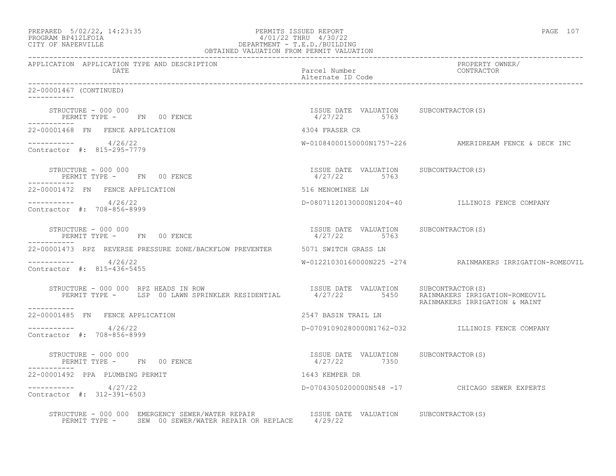| PREPARED 5/02/22, 14:23:35<br>$\begin{tabular}{r} $4/01/22$ & $\ldots$\\ DEPARTMENT - T.E.D./BULLDING \\ ORTAINED VALUATION FROM PERMIT VALUATION \\ \end{tabular}$<br>PROGRAM BP412LFOIA<br>CITY OF NAPERVILLE                                                                         | PERMITS ISSUED REPORT                                   | PAGE 107                                                 |
|-----------------------------------------------------------------------------------------------------------------------------------------------------------------------------------------------------------------------------------------------------------------------------------------|---------------------------------------------------------|----------------------------------------------------------|
| APPLICATION APPLICATION TYPE AND DESCRIPTION<br>DATE                                                                                                                                                                                                                                    | Parcel Number<br>Alternate ID Code                      | PROPERTY OWNER/<br>CONTRACTOR                            |
| 22-00001467 (CONTINUED)<br>-----------                                                                                                                                                                                                                                                  |                                                         |                                                          |
| STRUCTURE – 000 000<br>PERMIT TYPE - FN 00 FENCE<br>-----------                                                                                                                                                                                                                         | ISSUE DATE VALUATION SUBCONTRACTOR(S)<br>4/27/22 5763   |                                                          |
| 22-00001468 FN FENCE APPLICATION                                                                                                                                                                                                                                                        | 4304 FRASER CR                                          |                                                          |
| $--------- 4/26/22$<br>Contractor #: 815-295-7779                                                                                                                                                                                                                                       |                                                         | W-01084000150000N1757-226 AMERIDREAM FENCE & DECK INC    |
| STRUCTURE - 000 000<br>PERMIT TYPE - FN 00 FENCE<br>------------                                                                                                                                                                                                                        | ISSUE DATE VALUATION SUBCONTRACTOR(S)<br>$4/27/22$ 5763 |                                                          |
| 22-00001472 FN FENCE APPLICATION                                                                                                                                                                                                                                                        | 516 MENOMINEE LN                                        |                                                          |
| $--------- 4/26/22$<br>Contractor #: 708-856-8999                                                                                                                                                                                                                                       |                                                         | D-08071120130000N1204-40 ILLINOIS FENCE COMPANY          |
| STRUCTURE - 000 000<br>PERMIT TYPE - FN 00 FENCE                                                                                                                                                                                                                                        | ISSUE DATE VALUATION SUBCONTRACTOR(S)<br>4/27/22 5763   |                                                          |
| 22-00001473 RPZ REVERSE PRESSURE ZONE/BACKFLOW PREVENTER 5071 SWITCH GRASS LN                                                                                                                                                                                                           |                                                         |                                                          |
| $--------- 4/26/22$<br>Contractor #: 815-436-5455                                                                                                                                                                                                                                       |                                                         | W-01221030160000N225 -274 RAINMAKERS IRRIGATION-ROMEOVIL |
| STRUCTURE - 000 000 RPZ HEADS IN ROW<br>RUCTURE – 000 000 RPZ HEADS IN ROW                                 ISSUE DATE VALUATION     SUBCONTRACTOR(S)<br>PERMIT TYPE –     LSP 00 LAWN SPRINKLER RESIDENTIAL        4/27/22        5450    RAINMAKERS IRRIGATION-ROMEOVIL<br>----------- |                                                         | RAINMAKERS IRRIGATION & MAINT                            |
| 22-00001485 FN FENCE APPLICATION                                                                                                                                                                                                                                                        | 2547 BASIN TRAIL LN                                     |                                                          |
| $--------- 4/26/22$<br>Contractor #: 708-856-8999                                                                                                                                                                                                                                       |                                                         | D-07091090280000N1762-032 ILLINOIS FENCE COMPANY         |
| STRUCTURE - 000 000<br>PERMIT TYPE - FN 00 FENCE                                                                                                                                                                                                                                        | ISSUE DATE VALUATION SUBCONTRACTOR(S)<br>4/27/22 7350   |                                                          |
| 22-00001492 PPA PLUMBING PERMIT                                                                                                                                                                                                                                                         | 1643 KEMPER DR                                          |                                                          |
| ----------- 4/27/22<br>Contractor #: 312-391-6503                                                                                                                                                                                                                                       |                                                         | D-07043050200000N548 -17 CHICAGO SEWER EXPERTS           |
| STRUCTURE – 000 000 EMERGENCY SEWER/WATER REPAIR ISSUE DATE VALUATION SUBCONTRACTOR(S) PERMIT TYPE – SEW 00 SEWER/WATER REPAIR OR REPLACE 4/29/22                                                                                                                                       |                                                         |                                                          |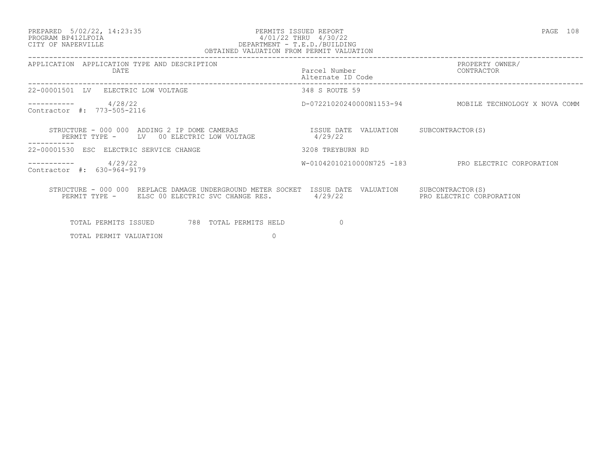### PREPARED 5/02/22, 14:23:35 PERMITS ISSUED REPORT PAGE 108 PROGRAM BP412LFOIA 4/01/22 THRU 4/30/22 CITY OF NAPERVILLE DEPARTMENT - T.E.D./BUILDING OBTAINED VALUATION FROM PERMIT VALUATION

| 08 |  |
|----|--|
|    |  |

| APPLICATION TYPE AND DESCRIPTION<br>APPLICATION<br>DATE                                                                  | Parcel Number<br>Alternate ID Code | PROPERTY OWNER/<br>CONTRACTOR                 |
|--------------------------------------------------------------------------------------------------------------------------|------------------------------------|-----------------------------------------------|
| 22-00001501<br>ELECTRIC LOW VOLTAGE<br>LV                                                                                | 348 S ROUTE 59                     |                                               |
| 4/28/22<br>Contractor #: 773-505-2116                                                                                    | D-07221020240000N1153-94           | MOBILE TECHNOLOGY X NOVA COMM                 |
| STRUCTURE - 000 000 ADDING 2 IP DOME CAMERAS<br>PERMIT TYPE -<br>00 ELECTRIC LOW VOLTAGE<br>LV                           | ISSUE DATE VALUATION<br>4/29/22    | SUBCONTRACTOR (S)                             |
| .<br>22-00001530<br>ESC ELECTRIC SERVICE CHANGE                                                                          | 3208 TREYBURN RD                   |                                               |
| 4/29/22<br>Contractor #: 630-964-9179                                                                                    | W-01042010210000N725 -183          | PRO ELECTRIC CORPORATION                      |
| STRUCTURE - 000 000 REPLACE DAMAGE UNDERGROUND METER SOCKET ISSUE DATE<br>PERMIT TYPE - ELSC 00 ELECTRIC SVC CHANGE RES. | VALUATION<br>4/29/22               | SUBCONTRACTOR (S)<br>PRO ELECTRIC CORPORATION |
| 788 TOTAL PERMITS HELD<br>TOTAL PERMITS ISSUED                                                                           | $\Omega$                           |                                               |
| TOTAL PERMIT VALUATION<br>0                                                                                              |                                    |                                               |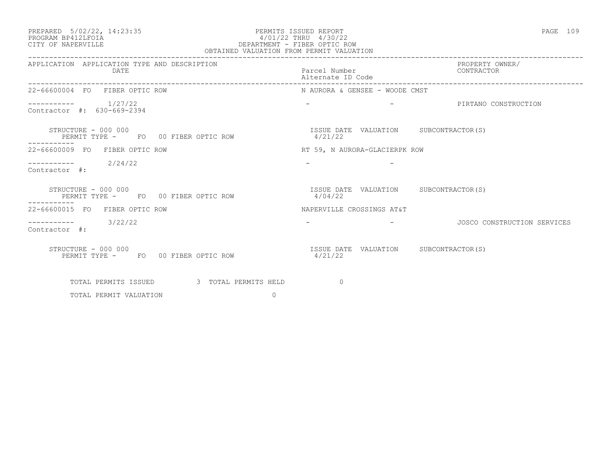### PREPARED 5/02/22, 14:23:35 PERMITS ISSUED REPORT PAGE 109 PROGRAM BP412LFOIA 4/01/22 THRU 4/30/22 CITY OF NAPERVILLE DEPARTMENT - FIBER OPTIC ROW OBTAINED VALUATION FROM PERMIT VALUATION

| APPLICATION APPLICATION TYPE AND DESCRIPTION<br>DATE                      | Parcel Number<br>Alternate ID Code               | PROPERTY OWNER/<br>CONTRACTOR |
|---------------------------------------------------------------------------|--------------------------------------------------|-------------------------------|
| 22-66600004 FO FIBER OPTIC ROW                                            | N AURORA & GENSEE - WOODE CMST                   |                               |
| $--------- 1/27/22$<br>Contractor #: 630-669-2394                         |                                                  |                               |
| STRUCTURE – 000 000<br>PERMIT TYPE - FO 00 FIBER OPTIC ROW<br>----------- | ISSUE DATE VALUATION SUBCONTRACTOR(S)<br>4/21/22 |                               |
| 22-66600009 FO FIBER OPTIC ROW                                            | RT 59, N AURORA-GLACIERPK ROW                    |                               |
| $---------2$ 2/24/22<br>Contractor #:                                     |                                                  |                               |
| STRUCTURE - 000 000<br>PERMIT TYPE - FO 00 FIBER OPTIC ROW<br>----------  | ISSUE DATE VALUATION SUBCONTRACTOR(S)<br>4/04/22 |                               |
| 22-66600015 FO FIBER OPTIC ROW                                            | NAPERVILLE CROSSINGS AT&T                        |                               |
| $--------- 3/22/22$<br>Contractor #:                                      |                                                  | - CONSTRUCTION SERVICES       |
| STRUCTURE - 000 000<br>PERMIT TYPE - FO 00 FIBER OPTIC ROW                | ISSUE DATE VALUATION SUBCONTRACTOR(S)<br>4/21/22 |                               |
| TOTAL PERMITS ISSUED 3 TOTAL PERMITS HELD                                 | $\sim$ 0                                         |                               |
| TOTAL PERMIT VALUATION<br>$\Omega$                                        |                                                  |                               |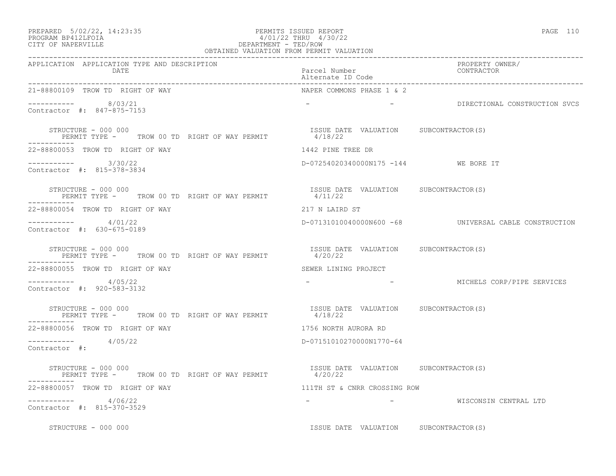| PREPARED 5/02/22, 14:23:35 | PERMITS ISSUED REPORT | PAGE 110 |
|----------------------------|-----------------------|----------|
|                            |                       |          |

# PROGRAM BP412LFOIA 4/01/22 THRU 4/30/22 CITY OF NAPERVILLE **Example 20** and the contract of the DEPARTMENT - TED/ROW

| OBTAINED VALUATION FROM PERMIT VALUATION                                                                                    |                                                                                                                                                                       |                                                        |  |
|-----------------------------------------------------------------------------------------------------------------------------|-----------------------------------------------------------------------------------------------------------------------------------------------------------------------|--------------------------------------------------------|--|
| APPLICATION APPLICATION TYPE AND DESCRIPTION<br>DATE                                                                        | Parcel Number<br>Alternate ID Code                                                                                                                                    | PROPERTY OWNER/<br>CONTRACTOR                          |  |
| 21-88800109 TROW TD RIGHT OF WAY                                                                                            | NAPER COMMONS PHASE 1 & 2                                                                                                                                             |                                                        |  |
| ----------- 8/03/21<br>Contractor #: 847-875-7153                                                                           |                                                                                                                                                                       | - BIRECTIONAL CONSTRUCTION SVCS                        |  |
| STRUCTURE - 000 000<br>RUCTURE - UUU UUU<br>PERMIT TYPE -       TROW 00 TD  RIGHT OF WAY PERMIT                     4/18/22 | ISSUE DATE VALUATION SUBCONTRACTOR(S)                                                                                                                                 |                                                        |  |
| 22-88800053 TROW TD RIGHT OF WAY                                                                                            | 1442 PINE TREE DR                                                                                                                                                     |                                                        |  |
| $--------- 3/30/22$<br>Contractor #: 815-378-3834                                                                           | D-07254020340000N175 -144 WE BORE IT                                                                                                                                  |                                                        |  |
| STRUCTURE - 000 000<br>PERMIT TYPE - TROW 00 TD RIGHT OF WAY PERMIT                                                         | ISSUE DATE VALUATION SUBCONTRACTOR(S)<br>4/11/22                                                                                                                      |                                                        |  |
| 22-88800054 TROW TD RIGHT OF WAY                                                                                            | 217 N LAIRD ST                                                                                                                                                        |                                                        |  |
| ----------    4/01/22<br>Contractor #: 630-675-0189                                                                         |                                                                                                                                                                       | D-07131010040000N600 -68 UNIVERSAL CABLE CONSTRUCTION  |  |
| STRUCTURE - 000 000<br>PERMIT TYPE - TROW 00 TD RIGHT OF WAY PERMIT                                                         | ISSUE DATE VALUATION SUBCONTRACTOR(S)<br>4/20/22                                                                                                                      |                                                        |  |
| 22-88800055 TROW TD RIGHT OF WAY                                                                                            | SEWER LINING PROJECT                                                                                                                                                  |                                                        |  |
| $--------- 4/05/22$<br>Contractor #: 920-583-3132                                                                           |                                                                                                                                                                       | -                           MICHELS CORP/PIPE SERVICES |  |
| STRUCTURE - 000 000<br>PERMIT TYPE - TROW 00 TD RIGHT OF WAY PERMIT 4/18/22                                                 | ISSUE DATE VALUATION SUBCONTRACTOR(S)                                                                                                                                 |                                                        |  |
| 22-88800056 TROW TD RIGHT OF WAY                                                                                            | 1756 NORTH AURORA RD                                                                                                                                                  |                                                        |  |
| $--------- 4/05/22$<br>Contractor #:                                                                                        | D-07151010270000N1770-64                                                                                                                                              |                                                        |  |
| STRUCTURE – 000 000<br>PERMIT TYPE - TROW 00 TD RIGHT OF WAY PERMIT                                                         | ISSUE DATE VALUATION SUBCONTRACTOR(S)<br>4/20/22                                                                                                                      |                                                        |  |
| 22-88800057 TROW TD RIGHT OF WAY                                                                                            | 111TH ST & CNRR CROSSING ROW                                                                                                                                          |                                                        |  |
| $--------- 4/06/22$<br>Contractor #: 815-370-3529                                                                           | $\label{eq:2.1} \mathcal{L}_{\mathcal{A}}(x) = \mathcal{L}_{\mathcal{A}}(x) \mathcal{L}_{\mathcal{A}}(x) + \mathcal{L}_{\mathcal{A}}(x) \mathcal{L}_{\mathcal{A}}(x)$ | WISCONSIN CENTRAL LTD                                  |  |
| $STRUCTURE - 000 000$                                                                                                       | ISSUE DATE VALUATION SUBCONTRACTOR(S)                                                                                                                                 |                                                        |  |